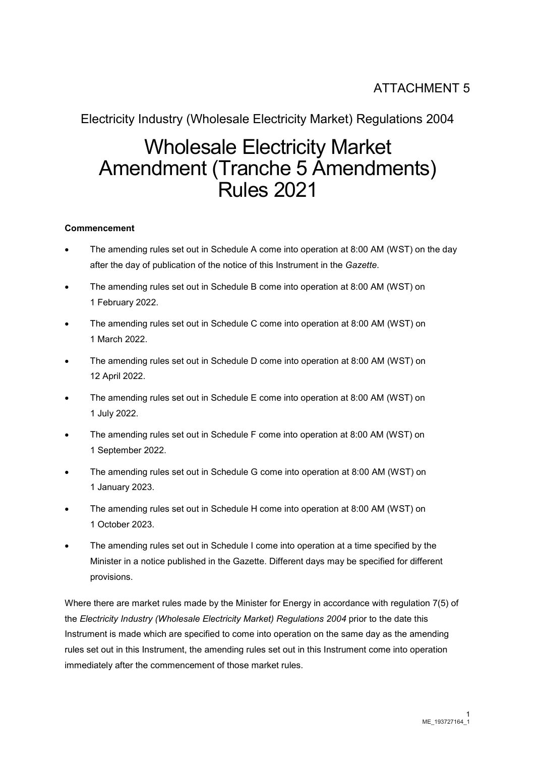# ATTACHMENT 5

### Electricity Industry (Wholesale Electricity Market) Regulations 2004

# Wholesale Electricity Market Amendment (Tranche 5 Amendments) Rules 2021

#### **Commencement**

- The amending rules set out in Schedule A come into operation at 8:00 AM (WST) on the day after the day of publication of the notice of this Instrument in the *Gazette*.
- The amending rules set out in Schedule B come into operation at 8:00 AM (WST) on 1 February 2022.
- The amending rules set out in Schedule C come into operation at 8:00 AM (WST) on 1 March 2022.
- The amending rules set out in Schedule D come into operation at 8:00 AM (WST) on 12 April 2022.
- The amending rules set out in Schedule E come into operation at 8:00 AM (WST) on 1 July 2022.
- The amending rules set out in Schedule F come into operation at 8:00 AM (WST) on 1 September 2022.
- The amending rules set out in Schedule G come into operation at 8:00 AM (WST) on 1 January 2023.
- The amending rules set out in Schedule H come into operation at 8:00 AM (WST) on 1 October 2023.
- The amending rules set out in Schedule I come into operation at a time specified by the Minister in a notice published in the Gazette. Different days may be specified for different provisions.

Where there are market rules made by the Minister for Energy in accordance with regulation 7(5) of the *Electricity Industry (Wholesale Electricity Market) Regulations 2004* prior to the date this Instrument is made which are specified to come into operation on the same day as the amending rules set out in this Instrument, the amending rules set out in this Instrument come into operation immediately after the commencement of those market rules.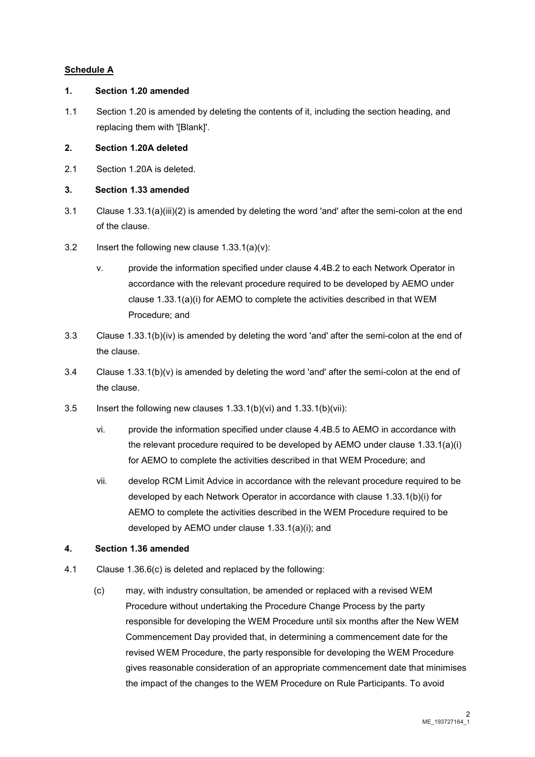#### **Schedule A**

#### **1. Section 1.20 amended**

1.1 Section 1.20 is amended by deleting the contents of it, including the section heading, and replacing them with '[Blank]'.

#### **2. Section 1.20A deleted**

2.1 Section 1.20A is deleted.

#### **3. Section 1.33 amended**

- 3.1 Clause 1.33.1(a)(iii)(2) is amended by deleting the word 'and' after the semi-colon at the end of the clause.
- 3.2 Insert the following new clause 1.33.1(a)(v):
	- v. provide the information specified under clause 4.4B.2 to each Network Operator in accordance with the relevant procedure required to be developed by AEMO under clause 1.33.1(a)(i) for AEMO to complete the activities described in that WEM Procedure; and
- 3.3 Clause 1.33.1(b)(iv) is amended by deleting the word 'and' after the semi-colon at the end of the clause.
- 3.4 Clause 1.33.1(b)(v) is amended by deleting the word 'and' after the semi-colon at the end of the clause.
- 3.5 Insert the following new clauses 1.33.1(b)(vi) and 1.33.1(b)(vii):
	- vi. provide the information specified under clause 4.4B.5 to AEMO in accordance with the relevant procedure required to be developed by AEMO under clause 1.33.1(a)(i) for AEMO to complete the activities described in that WEM Procedure; and
	- vii. develop RCM Limit Advice in accordance with the relevant procedure required to be developed by each Network Operator in accordance with clause 1.33.1(b)(i) for AEMO to complete the activities described in the WEM Procedure required to be developed by AEMO under clause 1.33.1(a)(i); and

#### **4. Section 1.36 amended**

- 4.1 Clause 1.36.6(c) is deleted and replaced by the following:
	- (c) may, with industry consultation, be amended or replaced with a revised WEM Procedure without undertaking the Procedure Change Process by the party responsible for developing the WEM Procedure until six months after the New WEM Commencement Day provided that, in determining a commencement date for the revised WEM Procedure, the party responsible for developing the WEM Procedure gives reasonable consideration of an appropriate commencement date that minimises the impact of the changes to the WEM Procedure on Rule Participants. To avoid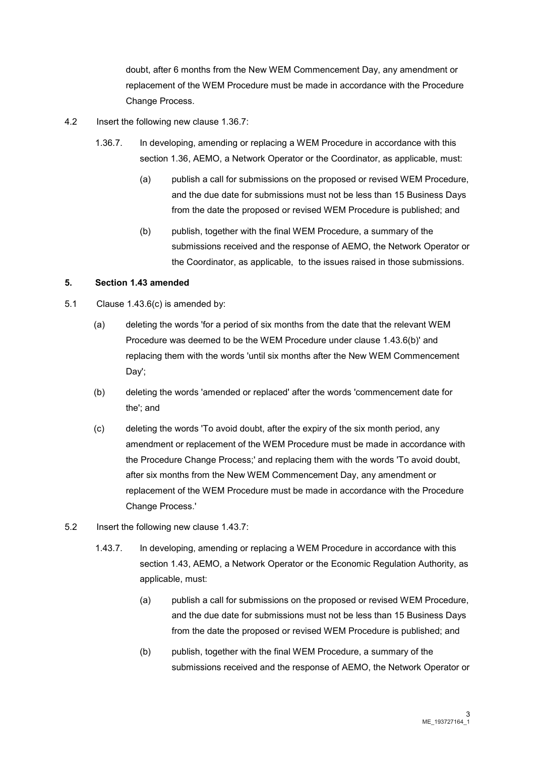doubt, after 6 months from the New WEM Commencement Day, any amendment or replacement of the WEM Procedure must be made in accordance with the Procedure Change Process.

- 4.2 Insert the following new clause 1.36.7:
	- 1.36.7. In developing, amending or replacing a WEM Procedure in accordance with this section 1.36, AEMO, a Network Operator or the Coordinator, as applicable, must:
		- (a) publish a call for submissions on the proposed or revised WEM Procedure, and the due date for submissions must not be less than 15 Business Days from the date the proposed or revised WEM Procedure is published; and
		- (b) publish, together with the final WEM Procedure, a summary of the submissions received and the response of AEMO, the Network Operator or the Coordinator, as applicable, to the issues raised in those submissions.

#### **5. Section 1.43 amended**

- 5.1 Clause 1.43.6(c) is amended by:
	- (a) deleting the words 'for a period of six months from the date that the relevant WEM Procedure was deemed to be the WEM Procedure under clause 1.43.6(b)' and replacing them with the words 'until six months after the New WEM Commencement Day';
	- (b) deleting the words 'amended or replaced' after the words 'commencement date for the'; and
	- (c) deleting the words 'To avoid doubt, after the expiry of the six month period, any amendment or replacement of the WEM Procedure must be made in accordance with the Procedure Change Process;' and replacing them with the words 'To avoid doubt, after six months from the New WEM Commencement Day, any amendment or replacement of the WEM Procedure must be made in accordance with the Procedure Change Process.'
- 5.2 Insert the following new clause 1.43.7:
	- 1.43.7. In developing, amending or replacing a WEM Procedure in accordance with this section 1.43, AEMO, a Network Operator or the Economic Regulation Authority, as applicable, must:
		- (a) publish a call for submissions on the proposed or revised WEM Procedure, and the due date for submissions must not be less than 15 Business Days from the date the proposed or revised WEM Procedure is published; and
		- (b) publish, together with the final WEM Procedure, a summary of the submissions received and the response of AEMO, the Network Operator or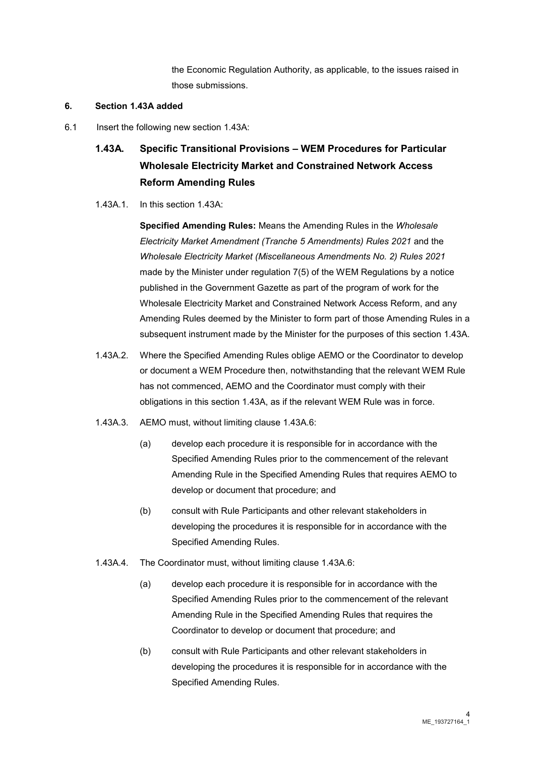the Economic Regulation Authority, as applicable, to the issues raised in those submissions.

#### **6. Section 1.43A added**

6.1 Insert the following new section 1.43A:

## **1.43A. Specific Transitional Provisions – WEM Procedures for Particular Wholesale Electricity Market and Constrained Network Access Reform Amending Rules**

1.43A.1. In this section 1.43A:

**Specified Amending Rules:** Means the Amending Rules in the *Wholesale Electricity Market Amendment (Tranche 5 Amendments) Rules 2021* and the *Wholesale Electricity Market (Miscellaneous Amendments No. 2) Rules 2021* made by the Minister under regulation 7(5) of the WEM Regulations by a notice published in the Government Gazette as part of the program of work for the Wholesale Electricity Market and Constrained Network Access Reform, and any Amending Rules deemed by the Minister to form part of those Amending Rules in a subsequent instrument made by the Minister for the purposes of this section 1.43A.

- 1.43A.2. Where the Specified Amending Rules oblige AEMO or the Coordinator to develop or document a WEM Procedure then, notwithstanding that the relevant WEM Rule has not commenced, AEMO and the Coordinator must comply with their obligations in this section 1.43A, as if the relevant WEM Rule was in force.
- 1.43A.3. AEMO must, without limiting clause 1.43A.6:
	- (a) develop each procedure it is responsible for in accordance with the Specified Amending Rules prior to the commencement of the relevant Amending Rule in the Specified Amending Rules that requires AEMO to develop or document that procedure; and
	- (b) consult with Rule Participants and other relevant stakeholders in developing the procedures it is responsible for in accordance with the Specified Amending Rules.
- 1.43A.4. The Coordinator must, without limiting clause 1.43A.6:
	- (a) develop each procedure it is responsible for in accordance with the Specified Amending Rules prior to the commencement of the relevant Amending Rule in the Specified Amending Rules that requires the Coordinator to develop or document that procedure; and
	- (b) consult with Rule Participants and other relevant stakeholders in developing the procedures it is responsible for in accordance with the Specified Amending Rules.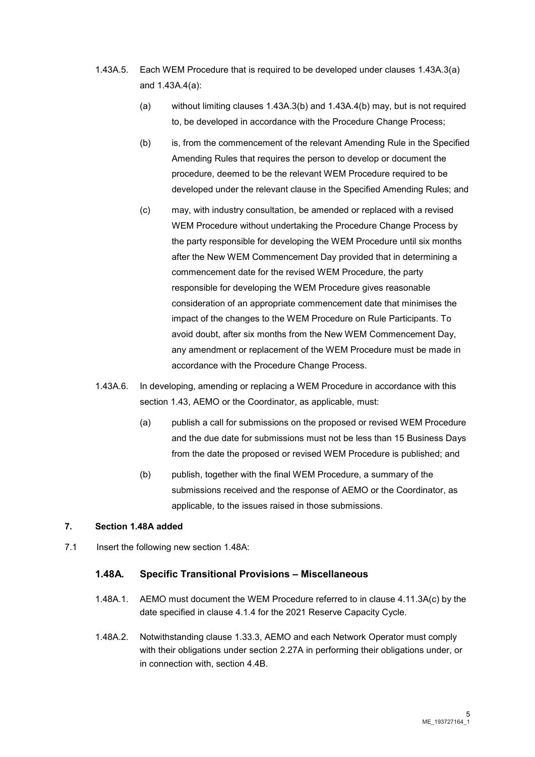- 1.43A.5. Each WEM Procedure that is required to be developed under clauses 1.43A.3(a) and 1.43A.4(a):
	- (a) without limiting clauses 1.43A.3(b) and 1.43A.4(b) may, but is not required to, be developed in accordance with the Procedure Change Process;
	- (b) is, from the commencement of the relevant Amending Rule in the Specified Amending Rules that requires the person to develop or document the procedure, deemed to be the relevant WEM Procedure required to be developed under the relevant clause in the Specified Amending Rules; and
	- (c) may, with industry consultation, be amended or replaced with a revised WEM Procedure without undertaking the Procedure Change Process by the party responsible for developing the WEM Procedure until six months after the New WEM Commencement Day provided that in determining a commencement date for the revised WEM Procedure, the party responsible for developing the WEM Procedure gives reasonable consideration of an appropriate commencement date that minimises the impact of the changes to the WEM Procedure on Rule Participants. To avoid doubt, after six months from the New WEM Commencement Day, any amendment or replacement of the WEM Procedure must be made in accordance with the Procedure Change Process.
- 1.43A.6. In developing, amending or replacing a WEM Procedure in accordance with this section 1.43, AEMO or the Coordinator, as applicable, must:
	- (a) publish a call for submissions on the proposed or revised WEM Procedure and the due date for submissions must not be less than 15 Business Days from the date the proposed or revised WEM Procedure is published; and
	- (b) publish, together with the final WEM Procedure, a summary of the submissions received and the response of AEMO or the Coordinator, as applicable, to the issues raised in those submissions.

#### **7. Section 1.48A added**

7.1 Insert the following new section 1.48A:

#### **1.48A. Specific Transitional Provisions – Miscellaneous**

- 1.48A.1. AEMO must document the WEM Procedure referred to in clause 4.11.3A(c) by the date specified in clause 4.1.4 for the 2021 Reserve Capacity Cycle.
- 1.48A.2. Notwithstanding clause 1.33.3, AEMO and each Network Operator must comply with their obligations under section 2.27A in performing their obligations under, or in connection with, section 4.4B.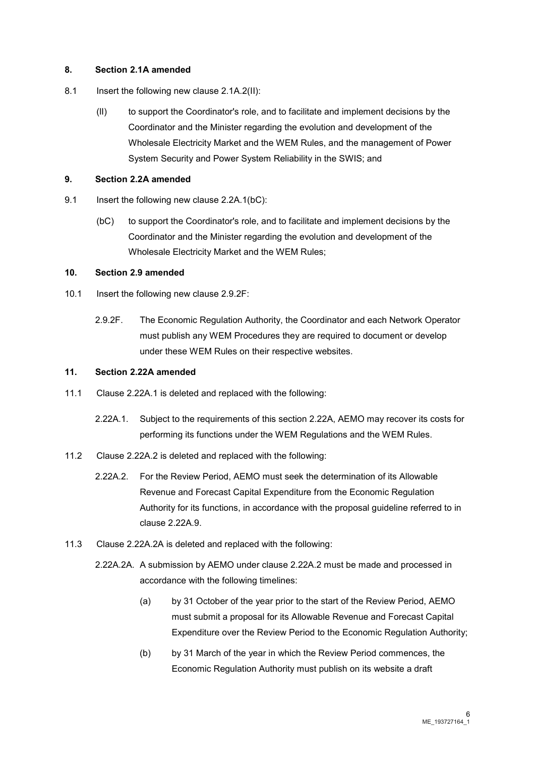#### **8. Section 2.1A amended**

- 8.1 Insert the following new clause 2.1A.2(II):
	- (lI) to support the Coordinator's role, and to facilitate and implement decisions by the Coordinator and the Minister regarding the evolution and development of the Wholesale Electricity Market and the WEM Rules, and the management of Power System Security and Power System Reliability in the SWIS; and

#### **9. Section 2.2A amended**

- 9.1 Insert the following new clause 2.2A.1(bC):
	- (bC) to support the Coordinator's role, and to facilitate and implement decisions by the Coordinator and the Minister regarding the evolution and development of the Wholesale Electricity Market and the WEM Rules;

#### **10. Section 2.9 amended**

- 10.1 Insert the following new clause 2.9.2F:
	- 2.9.2F. The Economic Regulation Authority, the Coordinator and each Network Operator must publish any WEM Procedures they are required to document or develop under these WEM Rules on their respective websites.

#### **11. Section 2.22A amended**

- 11.1 Clause 2.22A.1 is deleted and replaced with the following:
	- 2.22A.1. Subject to the requirements of this section 2.22A, AEMO may recover its costs for performing its functions under the WEM Regulations and the WEM Rules.
- 11.2 Clause 2.22A.2 is deleted and replaced with the following:
	- 2.22A.2. For the Review Period, AEMO must seek the determination of its Allowable Revenue and Forecast Capital Expenditure from the Economic Regulation Authority for its functions, in accordance with the proposal guideline referred to in clause 2.22A.9.
- 11.3 Clause 2.22A.2A is deleted and replaced with the following:
	- 2.22A.2A. A submission by AEMO under clause 2.22A.2 must be made and processed in accordance with the following timelines:
		- (a) by 31 October of the year prior to the start of the Review Period, AEMO must submit a proposal for its Allowable Revenue and Forecast Capital Expenditure over the Review Period to the Economic Regulation Authority;
		- (b) by 31 March of the year in which the Review Period commences, the Economic Regulation Authority must publish on its website a draft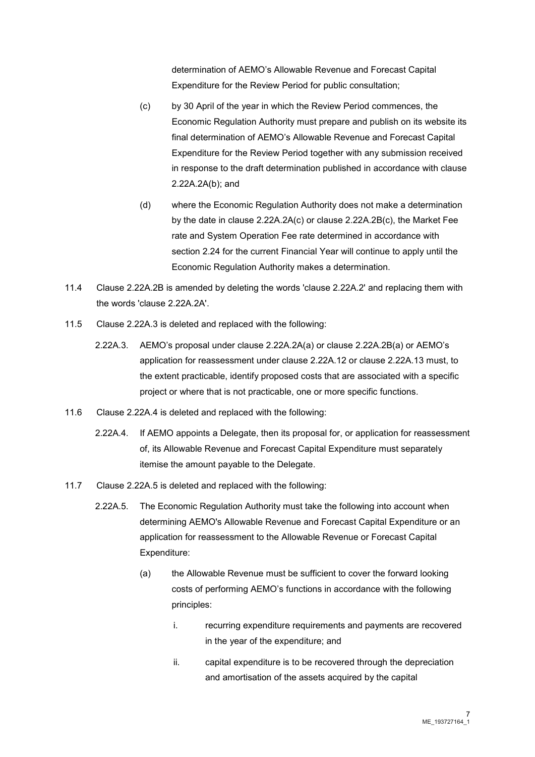determination of AEMO's Allowable Revenue and Forecast Capital Expenditure for the Review Period for public consultation;

- (c) by 30 April of the year in which the Review Period commences, the Economic Regulation Authority must prepare and publish on its website its final determination of AEMO's Allowable Revenue and Forecast Capital Expenditure for the Review Period together with any submission received in response to the draft determination published in accordance with clause 2.22A.2A(b); and
- (d) where the Economic Regulation Authority does not make a determination by the date in clause 2.22A.2A(c) or clause 2.22A.2B(c), the Market Fee rate and System Operation Fee rate determined in accordance with section 2.24 for the current Financial Year will continue to apply until the Economic Regulation Authority makes a determination.
- 11.4 Clause 2.22A.2B is amended by deleting the words 'clause 2.22A.2' and replacing them with the words 'clause 2.22A.2A'.
- 11.5 Clause 2.22A.3 is deleted and replaced with the following:
	- 2.22A.3. AEMO's proposal under clause 2.22A.2A(a) or clause 2.22A.2B(a) or AEMO's application for reassessment under clause 2.22A.12 or clause 2.22A.13 must, to the extent practicable, identify proposed costs that are associated with a specific project or where that is not practicable, one or more specific functions.
- 11.6 Clause 2.22A.4 is deleted and replaced with the following:
	- 2.22A.4. If AEMO appoints a Delegate, then its proposal for, or application for reassessment of, its Allowable Revenue and Forecast Capital Expenditure must separately itemise the amount payable to the Delegate.
- 11.7 Clause 2.22A.5 is deleted and replaced with the following:
	- 2.22A.5. The Economic Regulation Authority must take the following into account when determining AEMO's Allowable Revenue and Forecast Capital Expenditure or an application for reassessment to the Allowable Revenue or Forecast Capital Expenditure:
		- (a) the Allowable Revenue must be sufficient to cover the forward looking costs of performing AEMO's functions in accordance with the following principles:
			- i. recurring expenditure requirements and payments are recovered in the year of the expenditure; and
			- ii. capital expenditure is to be recovered through the depreciation and amortisation of the assets acquired by the capital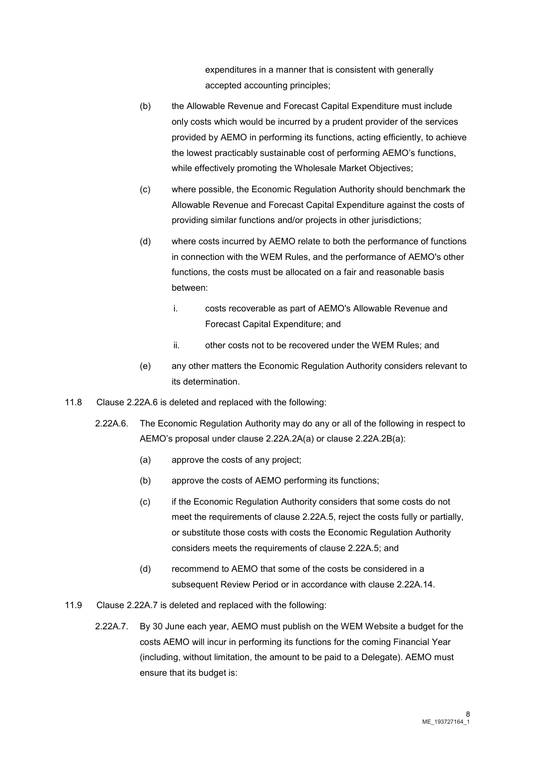expenditures in a manner that is consistent with generally accepted accounting principles;

- (b) the Allowable Revenue and Forecast Capital Expenditure must include only costs which would be incurred by a prudent provider of the services provided by AEMO in performing its functions, acting efficiently, to achieve the lowest practicably sustainable cost of performing AEMO's functions, while effectively promoting the Wholesale Market Objectives;
- (c) where possible, the Economic Regulation Authority should benchmark the Allowable Revenue and Forecast Capital Expenditure against the costs of providing similar functions and/or projects in other jurisdictions;
- (d) where costs incurred by AEMO relate to both the performance of functions in connection with the WEM Rules, and the performance of AEMO's other functions, the costs must be allocated on a fair and reasonable basis between:
	- i. costs recoverable as part of AEMO's Allowable Revenue and Forecast Capital Expenditure; and
	- ii. other costs not to be recovered under the WEM Rules; and
- (e) any other matters the Economic Regulation Authority considers relevant to its determination.
- 11.8 Clause 2.22A.6 is deleted and replaced with the following:
	- 2.22A.6. The Economic Regulation Authority may do any or all of the following in respect to AEMO's proposal under clause 2.22A.2A(a) or clause 2.22A.2B(a):
		- (a) approve the costs of any project;
		- (b) approve the costs of AEMO performing its functions;
		- (c) if the Economic Regulation Authority considers that some costs do not meet the requirements of clause 2.22A.5, reject the costs fully or partially, or substitute those costs with costs the Economic Regulation Authority considers meets the requirements of clause 2.22A.5; and
		- (d) recommend to AEMO that some of the costs be considered in a subsequent Review Period or in accordance with clause 2.22A.14.
- 11.9 Clause 2.22A.7 is deleted and replaced with the following:
	- 2.22A.7. By 30 June each year, AEMO must publish on the WEM Website a budget for the costs AEMO will incur in performing its functions for the coming Financial Year (including, without limitation, the amount to be paid to a Delegate). AEMO must ensure that its budget is: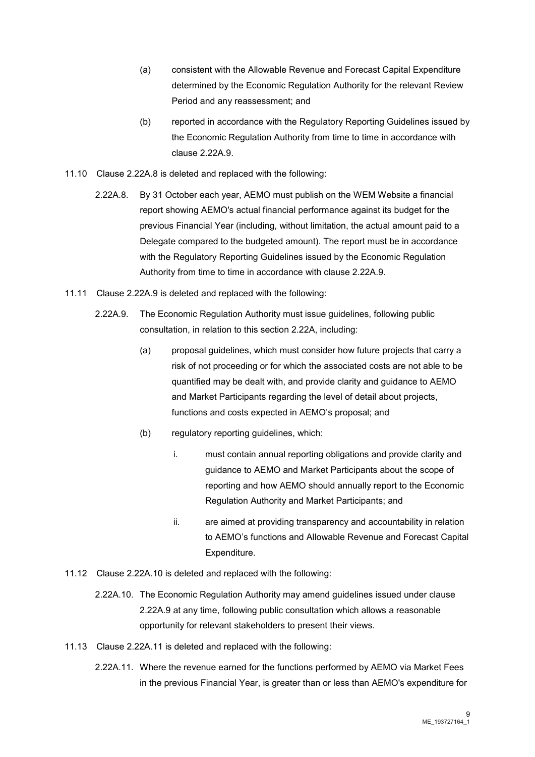- (a) consistent with the Allowable Revenue and Forecast Capital Expenditure determined by the Economic Regulation Authority for the relevant Review Period and any reassessment; and
- (b) reported in accordance with the Regulatory Reporting Guidelines issued by the Economic Regulation Authority from time to time in accordance with clause 2.22A.9.
- 11.10 Clause 2.22A.8 is deleted and replaced with the following:
	- 2.22A.8. By 31 October each year, AEMO must publish on the WEM Website a financial report showing AEMO's actual financial performance against its budget for the previous Financial Year (including, without limitation, the actual amount paid to a Delegate compared to the budgeted amount). The report must be in accordance with the Regulatory Reporting Guidelines issued by the Economic Regulation Authority from time to time in accordance with clause 2.22A.9.
- 11.11 Clause 2.22A.9 is deleted and replaced with the following:
	- 2.22A.9. The Economic Regulation Authority must issue guidelines, following public consultation, in relation to this section 2.22A, including:
		- (a) proposal guidelines, which must consider how future projects that carry a risk of not proceeding or for which the associated costs are not able to be quantified may be dealt with, and provide clarity and guidance to AEMO and Market Participants regarding the level of detail about projects, functions and costs expected in AEMO's proposal; and
		- (b) regulatory reporting guidelines, which:
			- i. must contain annual reporting obligations and provide clarity and guidance to AEMO and Market Participants about the scope of reporting and how AEMO should annually report to the Economic Regulation Authority and Market Participants; and
			- ii. are aimed at providing transparency and accountability in relation to AEMO's functions and Allowable Revenue and Forecast Capital Expenditure.
- 11.12 Clause 2.22A.10 is deleted and replaced with the following:
	- 2.22A.10. The Economic Regulation Authority may amend guidelines issued under clause 2.22A.9 at any time, following public consultation which allows a reasonable opportunity for relevant stakeholders to present their views.
- 11.13 Clause 2.22A.11 is deleted and replaced with the following:
	- 2.22A.11. Where the revenue earned for the functions performed by AEMO via Market Fees in the previous Financial Year, is greater than or less than AEMO's expenditure for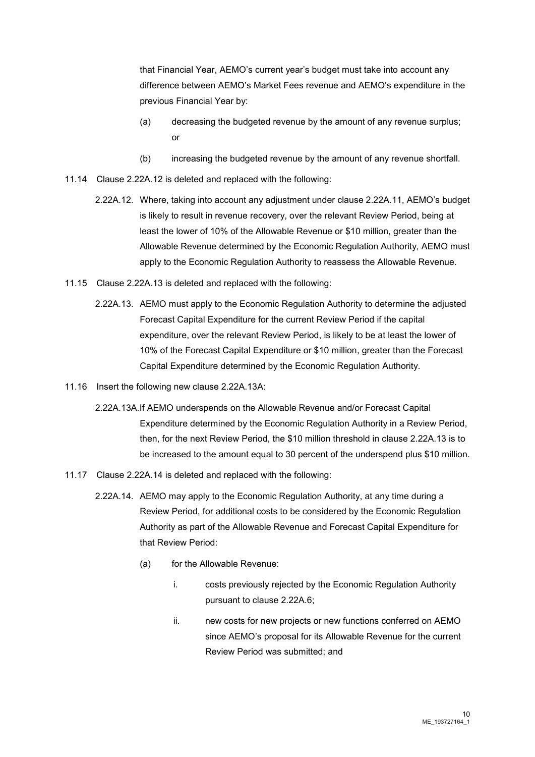that Financial Year, AEMO's current year's budget must take into account any difference between AEMO's Market Fees revenue and AEMO's expenditure in the previous Financial Year by:

- (a) decreasing the budgeted revenue by the amount of any revenue surplus; or
- (b) increasing the budgeted revenue by the amount of any revenue shortfall.
- 11.14 Clause 2.22A.12 is deleted and replaced with the following:
	- 2.22A.12. Where, taking into account any adjustment under clause 2.22A.11, AEMO's budget is likely to result in revenue recovery, over the relevant Review Period, being at least the lower of 10% of the Allowable Revenue or \$10 million, greater than the Allowable Revenue determined by the Economic Regulation Authority, AEMO must apply to the Economic Regulation Authority to reassess the Allowable Revenue.
- 11.15 Clause 2.22A.13 is deleted and replaced with the following:
	- 2.22A.13. AEMO must apply to the Economic Regulation Authority to determine the adjusted Forecast Capital Expenditure for the current Review Period if the capital expenditure, over the relevant Review Period, is likely to be at least the lower of 10% of the Forecast Capital Expenditure or \$10 million, greater than the Forecast Capital Expenditure determined by the Economic Regulation Authority.
- 11.16 Insert the following new clause 2.22A.13A:
	- 2.22A.13A.If AEMO underspends on the Allowable Revenue and/or Forecast Capital Expenditure determined by the Economic Regulation Authority in a Review Period, then, for the next Review Period, the \$10 million threshold in clause 2.22A.13 is to be increased to the amount equal to 30 percent of the underspend plus \$10 million.
- 11.17 Clause 2.22A.14 is deleted and replaced with the following:
	- 2.22A.14. AEMO may apply to the Economic Regulation Authority, at any time during a Review Period, for additional costs to be considered by the Economic Regulation Authority as part of the Allowable Revenue and Forecast Capital Expenditure for that Review Period:
		- (a) for the Allowable Revenue:
			- i. costs previously rejected by the Economic Regulation Authority pursuant to clause 2.22A.6;
			- ii. new costs for new projects or new functions conferred on AEMO since AEMO's proposal for its Allowable Revenue for the current Review Period was submitted; and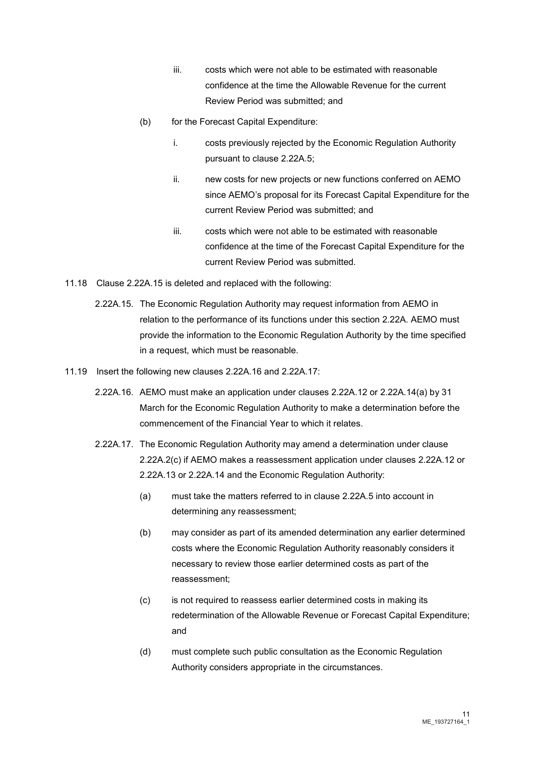- iii. costs which were not able to be estimated with reasonable confidence at the time the Allowable Revenue for the current Review Period was submitted; and
- (b) for the Forecast Capital Expenditure:
	- i. costs previously rejected by the Economic Regulation Authority pursuant to clause 2.22A.5;
	- ii. new costs for new projects or new functions conferred on AEMO since AEMO's proposal for its Forecast Capital Expenditure for the current Review Period was submitted; and
	- iii. costs which were not able to be estimated with reasonable confidence at the time of the Forecast Capital Expenditure for the current Review Period was submitted.
- 11.18 Clause 2.22A.15 is deleted and replaced with the following:
	- 2.22A.15. The Economic Regulation Authority may request information from AEMO in relation to the performance of its functions under this section 2.22A. AEMO must provide the information to the Economic Regulation Authority by the time specified in a request, which must be reasonable.
- 11.19 Insert the following new clauses 2.22A.16 and 2.22A.17:
	- 2.22A.16. AEMO must make an application under clauses 2.22A.12 or 2.22A.14(a) by 31 March for the Economic Regulation Authority to make a determination before the commencement of the Financial Year to which it relates.
	- 2.22A.17. The Economic Regulation Authority may amend a determination under clause 2.22A.2(c) if AEMO makes a reassessment application under clauses 2.22A.12 or 2.22A.13 or 2.22A.14 and the Economic Regulation Authority:
		- (a) must take the matters referred to in clause 2.22A.5 into account in determining any reassessment;
		- (b) may consider as part of its amended determination any earlier determined costs where the Economic Regulation Authority reasonably considers it necessary to review those earlier determined costs as part of the reassessment;
		- (c) is not required to reassess earlier determined costs in making its redetermination of the Allowable Revenue or Forecast Capital Expenditure; and
		- (d) must complete such public consultation as the Economic Regulation Authority considers appropriate in the circumstances.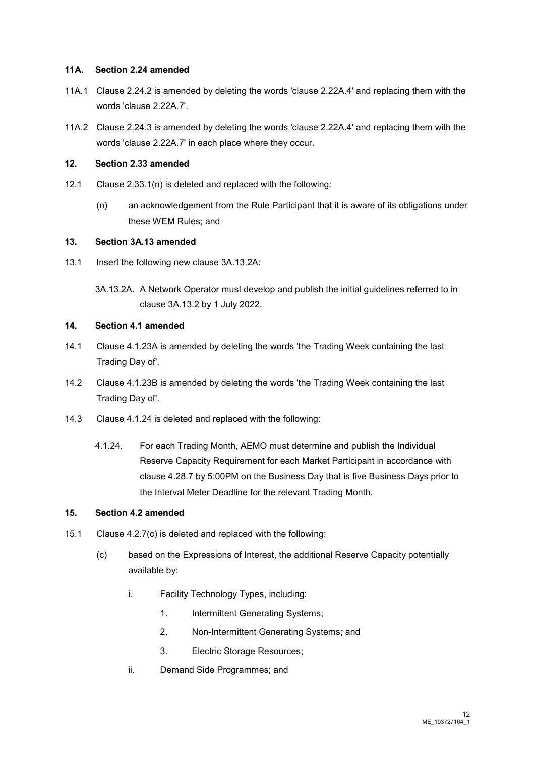#### **11A. Section 2.24 amended**

- 11A.1 Clause 2.24.2 is amended by deleting the words 'clause 2.22A.4' and replacing them with the words 'clause 2.22A.7'.
- 11A.2 Clause 2.24.3 is amended by deleting the words 'clause 2.22A.4' and replacing them with the words 'clause 2.22A.7' in each place where they occur.

#### **12. Section 2.33 amended**

- 12.1 Clause 2.33.1(n) is deleted and replaced with the following:
	- (n) an acknowledgement from the Rule Participant that it is aware of its obligations under these WEM Rules; and

#### **13. Section 3A.13 amended**

- 13.1 Insert the following new clause 3A.13.2A:
	- 3A.13.2A. A Network Operator must develop and publish the initial guidelines referred to in clause 3A.13.2 by 1 July 2022.

#### **14. Section 4.1 amended**

- 14.1 Clause 4.1.23A is amended by deleting the words 'the Trading Week containing the last Trading Day of'.
- 14.2 Clause 4.1.23B is amended by deleting the words 'the Trading Week containing the last Trading Day of'.
- 14.3 Clause 4.1.24 is deleted and replaced with the following:
	- 4.1.24. For each Trading Month, AEMO must determine and publish the Individual Reserve Capacity Requirement for each Market Participant in accordance with clause 4.28.7 by 5:00PM on the Business Day that is five Business Days prior to the Interval Meter Deadline for the relevant Trading Month.

#### **15. Section 4.2 amended**

- 15.1 Clause 4.2.7(c) is deleted and replaced with the following:
	- (c) based on the Expressions of Interest, the additional Reserve Capacity potentially available by:
		- i. Facility Technology Types, including:
			- 1. Intermittent Generating Systems;
			- 2. Non-Intermittent Generating Systems; and
			- 3. Electric Storage Resources;
		- ii. Demand Side Programmes; and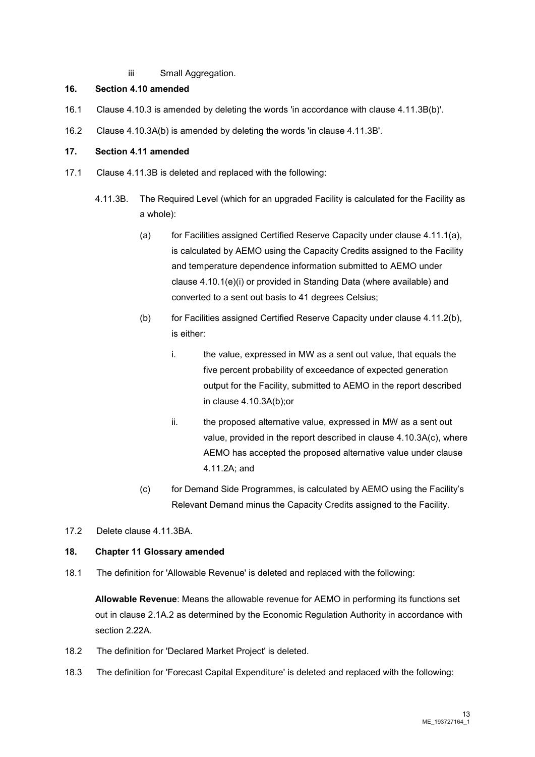iii Small Aggregation.

#### **16. Section 4.10 amended**

- 16.1 Clause 4.10.3 is amended by deleting the words 'in accordance with clause 4.11.3B(b)'.
- 16.2 Clause 4.10.3A(b) is amended by deleting the words 'in clause 4.11.3B'.

#### **17. Section 4.11 amended**

- 17.1 Clause 4.11.3B is deleted and replaced with the following:
	- 4.11.3B. The Required Level (which for an upgraded Facility is calculated for the Facility as a whole):
		- (a) for Facilities assigned Certified Reserve Capacity under clause 4.11.1(a), is calculated by AEMO using the Capacity Credits assigned to the Facility and temperature dependence information submitted to AEMO under clause 4.10.1(e)(i) or provided in Standing Data (where available) and converted to a sent out basis to 41 degrees Celsius;
		- (b) for Facilities assigned Certified Reserve Capacity under clause 4.11.2(b), is either:
			- i. the value, expressed in MW as a sent out value, that equals the five percent probability of exceedance of expected generation output for the Facility, submitted to AEMO in the report described in clause 4.10.3A(b);or
			- ii. the proposed alternative value, expressed in MW as a sent out value, provided in the report described in clause 4.10.3A(c), where AEMO has accepted the proposed alternative value under clause 4.11.2A; and
		- (c) for Demand Side Programmes, is calculated by AEMO using the Facility's Relevant Demand minus the Capacity Credits assigned to the Facility.
- 17.2 Delete clause 4.11.3BA.

#### **18. Chapter 11 Glossary amended**

18.1 The definition for 'Allowable Revenue' is deleted and replaced with the following:

**Allowable Revenue**: Means the allowable revenue for AEMO in performing its functions set out in clause 2.1A.2 as determined by the Economic Regulation Authority in accordance with section 2.22A.

- 18.2 The definition for 'Declared Market Project' is deleted.
- 18.3 The definition for 'Forecast Capital Expenditure' is deleted and replaced with the following: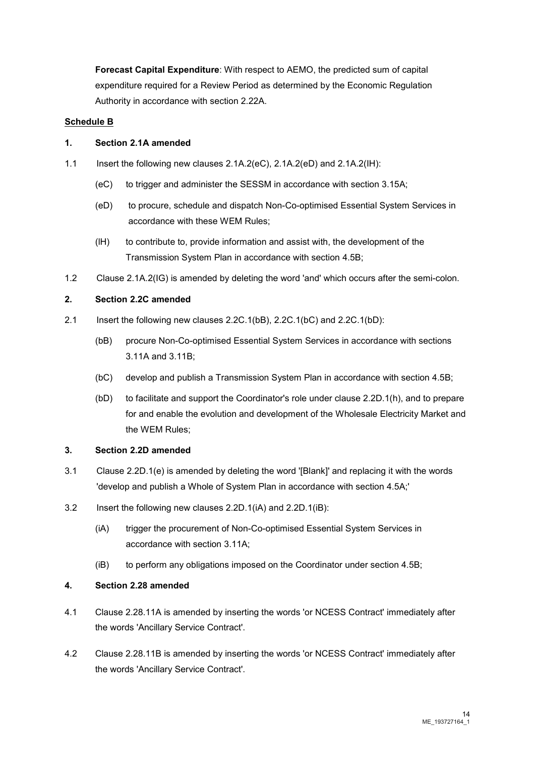**Forecast Capital Expenditure**: With respect to AEMO, the predicted sum of capital expenditure required for a Review Period as determined by the Economic Regulation Authority in accordance with section 2.22A.

#### **Schedule B**

#### **1. Section 2.1A amended**

- 1.1 Insert the following new clauses 2.1A.2(eC), 2.1A.2(eD) and 2.1A.2(IH):
	- (eC) to trigger and administer the SESSM in accordance with section 3.15A;
	- (eD) to procure, schedule and dispatch Non-Co-optimised Essential System Services in accordance with these WEM Rules;
	- (lH) to contribute to, provide information and assist with, the development of the Transmission System Plan in accordance with section 4.5B;
- 1.2 Clause 2.1A.2(IG) is amended by deleting the word 'and' which occurs after the semi-colon.

#### **2. Section 2.2C amended**

- 2.1 Insert the following new clauses 2.2C.1(bB), 2.2C.1(bC) and 2.2C.1(bD):
	- (bB) procure Non-Co-optimised Essential System Services in accordance with sections 3.11A and 3.11B;
	- (bC) develop and publish a Transmission System Plan in accordance with section 4.5B;
	- (bD) to facilitate and support the Coordinator's role under clause 2.2D.1(h), and to prepare for and enable the evolution and development of the Wholesale Electricity Market and the WEM Rules;

#### **3. Section 2.2D amended**

- 3.1 Clause 2.2D.1(e) is amended by deleting the word '[Blank]' and replacing it with the words 'develop and publish a Whole of System Plan in accordance with section 4.5A;'
- 3.2 Insert the following new clauses 2.2D.1(iA) and 2.2D.1(iB):
	- (iA) trigger the procurement of Non-Co-optimised Essential System Services in accordance with section 3.11A;
	- (iB) to perform any obligations imposed on the Coordinator under section 4.5B;

#### **4. Section 2.28 amended**

- 4.1 Clause 2.28.11A is amended by inserting the words 'or NCESS Contract' immediately after the words 'Ancillary Service Contract'.
- 4.2 Clause 2.28.11B is amended by inserting the words 'or NCESS Contract' immediately after the words 'Ancillary Service Contract'.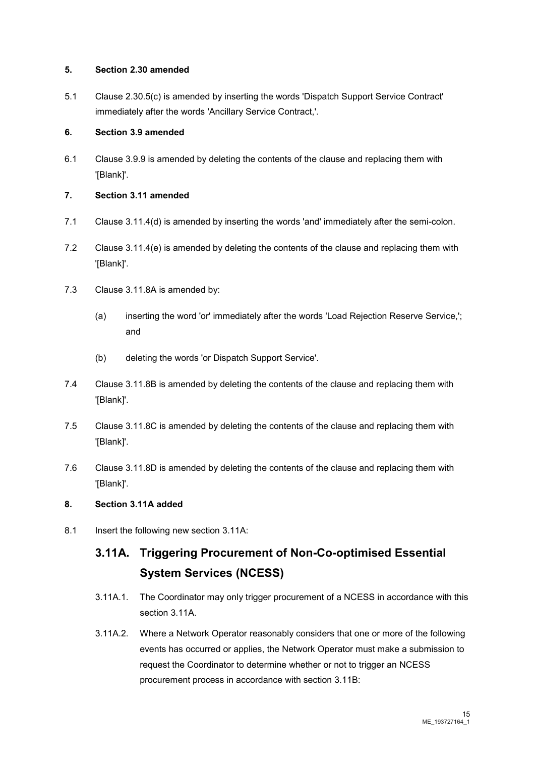#### **5. Section 2.30 amended**

5.1 Clause 2.30.5(c) is amended by inserting the words 'Dispatch Support Service Contract' immediately after the words 'Ancillary Service Contract,'.

#### **6. Section 3.9 amended**

6.1 Clause 3.9.9 is amended by deleting the contents of the clause and replacing them with '[Blank]'.

#### **7. Section 3.11 amended**

- 7.1 Clause 3.11.4(d) is amended by inserting the words 'and' immediately after the semi-colon.
- 7.2 Clause 3.11.4(e) is amended by deleting the contents of the clause and replacing them with '[Blank]'.
- 7.3 Clause 3.11.8A is amended by:
	- (a) inserting the word 'or' immediately after the words 'Load Rejection Reserve Service,'; and
	- (b) deleting the words 'or Dispatch Support Service'.
- 7.4 Clause 3.11.8B is amended by deleting the contents of the clause and replacing them with '[Blank]'.
- 7.5 Clause 3.11.8C is amended by deleting the contents of the clause and replacing them with '[Blank]'.
- 7.6 Clause 3.11.8D is amended by deleting the contents of the clause and replacing them with '[Blank]'.

#### **8. Section 3.11A added**

8.1 Insert the following new section 3.11A:

# **3.11A. Triggering Procurement of Non-Co-optimised Essential System Services (NCESS)**

- 3.11A.1. The Coordinator may only trigger procurement of a NCESS in accordance with this section 3.11A.
- 3.11A.2. Where a Network Operator reasonably considers that one or more of the following events has occurred or applies, the Network Operator must make a submission to request the Coordinator to determine whether or not to trigger an NCESS procurement process in accordance with section 3.11B: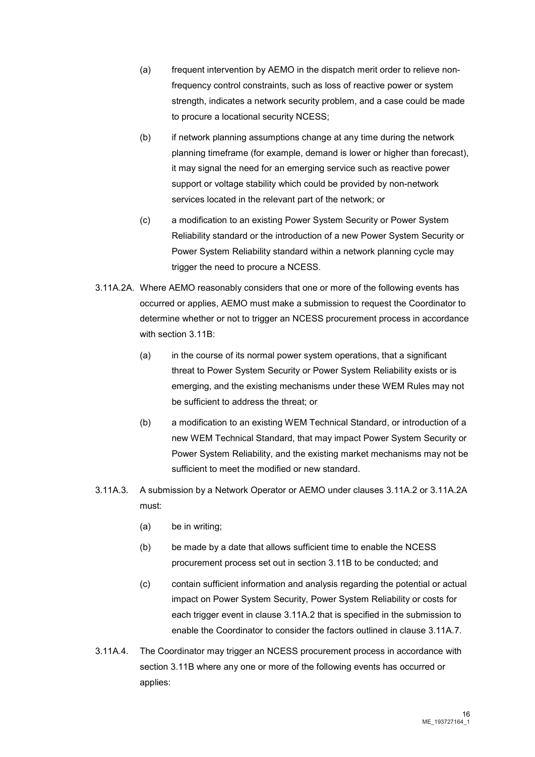- (a) frequent intervention by AEMO in the dispatch merit order to relieve nonfrequency control constraints, such as loss of reactive power or system strength, indicates a network security problem, and a case could be made to procure a locational security NCESS;
- (b) if network planning assumptions change at any time during the network planning timeframe (for example, demand is lower or higher than forecast), it may signal the need for an emerging service such as reactive power support or voltage stability which could be provided by non-network services located in the relevant part of the network; or
- (c) a modification to an existing Power System Security or Power System Reliability standard or the introduction of a new Power System Security or Power System Reliability standard within a network planning cycle may trigger the need to procure a NCESS.
- 3.11A.2A. Where AEMO reasonably considers that one or more of the following events has occurred or applies, AEMO must make a submission to request the Coordinator to determine whether or not to trigger an NCESS procurement process in accordance with section 3.11B:
	- (a) in the course of its normal power system operations, that a significant threat to Power System Security or Power System Reliability exists or is emerging, and the existing mechanisms under these WEM Rules may not be sufficient to address the threat; or
	- (b) a modification to an existing WEM Technical Standard, or introduction of a new WEM Technical Standard, that may impact Power System Security or Power System Reliability, and the existing market mechanisms may not be sufficient to meet the modified or new standard.
- 3.11A.3. A submission by a Network Operator or AEMO under clauses 3.11A.2 or 3.11A.2A must:
	- (a) be in writing;
	- (b) be made by a date that allows sufficient time to enable the NCESS procurement process set out in section 3.11B to be conducted; and
	- (c) contain sufficient information and analysis regarding the potential or actual impact on Power System Security, Power System Reliability or costs for each trigger event in clause 3.11A.2 that is specified in the submission to enable the Coordinator to consider the factors outlined in clause 3.11A.7.
- 3.11A.4. The Coordinator may trigger an NCESS procurement process in accordance with section 3.11B where any one or more of the following events has occurred or applies: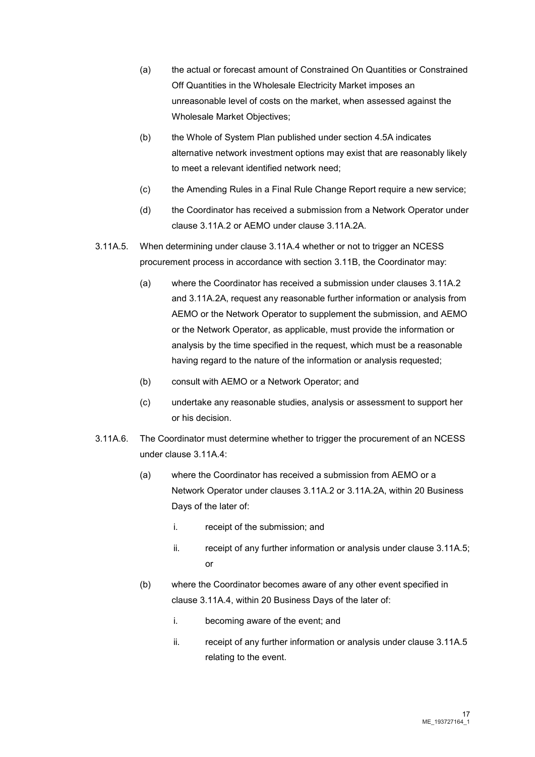- (a) the actual or forecast amount of Constrained On Quantities or Constrained Off Quantities in the Wholesale Electricity Market imposes an unreasonable level of costs on the market, when assessed against the Wholesale Market Objectives;
- (b) the Whole of System Plan published under section 4.5A indicates alternative network investment options may exist that are reasonably likely to meet a relevant identified network need;
- (c) the Amending Rules in a Final Rule Change Report require a new service;
- (d) the Coordinator has received a submission from a Network Operator under clause 3.11A.2 or AEMO under clause 3.11A.2A.
- 3.11A.5. When determining under clause 3.11A.4 whether or not to trigger an NCESS procurement process in accordance with section 3.11B, the Coordinator may:
	- (a) where the Coordinator has received a submission under clauses 3.11A.2 and 3.11A.2A, request any reasonable further information or analysis from AEMO or the Network Operator to supplement the submission, and AEMO or the Network Operator, as applicable, must provide the information or analysis by the time specified in the request, which must be a reasonable having regard to the nature of the information or analysis requested;
	- (b) consult with AEMO or a Network Operator; and
	- (c) undertake any reasonable studies, analysis or assessment to support her or his decision.
- 3.11A.6. The Coordinator must determine whether to trigger the procurement of an NCESS under clause 3.11A.4:
	- (a) where the Coordinator has received a submission from AEMO or a Network Operator under clauses 3.11A.2 or 3.11A.2A, within 20 Business Days of the later of:
		- i. receipt of the submission; and
		- ii. receipt of any further information or analysis under clause  $3.11A.5$ ; or
	- (b) where the Coordinator becomes aware of any other event specified in clause 3.11A.4, within 20 Business Days of the later of:
		- i. becoming aware of the event; and
		- ii. receipt of any further information or analysis under clause 3.11A.5 relating to the event.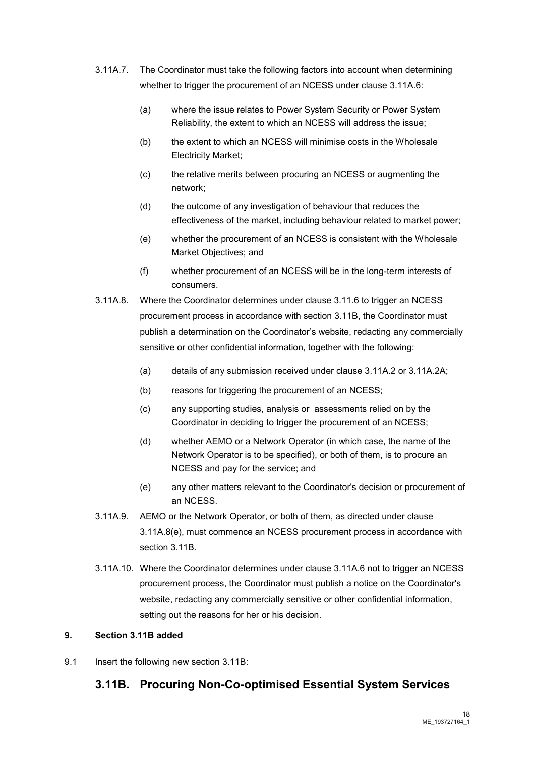- 3.11A.7. The Coordinator must take the following factors into account when determining whether to trigger the procurement of an NCESS under clause 3.11A.6:
	- (a) where the issue relates to Power System Security or Power System Reliability, the extent to which an NCESS will address the issue;
	- (b) the extent to which an NCESS will minimise costs in the Wholesale Electricity Market;
	- (c) the relative merits between procuring an NCESS or augmenting the network;
	- (d) the outcome of any investigation of behaviour that reduces the effectiveness of the market, including behaviour related to market power;
	- (e) whether the procurement of an NCESS is consistent with the Wholesale Market Objectives; and
	- (f) whether procurement of an NCESS will be in the long-term interests of consumers.
- 3.11A.8. Where the Coordinator determines under clause 3.11.6 to trigger an NCESS procurement process in accordance with section 3.11B, the Coordinator must publish a determination on the Coordinator's website, redacting any commercially sensitive or other confidential information, together with the following:
	- (a) details of any submission received under clause 3.11A.2 or 3.11A.2A;
	- (b) reasons for triggering the procurement of an NCESS;
	- (c) any supporting studies, analysis or assessments relied on by the Coordinator in deciding to trigger the procurement of an NCESS;
	- (d) whether AEMO or a Network Operator (in which case, the name of the Network Operator is to be specified), or both of them, is to procure an NCESS and pay for the service; and
	- (e) any other matters relevant to the Coordinator's decision or procurement of an NCESS.
- 3.11A.9. AEMO or the Network Operator, or both of them, as directed under clause 3.11A.8(e), must commence an NCESS procurement process in accordance with section 3.11B.
- 3.11A.10. Where the Coordinator determines under clause 3.11A.6 not to trigger an NCESS procurement process, the Coordinator must publish a notice on the Coordinator's website, redacting any commercially sensitive or other confidential information, setting out the reasons for her or his decision.

#### **9. Section 3.11B added**

9.1 Insert the following new section 3.11B:

### **3.11B. Procuring Non-Co-optimised Essential System Services**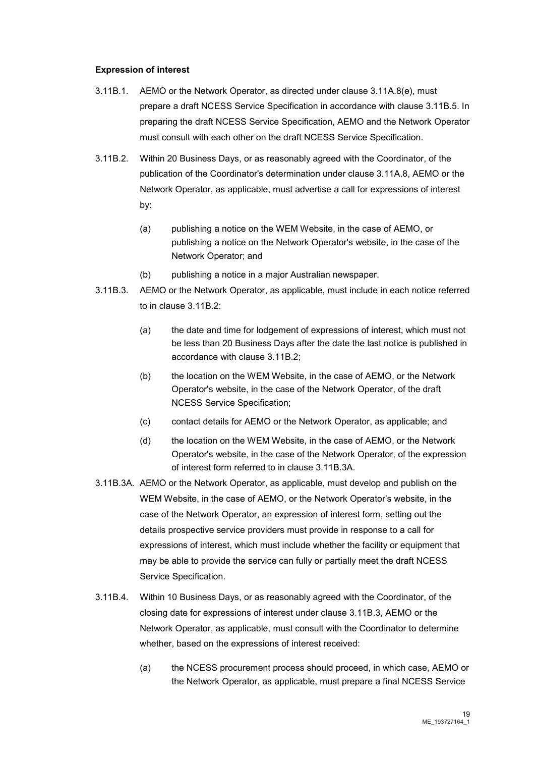#### **Expression of interest**

- 3.11B.1. AEMO or the Network Operator, as directed under clause 3.11A.8(e), must prepare a draft NCESS Service Specification in accordance with clause 3.11B.5. In preparing the draft NCESS Service Specification, AEMO and the Network Operator must consult with each other on the draft NCESS Service Specification.
- 3.11B.2. Within 20 Business Days, or as reasonably agreed with the Coordinator, of the publication of the Coordinator's determination under clause 3.11A.8, AEMO or the Network Operator, as applicable, must advertise a call for expressions of interest by:
	- (a) publishing a notice on the WEM Website, in the case of AEMO, or publishing a notice on the Network Operator's website, in the case of the Network Operator; and
	- (b) publishing a notice in a major Australian newspaper.
- 3.11B.3. AEMO or the Network Operator, as applicable, must include in each notice referred to in clause 3.11B.2:
	- (a) the date and time for lodgement of expressions of interest, which must not be less than 20 Business Days after the date the last notice is published in accordance with clause 3.11B.2;
	- (b) the location on the WEM Website, in the case of AEMO, or the Network Operator's website, in the case of the Network Operator, of the draft NCESS Service Specification;
	- (c) contact details for AEMO or the Network Operator, as applicable; and
	- (d) the location on the WEM Website, in the case of AEMO, or the Network Operator's website, in the case of the Network Operator, of the expression of interest form referred to in clause 3.11B.3A.
- 3.11B.3A. AEMO or the Network Operator, as applicable, must develop and publish on the WEM Website, in the case of AEMO, or the Network Operator's website, in the case of the Network Operator, an expression of interest form, setting out the details prospective service providers must provide in response to a call for expressions of interest, which must include whether the facility or equipment that may be able to provide the service can fully or partially meet the draft NCESS Service Specification.
- 3.11B.4. Within 10 Business Days, or as reasonably agreed with the Coordinator, of the closing date for expressions of interest under clause 3.11B.3, AEMO or the Network Operator, as applicable, must consult with the Coordinator to determine whether, based on the expressions of interest received:
	- (a) the NCESS procurement process should proceed, in which case, AEMO or the Network Operator, as applicable, must prepare a final NCESS Service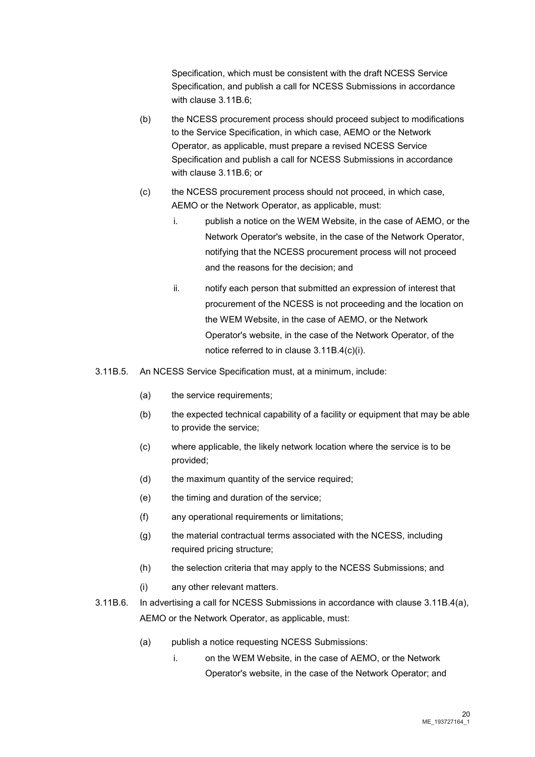Specification, which must be consistent with the draft NCESS Service Specification, and publish a call for NCESS Submissions in accordance with clause 3.11B.6;

- (b) the NCESS procurement process should proceed subject to modifications to the Service Specification, in which case, AEMO or the Network Operator, as applicable, must prepare a revised NCESS Service Specification and publish a call for NCESS Submissions in accordance with clause 3.11B.6; or
- (c) the NCESS procurement process should not proceed, in which case, AEMO or the Network Operator, as applicable, must:
	- i. publish a notice on the WEM Website, in the case of AEMO, or the Network Operator's website, in the case of the Network Operator, notifying that the NCESS procurement process will not proceed and the reasons for the decision; and
	- ii. notify each person that submitted an expression of interest that procurement of the NCESS is not proceeding and the location on the WEM Website, in the case of AEMO, or the Network Operator's website, in the case of the Network Operator, of the notice referred to in clause 3.11B.4(c)(i).
- 3.11B.5. An NCESS Service Specification must, at a minimum, include:
	- (a) the service requirements;
	- (b) the expected technical capability of a facility or equipment that may be able to provide the service;
	- (c) where applicable, the likely network location where the service is to be provided;
	- (d) the maximum quantity of the service required;
	- (e) the timing and duration of the service;
	- (f) any operational requirements or limitations;
	- (g) the material contractual terms associated with the NCESS, including required pricing structure;
	- (h) the selection criteria that may apply to the NCESS Submissions; and
	- (i) any other relevant matters.
- 3.11B.6. In advertising a call for NCESS Submissions in accordance with clause 3.11B.4(a), AEMO or the Network Operator, as applicable, must:
	- (a) publish a notice requesting NCESS Submissions:
		- i. on the WEM Website, in the case of AEMO, or the Network Operator's website, in the case of the Network Operator; and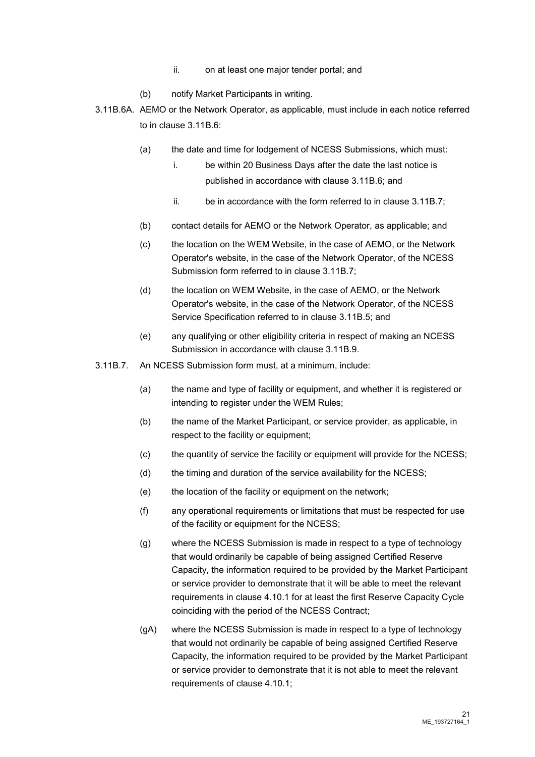- ii. on at least one major tender portal; and
- (b) notify Market Participants in writing.
- 3.11B.6A. AEMO or the Network Operator, as applicable, must include in each notice referred to in clause 3.11B.6:
	- (a) the date and time for lodgement of NCESS Submissions, which must:
		- i. be within 20 Business Days after the date the last notice is published in accordance with clause 3.11B.6; and
		- ii. be in accordance with the form referred to in clause 3.11B.7;
	- (b) contact details for AEMO or the Network Operator, as applicable; and
	- (c) the location on the WEM Website, in the case of AEMO, or the Network Operator's website, in the case of the Network Operator, of the NCESS Submission form referred to in clause 3.11B.7;
	- (d) the location on WEM Website, in the case of AEMO, or the Network Operator's website, in the case of the Network Operator, of the NCESS Service Specification referred to in clause 3.11B.5; and
	- (e) any qualifying or other eligibility criteria in respect of making an NCESS Submission in accordance with clause 3.11B.9.
- 3.11B.7. An NCESS Submission form must, at a minimum, include:
	- (a) the name and type of facility or equipment, and whether it is registered or intending to register under the WEM Rules;
	- (b) the name of the Market Participant, or service provider, as applicable, in respect to the facility or equipment;
	- (c) the quantity of service the facility or equipment will provide for the NCESS;
	- (d) the timing and duration of the service availability for the NCESS;
	- (e) the location of the facility or equipment on the network;
	- (f) any operational requirements or limitations that must be respected for use of the facility or equipment for the NCESS;
	- (g) where the NCESS Submission is made in respect to a type of technology that would ordinarily be capable of being assigned Certified Reserve Capacity, the information required to be provided by the Market Participant or service provider to demonstrate that it will be able to meet the relevant requirements in clause 4.10.1 for at least the first Reserve Capacity Cycle coinciding with the period of the NCESS Contract;
	- (gA) where the NCESS Submission is made in respect to a type of technology that would not ordinarily be capable of being assigned Certified Reserve Capacity, the information required to be provided by the Market Participant or service provider to demonstrate that it is not able to meet the relevant requirements of clause 4.10.1;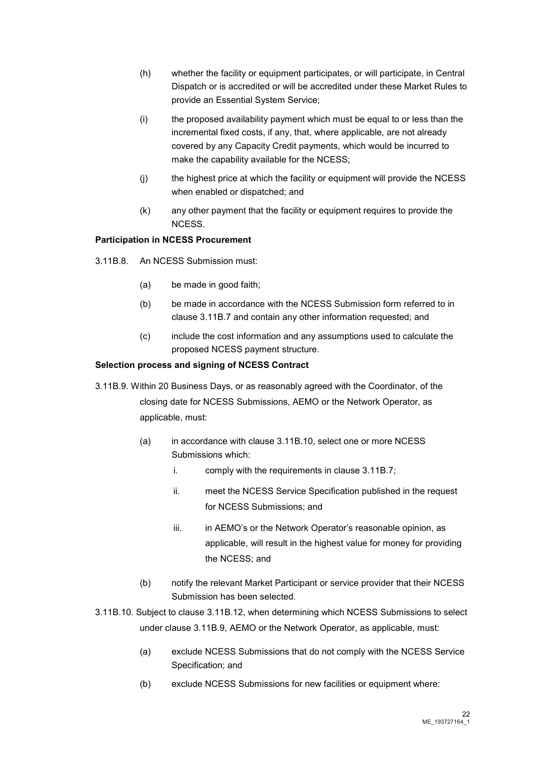- (h) whether the facility or equipment participates, or will participate, in Central Dispatch or is accredited or will be accredited under these Market Rules to provide an Essential System Service;
- (i) the proposed availability payment which must be equal to or less than the incremental fixed costs, if any, that, where applicable, are not already covered by any Capacity Credit payments, which would be incurred to make the capability available for the NCESS;
- (j) the highest price at which the facility or equipment will provide the NCESS when enabled or dispatched; and
- (k) any other payment that the facility or equipment requires to provide the NCESS.

#### **Participation in NCESS Procurement**

- 3.11B.8. An NCESS Submission must:
	- (a) be made in good faith;
	- (b) be made in accordance with the NCESS Submission form referred to in clause 3.11B.7 and contain any other information requested; and
	- (c) include the cost information and any assumptions used to calculate the proposed NCESS payment structure.

#### **Selection process and signing of NCESS Contract**

- 3.11B.9. Within 20 Business Days, or as reasonably agreed with the Coordinator, of the closing date for NCESS Submissions, AEMO or the Network Operator, as applicable, must:
	- (a) in accordance with clause 3.11B.10, select one or more NCESS Submissions which:
		- i. comply with the requirements in clause 3.11B.7;
		- ii. meet the NCESS Service Specification published in the request for NCESS Submissions; and
		- iii. in AEMO's or the Network Operator's reasonable opinion, as applicable, will result in the highest value for money for providing the NCESS; and
	- (b) notify the relevant Market Participant or service provider that their NCESS Submission has been selected.
- 3.11B.10. Subject to clause 3.11B.12, when determining which NCESS Submissions to select under clause 3.11B.9, AEMO or the Network Operator, as applicable, must:
	- (a) exclude NCESS Submissions that do not comply with the NCESS Service Specification; and
	- (b) exclude NCESS Submissions for new facilities or equipment where: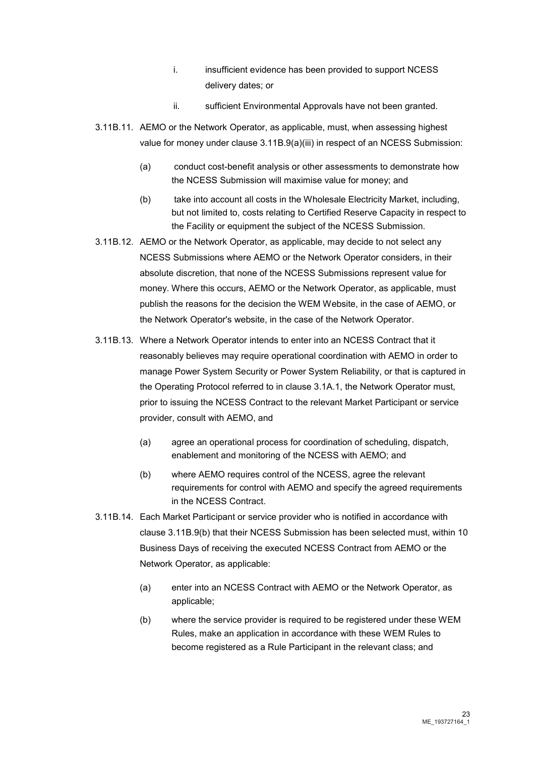- i. insufficient evidence has been provided to support NCESS delivery dates; or
- ii. sufficient Environmental Approvals have not been granted.
- 3.11B.11. AEMO or the Network Operator, as applicable, must, when assessing highest value for money under clause 3.11B.9(a)(iii) in respect of an NCESS Submission:
	- (a) conduct cost-benefit analysis or other assessments to demonstrate how the NCESS Submission will maximise value for money; and
	- (b) take into account all costs in the Wholesale Electricity Market, including, but not limited to, costs relating to Certified Reserve Capacity in respect to the Facility or equipment the subject of the NCESS Submission.
- 3.11B.12. AEMO or the Network Operator, as applicable, may decide to not select any NCESS Submissions where AEMO or the Network Operator considers, in their absolute discretion, that none of the NCESS Submissions represent value for money. Where this occurs, AEMO or the Network Operator, as applicable, must publish the reasons for the decision the WEM Website, in the case of AEMO, or the Network Operator's website, in the case of the Network Operator.
- 3.11B.13. Where a Network Operator intends to enter into an NCESS Contract that it reasonably believes may require operational coordination with AEMO in order to manage Power System Security or Power System Reliability, or that is captured in the Operating Protocol referred to in clause 3.1A.1, the Network Operator must, prior to issuing the NCESS Contract to the relevant Market Participant or service provider, consult with AEMO, and
	- (a) agree an operational process for coordination of scheduling, dispatch, enablement and monitoring of the NCESS with AEMO; and
	- (b) where AEMO requires control of the NCESS, agree the relevant requirements for control with AEMO and specify the agreed requirements in the NCESS Contract.
- 3.11B.14. Each Market Participant or service provider who is notified in accordance with clause 3.11B.9(b) that their NCESS Submission has been selected must, within 10 Business Days of receiving the executed NCESS Contract from AEMO or the Network Operator, as applicable:
	- (a) enter into an NCESS Contract with AEMO or the Network Operator, as applicable;
	- (b) where the service provider is required to be registered under these WEM Rules, make an application in accordance with these WEM Rules to become registered as a Rule Participant in the relevant class; and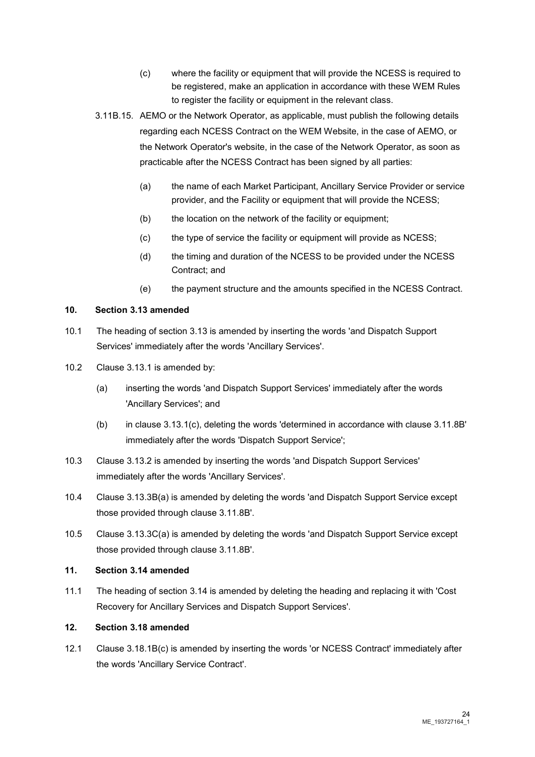- (c) where the facility or equipment that will provide the NCESS is required to be registered, make an application in accordance with these WEM Rules to register the facility or equipment in the relevant class.
- 3.11B.15. AEMO or the Network Operator, as applicable, must publish the following details regarding each NCESS Contract on the WEM Website, in the case of AEMO, or the Network Operator's website, in the case of the Network Operator, as soon as practicable after the NCESS Contract has been signed by all parties:
	- (a) the name of each Market Participant, Ancillary Service Provider or service provider, and the Facility or equipment that will provide the NCESS;
	- (b) the location on the network of the facility or equipment;
	- (c) the type of service the facility or equipment will provide as NCESS;
	- (d) the timing and duration of the NCESS to be provided under the NCESS Contract; and
	- (e) the payment structure and the amounts specified in the NCESS Contract.

#### **10. Section 3.13 amended**

- 10.1 The heading of section 3.13 is amended by inserting the words 'and Dispatch Support Services' immediately after the words 'Ancillary Services'.
- 10.2 Clause 3.13.1 is amended by:
	- (a) inserting the words 'and Dispatch Support Services' immediately after the words 'Ancillary Services'; and
	- (b) in clause 3.13.1(c), deleting the words 'determined in accordance with clause 3.11.8B' immediately after the words 'Dispatch Support Service';
- 10.3 Clause 3.13.2 is amended by inserting the words 'and Dispatch Support Services' immediately after the words 'Ancillary Services'.
- 10.4 Clause 3.13.3B(a) is amended by deleting the words 'and Dispatch Support Service except those provided through clause 3.11.8B'.
- 10.5 Clause 3.13.3C(a) is amended by deleting the words 'and Dispatch Support Service except those provided through clause 3.11.8B'.

#### **11. Section 3.14 amended**

11.1 The heading of section 3.14 is amended by deleting the heading and replacing it with 'Cost Recovery for Ancillary Services and Dispatch Support Services'.

#### **12. Section 3.18 amended**

12.1 Clause 3.18.1B(c) is amended by inserting the words 'or NCESS Contract' immediately after the words 'Ancillary Service Contract'.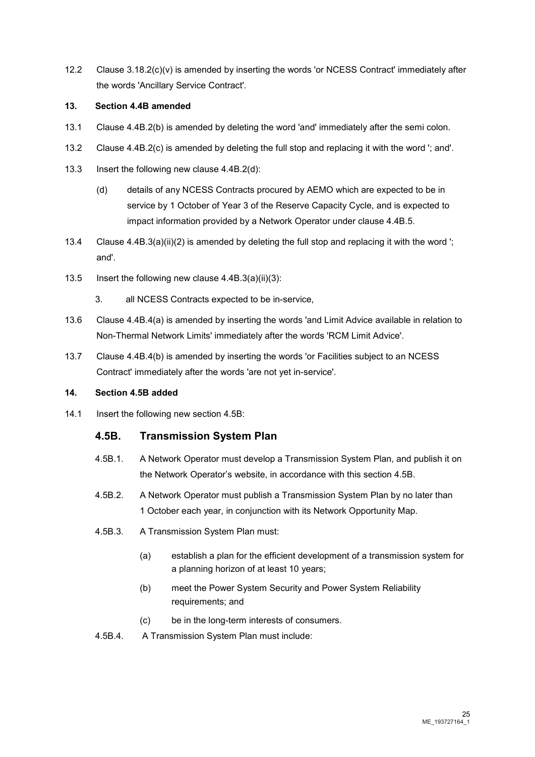12.2 Clause 3.18.2(c)(v) is amended by inserting the words 'or NCESS Contract' immediately after the words 'Ancillary Service Contract'.

#### **13. Section 4.4B amended**

- 13.1 Clause 4.4B.2(b) is amended by deleting the word 'and' immediately after the semi colon.
- 13.2 Clause 4.4B.2(c) is amended by deleting the full stop and replacing it with the word '; and'.
- 13.3 Insert the following new clause 4.4B.2(d):
	- (d) details of any NCESS Contracts procured by AEMO which are expected to be in service by 1 October of Year 3 of the Reserve Capacity Cycle, and is expected to impact information provided by a Network Operator under clause 4.4B.5.
- 13.4 Clause 4.4B.3(a)(ii)(2) is amended by deleting the full stop and replacing it with the word '; and'.
- 13.5 Insert the following new clause 4.4B.3(a)(ii)(3):
	- 3. all NCESS Contracts expected to be in-service,
- 13.6 Clause 4.4B.4(a) is amended by inserting the words 'and Limit Advice available in relation to Non-Thermal Network Limits' immediately after the words 'RCM Limit Advice'.
- 13.7 Clause 4.4B.4(b) is amended by inserting the words 'or Facilities subject to an NCESS Contract' immediately after the words 'are not yet in-service'.

#### **14. Section 4.5B added**

14.1 Insert the following new section 4.5B:

#### **4.5B. Transmission System Plan**

- 4.5B.1. A Network Operator must develop a Transmission System Plan, and publish it on the Network Operator's website, in accordance with this section 4.5B.
- 4.5B.2. A Network Operator must publish a Transmission System Plan by no later than 1 October each year, in conjunction with its Network Opportunity Map.
- 4.5B.3. A Transmission System Plan must:
	- (a) establish a plan for the efficient development of a transmission system for a planning horizon of at least 10 years;
	- (b) meet the Power System Security and Power System Reliability requirements; and
	- (c) be in the long-term interests of consumers.
- 4.5B.4. A Transmission System Plan must include: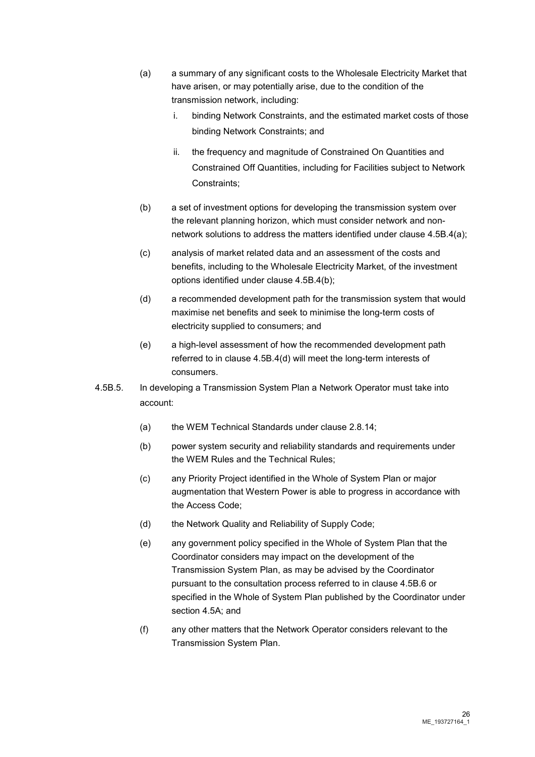- (a) a summary of any significant costs to the Wholesale Electricity Market that have arisen, or may potentially arise, due to the condition of the transmission network, including:
	- i. binding Network Constraints, and the estimated market costs of those binding Network Constraints; and
	- ii. the frequency and magnitude of Constrained On Quantities and Constrained Off Quantities, including for Facilities subject to Network Constraints;
- (b) a set of investment options for developing the transmission system over the relevant planning horizon, which must consider network and nonnetwork solutions to address the matters identified under clause 4.5B.4(a);
- (c) analysis of market related data and an assessment of the costs and benefits, including to the Wholesale Electricity Market, of the investment options identified under clause 4.5B.4(b);
- (d) a recommended development path for the transmission system that would maximise net benefits and seek to minimise the long-term costs of electricity supplied to consumers; and
- (e) a high-level assessment of how the recommended development path referred to in clause 4.5B.4(d) will meet the long-term interests of consumers.
- 4.5B.5. In developing a Transmission System Plan a Network Operator must take into account:
	- (a) the WEM Technical Standards under clause 2.8.14;
	- (b) power system security and reliability standards and requirements under the WEM Rules and the Technical Rules;
	- (c) any Priority Project identified in the Whole of System Plan or major augmentation that Western Power is able to progress in accordance with the Access Code;
	- (d) the Network Quality and Reliability of Supply Code;
	- (e) any government policy specified in the Whole of System Plan that the Coordinator considers may impact on the development of the Transmission System Plan, as may be advised by the Coordinator pursuant to the consultation process referred to in clause 4.5B.6 or specified in the Whole of System Plan published by the Coordinator under section 4.5A; and
	- (f) any other matters that the Network Operator considers relevant to the Transmission System Plan.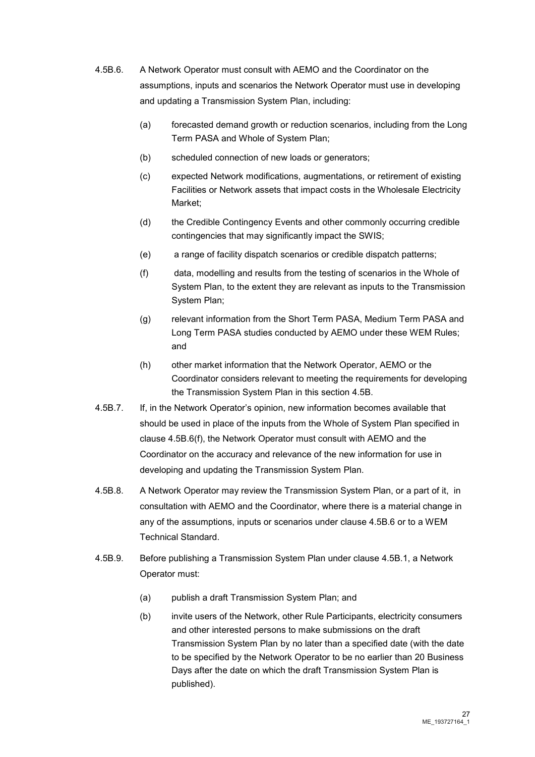- 4.5B.6. A Network Operator must consult with AEMO and the Coordinator on the assumptions, inputs and scenarios the Network Operator must use in developing and updating a Transmission System Plan, including:
	- (a) forecasted demand growth or reduction scenarios, including from the Long Term PASA and Whole of System Plan;
	- (b) scheduled connection of new loads or generators;
	- (c) expected Network modifications, augmentations, or retirement of existing Facilities or Network assets that impact costs in the Wholesale Electricity Market;
	- (d) the Credible Contingency Events and other commonly occurring credible contingencies that may significantly impact the SWIS;
	- (e) a range of facility dispatch scenarios or credible dispatch patterns;
	- (f) data, modelling and results from the testing of scenarios in the Whole of System Plan, to the extent they are relevant as inputs to the Transmission System Plan;
	- (g) relevant information from the Short Term PASA, Medium Term PASA and Long Term PASA studies conducted by AEMO under these WEM Rules; and
	- (h) other market information that the Network Operator, AEMO or the Coordinator considers relevant to meeting the requirements for developing the Transmission System Plan in this section 4.5B.
- 4.5B.7. If, in the Network Operator's opinion, new information becomes available that should be used in place of the inputs from the Whole of System Plan specified in clause 4.5B.6(f), the Network Operator must consult with AEMO and the Coordinator on the accuracy and relevance of the new information for use in developing and updating the Transmission System Plan.
- 4.5B.8. A Network Operator may review the Transmission System Plan, or a part of it, in consultation with AEMO and the Coordinator, where there is a material change in any of the assumptions, inputs or scenarios under clause 4.5B.6 or to a WEM Technical Standard.
- 4.5B.9. Before publishing a Transmission System Plan under clause 4.5B.1, a Network Operator must:
	- (a) publish a draft Transmission System Plan; and
	- (b) invite users of the Network, other Rule Participants, electricity consumers and other interested persons to make submissions on the draft Transmission System Plan by no later than a specified date (with the date to be specified by the Network Operator to be no earlier than 20 Business Days after the date on which the draft Transmission System Plan is published).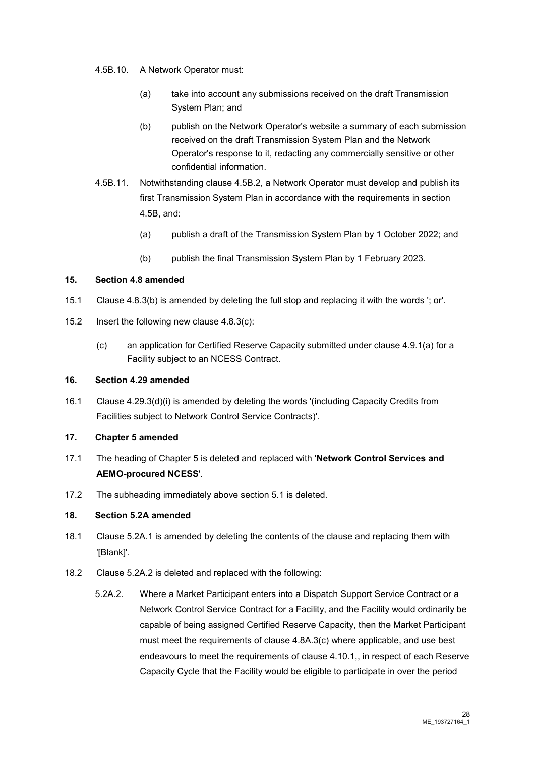- 4.5B.10. A Network Operator must:
	- (a) take into account any submissions received on the draft Transmission System Plan; and
	- (b) publish on the Network Operator's website a summary of each submission received on the draft Transmission System Plan and the Network Operator's response to it, redacting any commercially sensitive or other confidential information.
- 4.5B.11. Notwithstanding clause 4.5B.2, a Network Operator must develop and publish its first Transmission System Plan in accordance with the requirements in section 4.5B, and:
	- (a) publish a draft of the Transmission System Plan by 1 October 2022; and
	- (b) publish the final Transmission System Plan by 1 February 2023.

#### **15. Section 4.8 amended**

- 15.1 Clause 4.8.3(b) is amended by deleting the full stop and replacing it with the words '; or'.
- 15.2 Insert the following new clause 4.8.3(c):
	- (c) an application for Certified Reserve Capacity submitted under clause 4.9.1(a) for a Facility subject to an NCESS Contract.

#### **16. Section 4.29 amended**

16.1 Clause 4.29.3(d)(i) is amended by deleting the words '(including Capacity Credits from Facilities subject to Network Control Service Contracts)'.

#### **17. Chapter 5 amended**

- 17.1 The heading of Chapter 5 is deleted and replaced with '**Network Control Services and AEMO-procured NCESS**'.
- 17.2 The subheading immediately above section 5.1 is deleted.

#### **18. Section 5.2A amended**

- 18.1 Clause 5.2A.1 is amended by deleting the contents of the clause and replacing them with '[Blank]'.
- 18.2 Clause 5.2A.2 is deleted and replaced with the following:
	- 5.2A.2. Where a Market Participant enters into a Dispatch Support Service Contract or a Network Control Service Contract for a Facility, and the Facility would ordinarily be capable of being assigned Certified Reserve Capacity, then the Market Participant must meet the requirements of clause 4.8A.3(c) where applicable, and use best endeavours to meet the requirements of clause 4.10.1,, in respect of each Reserve Capacity Cycle that the Facility would be eligible to participate in over the period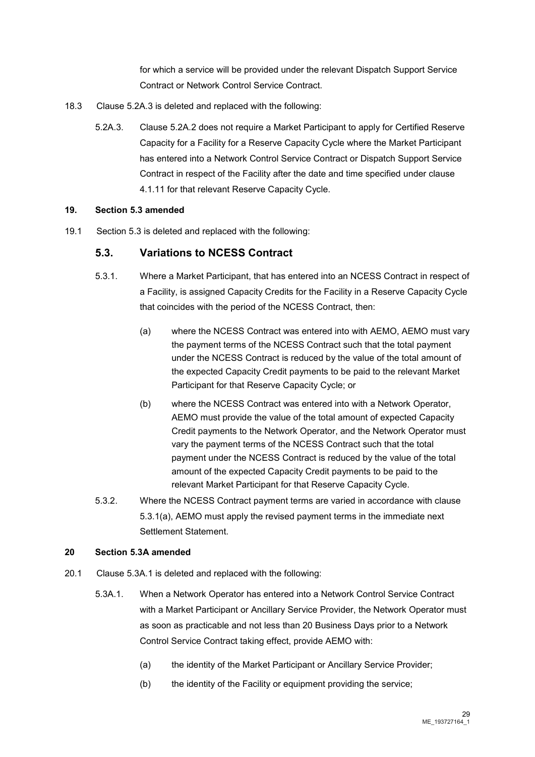for which a service will be provided under the relevant Dispatch Support Service Contract or Network Control Service Contract.

- 18.3 Clause 5.2A.3 is deleted and replaced with the following:
	- 5.2A.3. Clause 5.2A.2 does not require a Market Participant to apply for Certified Reserve Capacity for a Facility for a Reserve Capacity Cycle where the Market Participant has entered into a Network Control Service Contract or Dispatch Support Service Contract in respect of the Facility after the date and time specified under clause 4.1.11 for that relevant Reserve Capacity Cycle.

#### **19. Section 5.3 amended**

19.1 Section 5.3 is deleted and replaced with the following:

#### **5.3. Variations to NCESS Contract**

- 5.3.1. Where a Market Participant, that has entered into an NCESS Contract in respect of a Facility, is assigned Capacity Credits for the Facility in a Reserve Capacity Cycle that coincides with the period of the NCESS Contract, then:
	- (a) where the NCESS Contract was entered into with AEMO, AEMO must vary the payment terms of the NCESS Contract such that the total payment under the NCESS Contract is reduced by the value of the total amount of the expected Capacity Credit payments to be paid to the relevant Market Participant for that Reserve Capacity Cycle; or
	- (b) where the NCESS Contract was entered into with a Network Operator, AEMO must provide the value of the total amount of expected Capacity Credit payments to the Network Operator, and the Network Operator must vary the payment terms of the NCESS Contract such that the total payment under the NCESS Contract is reduced by the value of the total amount of the expected Capacity Credit payments to be paid to the relevant Market Participant for that Reserve Capacity Cycle.
- 5.3.2. Where the NCESS Contract payment terms are varied in accordance with clause 5.3.1(a), AEMO must apply the revised payment terms in the immediate next Settlement Statement.

#### **20 Section 5.3A amended**

- 20.1 Clause 5.3A.1 is deleted and replaced with the following:
	- 5.3A.1. When a Network Operator has entered into a Network Control Service Contract with a Market Participant or Ancillary Service Provider, the Network Operator must as soon as practicable and not less than 20 Business Days prior to a Network Control Service Contract taking effect, provide AEMO with:
		- (a) the identity of the Market Participant or Ancillary Service Provider;
		- (b) the identity of the Facility or equipment providing the service;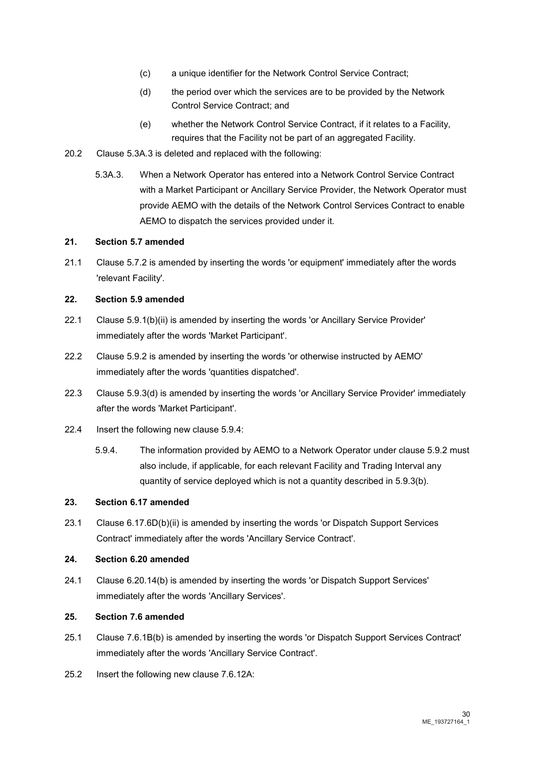- (c) a unique identifier for the Network Control Service Contract;
- (d) the period over which the services are to be provided by the Network Control Service Contract; and
- (e) whether the Network Control Service Contract, if it relates to a Facility, requires that the Facility not be part of an aggregated Facility.
- 20.2 Clause 5.3A.3 is deleted and replaced with the following:
	- 5.3A.3. When a Network Operator has entered into a Network Control Service Contract with a Market Participant or Ancillary Service Provider, the Network Operator must provide AEMO with the details of the Network Control Services Contract to enable AEMO to dispatch the services provided under it.

#### **21. Section 5.7 amended**

21.1 Clause 5.7.2 is amended by inserting the words 'or equipment' immediately after the words 'relevant Facility'.

#### **22. Section 5.9 amended**

- 22.1 Clause 5.9.1(b)(ii) is amended by inserting the words 'or Ancillary Service Provider' immediately after the words 'Market Participant'.
- 22.2 Clause 5.9.2 is amended by inserting the words 'or otherwise instructed by AEMO' immediately after the words 'quantities dispatched'.
- 22.3 Clause 5.9.3(d) is amended by inserting the words 'or Ancillary Service Provider' immediately after the words 'Market Participant'.
- 22.4 Insert the following new clause 5.9.4:
	- 5.9.4. The information provided by AEMO to a Network Operator under clause 5.9.2 must also include, if applicable, for each relevant Facility and Trading Interval any quantity of service deployed which is not a quantity described in 5.9.3(b).

#### **23. Section 6.17 amended**

23.1 Clause 6.17.6D(b)(ii) is amended by inserting the words 'or Dispatch Support Services Contract' immediately after the words 'Ancillary Service Contract'.

#### **24. Section 6.20 amended**

24.1 Clause 6.20.14(b) is amended by inserting the words 'or Dispatch Support Services' immediately after the words 'Ancillary Services'.

#### **25. Section 7.6 amended**

- 25.1 Clause 7.6.1B(b) is amended by inserting the words 'or Dispatch Support Services Contract' immediately after the words 'Ancillary Service Contract'.
- 25.2 Insert the following new clause 7.6.12A: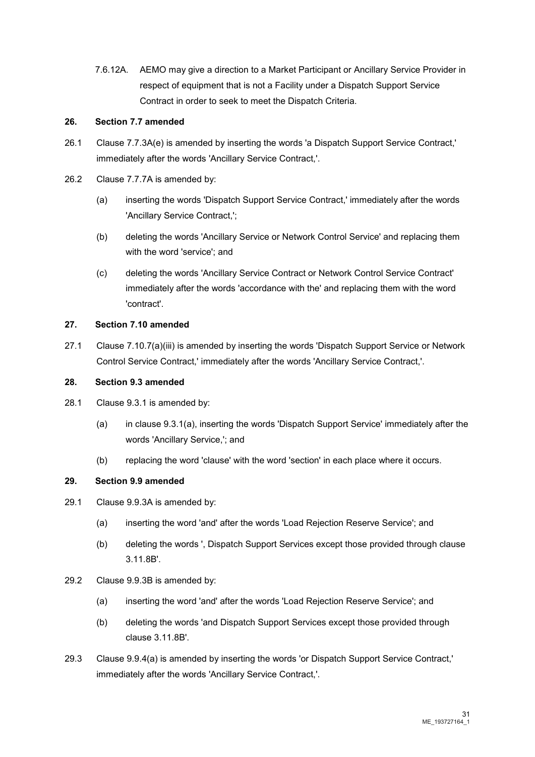7.6.12A. AEMO may give a direction to a Market Participant or Ancillary Service Provider in respect of equipment that is not a Facility under a Dispatch Support Service Contract in order to seek to meet the Dispatch Criteria.

#### **26. Section 7.7 amended**

- 26.1 Clause 7.7.3A(e) is amended by inserting the words 'a Dispatch Support Service Contract,' immediately after the words 'Ancillary Service Contract,'.
- 26.2 Clause 7.7.7A is amended by:
	- (a) inserting the words 'Dispatch Support Service Contract,' immediately after the words 'Ancillary Service Contract,';
	- (b) deleting the words 'Ancillary Service or Network Control Service' and replacing them with the word 'service'; and
	- (c) deleting the words 'Ancillary Service Contract or Network Control Service Contract' immediately after the words 'accordance with the' and replacing them with the word 'contract'.

#### **27. Section 7.10 amended**

27.1 Clause 7.10.7(a)(iii) is amended by inserting the words 'Dispatch Support Service or Network Control Service Contract,' immediately after the words 'Ancillary Service Contract,'.

#### **28. Section 9.3 amended**

- 28.1 Clause 9.3.1 is amended by:
	- (a) in clause 9.3.1(a), inserting the words 'Dispatch Support Service' immediately after the words 'Ancillary Service,'; and
	- (b) replacing the word 'clause' with the word 'section' in each place where it occurs.

#### **29. Section 9.9 amended**

- 29.1 Clause 9.9.3A is amended by:
	- (a) inserting the word 'and' after the words 'Load Rejection Reserve Service'; and
	- (b) deleting the words ', Dispatch Support Services except those provided through clause 3.11.8B'.
- 29.2 Clause 9.9.3B is amended by:
	- (a) inserting the word 'and' after the words 'Load Rejection Reserve Service'; and
	- (b) deleting the words 'and Dispatch Support Services except those provided through clause 3.11.8B'.
- 29.3 Clause 9.9.4(a) is amended by inserting the words 'or Dispatch Support Service Contract,' immediately after the words 'Ancillary Service Contract,'.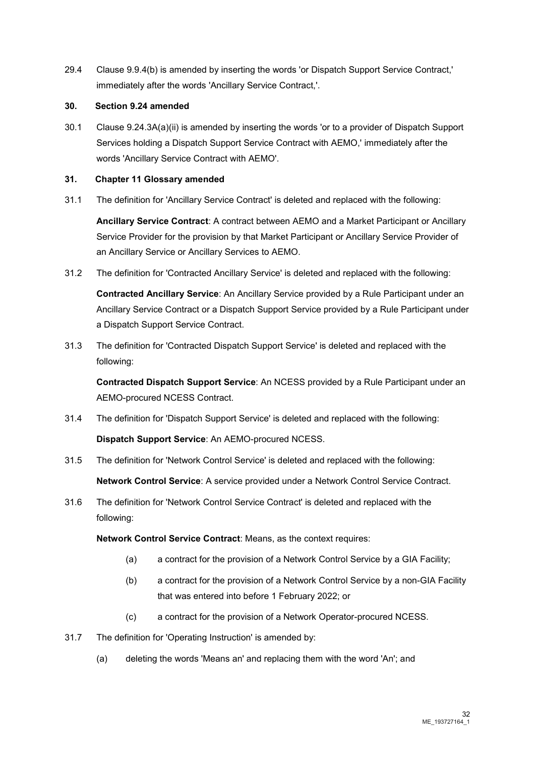29.4 Clause 9.9.4(b) is amended by inserting the words 'or Dispatch Support Service Contract,' immediately after the words 'Ancillary Service Contract,'.

#### **30. Section 9.24 amended**

30.1 Clause 9.24.3A(a)(ii) is amended by inserting the words 'or to a provider of Dispatch Support Services holding a Dispatch Support Service Contract with AEMO,' immediately after the words 'Ancillary Service Contract with AEMO'.

#### **31. Chapter 11 Glossary amended**

31.1 The definition for 'Ancillary Service Contract' is deleted and replaced with the following:

**Ancillary Service Contract**: A contract between AEMO and a Market Participant or Ancillary Service Provider for the provision by that Market Participant or Ancillary Service Provider of an Ancillary Service or Ancillary Services to AEMO.

31.2 The definition for 'Contracted Ancillary Service' is deleted and replaced with the following:

**Contracted Ancillary Service**: An Ancillary Service provided by a Rule Participant under an Ancillary Service Contract or a Dispatch Support Service provided by a Rule Participant under a Dispatch Support Service Contract.

31.3 The definition for 'Contracted Dispatch Support Service' is deleted and replaced with the following:

**Contracted Dispatch Support Service**: An NCESS provided by a Rule Participant under an AEMO-procured NCESS Contract.

31.4 The definition for 'Dispatch Support Service' is deleted and replaced with the following:

**Dispatch Support Service**: An AEMO-procured NCESS.

- 31.5 The definition for 'Network Control Service' is deleted and replaced with the following: **Network Control Service**: A service provided under a Network Control Service Contract.
- 31.6 The definition for 'Network Control Service Contract' is deleted and replaced with the following:

**Network Control Service Contract: Means, as the context requires:** 

- (a) a contract for the provision of a Network Control Service by a GIA Facility;
- (b) a contract for the provision of a Network Control Service by a non-GIA Facility that was entered into before 1 February 2022; or
- (c) a contract for the provision of a Network Operator-procured NCESS.
- 31.7 The definition for 'Operating Instruction' is amended by:
	- (a) deleting the words 'Means an' and replacing them with the word 'An'; and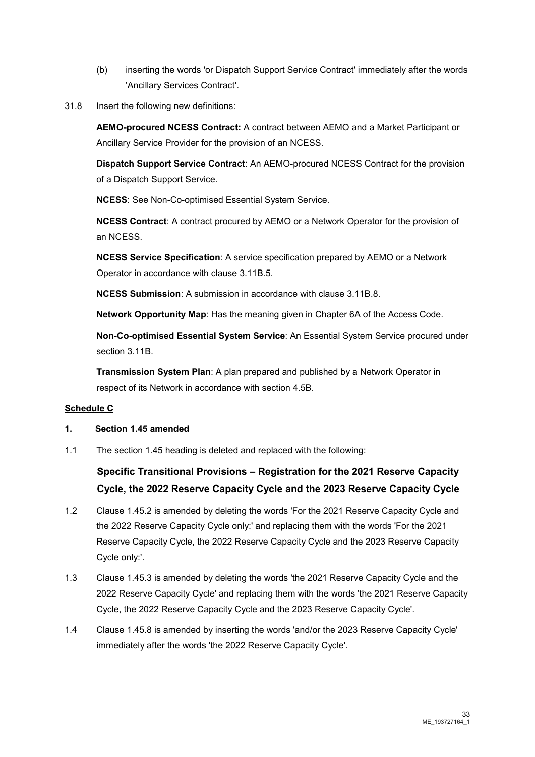- (b) inserting the words 'or Dispatch Support Service Contract' immediately after the words 'Ancillary Services Contract'.
- 31.8 Insert the following new definitions:

**AEMO-procured NCESS Contract:** A contract between AEMO and a Market Participant or Ancillary Service Provider for the provision of an NCESS.

**Dispatch Support Service Contract**: An AEMO-procured NCESS Contract for the provision of a Dispatch Support Service.

**NCESS**: See Non-Co-optimised Essential System Service.

**NCESS Contract**: A contract procured by AEMO or a Network Operator for the provision of an NCESS.

**NCESS Service Specification**: A service specification prepared by AEMO or a Network Operator in accordance with clause 3.11B.5.

**NCESS Submission**: A submission in accordance with clause 3.11B.8.

**Network Opportunity Map**: Has the meaning given in Chapter 6A of the Access Code.

**Non-Co-optimised Essential System Service**: An Essential System Service procured under section 3.11B.

**Transmission System Plan**: A plan prepared and published by a Network Operator in respect of its Network in accordance with section 4.5B.

#### **Schedule C**

- **1. Section 1.45 amended**
- 1.1 The section 1.45 heading is deleted and replaced with the following:

### **Specific Transitional Provisions – Registration for the 2021 Reserve Capacity Cycle, the 2022 Reserve Capacity Cycle and the 2023 Reserve Capacity Cycle**

- 1.2 Clause 1.45.2 is amended by deleting the words 'For the 2021 Reserve Capacity Cycle and the 2022 Reserve Capacity Cycle only:' and replacing them with the words 'For the 2021 Reserve Capacity Cycle, the 2022 Reserve Capacity Cycle and the 2023 Reserve Capacity Cycle only:'.
- 1.3 Clause 1.45.3 is amended by deleting the words 'the 2021 Reserve Capacity Cycle and the 2022 Reserve Capacity Cycle' and replacing them with the words 'the 2021 Reserve Capacity Cycle, the 2022 Reserve Capacity Cycle and the 2023 Reserve Capacity Cycle'.
- 1.4 Clause 1.45.8 is amended by inserting the words 'and/or the 2023 Reserve Capacity Cycle' immediately after the words 'the 2022 Reserve Capacity Cycle'.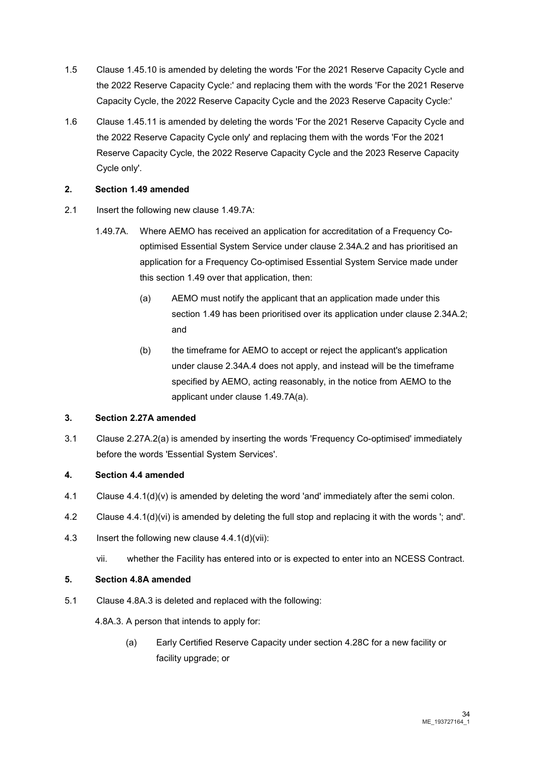- 1.5 Clause 1.45.10 is amended by deleting the words 'For the 2021 Reserve Capacity Cycle and the 2022 Reserve Capacity Cycle:' and replacing them with the words 'For the 2021 Reserve Capacity Cycle, the 2022 Reserve Capacity Cycle and the 2023 Reserve Capacity Cycle:'
- 1.6 Clause 1.45.11 is amended by deleting the words 'For the 2021 Reserve Capacity Cycle and the 2022 Reserve Capacity Cycle only' and replacing them with the words 'For the 2021 Reserve Capacity Cycle, the 2022 Reserve Capacity Cycle and the 2023 Reserve Capacity Cycle only'.

#### **2. Section 1.49 amended**

- 2.1 Insert the following new clause 1.49.7A:
	- 1.49.7A. Where AEMO has received an application for accreditation of a Frequency Cooptimised Essential System Service under clause 2.34A.2 and has prioritised an application for a Frequency Co-optimised Essential System Service made under this section 1.49 over that application, then:
		- (a) AEMO must notify the applicant that an application made under this section 1.49 has been prioritised over its application under clause 2.34A.2; and
		- (b) the timeframe for AEMO to accept or reject the applicant's application under clause 2.34A.4 does not apply, and instead will be the timeframe specified by AEMO, acting reasonably, in the notice from AEMO to the applicant under clause 1.49.7A(a).

#### **3. Section 2.27A amended**

3.1 Clause 2.27A.2(a) is amended by inserting the words 'Frequency Co-optimised' immediately before the words 'Essential System Services'.

#### **4. Section 4.4 amended**

- 4.1 Clause 4.4.1(d)(v) is amended by deleting the word 'and' immediately after the semi colon.
- 4.2 Clause 4.4.1(d)(vi) is amended by deleting the full stop and replacing it with the words '; and'.
- 4.3 Insert the following new clause 4.4.1(d)(vii):
	- vii. whether the Facility has entered into or is expected to enter into an NCESS Contract.

#### **5. Section 4.8A amended**

5.1 Clause 4.8A.3 is deleted and replaced with the following:

4.8A.3. A person that intends to apply for:

(a) Early Certified Reserve Capacity under section 4.28C for a new facility or facility upgrade; or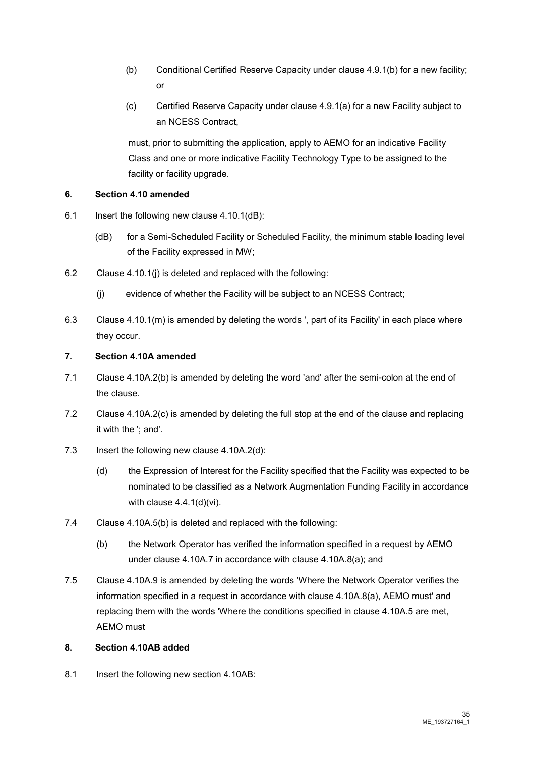- (b) Conditional Certified Reserve Capacity under clause 4.9.1(b) for a new facility; or
- (c) Certified Reserve Capacity under clause 4.9.1(a) for a new Facility subject to an NCESS Contract,

must, prior to submitting the application, apply to AEMO for an indicative Facility Class and one or more indicative Facility Technology Type to be assigned to the facility or facility upgrade.

#### **6. Section 4.10 amended**

- 6.1 Insert the following new clause 4.10.1(dB):
	- (dB) for a Semi-Scheduled Facility or Scheduled Facility, the minimum stable loading level of the Facility expressed in MW;
- 6.2 Clause 4.10.1(j) is deleted and replaced with the following:
	- (j) evidence of whether the Facility will be subject to an NCESS Contract;
- 6.3 Clause 4.10.1(m) is amended by deleting the words ', part of its Facility' in each place where they occur.

#### **7. Section 4.10A amended**

- 7.1 Clause 4.10A.2(b) is amended by deleting the word 'and' after the semi-colon at the end of the clause.
- 7.2 Clause 4.10A.2(c) is amended by deleting the full stop at the end of the clause and replacing it with the '; and'.
- 7.3 Insert the following new clause 4.10A.2(d):
	- (d) the Expression of Interest for the Facility specified that the Facility was expected to be nominated to be classified as a Network Augmentation Funding Facility in accordance with clause 4.4.1(d)(vi).
- 7.4 Clause 4.10A.5(b) is deleted and replaced with the following:
	- (b) the Network Operator has verified the information specified in a request by AEMO under clause 4.10A.7 in accordance with clause 4.10A.8(a); and
- 7.5 Clause 4.10A.9 is amended by deleting the words 'Where the Network Operator verifies the information specified in a request in accordance with clause 4.10A.8(a), AEMO must' and replacing them with the words 'Where the conditions specified in clause 4.10A.5 are met, AEMO must

#### **8. Section 4.10AB added**

8.1 Insert the following new section 4.10AB: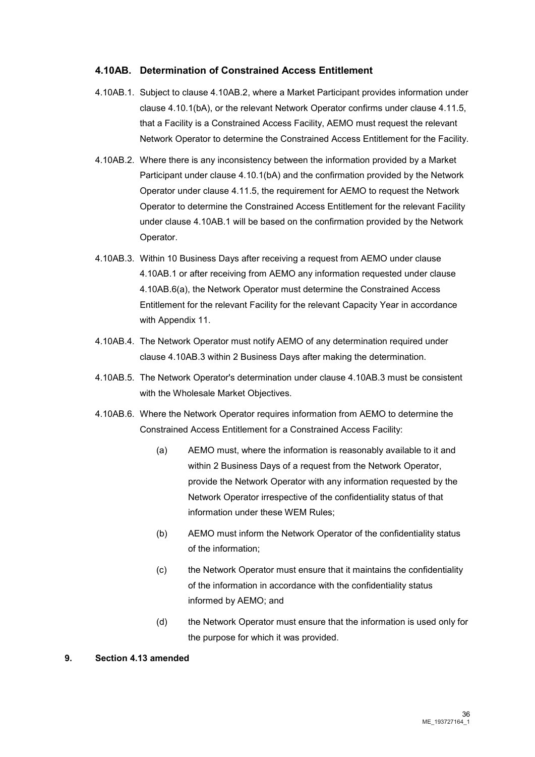#### **4.10AB. Determination of Constrained Access Entitlement**

- 4.10AB.1. Subject to clause 4.10AB.2, where a Market Participant provides information under clause 4.10.1(bA), or the relevant Network Operator confirms under clause 4.11.5, that a Facility is a Constrained Access Facility, AEMO must request the relevant Network Operator to determine the Constrained Access Entitlement for the Facility.
- 4.10AB.2. Where there is any inconsistency between the information provided by a Market Participant under clause 4.10.1(bA) and the confirmation provided by the Network Operator under clause 4.11.5, the requirement for AEMO to request the Network Operator to determine the Constrained Access Entitlement for the relevant Facility under clause 4.10AB.1 will be based on the confirmation provided by the Network Operator.
- 4.10AB.3. Within 10 Business Days after receiving a request from AEMO under clause 4.10AB.1 or after receiving from AEMO any information requested under clause 4.10AB.6(a), the Network Operator must determine the Constrained Access Entitlement for the relevant Facility for the relevant Capacity Year in accordance with Appendix 11.
- 4.10AB.4. The Network Operator must notify AEMO of any determination required under clause 4.10AB.3 within 2 Business Days after making the determination.
- 4.10AB.5. The Network Operator's determination under clause 4.10AB.3 must be consistent with the Wholesale Market Objectives.
- 4.10AB.6. Where the Network Operator requires information from AEMO to determine the Constrained Access Entitlement for a Constrained Access Facility:
	- (a) AEMO must, where the information is reasonably available to it and within 2 Business Days of a request from the Network Operator, provide the Network Operator with any information requested by the Network Operator irrespective of the confidentiality status of that information under these WEM Rules;
	- (b) AEMO must inform the Network Operator of the confidentiality status of the information;
	- (c) the Network Operator must ensure that it maintains the confidentiality of the information in accordance with the confidentiality status informed by AEMO; and
	- (d) the Network Operator must ensure that the information is used only for the purpose for which it was provided.

#### **9. Section 4.13 amended**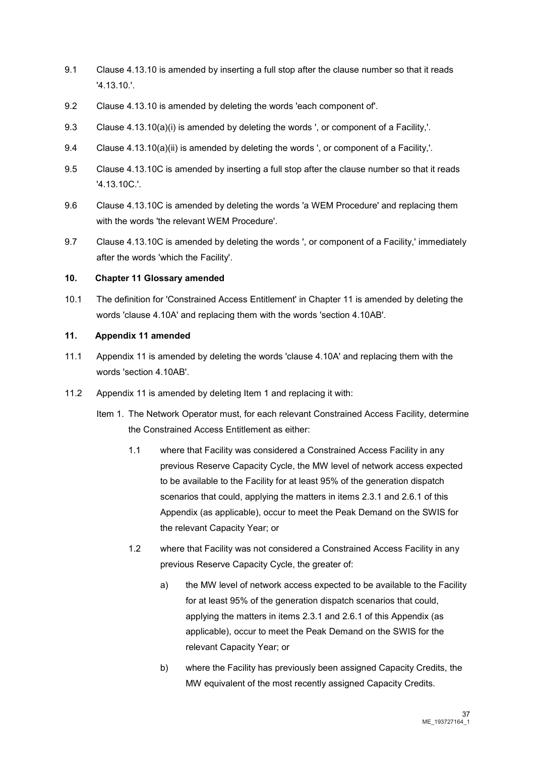- 9.1 Clause 4.13.10 is amended by inserting a full stop after the clause number so that it reads '4.13.10.'.
- 9.2 Clause 4.13.10 is amended by deleting the words 'each component of'.
- 9.3 Clause 4.13.10(a)(i) is amended by deleting the words ', or component of a Facility,'.
- 9.4 Clause 4.13.10(a)(ii) is amended by deleting the words ', or component of a Facility,'.
- 9.5 Clause 4.13.10C is amended by inserting a full stop after the clause number so that it reads '4.13.10C.'.
- 9.6 Clause 4.13.10C is amended by deleting the words 'a WEM Procedure' and replacing them with the words 'the relevant WEM Procedure'.
- 9.7 Clause 4.13.10C is amended by deleting the words ', or component of a Facility,' immediately after the words 'which the Facility'.

#### **10. Chapter 11 Glossary amended**

10.1 The definition for 'Constrained Access Entitlement' in Chapter 11 is amended by deleting the words 'clause 4.10A' and replacing them with the words 'section 4.10AB'.

#### **11. Appendix 11 amended**

- 11.1 Appendix 11 is amended by deleting the words 'clause 4.10A' and replacing them with the words 'section 4.10AB'.
- 11.2 Appendix 11 is amended by deleting Item 1 and replacing it with:
	- Item 1. The Network Operator must, for each relevant Constrained Access Facility, determine the Constrained Access Entitlement as either:
		- 1.1 where that Facility was considered a Constrained Access Facility in any previous Reserve Capacity Cycle, the MW level of network access expected to be available to the Facility for at least 95% of the generation dispatch scenarios that could, applying the matters in items 2.3.1 and 2.6.1 of this Appendix (as applicable), occur to meet the Peak Demand on the SWIS for the relevant Capacity Year; or
		- 1.2 where that Facility was not considered a Constrained Access Facility in any previous Reserve Capacity Cycle, the greater of:
			- a) the MW level of network access expected to be available to the Facility for at least 95% of the generation dispatch scenarios that could, applying the matters in items 2.3.1 and 2.6.1 of this Appendix (as applicable), occur to meet the Peak Demand on the SWIS for the relevant Capacity Year; or
			- b) where the Facility has previously been assigned Capacity Credits, the MW equivalent of the most recently assigned Capacity Credits.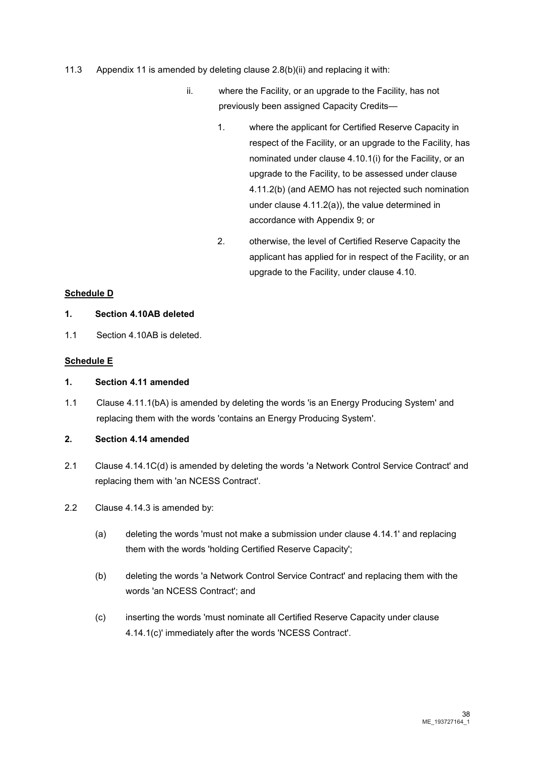- 11.3 Appendix 11 is amended by deleting clause 2.8(b)(ii) and replacing it with:
	- ii. where the Facility, or an upgrade to the Facility, has not previously been assigned Capacity Credits—
		- 1. where the applicant for Certified Reserve Capacity in respect of the Facility, or an upgrade to the Facility, has nominated under clause 4.10.1(i) for the Facility, or an upgrade to the Facility, to be assessed under clause 4.11.2(b) (and AEMO has not rejected such nomination under clause 4.11.2(a)), the value determined in accordance with Appendix 9; or
		- 2. otherwise, the level of Certified Reserve Capacity the applicant has applied for in respect of the Facility, or an upgrade to the Facility, under clause 4.10.

## **Schedule D**

#### **1. Section 4.10AB deleted**

1.1 Section 4.10AB is deleted.

## **Schedule E**

#### **1. Section 4.11 amended**

1.1 Clause 4.11.1(bA) is amended by deleting the words 'is an Energy Producing System' and replacing them with the words 'contains an Energy Producing System'.

## **2. Section 4.14 amended**

- 2.1 Clause 4.14.1C(d) is amended by deleting the words 'a Network Control Service Contract' and replacing them with 'an NCESS Contract'.
- 2.2 Clause 4.14.3 is amended by:
	- (a) deleting the words 'must not make a submission under clause 4.14.1' and replacing them with the words 'holding Certified Reserve Capacity';
	- (b) deleting the words 'a Network Control Service Contract' and replacing them with the words 'an NCESS Contract'; and
	- (c) inserting the words 'must nominate all Certified Reserve Capacity under clause 4.14.1(c)' immediately after the words 'NCESS Contract'.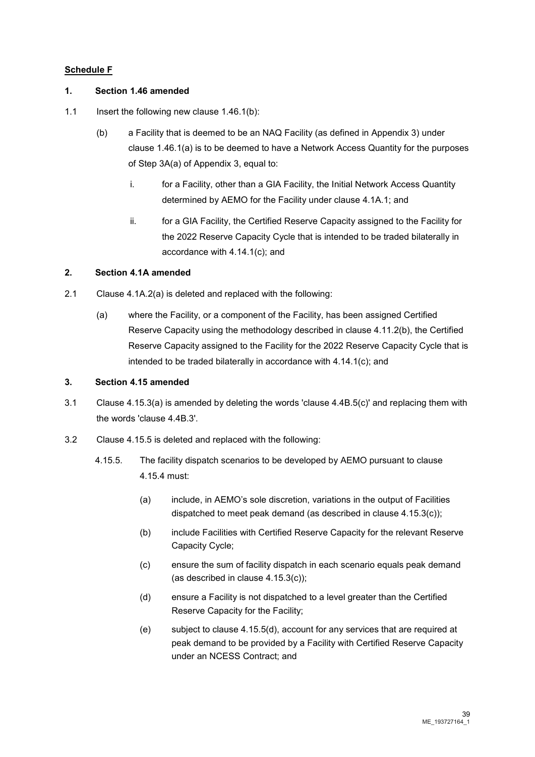## **Schedule F**

#### **1. Section 1.46 amended**

- 1.1 Insert the following new clause 1.46.1(b):
	- (b) a Facility that is deemed to be an NAQ Facility (as defined in Appendix 3) under clause 1.46.1(a) is to be deemed to have a Network Access Quantity for the purposes of Step 3A(a) of Appendix 3, equal to:
		- i. for a Facility, other than a GIA Facility, the Initial Network Access Quantity determined by AEMO for the Facility under clause 4.1A.1; and
		- ii. for a GIA Facility, the Certified Reserve Capacity assigned to the Facility for the 2022 Reserve Capacity Cycle that is intended to be traded bilaterally in accordance with 4.14.1(c); and

#### **2. Section 4.1A amended**

- 2.1 Clause 4.1A.2(a) is deleted and replaced with the following:
	- (a) where the Facility, or a component of the Facility, has been assigned Certified Reserve Capacity using the methodology described in clause 4.11.2(b), the Certified Reserve Capacity assigned to the Facility for the 2022 Reserve Capacity Cycle that is intended to be traded bilaterally in accordance with 4.14.1(c); and

#### **3. Section 4.15 amended**

- 3.1 Clause 4.15.3(a) is amended by deleting the words 'clause 4.4B.5(c)' and replacing them with the words 'clause 4.4B.3'.
- 3.2 Clause 4.15.5 is deleted and replaced with the following:
	- 4.15.5. The facility dispatch scenarios to be developed by AEMO pursuant to clause 4.15.4 must:
		- (a) include, in AEMO's sole discretion, variations in the output of Facilities dispatched to meet peak demand (as described in clause 4.15.3(c));
		- (b) include Facilities with Certified Reserve Capacity for the relevant Reserve Capacity Cycle;
		- (c) ensure the sum of facility dispatch in each scenario equals peak demand (as described in clause 4.15.3(c));
		- (d) ensure a Facility is not dispatched to a level greater than the Certified Reserve Capacity for the Facility;
		- (e) subject to clause 4.15.5(d), account for any services that are required at peak demand to be provided by a Facility with Certified Reserve Capacity under an NCESS Contract; and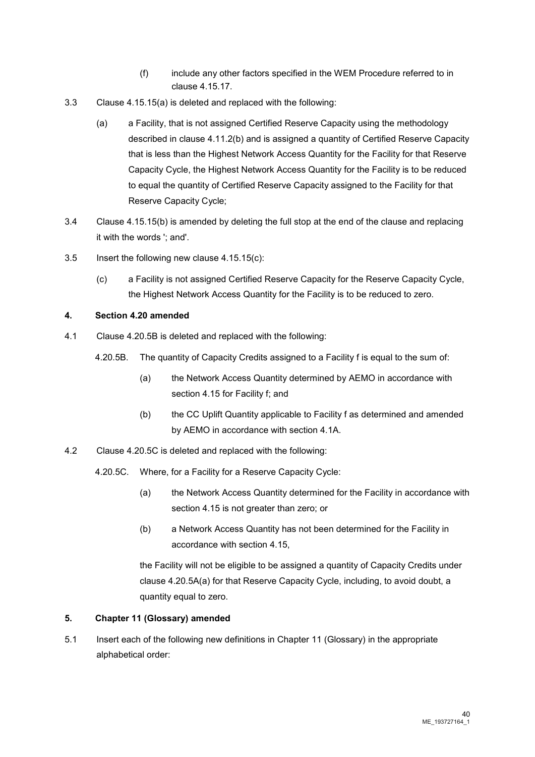- (f) include any other factors specified in the WEM Procedure referred to in clause 4.15.17.
- 3.3 Clause 4.15.15(a) is deleted and replaced with the following:
	- (a) a Facility, that is not assigned Certified Reserve Capacity using the methodology described in clause 4.11.2(b) and is assigned a quantity of Certified Reserve Capacity that is less than the Highest Network Access Quantity for the Facility for that Reserve Capacity Cycle, the Highest Network Access Quantity for the Facility is to be reduced to equal the quantity of Certified Reserve Capacity assigned to the Facility for that Reserve Capacity Cycle;
- 3.4 Clause 4.15.15(b) is amended by deleting the full stop at the end of the clause and replacing it with the words '; and'.
- 3.5 Insert the following new clause 4.15.15(c):
	- (c) a Facility is not assigned Certified Reserve Capacity for the Reserve Capacity Cycle, the Highest Network Access Quantity for the Facility is to be reduced to zero.

## **4. Section 4.20 amended**

- 4.1 Clause 4.20.5B is deleted and replaced with the following:
	- 4.20.5B. The quantity of Capacity Credits assigned to a Facility f is equal to the sum of:
		- (a) the Network Access Quantity determined by AEMO in accordance with section 4.15 for Facility f; and
		- (b) the CC Uplift Quantity applicable to Facility f as determined and amended by AEMO in accordance with section 4.1A.
- 4.2 Clause 4.20.5C is deleted and replaced with the following:
	- 4.20.5C. Where, for a Facility for a Reserve Capacity Cycle:
		- (a) the Network Access Quantity determined for the Facility in accordance with section 4.15 is not greater than zero; or
		- (b) a Network Access Quantity has not been determined for the Facility in accordance with section 4.15,

the Facility will not be eligible to be assigned a quantity of Capacity Credits under clause 4.20.5A(a) for that Reserve Capacity Cycle, including, to avoid doubt, a quantity equal to zero.

#### **5. Chapter 11 (Glossary) amended**

5.1 Insert each of the following new definitions in Chapter 11 (Glossary) in the appropriate alphabetical order: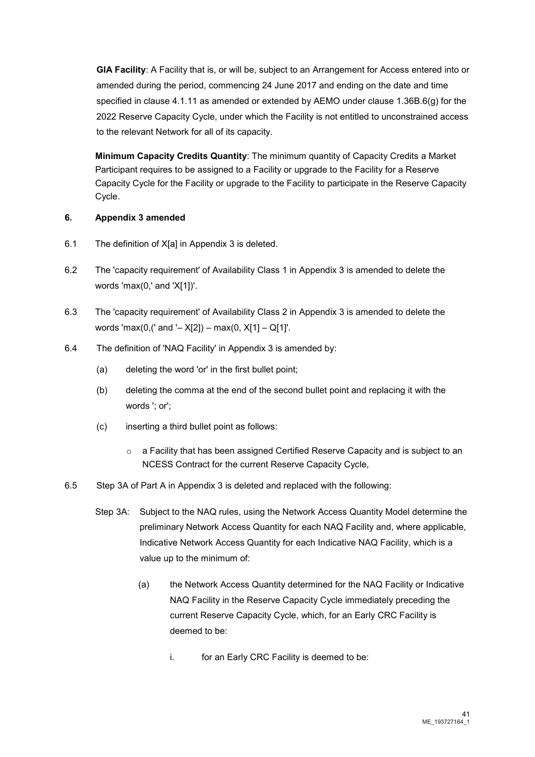**GIA Facility**: A Facility that is, or will be, subject to an Arrangement for Access entered into or amended during the period, commencing 24 June 2017 and ending on the date and time specified in clause 4.1.11 as amended or extended by AEMO under clause 1.36B.6(g) for the 2022 Reserve Capacity Cycle, under which the Facility is not entitled to unconstrained access to the relevant Network for all of its capacity.

**Minimum Capacity Credits Quantity**: The minimum quantity of Capacity Credits a Market Participant requires to be assigned to a Facility or upgrade to the Facility for a Reserve Capacity Cycle for the Facility or upgrade to the Facility to participate in the Reserve Capacity Cycle.

## **6. Appendix 3 amended**

- 6.1 The definition of X[a] in Appendix 3 is deleted.
- 6.2 The 'capacity requirement' of Availability Class 1 in Appendix 3 is amended to delete the words 'max(0,' and 'X[1])'.
- 6.3 The 'capacity requirement' of Availability Class 2 in Appendix 3 is amended to delete the words 'max(0,(' and '-  $X[2]$ ) – max(0,  $X[1]$  – Q[1]'.
- 6.4 The definition of 'NAQ Facility' in Appendix 3 is amended by:
	- (a) deleting the word 'or' in the first bullet point;
	- (b) deleting the comma at the end of the second bullet point and replacing it with the words '; or';
	- (c) inserting a third bullet point as follows:
		- $\circ$  a Facility that has been assigned Certified Reserve Capacity and is subject to an NCESS Contract for the current Reserve Capacity Cycle,
- 6.5 Step 3A of Part A in Appendix 3 is deleted and replaced with the following:
	- Step 3A: Subject to the NAQ rules, using the Network Access Quantity Model determine the preliminary Network Access Quantity for each NAQ Facility and, where applicable, Indicative Network Access Quantity for each Indicative NAQ Facility, which is a value up to the minimum of:
		- (a) the Network Access Quantity determined for the NAQ Facility or Indicative NAQ Facility in the Reserve Capacity Cycle immediately preceding the current Reserve Capacity Cycle, which, for an Early CRC Facility is deemed to be:
			- i. for an Early CRC Facility is deemed to be: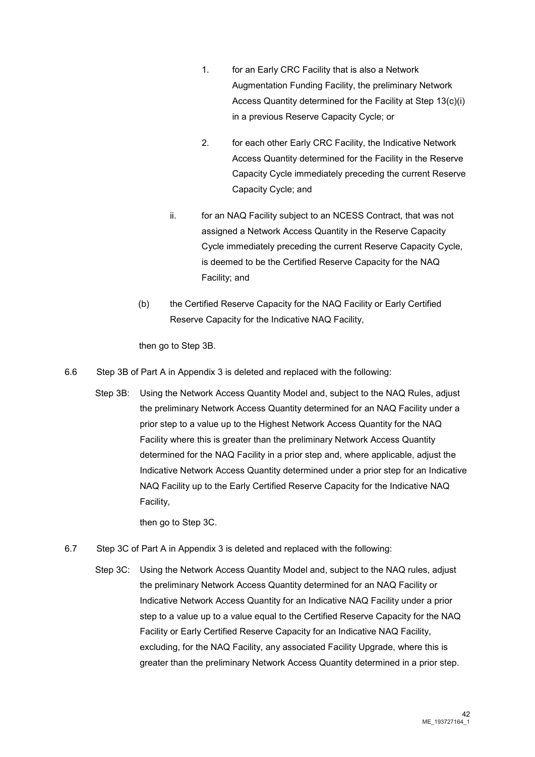- 1. for an Early CRC Facility that is also a Network Augmentation Funding Facility, the preliminary Network Access Quantity determined for the Facility at Step 13(c)(i) in a previous Reserve Capacity Cycle; or
- 2. for each other Early CRC Facility, the Indicative Network Access Quantity determined for the Facility in the Reserve Capacity Cycle immediately preceding the current Reserve Capacity Cycle; and
- ii. for an NAQ Facility subject to an NCESS Contract, that was not assigned a Network Access Quantity in the Reserve Capacity Cycle immediately preceding the current Reserve Capacity Cycle, is deemed to be the Certified Reserve Capacity for the NAQ Facility; and
- (b) the Certified Reserve Capacity for the NAQ Facility or Early Certified Reserve Capacity for the Indicative NAQ Facility,

then go to Step 3B.

- 6.6 Step 3B of Part A in Appendix 3 is deleted and replaced with the following:
	- Step 3B: Using the Network Access Quantity Model and, subject to the NAQ Rules, adjust the preliminary Network Access Quantity determined for an NAQ Facility under a prior step to a value up to the Highest Network Access Quantity for the NAQ Facility where this is greater than the preliminary Network Access Quantity determined for the NAQ Facility in a prior step and, where applicable, adjust the Indicative Network Access Quantity determined under a prior step for an Indicative NAQ Facility up to the Early Certified Reserve Capacity for the Indicative NAQ Facility,

then go to Step 3C.

- 6.7 Step 3C of Part A in Appendix 3 is deleted and replaced with the following:
	- Step 3C: Using the Network Access Quantity Model and, subject to the NAQ rules, adjust the preliminary Network Access Quantity determined for an NAQ Facility or Indicative Network Access Quantity for an Indicative NAQ Facility under a prior step to a value up to a value equal to the Certified Reserve Capacity for the NAQ Facility or Early Certified Reserve Capacity for an Indicative NAQ Facility, excluding, for the NAQ Facility, any associated Facility Upgrade, where this is greater than the preliminary Network Access Quantity determined in a prior step.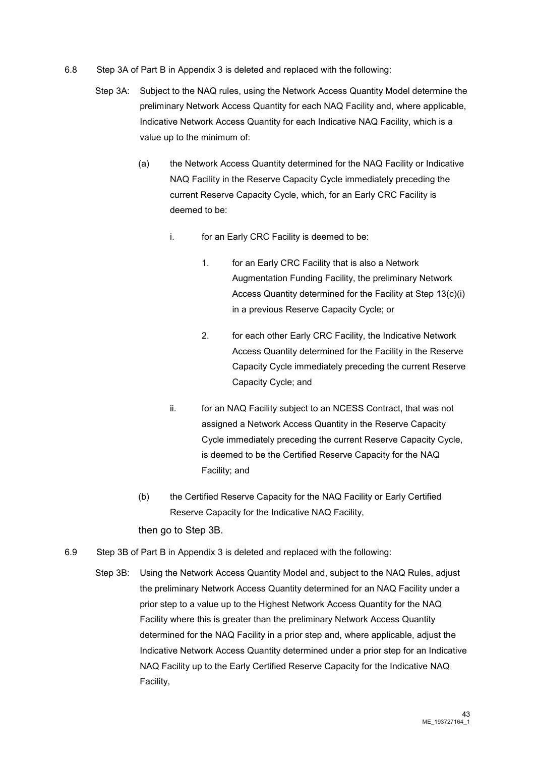- 6.8 Step 3A of Part B in Appendix 3 is deleted and replaced with the following:
	- Step 3A: Subject to the NAQ rules, using the Network Access Quantity Model determine the preliminary Network Access Quantity for each NAQ Facility and, where applicable, Indicative Network Access Quantity for each Indicative NAQ Facility, which is a value up to the minimum of:
		- (a) the Network Access Quantity determined for the NAQ Facility or Indicative NAQ Facility in the Reserve Capacity Cycle immediately preceding the current Reserve Capacity Cycle, which, for an Early CRC Facility is deemed to be:
			- i. for an Early CRC Facility is deemed to be:
				- 1. for an Early CRC Facility that is also a Network Augmentation Funding Facility, the preliminary Network Access Quantity determined for the Facility at Step 13(c)(i) in a previous Reserve Capacity Cycle; or
				- 2. for each other Early CRC Facility, the Indicative Network Access Quantity determined for the Facility in the Reserve Capacity Cycle immediately preceding the current Reserve Capacity Cycle; and
			- ii. for an NAQ Facility subject to an NCESS Contract, that was not assigned a Network Access Quantity in the Reserve Capacity Cycle immediately preceding the current Reserve Capacity Cycle, is deemed to be the Certified Reserve Capacity for the NAQ Facility; and
		- (b) the Certified Reserve Capacity for the NAQ Facility or Early Certified Reserve Capacity for the Indicative NAQ Facility, then go to Step 3B.
- 6.9 Step 3B of Part B in Appendix 3 is deleted and replaced with the following:
	- Step 3B: Using the Network Access Quantity Model and, subject to the NAQ Rules, adjust the preliminary Network Access Quantity determined for an NAQ Facility under a prior step to a value up to the Highest Network Access Quantity for the NAQ Facility where this is greater than the preliminary Network Access Quantity determined for the NAQ Facility in a prior step and, where applicable, adjust the Indicative Network Access Quantity determined under a prior step for an Indicative NAQ Facility up to the Early Certified Reserve Capacity for the Indicative NAQ Facility,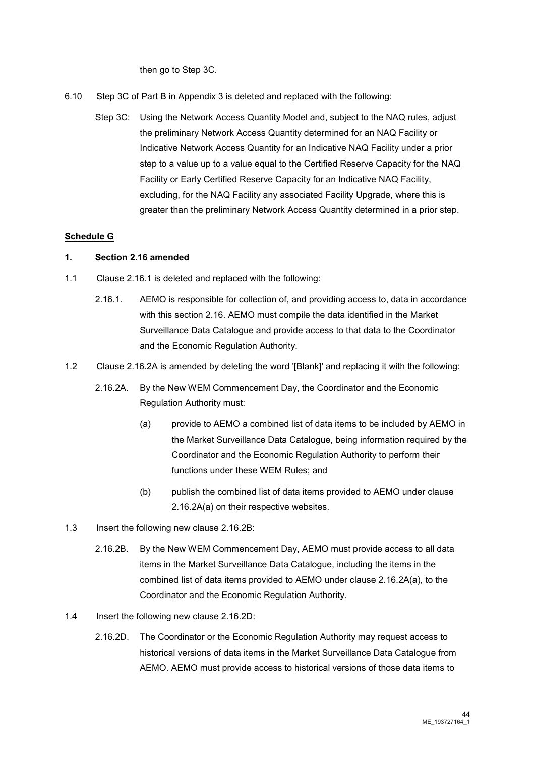then go to Step 3C.

- 6.10 Step 3C of Part B in Appendix 3 is deleted and replaced with the following:
	- Step 3C: Using the Network Access Quantity Model and, subject to the NAQ rules, adjust the preliminary Network Access Quantity determined for an NAQ Facility or Indicative Network Access Quantity for an Indicative NAQ Facility under a prior step to a value up to a value equal to the Certified Reserve Capacity for the NAQ Facility or Early Certified Reserve Capacity for an Indicative NAQ Facility, excluding, for the NAQ Facility any associated Facility Upgrade, where this is greater than the preliminary Network Access Quantity determined in a prior step.

## **Schedule G**

#### **1. Section 2.16 amended**

- 1.1 Clause 2.16.1 is deleted and replaced with the following:
	- 2.16.1. AEMO is responsible for collection of, and providing access to, data in accordance with this section 2.16. AEMO must compile the data identified in the Market Surveillance Data Catalogue and provide access to that data to the Coordinator and the Economic Regulation Authority.
- 1.2 Clause 2.16.2A is amended by deleting the word '[Blank]' and replacing it with the following:
	- 2.16.2A. By the New WEM Commencement Day, the Coordinator and the Economic Regulation Authority must:
		- (a) provide to AEMO a combined list of data items to be included by AEMO in the Market Surveillance Data Catalogue, being information required by the Coordinator and the Economic Regulation Authority to perform their functions under these WEM Rules; and
		- (b) publish the combined list of data items provided to AEMO under clause 2.16.2A(a) on their respective websites.
- 1.3 Insert the following new clause 2.16.2B:
	- 2.16.2B. By the New WEM Commencement Day, AEMO must provide access to all data items in the Market Surveillance Data Catalogue, including the items in the combined list of data items provided to AEMO under clause 2.16.2A(a), to the Coordinator and the Economic Regulation Authority.
- 1.4 Insert the following new clause 2.16.2D:
	- 2.16.2D. The Coordinator or the Economic Regulation Authority may request access to historical versions of data items in the Market Surveillance Data Catalogue from AEMO. AEMO must provide access to historical versions of those data items to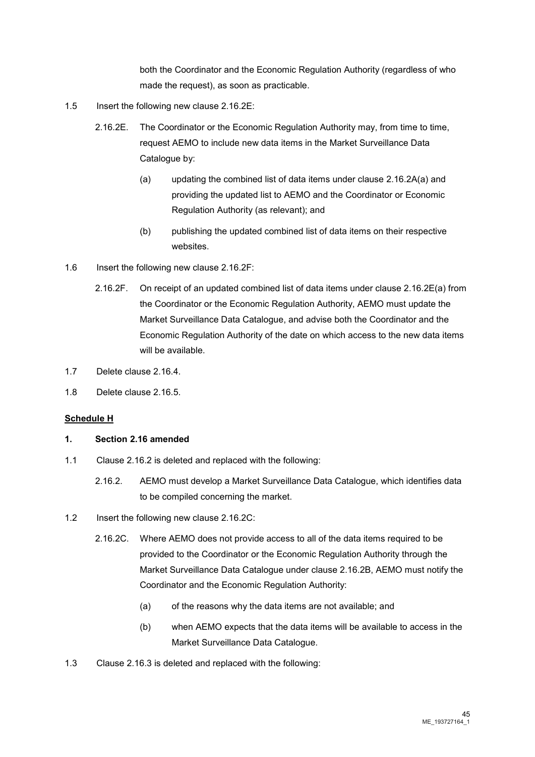both the Coordinator and the Economic Regulation Authority (regardless of who made the request), as soon as practicable.

- 1.5 Insert the following new clause 2.16.2E:
	- 2.16.2E. The Coordinator or the Economic Regulation Authority may, from time to time, request AEMO to include new data items in the Market Surveillance Data Catalogue by:
		- (a) updating the combined list of data items under clause 2.16.2A(a) and providing the updated list to AEMO and the Coordinator or Economic Regulation Authority (as relevant); and
		- (b) publishing the updated combined list of data items on their respective websites.
- 1.6 Insert the following new clause 2.16.2F:
	- 2.16.2F. On receipt of an updated combined list of data items under clause 2.16.2E(a) from the Coordinator or the Economic Regulation Authority, AEMO must update the Market Surveillance Data Catalogue, and advise both the Coordinator and the Economic Regulation Authority of the date on which access to the new data items will be available.
- 1.7 Delete clause 2.16.4.
- 1.8 Delete clause 2.16.5.

#### **Schedule H**

#### **1. Section 2.16 amended**

- 1.1 Clause 2.16.2 is deleted and replaced with the following:
	- 2.16.2. AEMO must develop a Market Surveillance Data Catalogue, which identifies data to be compiled concerning the market.
- 1.2 Insert the following new clause 2.16.2C:
	- 2.16.2C. Where AEMO does not provide access to all of the data items required to be provided to the Coordinator or the Economic Regulation Authority through the Market Surveillance Data Catalogue under clause 2.16.2B, AEMO must notify the Coordinator and the Economic Regulation Authority:
		- (a) of the reasons why the data items are not available; and
		- (b) when AEMO expects that the data items will be available to access in the Market Surveillance Data Catalogue.
- 1.3 Clause 2.16.3 is deleted and replaced with the following: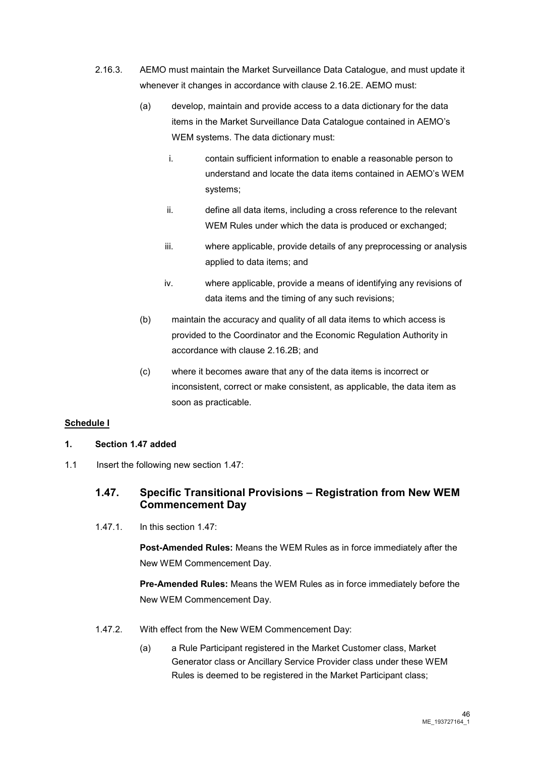- 2.16.3. AEMO must maintain the Market Surveillance Data Catalogue, and must update it whenever it changes in accordance with clause 2.16.2E. AEMO must:
	- (a) develop, maintain and provide access to a data dictionary for the data items in the Market Surveillance Data Catalogue contained in AEMO's WEM systems. The data dictionary must:
		- i. contain sufficient information to enable a reasonable person to understand and locate the data items contained in AEMO's WEM systems;
		- ii. define all data items, including a cross reference to the relevant WEM Rules under which the data is produced or exchanged;
		- iii. where applicable, provide details of any preprocessing or analysis applied to data items; and
		- iv. where applicable, provide a means of identifying any revisions of data items and the timing of any such revisions;
	- (b) maintain the accuracy and quality of all data items to which access is provided to the Coordinator and the Economic Regulation Authority in accordance with clause 2.16.2B; and
	- (c) where it becomes aware that any of the data items is incorrect or inconsistent, correct or make consistent, as applicable, the data item as soon as practicable.

## **Schedule I**

## **1. Section 1.47 added**

1.1 Insert the following new section 1.47:

# **1.47. Specific Transitional Provisions – Registration from New WEM Commencement Day**

1.47.1. In this section 1.47:

**Post-Amended Rules:** Means the WEM Rules as in force immediately after the New WEM Commencement Day.

**Pre-Amended Rules:** Means the WEM Rules as in force immediately before the New WEM Commencement Day.

- 1.47.2. With effect from the New WEM Commencement Day:
	- (a) a Rule Participant registered in the Market Customer class, Market Generator class or Ancillary Service Provider class under these WEM Rules is deemed to be registered in the Market Participant class;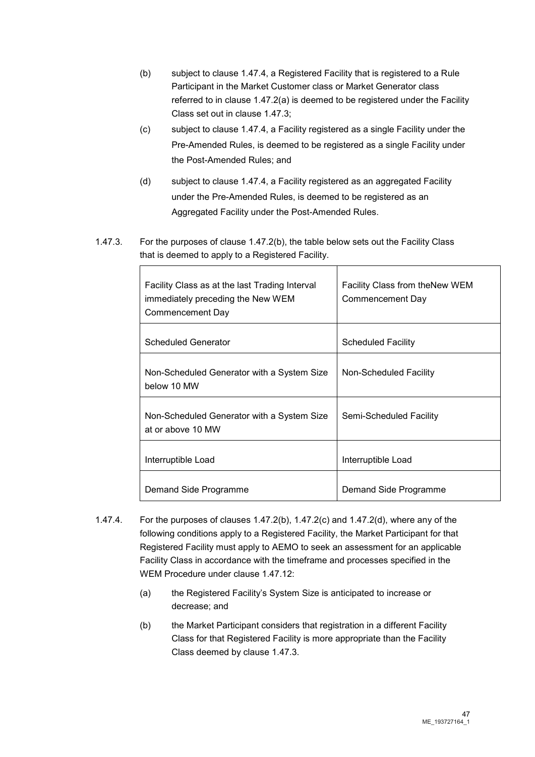- (b) subject to clause 1.47.4, a Registered Facility that is registered to a Rule Participant in the Market Customer class or Market Generator class referred to in clause 1.47.2(a) is deemed to be registered under the Facility Class set out in clause 1.47.3;
- (c) subject to clause 1.47.4, a Facility registered as a single Facility under the Pre-Amended Rules, is deemed to be registered as a single Facility under the Post-Amended Rules; and
- (d) subject to clause 1.47.4, a Facility registered as an aggregated Facility under the Pre-Amended Rules, is deemed to be registered as an Aggregated Facility under the Post-Amended Rules.
- 1.47.3. For the purposes of clause 1.47.2(b), the table below sets out the Facility Class that is deemed to apply to a Registered Facility.

| Facility Class as at the last Trading Interval<br>immediately preceding the New WEM<br>Commencement Day | Facility Class from the New WEM<br>Commencement Day |
|---------------------------------------------------------------------------------------------------------|-----------------------------------------------------|
| <b>Scheduled Generator</b>                                                                              | <b>Scheduled Facility</b>                           |
| Non-Scheduled Generator with a System Size<br>below 10 MW                                               | Non-Scheduled Facility                              |
| Non-Scheduled Generator with a System Size<br>at or above 10 MW                                         | Semi-Scheduled Facility                             |
| Interruptible Load                                                                                      | Interruptible Load                                  |
| Demand Side Programme                                                                                   | Demand Side Programme                               |

- 1.47.4. For the purposes of clauses 1.47.2(b), 1.47.2(c) and 1.47.2(d), where any of the following conditions apply to a Registered Facility, the Market Participant for that Registered Facility must apply to AEMO to seek an assessment for an applicable Facility Class in accordance with the timeframe and processes specified in the WEM Procedure under clause 1.47.12:
	- (a) the Registered Facility's System Size is anticipated to increase or decrease; and
	- (b) the Market Participant considers that registration in a different Facility Class for that Registered Facility is more appropriate than the Facility Class deemed by clause 1.47.3.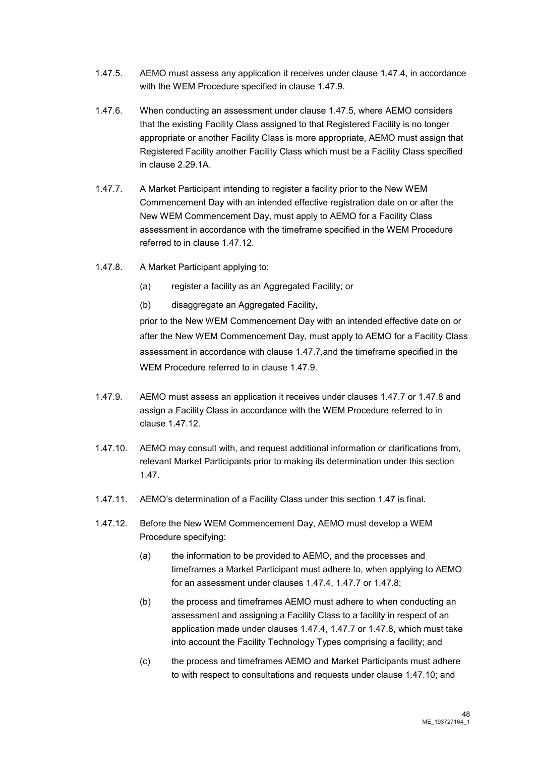- 1.47.5. AEMO must assess any application it receives under clause 1.47.4, in accordance with the WEM Procedure specified in clause 1.47.9.
- 1.47.6. When conducting an assessment under clause 1.47.5, where AEMO considers that the existing Facility Class assigned to that Registered Facility is no longer appropriate or another Facility Class is more appropriate, AEMO must assign that Registered Facility another Facility Class which must be a Facility Class specified in clause 2.29.1A.
- 1.47.7. A Market Participant intending to register a facility prior to the New WEM Commencement Day with an intended effective registration date on or after the New WEM Commencement Day, must apply to AEMO for a Facility Class assessment in accordance with the timeframe specified in the WEM Procedure referred to in clause 1.47.12.
- 1.47.8. A Market Participant applying to:
	- (a) register a facility as an Aggregated Facility; or
	- (b) disaggregate an Aggregated Facility,

prior to the New WEM Commencement Day with an intended effective date on or after the New WEM Commencement Day, must apply to AEMO for a Facility Class assessment in accordance with clause 1.47.7,and the timeframe specified in the WEM Procedure referred to in clause 1.47.9.

- 1.47.9. AEMO must assess an application it receives under clauses 1.47.7 or 1.47.8 and assign a Facility Class in accordance with the WEM Procedure referred to in clause 1.47.12.
- 1.47.10. AEMO may consult with, and request additional information or clarifications from, relevant Market Participants prior to making its determination under this section 1.47.
- 1.47.11. AEMO's determination of a Facility Class under this section 1.47 is final.
- 1.47.12. Before the New WEM Commencement Day, AEMO must develop a WEM Procedure specifying:
	- (a) the information to be provided to AEMO, and the processes and timeframes a Market Participant must adhere to, when applying to AEMO for an assessment under clauses 1.47.4, 1.47.7 or 1.47.8;
	- (b) the process and timeframes AEMO must adhere to when conducting an assessment and assigning a Facility Class to a facility in respect of an application made under clauses 1.47.4, 1.47.7 or 1.47.8, which must take into account the Facility Technology Types comprising a facility; and
	- (c) the process and timeframes AEMO and Market Participants must adhere to with respect to consultations and requests under clause 1.47.10; and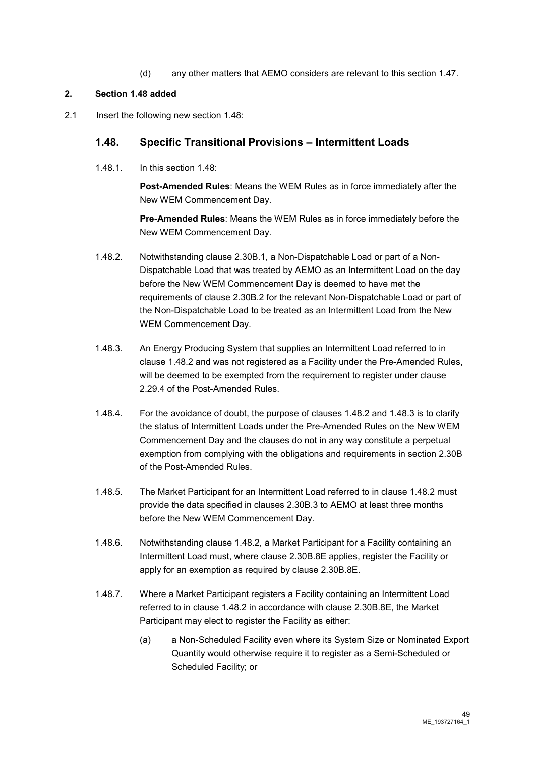(d) any other matters that AEMO considers are relevant to this section 1.47.

## **2. Section 1.48 added**

2.1 Insert the following new section 1.48:

# **1.48. Specific Transitional Provisions – Intermittent Loads**

1.48.1. In this section 1.48:

**Post-Amended Rules**: Means the WEM Rules as in force immediately after the New WEM Commencement Day.

**Pre-Amended Rules**: Means the WEM Rules as in force immediately before the New WEM Commencement Day.

- 1.48.2. Notwithstanding clause 2.30B.1, a Non-Dispatchable Load or part of a Non-Dispatchable Load that was treated by AEMO as an Intermittent Load on the day before the New WEM Commencement Day is deemed to have met the requirements of clause 2.30B.2 for the relevant Non-Dispatchable Load or part of the Non-Dispatchable Load to be treated as an Intermittent Load from the New WEM Commencement Day.
- 1.48.3. An Energy Producing System that supplies an Intermittent Load referred to in clause 1.48.2 and was not registered as a Facility under the Pre-Amended Rules, will be deemed to be exempted from the requirement to register under clause 2.29.4 of the Post-Amended Rules.
- 1.48.4. For the avoidance of doubt, the purpose of clauses 1.48.2 and 1.48.3 is to clarify the status of Intermittent Loads under the Pre-Amended Rules on the New WEM Commencement Day and the clauses do not in any way constitute a perpetual exemption from complying with the obligations and requirements in section 2.30B of the Post-Amended Rules.
- 1.48.5. The Market Participant for an Intermittent Load referred to in clause 1.48.2 must provide the data specified in clauses 2.30B.3 to AEMO at least three months before the New WEM Commencement Day.
- 1.48.6. Notwithstanding clause 1.48.2, a Market Participant for a Facility containing an Intermittent Load must, where clause 2.30B.8E applies, register the Facility or apply for an exemption as required by clause 2.30B.8E.
- 1.48.7. Where a Market Participant registers a Facility containing an Intermittent Load referred to in clause 1.48.2 in accordance with clause 2.30B.8E, the Market Participant may elect to register the Facility as either:
	- (a) a Non-Scheduled Facility even where its System Size or Nominated Export Quantity would otherwise require it to register as a Semi-Scheduled or Scheduled Facility; or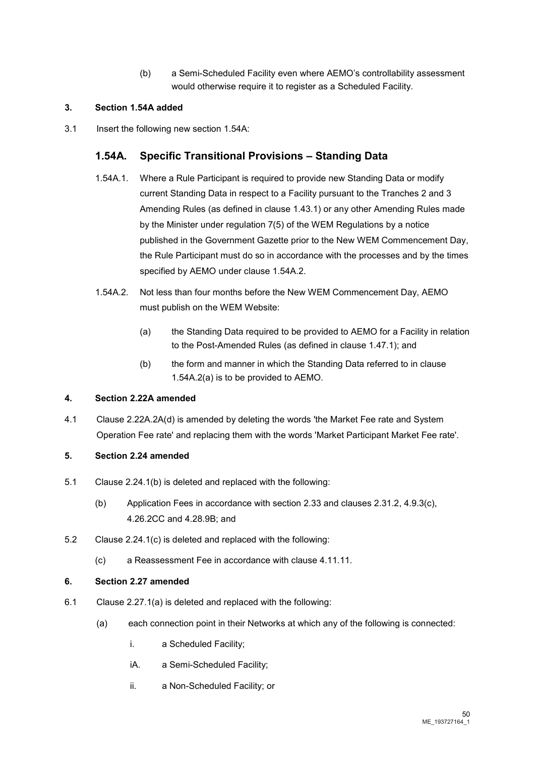(b) a Semi-Scheduled Facility even where AEMO's controllability assessment would otherwise require it to register as a Scheduled Facility.

## **3. Section 1.54A added**

3.1 Insert the following new section 1.54A:

# **1.54A. Specific Transitional Provisions – Standing Data**

- 1.54A.1. Where a Rule Participant is required to provide new Standing Data or modify current Standing Data in respect to a Facility pursuant to the Tranches 2 and 3 Amending Rules (as defined in clause 1.43.1) or any other Amending Rules made by the Minister under regulation 7(5) of the WEM Regulations by a notice published in the Government Gazette prior to the New WEM Commencement Day, the Rule Participant must do so in accordance with the processes and by the times specified by AEMO under clause 1.54A.2.
- 1.54A.2. Not less than four months before the New WEM Commencement Day, AEMO must publish on the WEM Website:
	- (a) the Standing Data required to be provided to AEMO for a Facility in relation to the Post-Amended Rules (as defined in clause 1.47.1); and
	- (b) the form and manner in which the Standing Data referred to in clause 1.54A.2(a) is to be provided to AEMO.

#### **4. Section 2.22A amended**

4.1 Clause 2.22A.2A(d) is amended by deleting the words 'the Market Fee rate and System Operation Fee rate' and replacing them with the words 'Market Participant Market Fee rate'.

## **5. Section 2.24 amended**

- 5.1 Clause 2.24.1(b) is deleted and replaced with the following:
	- (b) Application Fees in accordance with section 2.33 and clauses 2.31.2, 4.9.3(c), 4.26.2CC and 4.28.9B; and
- 5.2 Clause 2.24.1(c) is deleted and replaced with the following:
	- (c) a Reassessment Fee in accordance with clause 4.11.11.

#### **6. Section 2.27 amended**

- 6.1 Clause 2.27.1(a) is deleted and replaced with the following:
	- (a) each connection point in their Networks at which any of the following is connected:
		- i. a Scheduled Facility;
		- iA. a Semi-Scheduled Facility;
		- ii. a Non-Scheduled Facility; or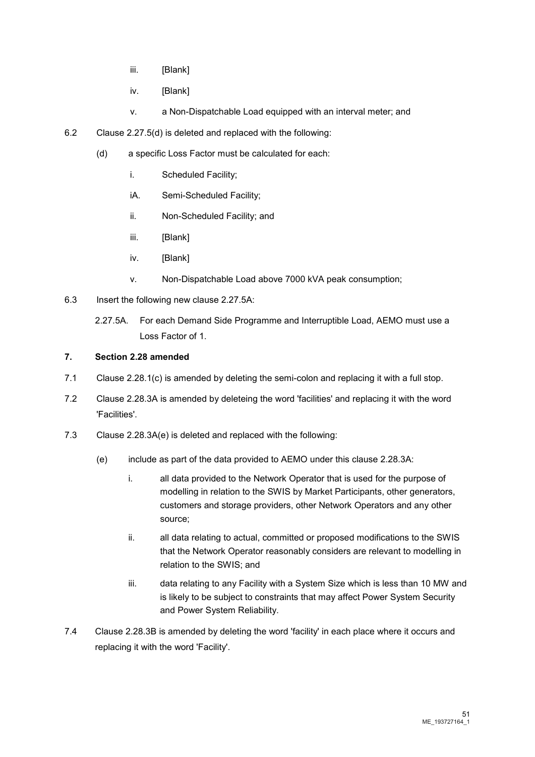- iii. [Blank]
- iv. [Blank]
- v. a Non-Dispatchable Load equipped with an interval meter; and
- 6.2 Clause 2.27.5(d) is deleted and replaced with the following:
	- (d) a specific Loss Factor must be calculated for each:
		- i. Scheduled Facility;
		- iA. Semi-Scheduled Facility;
		- ii. Non-Scheduled Facility; and
		- iii. [Blank]
		- iv. [Blank]
		- v. Non-Dispatchable Load above 7000 kVA peak consumption;
- 6.3 Insert the following new clause 2.27.5A:
	- 2.27.5A. For each Demand Side Programme and Interruptible Load, AEMO must use a Loss Factor of 1.

## **7. Section 2.28 amended**

- 7.1 Clause 2.28.1(c) is amended by deleting the semi-colon and replacing it with a full stop.
- 7.2 Clause 2.28.3A is amended by deleteing the word 'facilities' and replacing it with the word 'Facilities'.
- 7.3 Clause 2.28.3A(e) is deleted and replaced with the following:
	- (e) include as part of the data provided to AEMO under this clause 2.28.3A:
		- i. all data provided to the Network Operator that is used for the purpose of modelling in relation to the SWIS by Market Participants, other generators, customers and storage providers, other Network Operators and any other source;
		- ii. all data relating to actual, committed or proposed modifications to the SWIS that the Network Operator reasonably considers are relevant to modelling in relation to the SWIS; and
		- iii. data relating to any Facility with a System Size which is less than 10 MW and is likely to be subject to constraints that may affect Power System Security and Power System Reliability.
- 7.4 Clause 2.28.3B is amended by deleting the word 'facility' in each place where it occurs and replacing it with the word 'Facility'.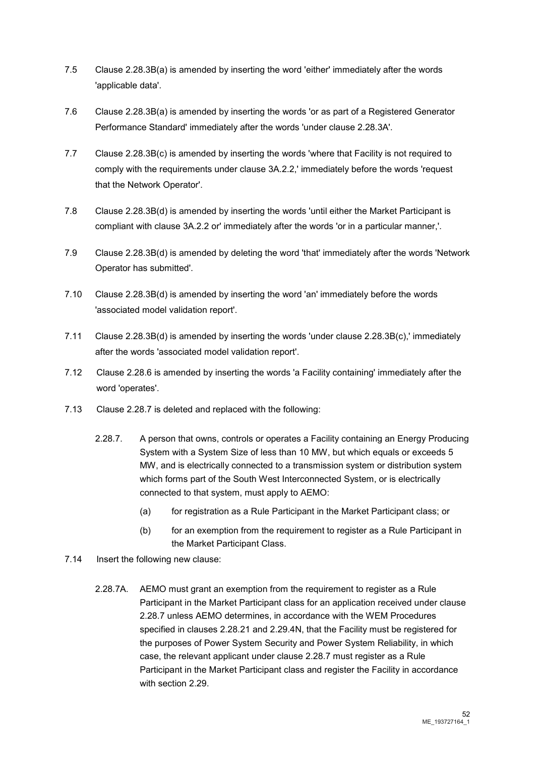- 7.5 Clause 2.28.3B(a) is amended by inserting the word 'either' immediately after the words 'applicable data'.
- 7.6 Clause 2.28.3B(a) is amended by inserting the words 'or as part of a Registered Generator Performance Standard' immediately after the words 'under clause 2.28.3A'.
- 7.7 Clause 2.28.3B(c) is amended by inserting the words 'where that Facility is not required to comply with the requirements under clause 3A.2.2,' immediately before the words 'request that the Network Operator'.
- 7.8 Clause 2.28.3B(d) is amended by inserting the words 'until either the Market Participant is compliant with clause 3A.2.2 or' immediately after the words 'or in a particular manner,'.
- 7.9 Clause 2.28.3B(d) is amended by deleting the word 'that' immediately after the words 'Network Operator has submitted'.
- 7.10 Clause 2.28.3B(d) is amended by inserting the word 'an' immediately before the words 'associated model validation report'.
- 7.11 Clause 2.28.3B(d) is amended by inserting the words 'under clause 2.28.3B(c),' immediately after the words 'associated model validation report'.
- 7.12 Clause 2.28.6 is amended by inserting the words 'a Facility containing' immediately after the word 'operates'.
- 7.13 Clause 2.28.7 is deleted and replaced with the following:
	- 2.28.7. A person that owns, controls or operates a Facility containing an Energy Producing System with a System Size of less than 10 MW, but which equals or exceeds 5 MW, and is electrically connected to a transmission system or distribution system which forms part of the South West Interconnected System, or is electrically connected to that system, must apply to AEMO:
		- (a) for registration as a Rule Participant in the Market Participant class; or
		- (b) for an exemption from the requirement to register as a Rule Participant in the Market Participant Class.
- 7.14 Insert the following new clause:
	- 2.28.7A. AEMO must grant an exemption from the requirement to register as a Rule Participant in the Market Participant class for an application received under clause 2.28.7 unless AEMO determines, in accordance with the WEM Procedures specified in clauses 2.28.21 and 2.29.4N, that the Facility must be registered for the purposes of Power System Security and Power System Reliability, in which case, the relevant applicant under clause 2.28.7 must register as a Rule Participant in the Market Participant class and register the Facility in accordance with section 2.29.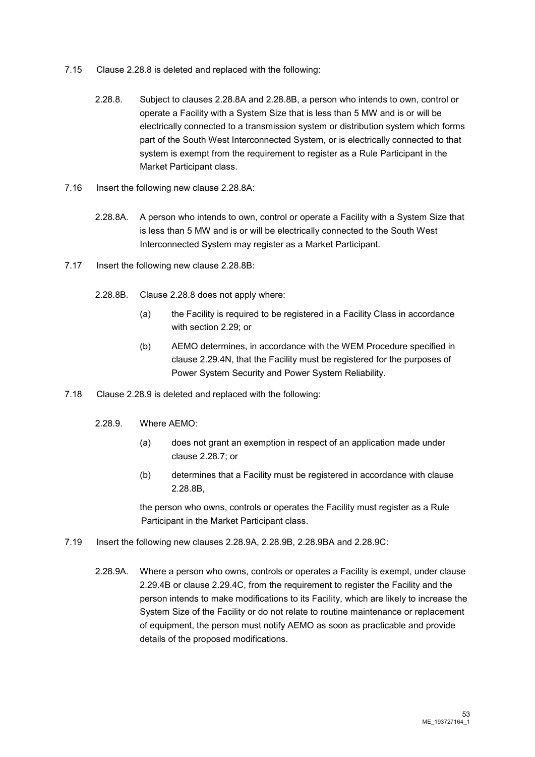- 7.15 Clause 2.28.8 is deleted and replaced with the following:
	- 2.28.8. Subject to clauses 2.28.8A and 2.28.8B, a person who intends to own, control or operate a Facility with a System Size that is less than 5 MW and is or will be electrically connected to a transmission system or distribution system which forms part of the South West Interconnected System, or is electrically connected to that system is exempt from the requirement to register as a Rule Participant in the Market Participant class.
- 7.16 Insert the following new clause 2.28.8A:
	- 2.28.8A. A person who intends to own, control or operate a Facility with a System Size that is less than 5 MW and is or will be electrically connected to the South West Interconnected System may register as a Market Participant.
- 7.17 Insert the following new clause 2.28.8B:
	- 2.28.8B. Clause 2.28.8 does not apply where:
		- (a) the Facility is required to be registered in a Facility Class in accordance with section 2.29; or
		- (b) AEMO determines, in accordance with the WEM Procedure specified in clause 2.29.4N, that the Facility must be registered for the purposes of Power System Security and Power System Reliability.
- 7.18 Clause 2.28.9 is deleted and replaced with the following:
	- 2.28.9. Where AEMO:
		- (a) does not grant an exemption in respect of an application made under clause 2.28.7; or
		- (b) determines that a Facility must be registered in accordance with clause 2.28.8B,

the person who owns, controls or operates the Facility must register as a Rule Participant in the Market Participant class.

- 7.19 Insert the following new clauses 2.28.9A, 2.28.9B, 2.28.9BA and 2.28.9C:
	- 2.28.9A. Where a person who owns, controls or operates a Facility is exempt, under clause 2.29.4B or clause 2.29.4C, from the requirement to register the Facility and the person intends to make modifications to its Facility, which are likely to increase the System Size of the Facility or do not relate to routine maintenance or replacement of equipment, the person must notify AEMO as soon as practicable and provide details of the proposed modifications.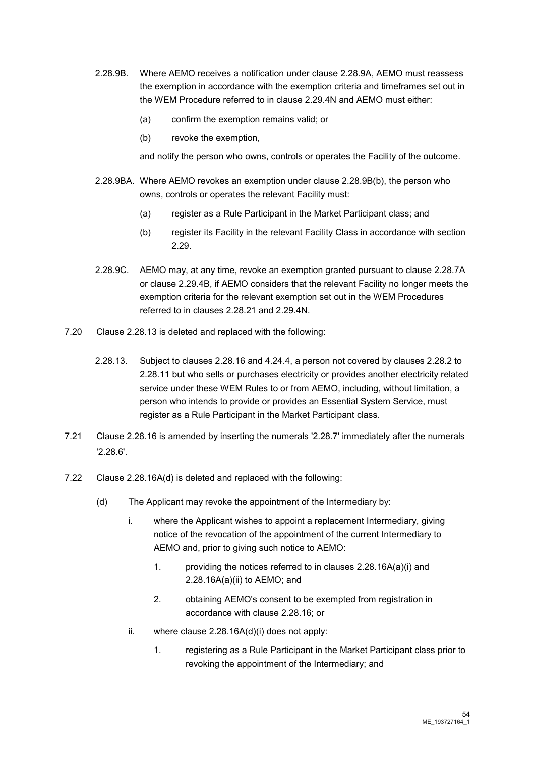- 2.28.9B. Where AEMO receives a notification under clause 2.28.9A, AEMO must reassess the exemption in accordance with the exemption criteria and timeframes set out in the WEM Procedure referred to in clause 2.29.4N and AEMO must either:
	- (a) confirm the exemption remains valid; or
	- (b) revoke the exemption,

and notify the person who owns, controls or operates the Facility of the outcome.

- 2.28.9BA. Where AEMO revokes an exemption under clause 2.28.9B(b), the person who owns, controls or operates the relevant Facility must:
	- (a) register as a Rule Participant in the Market Participant class; and
	- (b) register its Facility in the relevant Facility Class in accordance with section 2.29.
- 2.28.9C. AEMO may, at any time, revoke an exemption granted pursuant to clause 2.28.7A or clause 2.29.4B, if AEMO considers that the relevant Facility no longer meets the exemption criteria for the relevant exemption set out in the WEM Procedures referred to in clauses 2.28.21 and 2.29.4N.
- 7.20 Clause 2.28.13 is deleted and replaced with the following:
	- 2.28.13. Subject to clauses 2.28.16 and 4.24.4, a person not covered by clauses 2.28.2 to 2.28.11 but who sells or purchases electricity or provides another electricity related service under these WEM Rules to or from AEMO, including, without limitation, a person who intends to provide or provides an Essential System Service, must register as a Rule Participant in the Market Participant class.
- 7.21 Clause 2.28.16 is amended by inserting the numerals '2.28.7' immediately after the numerals '2.28.6'.
- 7.22 Clause 2.28.16A(d) is deleted and replaced with the following:
	- (d) The Applicant may revoke the appointment of the Intermediary by:
		- i. where the Applicant wishes to appoint a replacement Intermediary, giving notice of the revocation of the appointment of the current Intermediary to AEMO and, prior to giving such notice to AEMO:
			- 1. providing the notices referred to in clauses 2.28.16A(a)(i) and 2.28.16A(a)(ii) to AEMO; and
			- 2. obtaining AEMO's consent to be exempted from registration in accordance with clause 2.28.16; or
		- ii. where clause 2.28.16A(d)(i) does not apply:
			- 1. registering as a Rule Participant in the Market Participant class prior to revoking the appointment of the Intermediary; and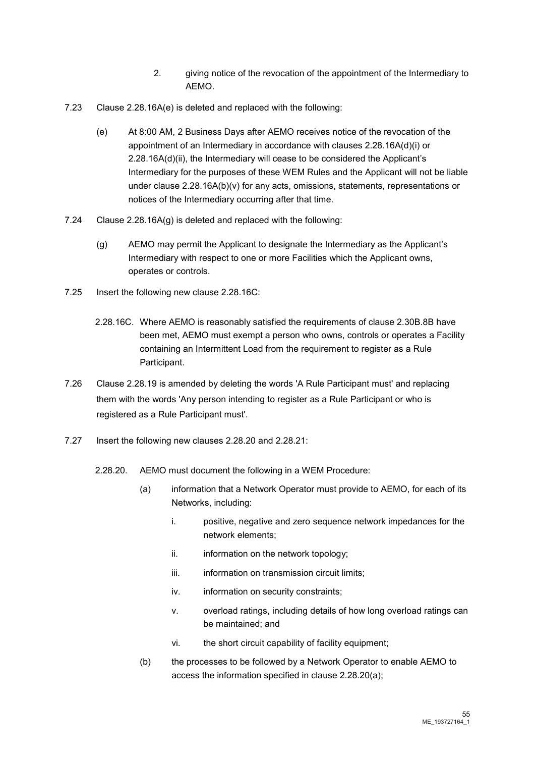- 2. giving notice of the revocation of the appointment of the Intermediary to AEMO.
- 7.23 Clause 2.28.16A(e) is deleted and replaced with the following:
	- (e) At 8:00 AM, 2 Business Days after AEMO receives notice of the revocation of the appointment of an Intermediary in accordance with clauses 2.28.16A(d)(i) or 2.28.16A(d)(ii), the Intermediary will cease to be considered the Applicant's Intermediary for the purposes of these WEM Rules and the Applicant will not be liable under clause 2.28.16A(b)(v) for any acts, omissions, statements, representations or notices of the Intermediary occurring after that time.
- 7.24 Clause 2.28.16A(g) is deleted and replaced with the following:
	- (g) AEMO may permit the Applicant to designate the Intermediary as the Applicant's Intermediary with respect to one or more Facilities which the Applicant owns, operates or controls.
- 7.25 Insert the following new clause 2.28.16C:
	- 2.28.16C. Where AEMO is reasonably satisfied the requirements of clause 2.30B.8B have been met, AEMO must exempt a person who owns, controls or operates a Facility containing an Intermittent Load from the requirement to register as a Rule Participant.
- 7.26 Clause 2.28.19 is amended by deleting the words 'A Rule Participant must' and replacing them with the words 'Any person intending to register as a Rule Participant or who is registered as a Rule Participant must'.
- 7.27 Insert the following new clauses 2.28.20 and 2.28.21:
	- 2.28.20. AEMO must document the following in a WEM Procedure:
		- (a) information that a Network Operator must provide to AEMO, for each of its Networks, including:
			- i. positive, negative and zero sequence network impedances for the network elements;
			- ii. information on the network topology;
			- iii. information on transmission circuit limits;
			- iv. information on security constraints;
			- v. overload ratings, including details of how long overload ratings can be maintained; and
			- vi. the short circuit capability of facility equipment;
		- (b) the processes to be followed by a Network Operator to enable AEMO to access the information specified in clause 2.28.20(a);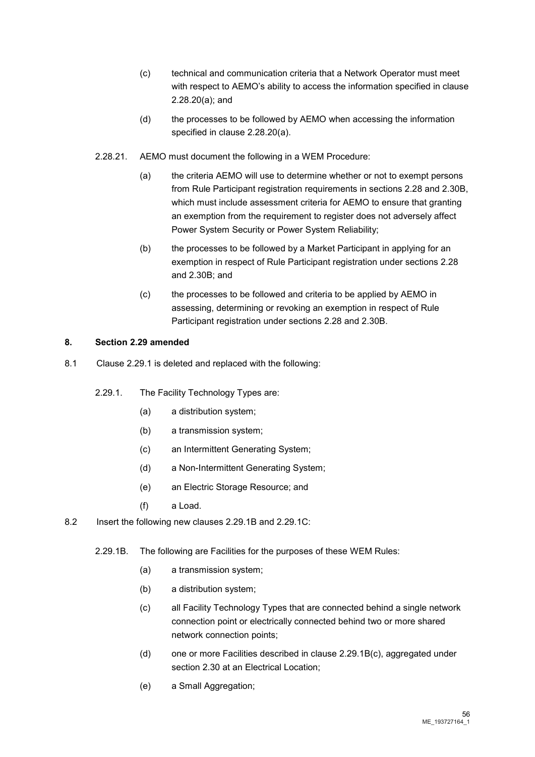- (c) technical and communication criteria that a Network Operator must meet with respect to AEMO's ability to access the information specified in clause 2.28.20(a); and
- (d) the processes to be followed by AEMO when accessing the information specified in clause 2.28.20(a).
- 2.28.21. AEMO must document the following in a WEM Procedure:
	- (a) the criteria AEMO will use to determine whether or not to exempt persons from Rule Participant registration requirements in sections 2.28 and 2.30B, which must include assessment criteria for AEMO to ensure that granting an exemption from the requirement to register does not adversely affect Power System Security or Power System Reliability;
	- (b) the processes to be followed by a Market Participant in applying for an exemption in respect of Rule Participant registration under sections 2.28 and 2.30B; and
	- (c) the processes to be followed and criteria to be applied by AEMO in assessing, determining or revoking an exemption in respect of Rule Participant registration under sections 2.28 and 2.30B.

## **8. Section 2.29 amended**

- 8.1 Clause 2.29.1 is deleted and replaced with the following:
	- 2.29.1. The Facility Technology Types are:
		- (a) a distribution system;
		- (b) a transmission system;
		- (c) an Intermittent Generating System;
		- (d) a Non-Intermittent Generating System;
		- (e) an Electric Storage Resource; and
		- (f) a Load.
- 8.2 Insert the following new clauses 2.29.1B and 2.29.1C:
	- 2.29.1B. The following are Facilities for the purposes of these WEM Rules:
		- (a) a transmission system;
		- (b) a distribution system;
		- (c) all Facility Technology Types that are connected behind a single network connection point or electrically connected behind two or more shared network connection points;
		- (d) one or more Facilities described in clause 2.29.1B(c), aggregated under section 2.30 at an Electrical Location;
		- (e) a Small Aggregation: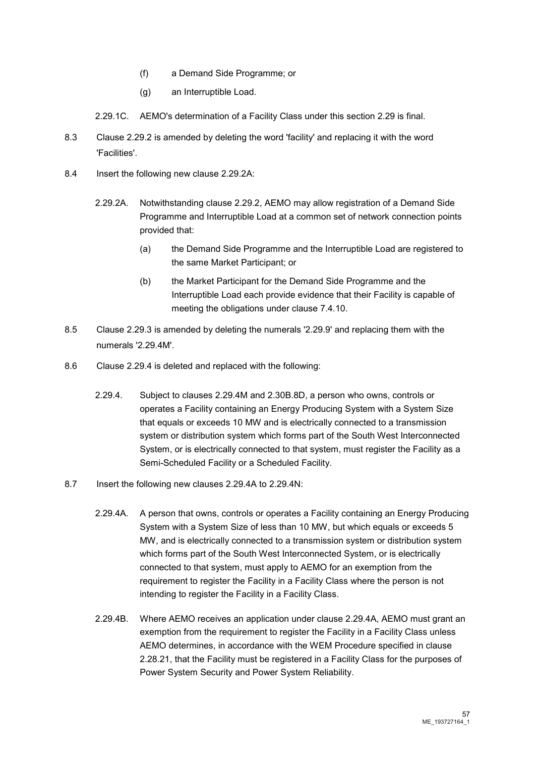- (f) a Demand Side Programme; or
- (g) an Interruptible Load.
- 2.29.1C. AEMO's determination of a Facility Class under this section 2.29 is final.
- 8.3 Clause 2.29.2 is amended by deleting the word 'facility' and replacing it with the word 'Facilities'.
- 8.4 Insert the following new clause 2.29.2A:
	- 2.29.2A. Notwithstanding clause 2.29.2, AEMO may allow registration of a Demand Side Programme and Interruptible Load at a common set of network connection points provided that:
		- (a) the Demand Side Programme and the Interruptible Load are registered to the same Market Participant; or
		- (b) the Market Participant for the Demand Side Programme and the Interruptible Load each provide evidence that their Facility is capable of meeting the obligations under clause 7.4.10.
- 8.5 Clause 2.29.3 is amended by deleting the numerals '2.29.9' and replacing them with the numerals '2.29.4M'.
- 8.6 Clause 2.29.4 is deleted and replaced with the following:
	- 2.29.4. Subject to clauses 2.29.4M and 2.30B.8D, a person who owns, controls or operates a Facility containing an Energy Producing System with a System Size that equals or exceeds 10 MW and is electrically connected to a transmission system or distribution system which forms part of the South West Interconnected System, or is electrically connected to that system, must register the Facility as a Semi-Scheduled Facility or a Scheduled Facility.
- 8.7 Insert the following new clauses 2.29.4A to 2.29.4N:
	- 2.29.4A. A person that owns, controls or operates a Facility containing an Energy Producing System with a System Size of less than 10 MW, but which equals or exceeds 5 MW, and is electrically connected to a transmission system or distribution system which forms part of the South West Interconnected System, or is electrically connected to that system, must apply to AEMO for an exemption from the requirement to register the Facility in a Facility Class where the person is not intending to register the Facility in a Facility Class.
	- 2.29.4B. Where AEMO receives an application under clause 2.29.4A, AEMO must grant an exemption from the requirement to register the Facility in a Facility Class unless AEMO determines, in accordance with the WEM Procedure specified in clause 2.28.21, that the Facility must be registered in a Facility Class for the purposes of Power System Security and Power System Reliability.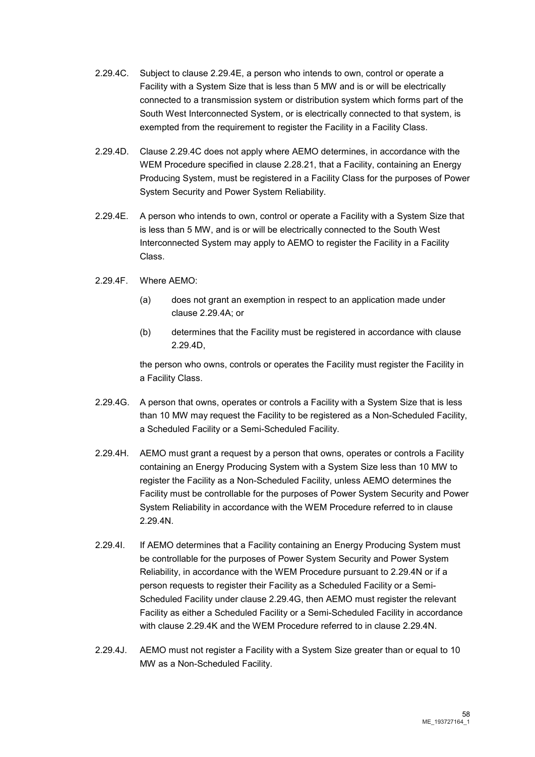- 2.29.4C. Subject to clause 2.29.4E, a person who intends to own, control or operate a Facility with a System Size that is less than 5 MW and is or will be electrically connected to a transmission system or distribution system which forms part of the South West Interconnected System, or is electrically connected to that system, is exempted from the requirement to register the Facility in a Facility Class.
- 2.29.4D. Clause 2.29.4C does not apply where AEMO determines, in accordance with the WEM Procedure specified in clause 2.28.21, that a Facility, containing an Energy Producing System, must be registered in a Facility Class for the purposes of Power System Security and Power System Reliability.
- 2.29.4E. A person who intends to own, control or operate a Facility with a System Size that is less than 5 MW, and is or will be electrically connected to the South West Interconnected System may apply to AEMO to register the Facility in a Facility Class.
- 2.29.4F. Where AEMO:
	- (a) does not grant an exemption in respect to an application made under clause 2.29.4A; or
	- (b) determines that the Facility must be registered in accordance with clause 2.29.4D,

the person who owns, controls or operates the Facility must register the Facility in a Facility Class.

- 2.29.4G. A person that owns, operates or controls a Facility with a System Size that is less than 10 MW may request the Facility to be registered as a Non-Scheduled Facility, a Scheduled Facility or a Semi-Scheduled Facility.
- 2.29.4H. AEMO must grant a request by a person that owns, operates or controls a Facility containing an Energy Producing System with a System Size less than 10 MW to register the Facility as a Non-Scheduled Facility, unless AEMO determines the Facility must be controllable for the purposes of Power System Security and Power System Reliability in accordance with the WEM Procedure referred to in clause 2.29.4N.
- 2.29.4I. If AEMO determines that a Facility containing an Energy Producing System must be controllable for the purposes of Power System Security and Power System Reliability, in accordance with the WEM Procedure pursuant to 2.29.4N or if a person requests to register their Facility as a Scheduled Facility or a Semi-Scheduled Facility under clause 2.29.4G, then AEMO must register the relevant Facility as either a Scheduled Facility or a Semi-Scheduled Facility in accordance with clause 2.29.4K and the WEM Procedure referred to in clause 2.29.4N.
- 2.29.4J. AEMO must not register a Facility with a System Size greater than or equal to 10 MW as a Non-Scheduled Facility.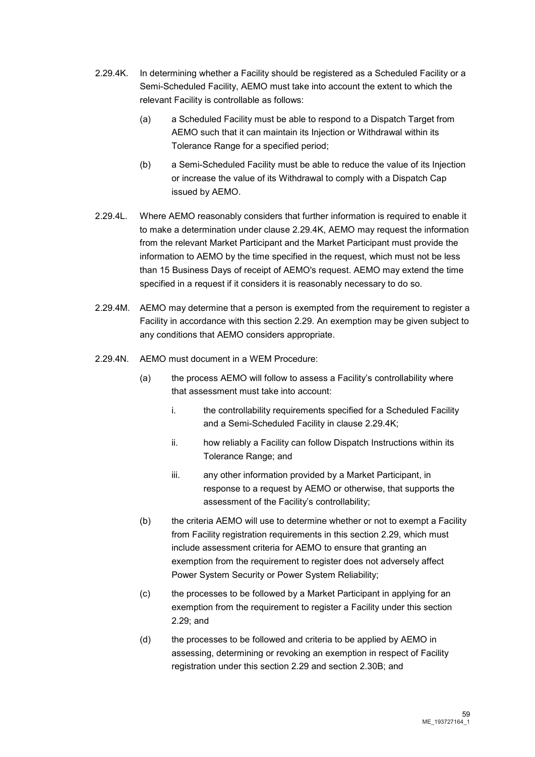- 2.29.4K. In determining whether a Facility should be registered as a Scheduled Facility or a Semi-Scheduled Facility, AEMO must take into account the extent to which the relevant Facility is controllable as follows:
	- (a) a Scheduled Facility must be able to respond to a Dispatch Target from AEMO such that it can maintain its Injection or Withdrawal within its Tolerance Range for a specified period;
	- (b) a Semi-Scheduled Facility must be able to reduce the value of its Injection or increase the value of its Withdrawal to comply with a Dispatch Cap issued by AEMO.
- 2.29.4L. Where AEMO reasonably considers that further information is required to enable it to make a determination under clause 2.29.4K, AEMO may request the information from the relevant Market Participant and the Market Participant must provide the information to AEMO by the time specified in the request, which must not be less than 15 Business Days of receipt of AEMO's request. AEMO may extend the time specified in a request if it considers it is reasonably necessary to do so.
- 2.29.4M. AEMO may determine that a person is exempted from the requirement to register a Facility in accordance with this section 2.29. An exemption may be given subject to any conditions that AEMO considers appropriate.
- 2.29.4N. AEMO must document in a WEM Procedure:
	- (a) the process AEMO will follow to assess a Facility's controllability where that assessment must take into account:
		- i. the controllability requirements specified for a Scheduled Facility and a Semi-Scheduled Facility in clause 2.29.4K;
		- ii. how reliably a Facility can follow Dispatch Instructions within its Tolerance Range; and
		- iii. any other information provided by a Market Participant, in response to a request by AEMO or otherwise, that supports the assessment of the Facility's controllability;
	- (b) the criteria AEMO will use to determine whether or not to exempt a Facility from Facility registration requirements in this section 2.29, which must include assessment criteria for AEMO to ensure that granting an exemption from the requirement to register does not adversely affect Power System Security or Power System Reliability;
	- (c) the processes to be followed by a Market Participant in applying for an exemption from the requirement to register a Facility under this section 2.29; and
	- (d) the processes to be followed and criteria to be applied by AEMO in assessing, determining or revoking an exemption in respect of Facility registration under this section 2.29 and section 2.30B; and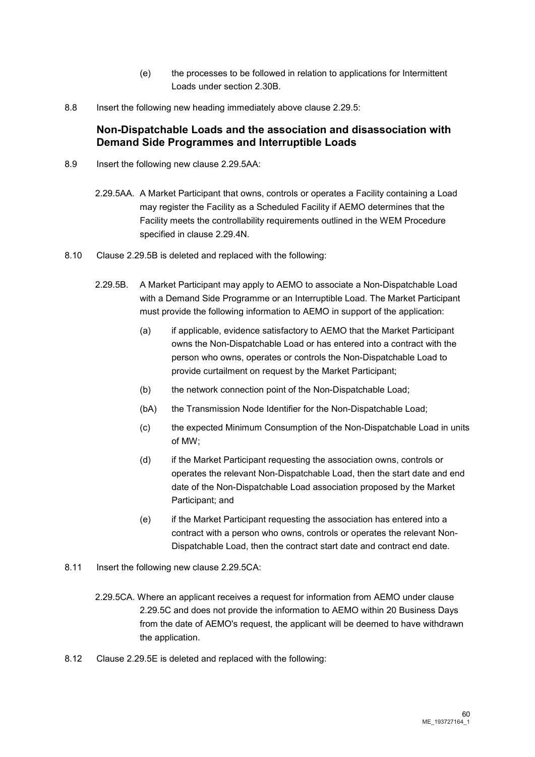- (e) the processes to be followed in relation to applications for Intermittent Loads under section 2.30B.
- 8.8 Insert the following new heading immediately above clause 2.29.5:

# **Non-Dispatchable Loads and the association and disassociation with Demand Side Programmes and Interruptible Loads**

- 8.9 Insert the following new clause 2.29.5AA:
	- 2.29.5AA. A Market Participant that owns, controls or operates a Facility containing a Load may register the Facility as a Scheduled Facility if AEMO determines that the Facility meets the controllability requirements outlined in the WEM Procedure specified in clause 2.29.4N.
- 8.10 Clause 2.29.5B is deleted and replaced with the following:
	- 2.29.5B. A Market Participant may apply to AEMO to associate a Non-Dispatchable Load with a Demand Side Programme or an Interruptible Load. The Market Participant must provide the following information to AEMO in support of the application:
		- (a) if applicable, evidence satisfactory to AEMO that the Market Participant owns the Non-Dispatchable Load or has entered into a contract with the person who owns, operates or controls the Non-Dispatchable Load to provide curtailment on request by the Market Participant;
		- (b) the network connection point of the Non-Dispatchable Load;
		- (bA) the Transmission Node Identifier for the Non-Dispatchable Load;
		- (c) the expected Minimum Consumption of the Non-Dispatchable Load in units of MW;
		- (d) if the Market Participant requesting the association owns, controls or operates the relevant Non-Dispatchable Load, then the start date and end date of the Non-Dispatchable Load association proposed by the Market Participant; and
		- (e) if the Market Participant requesting the association has entered into a contract with a person who owns, controls or operates the relevant Non-Dispatchable Load, then the contract start date and contract end date.
- 8.11 Insert the following new clause 2.29.5CA:
	- 2.29.5CA. Where an applicant receives a request for information from AEMO under clause 2.29.5C and does not provide the information to AEMO within 20 Business Days from the date of AEMO's request, the applicant will be deemed to have withdrawn the application.
- 8.12 Clause 2.29.5E is deleted and replaced with the following: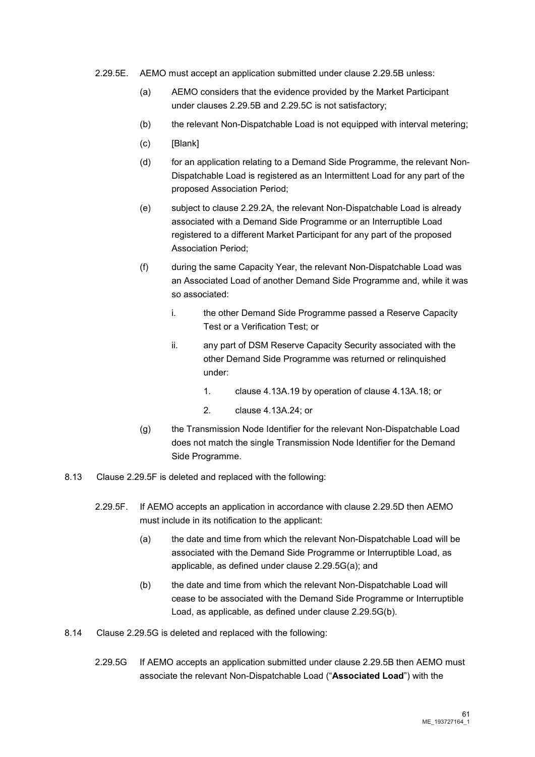- 2.29.5E. AEMO must accept an application submitted under clause 2.29.5B unless:
	- (a) AEMO considers that the evidence provided by the Market Participant under clauses 2.29.5B and 2.29.5C is not satisfactory;
	- (b) the relevant Non-Dispatchable Load is not equipped with interval metering;
	- (c) [Blank]
	- (d) for an application relating to a Demand Side Programme, the relevant Non-Dispatchable Load is registered as an Intermittent Load for any part of the proposed Association Period;
	- (e) subject to clause 2.29.2A, the relevant Non-Dispatchable Load is already associated with a Demand Side Programme or an Interruptible Load registered to a different Market Participant for any part of the proposed Association Period;
	- (f) during the same Capacity Year, the relevant Non-Dispatchable Load was an Associated Load of another Demand Side Programme and, while it was so associated:
		- i. the other Demand Side Programme passed a Reserve Capacity Test or a Verification Test; or
		- ii. any part of DSM Reserve Capacity Security associated with the other Demand Side Programme was returned or relinquished under:
			- 1. clause 4.13A.19 by operation of clause 4.13A.18; or
			- 2. clause 4.13A.24; or
	- (g) the Transmission Node Identifier for the relevant Non-Dispatchable Load does not match the single Transmission Node Identifier for the Demand Side Programme.
- 8.13 Clause 2.29.5F is deleted and replaced with the following:
	- 2.29.5F. If AEMO accepts an application in accordance with clause 2.29.5D then AEMO must include in its notification to the applicant:
		- (a) the date and time from which the relevant Non-Dispatchable Load will be associated with the Demand Side Programme or Interruptible Load, as applicable, as defined under clause 2.29.5G(a); and
		- (b) the date and time from which the relevant Non-Dispatchable Load will cease to be associated with the Demand Side Programme or Interruptible Load, as applicable, as defined under clause 2.29.5G(b).
- 8.14 Clause 2.29.5G is deleted and replaced with the following:
	- 2.29.5G If AEMO accepts an application submitted under clause 2.29.5B then AEMO must associate the relevant Non-Dispatchable Load ("**Associated Load**") with the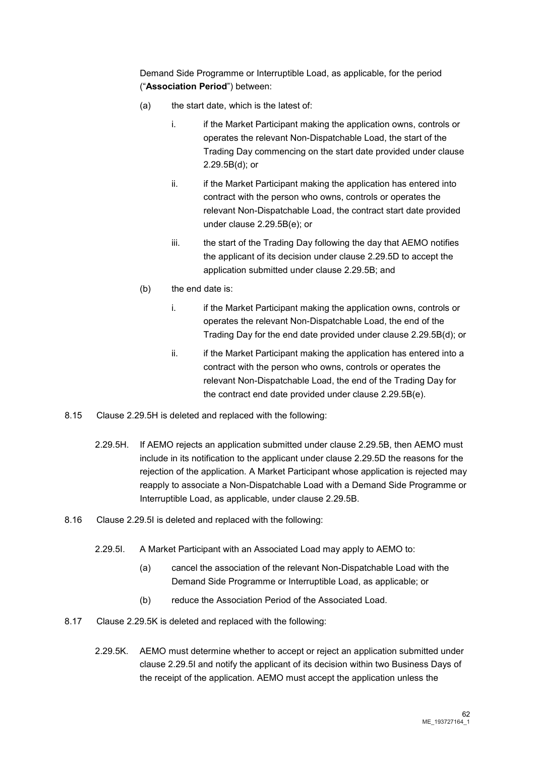Demand Side Programme or Interruptible Load, as applicable, for the period ("**Association Period**") between:

- (a) the start date, which is the latest of:
	- i. if the Market Participant making the application owns, controls or operates the relevant Non-Dispatchable Load, the start of the Trading Day commencing on the start date provided under clause 2.29.5B(d); or
	- ii. ii. if the Market Participant making the application has entered into contract with the person who owns, controls or operates the relevant Non-Dispatchable Load, the contract start date provided under clause 2.29.5B(e); or
	- iii. the start of the Trading Day following the day that AEMO notifies the applicant of its decision under clause 2.29.5D to accept the application submitted under clause 2.29.5B; and
- (b) the end date is:
	- i. if the Market Participant making the application owns, controls or operates the relevant Non-Dispatchable Load, the end of the Trading Day for the end date provided under clause 2.29.5B(d); or
	- ii. ii. if the Market Participant making the application has entered into a contract with the person who owns, controls or operates the relevant Non-Dispatchable Load, the end of the Trading Day for the contract end date provided under clause 2.29.5B(e).
- 8.15 Clause 2.29.5H is deleted and replaced with the following:
	- 2.29.5H. If AEMO rejects an application submitted under clause 2.29.5B, then AEMO must include in its notification to the applicant under clause 2.29.5D the reasons for the rejection of the application. A Market Participant whose application is rejected may reapply to associate a Non-Dispatchable Load with a Demand Side Programme or Interruptible Load, as applicable, under clause 2.29.5B.
- 8.16 Clause 2.29.5I is deleted and replaced with the following:
	- 2.29.5I. A Market Participant with an Associated Load may apply to AEMO to:
		- (a) cancel the association of the relevant Non-Dispatchable Load with the Demand Side Programme or Interruptible Load, as applicable; or
		- (b) reduce the Association Period of the Associated Load.
- 8.17 Clause 2.29.5K is deleted and replaced with the following:
	- 2.29.5K. AEMO must determine whether to accept or reject an application submitted under clause 2.29.5I and notify the applicant of its decision within two Business Days of the receipt of the application. AEMO must accept the application unless the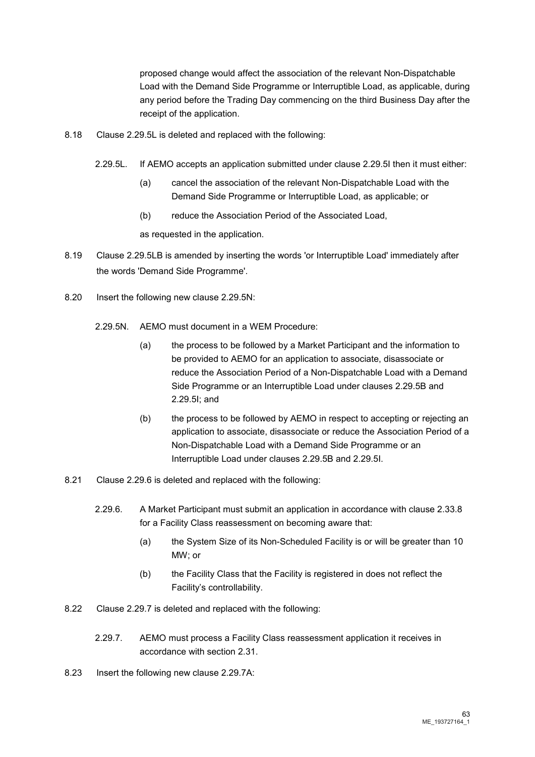proposed change would affect the association of the relevant Non-Dispatchable Load with the Demand Side Programme or Interruptible Load, as applicable, during any period before the Trading Day commencing on the third Business Day after the receipt of the application.

- 8.18 Clause 2.29.5L is deleted and replaced with the following:
	- 2.29.5L. If AEMO accepts an application submitted under clause 2.29.5I then it must either:
		- (a) cancel the association of the relevant Non-Dispatchable Load with the Demand Side Programme or Interruptible Load, as applicable; or
		- (b) reduce the Association Period of the Associated Load,

as requested in the application.

- 8.19 Clause 2.29.5LB is amended by inserting the words 'or Interruptible Load' immediately after the words 'Demand Side Programme'.
- 8.20 Insert the following new clause 2.29.5N:
	- 2.29.5N. AEMO must document in a WEM Procedure:
		- (a) the process to be followed by a Market Participant and the information to be provided to AEMO for an application to associate, disassociate or reduce the Association Period of a Non-Dispatchable Load with a Demand Side Programme or an Interruptible Load under clauses 2.29.5B and 2.29.5I; and
		- (b) the process to be followed by AEMO in respect to accepting or rejecting an application to associate, disassociate or reduce the Association Period of a Non-Dispatchable Load with a Demand Side Programme or an Interruptible Load under clauses 2.29.5B and 2.29.5I.
- 8.21 Clause 2.29.6 is deleted and replaced with the following:
	- 2.29.6. A Market Participant must submit an application in accordance with clause 2.33.8 for a Facility Class reassessment on becoming aware that:
		- (a) the System Size of its Non-Scheduled Facility is or will be greater than 10 MW; or
		- (b) the Facility Class that the Facility is registered in does not reflect the Facility's controllability.
- 8.22 Clause 2.29.7 is deleted and replaced with the following:
	- 2.29.7. AEMO must process a Facility Class reassessment application it receives in accordance with section 2.31.
- 8.23 Insert the following new clause 2.29.7A: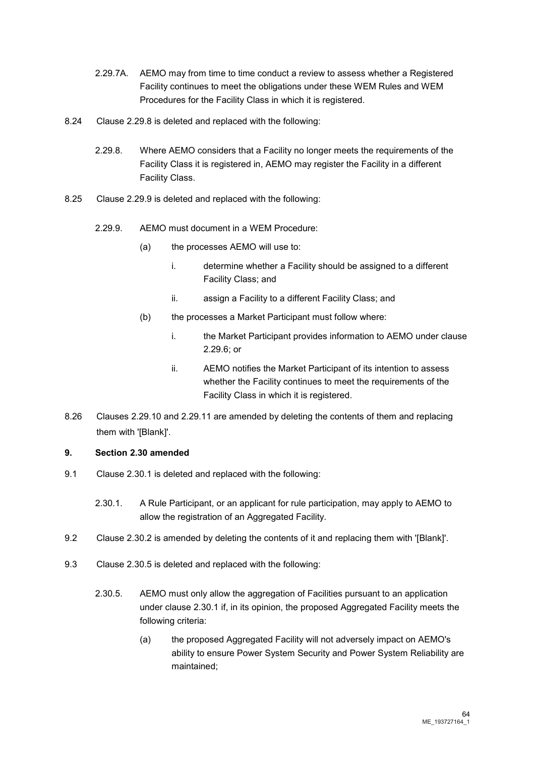- 2.29.7A. AEMO may from time to time conduct a review to assess whether a Registered Facility continues to meet the obligations under these WEM Rules and WEM Procedures for the Facility Class in which it is registered.
- 8.24 Clause 2.29.8 is deleted and replaced with the following:
	- 2.29.8. Where AEMO considers that a Facility no longer meets the requirements of the Facility Class it is registered in, AEMO may register the Facility in a different Facility Class.
- 8.25 Clause 2.29.9 is deleted and replaced with the following:
	- 2.29.9. AEMO must document in a WEM Procedure:
		- (a) the processes AEMO will use to:
			- i. determine whether a Facility should be assigned to a different Facility Class; and
			- ii. assign a Facility to a different Facility Class; and
		- (b) the processes a Market Participant must follow where:
			- i. the Market Participant provides information to AEMO under clause 2.29.6; or
			- ii. AEMO notifies the Market Participant of its intention to assess whether the Facility continues to meet the requirements of the Facility Class in which it is registered.
- 8.26 Clauses 2.29.10 and 2.29.11 are amended by deleting the contents of them and replacing them with '[Blank]'.

## **9. Section 2.30 amended**

- 9.1 Clause 2.30.1 is deleted and replaced with the following:
	- 2.30.1. A Rule Participant, or an applicant for rule participation, may apply to AEMO to allow the registration of an Aggregated Facility.
- 9.2 Clause 2.30.2 is amended by deleting the contents of it and replacing them with '[Blank]'.
- 9.3 Clause 2.30.5 is deleted and replaced with the following:
	- 2.30.5. AEMO must only allow the aggregation of Facilities pursuant to an application under clause 2.30.1 if, in its opinion, the proposed Aggregated Facility meets the following criteria:
		- (a) the proposed Aggregated Facility will not adversely impact on AEMO's ability to ensure Power System Security and Power System Reliability are maintained;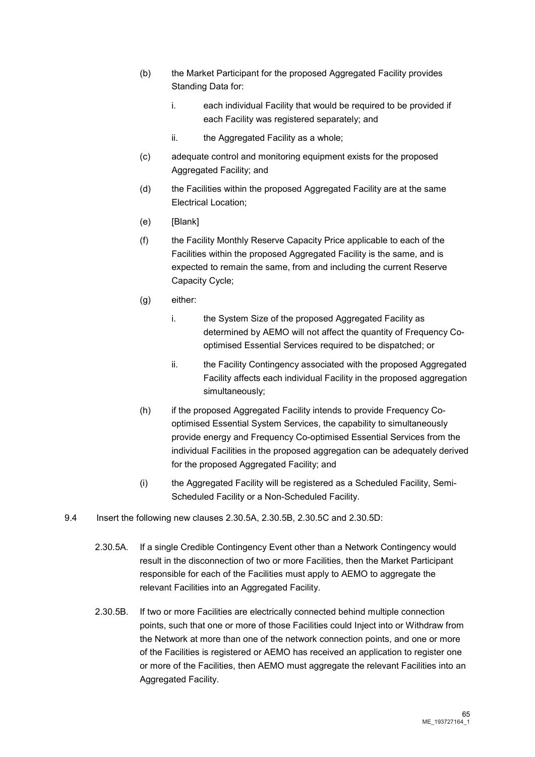- (b) the Market Participant for the proposed Aggregated Facility provides Standing Data for:
	- i. each individual Facility that would be required to be provided if each Facility was registered separately; and
	- ii. the Aggregated Facility as a whole;
- (c) adequate control and monitoring equipment exists for the proposed Aggregated Facility; and
- (d) the Facilities within the proposed Aggregated Facility are at the same Electrical Location;
- (e) [Blank]
- (f) the Facility Monthly Reserve Capacity Price applicable to each of the Facilities within the proposed Aggregated Facility is the same, and is expected to remain the same, from and including the current Reserve Capacity Cycle;
- (g) either:
	- i. the System Size of the proposed Aggregated Facility as determined by AEMO will not affect the quantity of Frequency Cooptimised Essential Services required to be dispatched; or
	- ii. the Facility Contingency associated with the proposed Aggregated Facility affects each individual Facility in the proposed aggregation simultaneously;
- (h) if the proposed Aggregated Facility intends to provide Frequency Cooptimised Essential System Services, the capability to simultaneously provide energy and Frequency Co-optimised Essential Services from the individual Facilities in the proposed aggregation can be adequately derived for the proposed Aggregated Facility; and
- (i) the Aggregated Facility will be registered as a Scheduled Facility, Semi-Scheduled Facility or a Non-Scheduled Facility.
- 9.4 Insert the following new clauses 2.30.5A, 2.30.5B, 2.30.5C and 2.30.5D:
	- 2.30.5A. If a single Credible Contingency Event other than a Network Contingency would result in the disconnection of two or more Facilities, then the Market Participant responsible for each of the Facilities must apply to AEMO to aggregate the relevant Facilities into an Aggregated Facility.
	- 2.30.5B. If two or more Facilities are electrically connected behind multiple connection points, such that one or more of those Facilities could Inject into or Withdraw from the Network at more than one of the network connection points, and one or more of the Facilities is registered or AEMO has received an application to register one or more of the Facilities, then AEMO must aggregate the relevant Facilities into an Aggregated Facility.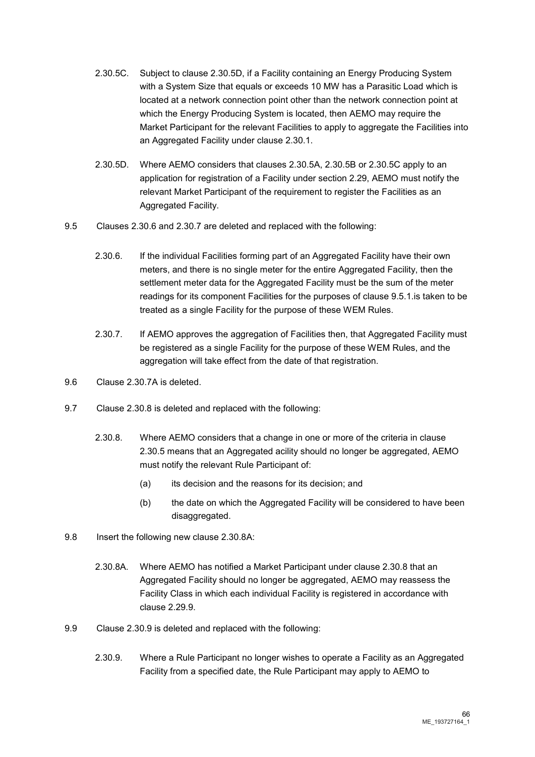- 2.30.5C. Subject to clause 2.30.5D, if a Facility containing an Energy Producing System with a System Size that equals or exceeds 10 MW has a Parasitic Load which is located at a network connection point other than the network connection point at which the Energy Producing System is located, then AEMO may require the Market Participant for the relevant Facilities to apply to aggregate the Facilities into an Aggregated Facility under clause 2.30.1.
- 2.30.5D. Where AEMO considers that clauses 2.30.5A, 2.30.5B or 2.30.5C apply to an application for registration of a Facility under section 2.29, AEMO must notify the relevant Market Participant of the requirement to register the Facilities as an Aggregated Facility.
- 9.5 Clauses 2.30.6 and 2.30.7 are deleted and replaced with the following:
	- 2.30.6. If the individual Facilities forming part of an Aggregated Facility have their own meters, and there is no single meter for the entire Aggregated Facility, then the settlement meter data for the Aggregated Facility must be the sum of the meter readings for its component Facilities for the purposes of clause 9.5.1.is taken to be treated as a single Facility for the purpose of these WEM Rules.
	- 2.30.7. If AEMO approves the aggregation of Facilities then, that Aggregated Facility must be registered as a single Facility for the purpose of these WEM Rules, and the aggregation will take effect from the date of that registration.
- 9.6 Clause 2.30.7A is deleted.
- 9.7 Clause 2.30.8 is deleted and replaced with the following:
	- 2.30.8. Where AEMO considers that a change in one or more of the criteria in clause 2.30.5 means that an Aggregated acility should no longer be aggregated, AEMO must notify the relevant Rule Participant of:
		- (a) its decision and the reasons for its decision; and
		- (b) the date on which the Aggregated Facility will be considered to have been disaggregated.
- 9.8 Insert the following new clause 2.30.8A:
	- 2.30.8A. Where AEMO has notified a Market Participant under clause 2.30.8 that an Aggregated Facility should no longer be aggregated, AEMO may reassess the Facility Class in which each individual Facility is registered in accordance with clause 2.29.9.
- 9.9 Clause 2.30.9 is deleted and replaced with the following:
	- 2.30.9. Where a Rule Participant no longer wishes to operate a Facility as an Aggregated Facility from a specified date, the Rule Participant may apply to AEMO to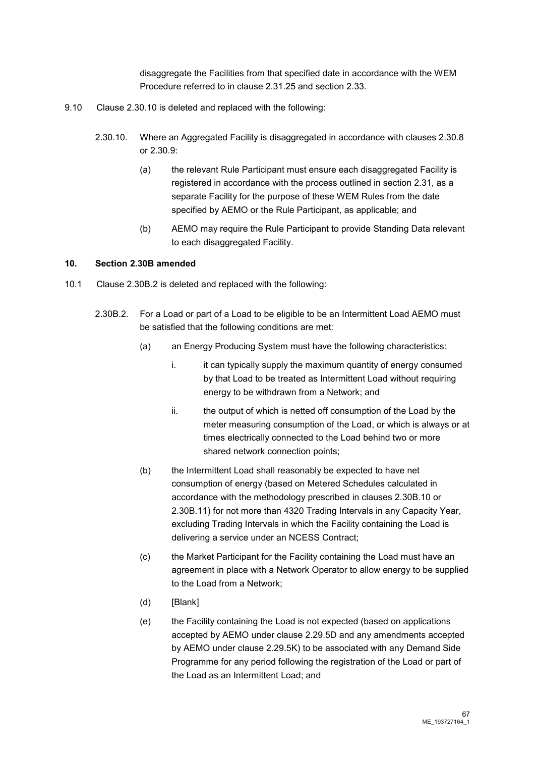disaggregate the Facilities from that specified date in accordance with the WEM Procedure referred to in clause 2.31.25 and section 2.33.

- 9.10 Clause 2.30.10 is deleted and replaced with the following:
	- 2.30.10. Where an Aggregated Facility is disaggregated in accordance with clauses 2.30.8 or 2.30.9:
		- (a) the relevant Rule Participant must ensure each disaggregated Facility is registered in accordance with the process outlined in section 2.31, as a separate Facility for the purpose of these WEM Rules from the date specified by AEMO or the Rule Participant, as applicable; and
		- (b) AEMO may require the Rule Participant to provide Standing Data relevant to each disaggregated Facility.

#### **10. Section 2.30B amended**

- 10.1 Clause 2.30B.2 is deleted and replaced with the following:
	- 2.30B.2. For a Load or part of a Load to be eligible to be an Intermittent Load AEMO must be satisfied that the following conditions are met:
		- (a) an Energy Producing System must have the following characteristics:
			- i. it can typically supply the maximum quantity of energy consumed by that Load to be treated as Intermittent Load without requiring energy to be withdrawn from a Network; and
			- ii. the output of which is netted off consumption of the Load by the meter measuring consumption of the Load, or which is always or at times electrically connected to the Load behind two or more shared network connection points;
		- (b) the Intermittent Load shall reasonably be expected to have net consumption of energy (based on Metered Schedules calculated in accordance with the methodology prescribed in clauses 2.30B.10 or 2.30B.11) for not more than 4320 Trading Intervals in any Capacity Year, excluding Trading Intervals in which the Facility containing the Load is delivering a service under an NCESS Contract;
		- (c) the Market Participant for the Facility containing the Load must have an agreement in place with a Network Operator to allow energy to be supplied to the Load from a Network;
		- (d) [Blank]
		- (e) the Facility containing the Load is not expected (based on applications accepted by AEMO under clause 2.29.5D and any amendments accepted by AEMO under clause 2.29.5K) to be associated with any Demand Side Programme for any period following the registration of the Load or part of the Load as an Intermittent Load; and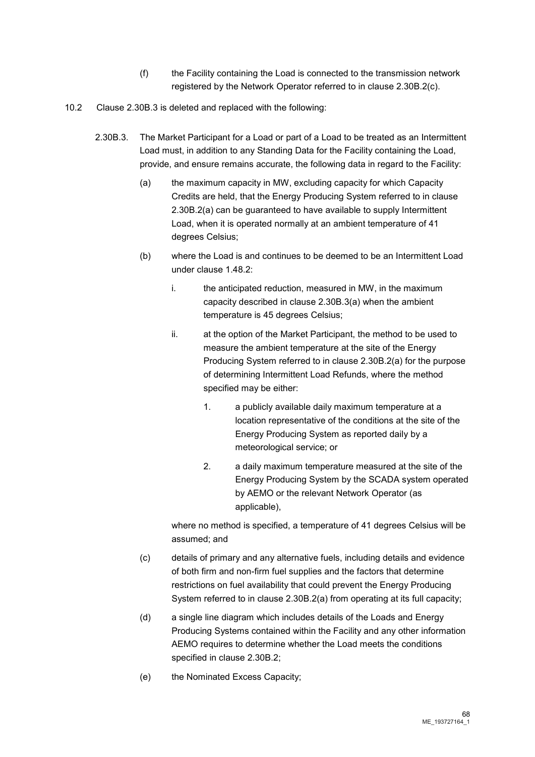- (f) the Facility containing the Load is connected to the transmission network registered by the Network Operator referred to in clause 2.30B.2(c).
- 10.2 Clause 2.30B.3 is deleted and replaced with the following:
	- 2.30B.3. The Market Participant for a Load or part of a Load to be treated as an Intermittent Load must, in addition to any Standing Data for the Facility containing the Load, provide, and ensure remains accurate, the following data in regard to the Facility:
		- (a) the maximum capacity in MW, excluding capacity for which Capacity Credits are held, that the Energy Producing System referred to in clause 2.30B.2(a) can be guaranteed to have available to supply Intermittent Load, when it is operated normally at an ambient temperature of 41 degrees Celsius;
		- (b) where the Load is and continues to be deemed to be an Intermittent Load under clause 1.48.2:
			- i. the anticipated reduction, measured in MW, in the maximum capacity described in clause 2.30B.3(a) when the ambient temperature is 45 degrees Celsius;
			- ii. at the option of the Market Participant, the method to be used to measure the ambient temperature at the site of the Energy Producing System referred to in clause 2.30B.2(a) for the purpose of determining Intermittent Load Refunds, where the method specified may be either:
				- 1. a publicly available daily maximum temperature at a location representative of the conditions at the site of the Energy Producing System as reported daily by a meteorological service; or
				- 2. a daily maximum temperature measured at the site of the Energy Producing System by the SCADA system operated by AEMO or the relevant Network Operator (as applicable),

where no method is specified, a temperature of 41 degrees Celsius will be assumed; and

- (c) details of primary and any alternative fuels, including details and evidence of both firm and non-firm fuel supplies and the factors that determine restrictions on fuel availability that could prevent the Energy Producing System referred to in clause 2.30B.2(a) from operating at its full capacity;
- (d) a single line diagram which includes details of the Loads and Energy Producing Systems contained within the Facility and any other information AEMO requires to determine whether the Load meets the conditions specified in clause 2.30B.2;
- (e) the Nominated Excess Capacity;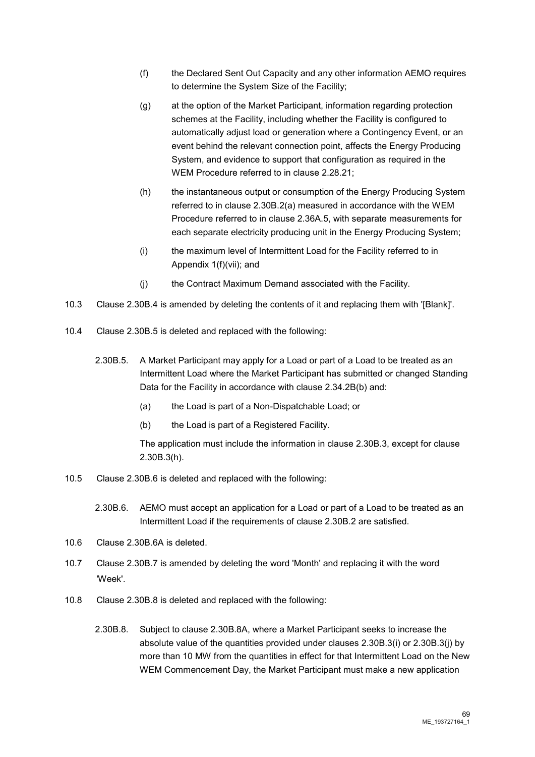- (f) the Declared Sent Out Capacity and any other information AEMO requires to determine the System Size of the Facility;
- (g) at the option of the Market Participant, information regarding protection schemes at the Facility, including whether the Facility is configured to automatically adjust load or generation where a Contingency Event, or an event behind the relevant connection point, affects the Energy Producing System, and evidence to support that configuration as required in the WEM Procedure referred to in clause 2.28.21;
- (h) the instantaneous output or consumption of the Energy Producing System referred to in clause 2.30B.2(a) measured in accordance with the WEM Procedure referred to in clause 2.36A.5, with separate measurements for each separate electricity producing unit in the Energy Producing System;
- (i) the maximum level of Intermittent Load for the Facility referred to in Appendix 1(f)(vii); and
- (j) the Contract Maximum Demand associated with the Facility.
- 10.3 Clause 2.30B.4 is amended by deleting the contents of it and replacing them with '[Blank]'.
- 10.4 Clause 2.30B.5 is deleted and replaced with the following:
	- 2.30B.5. A Market Participant may apply for a Load or part of a Load to be treated as an Intermittent Load where the Market Participant has submitted or changed Standing Data for the Facility in accordance with clause 2.34.2B(b) and:
		- (a) the Load is part of a Non-Dispatchable Load; or
		- (b) the Load is part of a Registered Facility.

The application must include the information in clause 2.30B.3, except for clause 2.30B.3(h).

10.5 Clause 2.30B.6 is deleted and replaced with the following:

2.30B.6. AEMO must accept an application for a Load or part of a Load to be treated as an Intermittent Load if the requirements of clause 2.30B.2 are satisfied.

- 10.6 Clause 2.30B.6A is deleted.
- 10.7 Clause 2.30B.7 is amended by deleting the word 'Month' and replacing it with the word 'Week'.
- 10.8 Clause 2.30B.8 is deleted and replaced with the following:
	- 2.30B.8. Subject to clause 2.30B.8A, where a Market Participant seeks to increase the absolute value of the quantities provided under clauses 2.30B.3(i) or 2.30B.3(j) by more than 10 MW from the quantities in effect for that Intermittent Load on the New WEM Commencement Day, the Market Participant must make a new application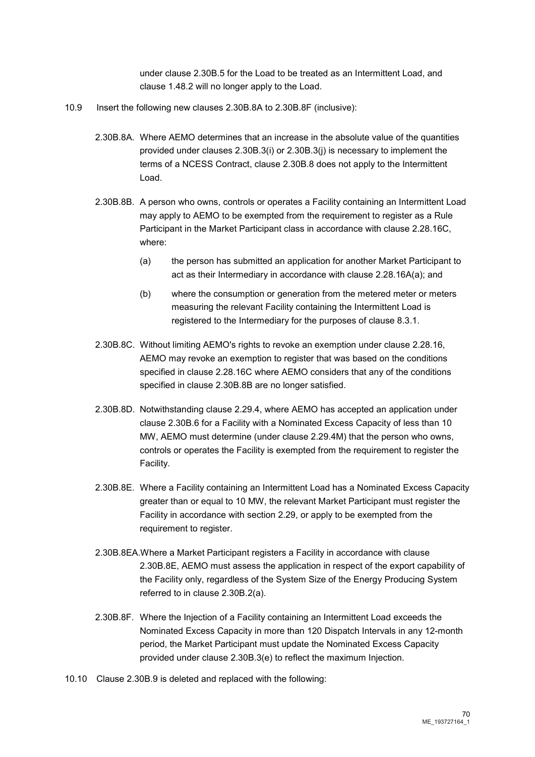under clause 2.30B.5 for the Load to be treated as an Intermittent Load, and clause 1.48.2 will no longer apply to the Load.

- 10.9 Insert the following new clauses 2.30B.8A to 2.30B.8F (inclusive):
	- 2.30B.8A. Where AEMO determines that an increase in the absolute value of the quantities provided under clauses 2.30B.3(i) or 2.30B.3(j) is necessary to implement the terms of a NCESS Contract, clause 2.30B.8 does not apply to the Intermittent Load.
	- 2.30B.8B. A person who owns, controls or operates a Facility containing an Intermittent Load may apply to AEMO to be exempted from the requirement to register as a Rule Participant in the Market Participant class in accordance with clause 2.28.16C, where:
		- (a) the person has submitted an application for another Market Participant to act as their Intermediary in accordance with clause 2.28.16A(a); and
		- (b) where the consumption or generation from the metered meter or meters measuring the relevant Facility containing the Intermittent Load is registered to the Intermediary for the purposes of clause 8.3.1.
	- 2.30B.8C. Without limiting AEMO's rights to revoke an exemption under clause 2.28.16, AEMO may revoke an exemption to register that was based on the conditions specified in clause 2.28.16C where AEMO considers that any of the conditions specified in clause 2.30B.8B are no longer satisfied.
	- 2.30B.8D. Notwithstanding clause 2.29.4, where AEMO has accepted an application under clause 2.30B.6 for a Facility with a Nominated Excess Capacity of less than 10 MW, AEMO must determine (under clause 2.29.4M) that the person who owns, controls or operates the Facility is exempted from the requirement to register the Facility.
	- 2.30B.8E. Where a Facility containing an Intermittent Load has a Nominated Excess Capacity greater than or equal to 10 MW, the relevant Market Participant must register the Facility in accordance with section 2.29, or apply to be exempted from the requirement to register.
	- 2.30B.8EA.Where a Market Participant registers a Facility in accordance with clause 2.30B.8E, AEMO must assess the application in respect of the export capability of the Facility only, regardless of the System Size of the Energy Producing System referred to in clause 2.30B.2(a).
	- 2.30B.8F. Where the Injection of a Facility containing an Intermittent Load exceeds the Nominated Excess Capacity in more than 120 Dispatch Intervals in any 12-month period, the Market Participant must update the Nominated Excess Capacity provided under clause 2.30B.3(e) to reflect the maximum Injection.
- 10.10 Clause 2.30B.9 is deleted and replaced with the following: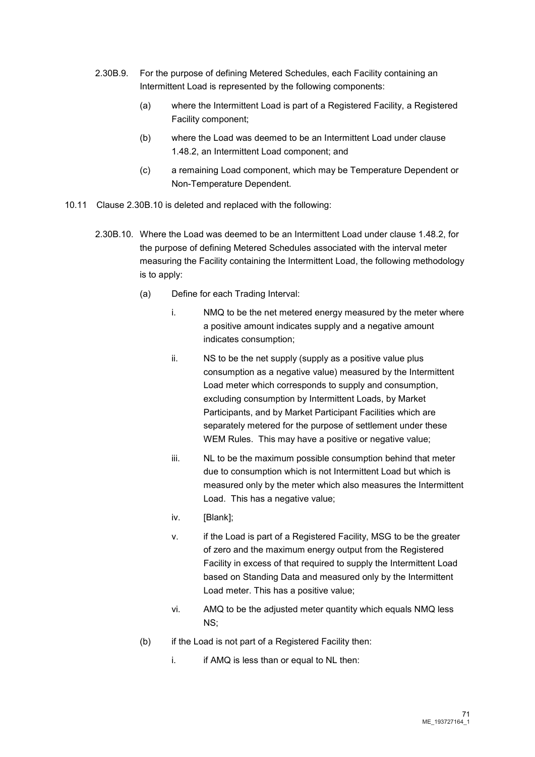- 2.30B.9. For the purpose of defining Metered Schedules, each Facility containing an Intermittent Load is represented by the following components:
	- (a) where the Intermittent Load is part of a Registered Facility, a Registered Facility component;
	- (b) where the Load was deemed to be an Intermittent Load under clause 1.48.2, an Intermittent Load component; and
	- (c) a remaining Load component, which may be Temperature Dependent or Non-Temperature Dependent.
- 10.11 Clause 2.30B.10 is deleted and replaced with the following:
	- 2.30B.10. Where the Load was deemed to be an Intermittent Load under clause 1.48.2, for the purpose of defining Metered Schedules associated with the interval meter measuring the Facility containing the Intermittent Load, the following methodology is to apply:
		- (a) Define for each Trading Interval:
			- i. NMQ to be the net metered energy measured by the meter where a positive amount indicates supply and a negative amount indicates consumption;
			- ii. NS to be the net supply (supply as a positive value plus consumption as a negative value) measured by the Intermittent Load meter which corresponds to supply and consumption, excluding consumption by Intermittent Loads, by Market Participants, and by Market Participant Facilities which are separately metered for the purpose of settlement under these WEM Rules. This may have a positive or negative value:
			- iii. NL to be the maximum possible consumption behind that meter due to consumption which is not Intermittent Load but which is measured only by the meter which also measures the Intermittent Load. This has a negative value;
			- iv. [Blank]:
			- v. if the Load is part of a Registered Facility, MSG to be the greater of zero and the maximum energy output from the Registered Facility in excess of that required to supply the Intermittent Load based on Standing Data and measured only by the Intermittent Load meter. This has a positive value;
			- vi. AMQ to be the adjusted meter quantity which equals NMQ less NS;
		- (b) if the Load is not part of a Registered Facility then:
			- $i.$  if AMQ is less than or equal to NL then: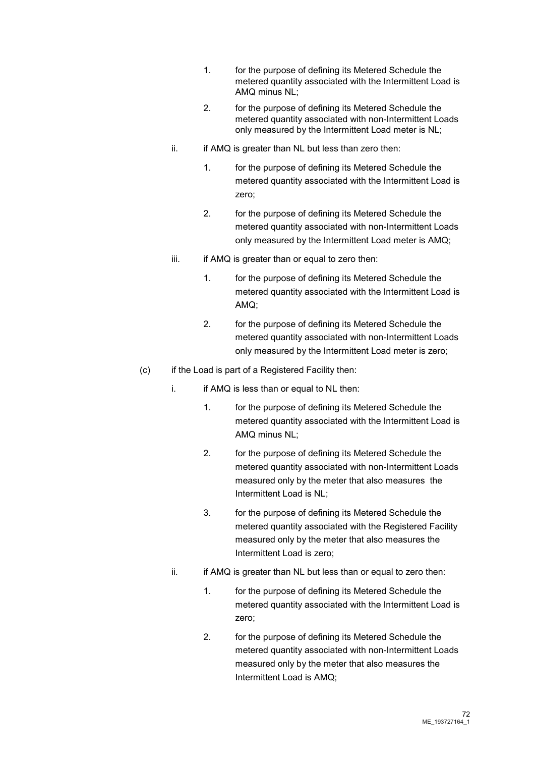- 1. for the purpose of defining its Metered Schedule the metered quantity associated with the Intermittent Load is AMQ minus NL;
- 2. for the purpose of defining its Metered Schedule the metered quantity associated with non-Intermittent Loads only measured by the Intermittent Load meter is NL;
- $ii.$  if AMQ is greater than NL but less than zero then:
	- 1. for the purpose of defining its Metered Schedule the metered quantity associated with the Intermittent Load is zero;
	- 2. for the purpose of defining its Metered Schedule the metered quantity associated with non-Intermittent Loads only measured by the Intermittent Load meter is AMQ;
- $iii.$  if AMQ is greater than or equal to zero then:
	- 1. for the purpose of defining its Metered Schedule the metered quantity associated with the Intermittent Load is AMQ;
	- 2. for the purpose of defining its Metered Schedule the metered quantity associated with non-Intermittent Loads only measured by the Intermittent Load meter is zero;
- (c) if the Load is part of a Registered Facility then:
	- i. if AMQ is less than or equal to NL then:
		- 1. for the purpose of defining its Metered Schedule the metered quantity associated with the Intermittent Load is AMQ minus NL;
		- 2. for the purpose of defining its Metered Schedule the metered quantity associated with non-Intermittent Loads measured only by the meter that also measures the Intermittent Load is NL;
		- 3. for the purpose of defining its Metered Schedule the metered quantity associated with the Registered Facility measured only by the meter that also measures the Intermittent Load is zero;
	- $ii.$  if AMQ is greater than NL but less than or equal to zero then:
		- 1. for the purpose of defining its Metered Schedule the metered quantity associated with the Intermittent Load is zero;
		- 2. for the purpose of defining its Metered Schedule the metered quantity associated with non-Intermittent Loads measured only by the meter that also measures the Intermittent Load is AMQ;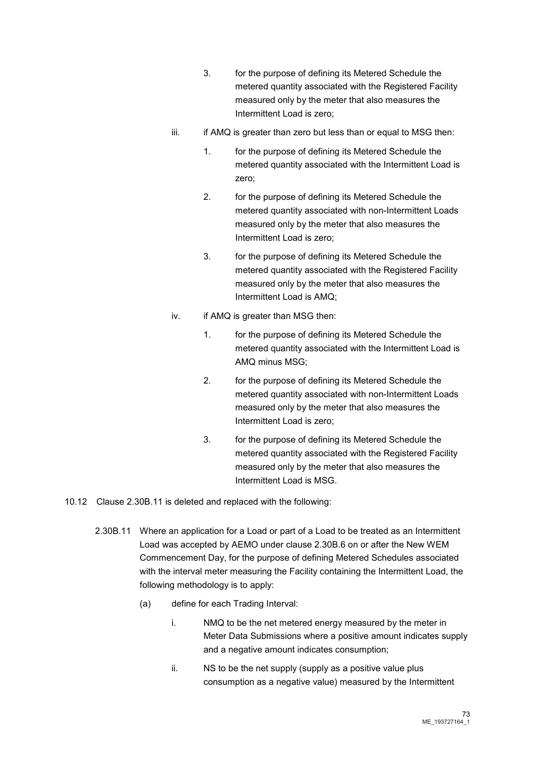- 3. for the purpose of defining its Metered Schedule the metered quantity associated with the Registered Facility measured only by the meter that also measures the Intermittent Load is zero;
- iii. iii. if AMQ is greater than zero but less than or equal to MSG then:
	- 1. for the purpose of defining its Metered Schedule the metered quantity associated with the Intermittent Load is zero;
	- 2. for the purpose of defining its Metered Schedule the metered quantity associated with non-Intermittent Loads measured only by the meter that also measures the Intermittent Load is zero;
	- 3. for the purpose of defining its Metered Schedule the metered quantity associated with the Registered Facility measured only by the meter that also measures the Intermittent Load is AMQ;
- iv. if AMQ is greater than MSG then:
	- 1. for the purpose of defining its Metered Schedule the metered quantity associated with the Intermittent Load is AMQ minus MSG;
	- 2. for the purpose of defining its Metered Schedule the metered quantity associated with non-Intermittent Loads measured only by the meter that also measures the Intermittent Load is zero;
	- 3. for the purpose of defining its Metered Schedule the metered quantity associated with the Registered Facility measured only by the meter that also measures the Intermittent Load is MSG.

10.12 Clause 2.30B.11 is deleted and replaced with the following:

- 2.30B.11 Where an application for a Load or part of a Load to be treated as an Intermittent Load was accepted by AEMO under clause 2.30B.6 on or after the New WEM Commencement Day, for the purpose of defining Metered Schedules associated with the interval meter measuring the Facility containing the Intermittent Load, the following methodology is to apply:
	- (a) define for each Trading Interval:
		- i. NMQ to be the net metered energy measured by the meter in Meter Data Submissions where a positive amount indicates supply and a negative amount indicates consumption;
		- ii. NS to be the net supply (supply as a positive value plus consumption as a negative value) measured by the Intermittent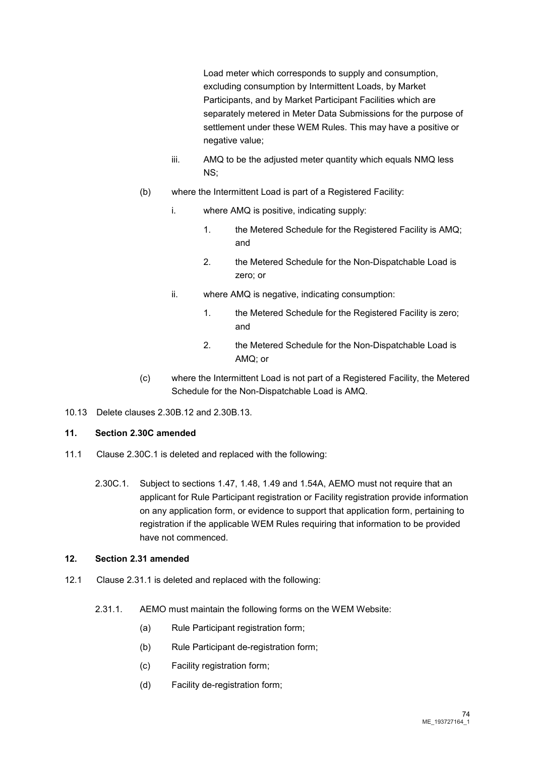Load meter which corresponds to supply and consumption, excluding consumption by Intermittent Loads, by Market Participants, and by Market Participant Facilities which are separately metered in Meter Data Submissions for the purpose of settlement under these WEM Rules. This may have a positive or negative value;

- iii. AMQ to be the adjusted meter quantity which equals NMQ less NS;
- (b) where the Intermittent Load is part of a Registered Facility:
	- i. where AMQ is positive, indicating supply:
		- 1. the Metered Schedule for the Registered Facility is AMQ; and
		- 2. the Metered Schedule for the Non-Dispatchable Load is zero; or
	- ii. where AMQ is negative, indicating consumption:
		- 1. the Metered Schedule for the Registered Facility is zero; and
		- 2. the Metered Schedule for the Non-Dispatchable Load is AMQ; or
- (c) where the Intermittent Load is not part of a Registered Facility, the Metered Schedule for the Non-Dispatchable Load is AMQ.
- 10.13 Delete clauses 2.30B.12 and 2.30B.13.

# **11. Section 2.30C amended**

- 11.1 Clause 2.30C.1 is deleted and replaced with the following:
	- 2.30C.1. Subject to sections 1.47, 1.48, 1.49 and 1.54A, AEMO must not require that an applicant for Rule Participant registration or Facility registration provide information on any application form, or evidence to support that application form, pertaining to registration if the applicable WEM Rules requiring that information to be provided have not commenced.

# **12. Section 2.31 amended**

- 12.1 Clause 2.31.1 is deleted and replaced with the following:
	- 2.31.1. AEMO must maintain the following forms on the WEM Website:
		- (a) Rule Participant registration form;
		- (b) Rule Participant de-registration form;
		- (c) Facility registration form;
		- (d) Facility de-registration form;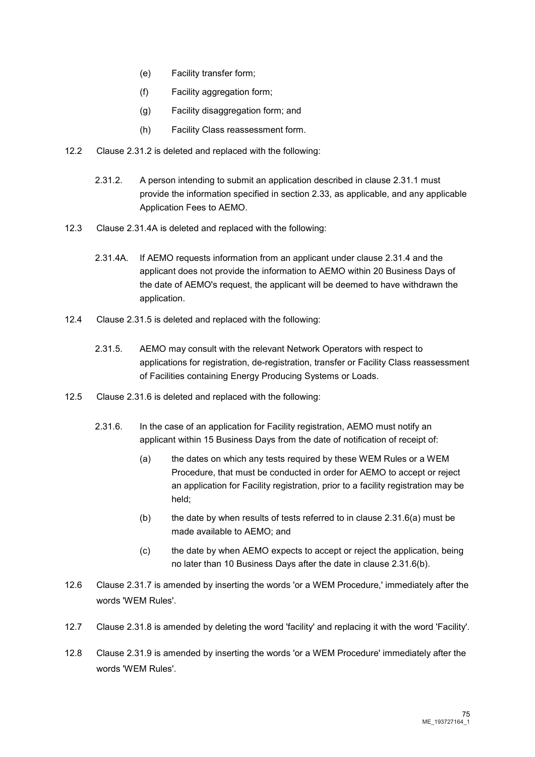- (e) Facility transfer form;
- (f) Facility aggregation form;
- (g) Facility disaggregation form; and
- (h) Facility Class reassessment form.
- 12.2 Clause 2.31.2 is deleted and replaced with the following:
	- 2.31.2. A person intending to submit an application described in clause 2.31.1 must provide the information specified in section 2.33, as applicable, and any applicable Application Fees to AEMO.
- 12.3 Clause 2.31.4A is deleted and replaced with the following:
	- 2.31.4A. If AEMO requests information from an applicant under clause 2.31.4 and the applicant does not provide the information to AEMO within 20 Business Days of the date of AEMO's request, the applicant will be deemed to have withdrawn the application.
- 12.4 Clause 2.31.5 is deleted and replaced with the following:
	- 2.31.5. AEMO may consult with the relevant Network Operators with respect to applications for registration, de-registration, transfer or Facility Class reassessment of Facilities containing Energy Producing Systems or Loads.
- 12.5 Clause 2.31.6 is deleted and replaced with the following:
	- 2.31.6. In the case of an application for Facility registration, AEMO must notify an applicant within 15 Business Days from the date of notification of receipt of:
		- (a) the dates on which any tests required by these WEM Rules or a WEM Procedure, that must be conducted in order for AEMO to accept or reject an application for Facility registration, prior to a facility registration may be held;
		- (b) the date by when results of tests referred to in clause  $2.31.6(a)$  must be made available to AEMO; and
		- (c) the date by when AEMO expects to accept or reject the application, being no later than 10 Business Days after the date in clause 2.31.6(b).
- 12.6 Clause 2.31.7 is amended by inserting the words 'or a WEM Procedure,' immediately after the words 'WEM Rules'.
- 12.7 Clause 2.31.8 is amended by deleting the word 'facility' and replacing it with the word 'Facility'.
- 12.8 Clause 2.31.9 is amended by inserting the words 'or a WEM Procedure' immediately after the words 'WEM Rules'.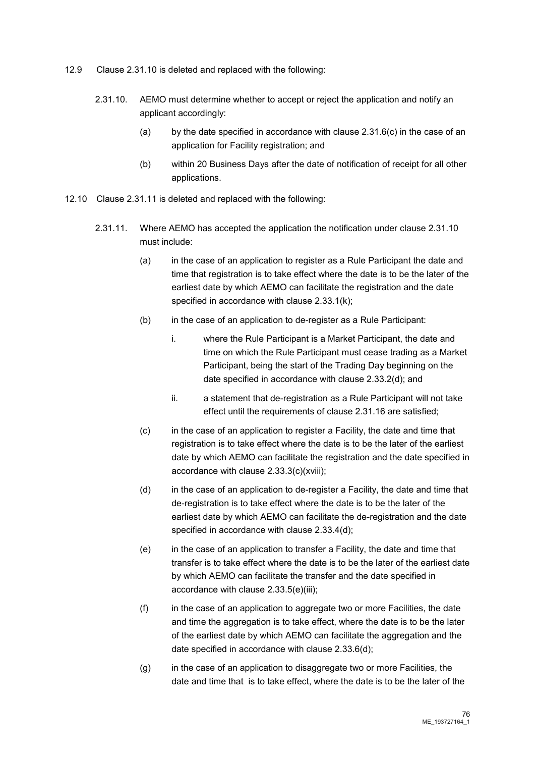- 12.9 Clause 2.31.10 is deleted and replaced with the following:
	- 2.31.10. AEMO must determine whether to accept or reject the application and notify an applicant accordingly:
		- (a) by the date specified in accordance with clause  $2.31.6(c)$  in the case of an application for Facility registration; and
		- (b) within 20 Business Days after the date of notification of receipt for all other applications.
- 12.10 Clause 2.31.11 is deleted and replaced with the following:
	- 2.31.11. Where AEMO has accepted the application the notification under clause 2.31.10 must include:
		- (a) in the case of an application to register as a Rule Participant the date and time that registration is to take effect where the date is to be the later of the earliest date by which AEMO can facilitate the registration and the date specified in accordance with clause 2.33.1(k);
		- (b) in the case of an application to de-register as a Rule Participant:
			- i. where the Rule Participant is a Market Participant, the date and time on which the Rule Participant must cease trading as a Market Participant, being the start of the Trading Day beginning on the date specified in accordance with clause 2.33.2(d); and
			- ii. a statement that de-registration as a Rule Participant will not take effect until the requirements of clause 2.31.16 are satisfied;
		- (c) in the case of an application to register a Facility, the date and time that registration is to take effect where the date is to be the later of the earliest date by which AEMO can facilitate the registration and the date specified in accordance with clause 2.33.3(c)(xviii);
		- (d) in the case of an application to de-register a Facility, the date and time that de-registration is to take effect where the date is to be the later of the earliest date by which AEMO can facilitate the de-registration and the date specified in accordance with clause 2.33.4(d);
		- (e) in the case of an application to transfer a Facility, the date and time that transfer is to take effect where the date is to be the later of the earliest date by which AEMO can facilitate the transfer and the date specified in accordance with clause 2.33.5(e)(iii);
		- (f) in the case of an application to aggregate two or more Facilities, the date and time the aggregation is to take effect, where the date is to be the later of the earliest date by which AEMO can facilitate the aggregation and the date specified in accordance with clause 2.33.6(d);
		- (g) in the case of an application to disaggregate two or more Facilities, the date and time that is to take effect, where the date is to be the later of the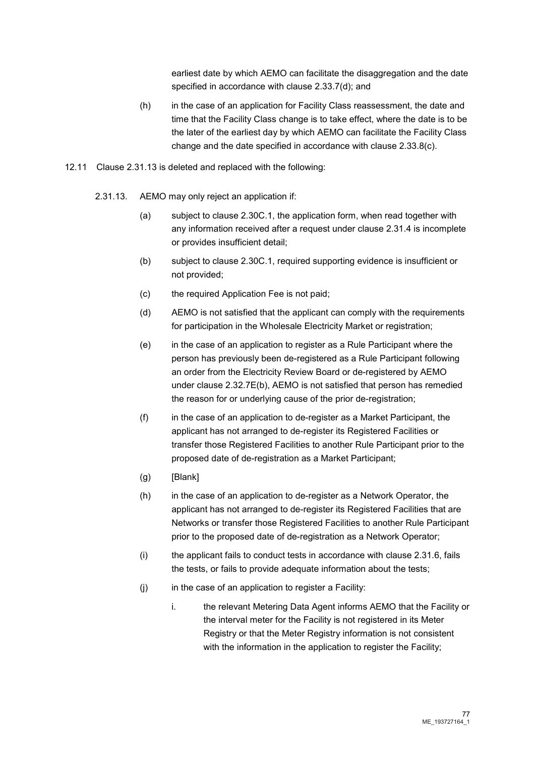earliest date by which AEMO can facilitate the disaggregation and the date specified in accordance with clause 2.33.7(d); and

- (h) in the case of an application for Facility Class reassessment, the date and time that the Facility Class change is to take effect, where the date is to be the later of the earliest day by which AEMO can facilitate the Facility Class change and the date specified in accordance with clause 2.33.8(c).
- 12.11 Clause 2.31.13 is deleted and replaced with the following:
	- 2.31.13. AEMO may only reject an application if:
		- (a) subject to clause 2.30C.1, the application form, when read together with any information received after a request under clause 2.31.4 is incomplete or provides insufficient detail;
		- (b) subject to clause 2.30C.1, required supporting evidence is insufficient or not provided;
		- (c) the required Application Fee is not paid;
		- (d) AEMO is not satisfied that the applicant can comply with the requirements for participation in the Wholesale Electricity Market or registration;
		- (e) in the case of an application to register as a Rule Participant where the person has previously been de-registered as a Rule Participant following an order from the Electricity Review Board or de-registered by AEMO under clause 2.32.7E(b), AEMO is not satisfied that person has remedied the reason for or underlying cause of the prior de-registration;
		- (f) in the case of an application to de-register as a Market Participant, the applicant has not arranged to de-register its Registered Facilities or transfer those Registered Facilities to another Rule Participant prior to the proposed date of de-registration as a Market Participant;
		- $(g)$  [Blank]
		- (h) in the case of an application to de-register as a Network Operator, the applicant has not arranged to de-register its Registered Facilities that are Networks or transfer those Registered Facilities to another Rule Participant prior to the proposed date of de-registration as a Network Operator;
		- (i) the applicant fails to conduct tests in accordance with clause 2.31.6, fails the tests, or fails to provide adequate information about the tests;
		- (j) in the case of an application to register a Facility:
			- i. the relevant Metering Data Agent informs AEMO that the Facility or the interval meter for the Facility is not registered in its Meter Registry or that the Meter Registry information is not consistent with the information in the application to register the Facility: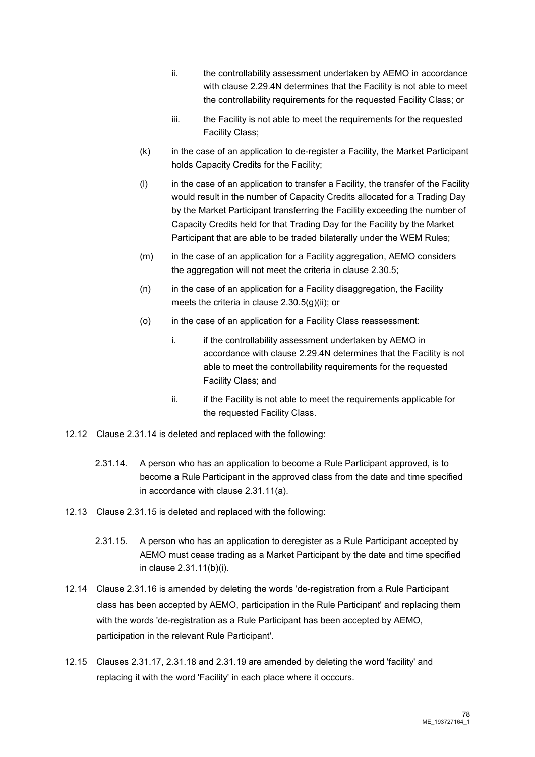- ii. the controllability assessment undertaken by AEMO in accordance with clause 2.29.4N determines that the Facility is not able to meet the controllability requirements for the requested Facility Class; or
- iii. the Facility is not able to meet the requirements for the requested Facility Class;
- (k) in the case of an application to de-register a Facility, the Market Participant holds Capacity Credits for the Facility;
- (l) in the case of an application to transfer a Facility, the transfer of the Facility would result in the number of Capacity Credits allocated for a Trading Day by the Market Participant transferring the Facility exceeding the number of Capacity Credits held for that Trading Day for the Facility by the Market Participant that are able to be traded bilaterally under the WEM Rules;
- (m) in the case of an application for a Facility aggregation, AEMO considers the aggregation will not meet the criteria in clause 2.30.5;
- (n) in the case of an application for a Facility disaggregation, the Facility meets the criteria in clause 2.30.5(g)(ii); or
- (o) in the case of an application for a Facility Class reassessment:
	- i. if the controllability assessment undertaken by AEMO in accordance with clause 2.29.4N determines that the Facility is not able to meet the controllability requirements for the requested Facility Class; and
	- ii. ii. if the Facility is not able to meet the requirements applicable for the requested Facility Class.
- 12.12 Clause 2.31.14 is deleted and replaced with the following:
	- 2.31.14. A person who has an application to become a Rule Participant approved, is to become a Rule Participant in the approved class from the date and time specified in accordance with clause 2.31.11(a).
- 12.13 Clause 2.31.15 is deleted and replaced with the following:
	- 2.31.15. A person who has an application to deregister as a Rule Participant accepted by AEMO must cease trading as a Market Participant by the date and time specified in clause 2.31.11(b)(i).
- 12.14 Clause 2.31.16 is amended by deleting the words 'de-registration from a Rule Participant class has been accepted by AEMO, participation in the Rule Participant' and replacing them with the words 'de-registration as a Rule Participant has been accepted by AEMO, participation in the relevant Rule Participant'.
- 12.15 Clauses 2.31.17, 2.31.18 and 2.31.19 are amended by deleting the word 'facility' and replacing it with the word 'Facility' in each place where it occcurs.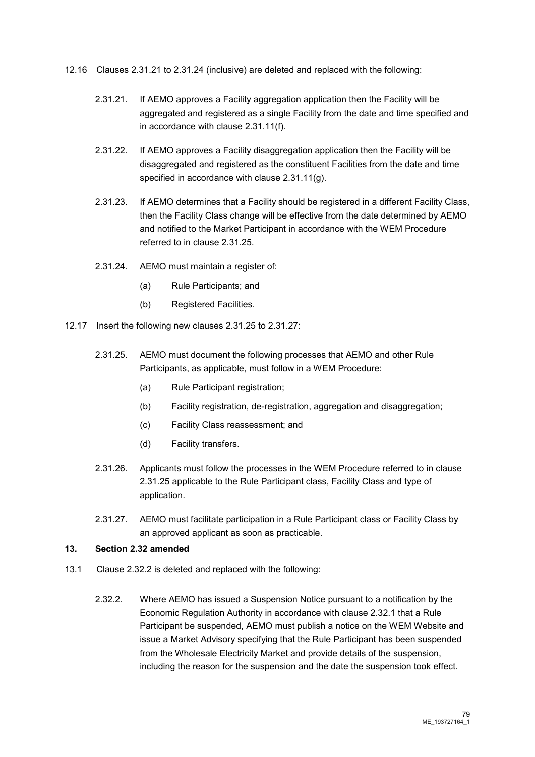- 12.16 Clauses 2.31.21 to 2.31.24 (inclusive) are deleted and replaced with the following:
	- 2.31.21. If AEMO approves a Facility aggregation application then the Facility will be aggregated and registered as a single Facility from the date and time specified and in accordance with clause 2.31.11(f).
	- 2.31.22. If AEMO approves a Facility disaggregation application then the Facility will be disaggregated and registered as the constituent Facilities from the date and time specified in accordance with clause 2.31.11(g).
	- 2.31.23. If AEMO determines that a Facility should be registered in a different Facility Class, then the Facility Class change will be effective from the date determined by AEMO and notified to the Market Participant in accordance with the WEM Procedure referred to in clause 2.31.25.
	- 2.31.24. AEMO must maintain a register of:
		- (a) Rule Participants; and
		- (b) Registered Facilities.
- 12.17 Insert the following new clauses 2.31.25 to 2.31.27:
	- 2.31.25. AEMO must document the following processes that AEMO and other Rule Participants, as applicable, must follow in a WEM Procedure:
		- (a) Rule Participant registration;
		- (b) Facility registration, de-registration, aggregation and disaggregation;
		- (c) Facility Class reassessment; and
		- (d) Facility transfers.
	- 2.31.26. Applicants must follow the processes in the WEM Procedure referred to in clause 2.31.25 applicable to the Rule Participant class, Facility Class and type of application.
	- 2.31.27. AEMO must facilitate participation in a Rule Participant class or Facility Class by an approved applicant as soon as practicable.

#### **13. Section 2.32 amended**

- 13.1 Clause 2.32.2 is deleted and replaced with the following:
	- 2.32.2. Where AEMO has issued a Suspension Notice pursuant to a notification by the Economic Regulation Authority in accordance with clause 2.32.1 that a Rule Participant be suspended, AEMO must publish a notice on the WEM Website and issue a Market Advisory specifying that the Rule Participant has been suspended from the Wholesale Electricity Market and provide details of the suspension, including the reason for the suspension and the date the suspension took effect.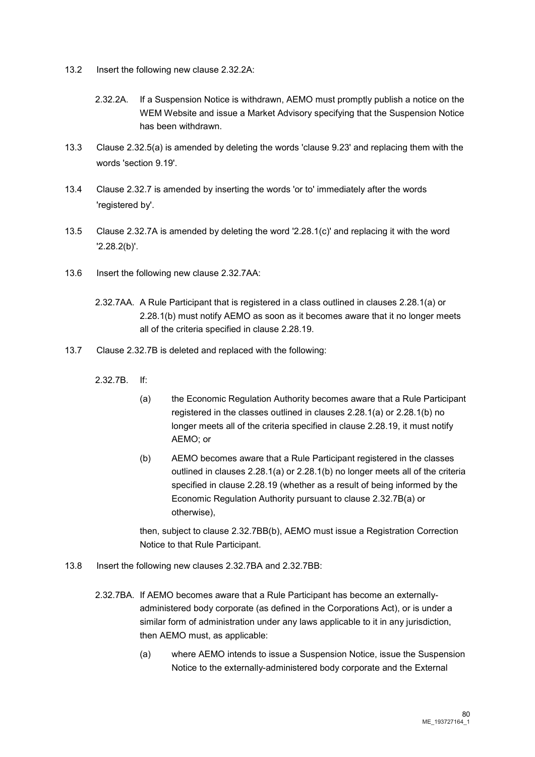- 13.2 Insert the following new clause 2.32.2A:
	- 2.32.2A. If a Suspension Notice is withdrawn, AEMO must promptly publish a notice on the WEM Website and issue a Market Advisory specifying that the Suspension Notice has been withdrawn.
- 13.3 Clause 2.32.5(a) is amended by deleting the words 'clause 9.23' and replacing them with the words 'section 9.19'.
- 13.4 Clause 2.32.7 is amended by inserting the words 'or to' immediately after the words 'registered by'.
- 13.5 Clause 2.32.7A is amended by deleting the word '2.28.1(c)' and replacing it with the word '2.28.2(b)'.
- 13.6 Insert the following new clause 2.32.7AA:
	- 2.32.7AA. A Rule Participant that is registered in a class outlined in clauses 2.28.1(a) or 2.28.1(b) must notify AEMO as soon as it becomes aware that it no longer meets all of the criteria specified in clause 2.28.19.
- 13.7 Clause 2.32.7B is deleted and replaced with the following:
	- 2.32.7B. If:
		- (a) the Economic Regulation Authority becomes aware that a Rule Participant registered in the classes outlined in clauses 2.28.1(a) or 2.28.1(b) no longer meets all of the criteria specified in clause 2.28.19, it must notify AEMO; or
		- (b) AEMO becomes aware that a Rule Participant registered in the classes outlined in clauses 2.28.1(a) or 2.28.1(b) no longer meets all of the criteria specified in clause 2.28.19 (whether as a result of being informed by the Economic Regulation Authority pursuant to clause 2.32.7B(a) or otherwise),

then, subject to clause 2.32.7BB(b), AEMO must issue a Registration Correction Notice to that Rule Participant.

- 13.8 Insert the following new clauses 2.32.7BA and 2.32.7BB:
	- 2.32.7BA. If AEMO becomes aware that a Rule Participant has become an externallyadministered body corporate (as defined in the Corporations Act), or is under a similar form of administration under any laws applicable to it in any jurisdiction, then AEMO must, as applicable:
		- (a) where AEMO intends to issue a Suspension Notice, issue the Suspension Notice to the externally-administered body corporate and the External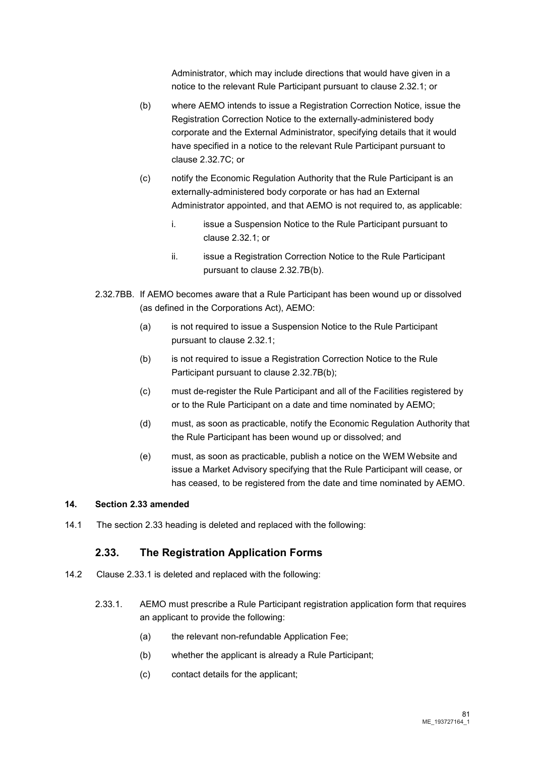Administrator, which may include directions that would have given in a notice to the relevant Rule Participant pursuant to clause 2.32.1; or

- (b) where AEMO intends to issue a Registration Correction Notice, issue the Registration Correction Notice to the externally-administered body corporate and the External Administrator, specifying details that it would have specified in a notice to the relevant Rule Participant pursuant to clause 2.32.7C; or
- (c) notify the Economic Regulation Authority that the Rule Participant is an externally-administered body corporate or has had an External Administrator appointed, and that AEMO is not required to, as applicable:
	- i. issue a Suspension Notice to the Rule Participant pursuant to clause 2.32.1; or
	- ii. issue a Registration Correction Notice to the Rule Participant pursuant to clause 2.32.7B(b).
- 2.32.7BB. If AEMO becomes aware that a Rule Participant has been wound up or dissolved (as defined in the Corporations Act), AEMO:
	- (a) is not required to issue a Suspension Notice to the Rule Participant pursuant to clause 2.32.1;
	- (b) is not required to issue a Registration Correction Notice to the Rule Participant pursuant to clause 2.32.7B(b);
	- (c) must de-register the Rule Participant and all of the Facilities registered by or to the Rule Participant on a date and time nominated by AEMO;
	- (d) must, as soon as practicable, notify the Economic Regulation Authority that the Rule Participant has been wound up or dissolved; and
	- (e) must, as soon as practicable, publish a notice on the WEM Website and issue a Market Advisory specifying that the Rule Participant will cease, or has ceased, to be registered from the date and time nominated by AEMO.

#### **14. Section 2.33 amended**

14.1 The section 2.33 heading is deleted and replaced with the following:

# **2.33. The Registration Application Forms**

- 14.2 Clause 2.33.1 is deleted and replaced with the following:
	- 2.33.1. AEMO must prescribe a Rule Participant registration application form that requires an applicant to provide the following:
		- (a) the relevant non-refundable Application Fee;
		- (b) whether the applicant is already a Rule Participant;
		- (c) contact details for the applicant;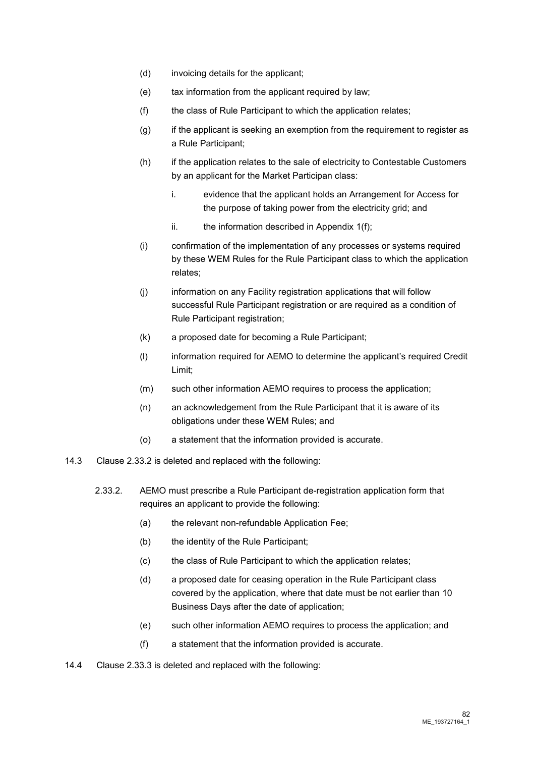- (d) invoicing details for the applicant;
- (e) tax information from the applicant required by law;
- (f) the class of Rule Participant to which the application relates;
- (g) if the applicant is seeking an exemption from the requirement to register as a Rule Participant;
- (h) if the application relates to the sale of electricity to Contestable Customers by an applicant for the Market Participan class:
	- i. evidence that the applicant holds an Arrangement for Access for the purpose of taking power from the electricity grid; and
	- ii. the information described in Appendix  $1(f)$ ;
- (i) confirmation of the implementation of any processes or systems required by these WEM Rules for the Rule Participant class to which the application relates;
- (j) information on any Facility registration applications that will follow successful Rule Participant registration or are required as a condition of Rule Participant registration;
- (k) a proposed date for becoming a Rule Participant;
- (l) information required for AEMO to determine the applicant's required Credit Limit;
- (m) such other information AEMO requires to process the application;
- (n) an acknowledgement from the Rule Participant that it is aware of its obligations under these WEM Rules; and
- (o) a statement that the information provided is accurate.
- 14.3 Clause 2.33.2 is deleted and replaced with the following:
	- 2.33.2. AEMO must prescribe a Rule Participant de-registration application form that requires an applicant to provide the following:
		- (a) the relevant non-refundable Application Fee;
		- (b) the identity of the Rule Participant;
		- (c) the class of Rule Participant to which the application relates;
		- (d) a proposed date for ceasing operation in the Rule Participant class covered by the application, where that date must be not earlier than 10 Business Days after the date of application;
		- (e) such other information AEMO requires to process the application; and
		- (f) a statement that the information provided is accurate.
- 14.4 Clause 2.33.3 is deleted and replaced with the following: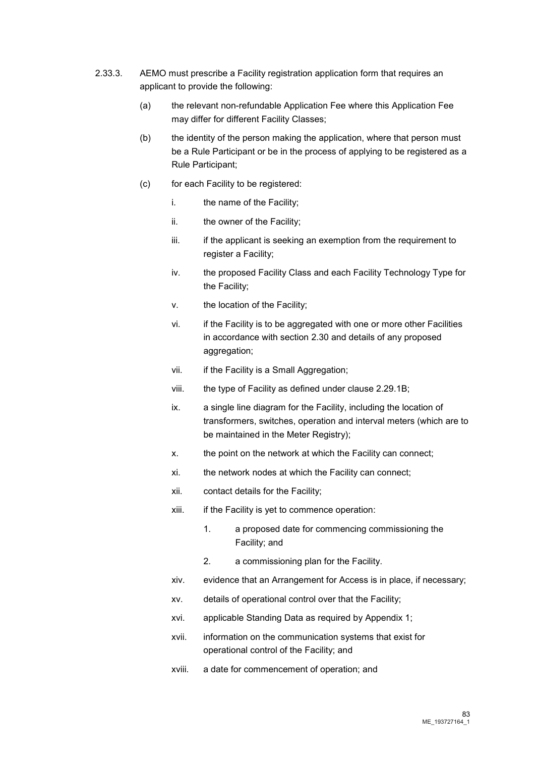- 2.33.3. AEMO must prescribe a Facility registration application form that requires an applicant to provide the following:
	- (a) the relevant non-refundable Application Fee where this Application Fee may differ for different Facility Classes;
	- (b) the identity of the person making the application, where that person must be a Rule Participant or be in the process of applying to be registered as a Rule Participant;
	- (c) for each Facility to be registered:
		- i. the name of the Facility;
		- ii. the owner of the Facility;
		- iii. iii. if the applicant is seeking an exemption from the requirement to register a Facility;
		- iv. the proposed Facility Class and each Facility Technology Type for the Facility;
		- v. the location of the Facility;
		- vi. if the Facility is to be aggregated with one or more other Facilities in accordance with section 2.30 and details of any proposed aggregation;
		- vii. if the Facility is a Small Aggregation:
		- viii. the type of Facility as defined under clause 2.29.1B;
		- ix. a single line diagram for the Facility, including the location of transformers, switches, operation and interval meters (which are to be maintained in the Meter Registry);
		- x. the point on the network at which the Facility can connect;
		- xi. the network nodes at which the Facility can connect;
		- xii. contact details for the Facility;
		- xiii. if the Facility is yet to commence operation:
			- 1. a proposed date for commencing commissioning the Facility; and
			- 2. a commissioning plan for the Facility.
		- xiv. evidence that an Arrangement for Access is in place, if necessary;
		- xv. details of operational control over that the Facility;
		- xvi. applicable Standing Data as required by Appendix 1;
		- xvii. information on the communication systems that exist for operational control of the Facility; and
		- xviii. a date for commencement of operation; and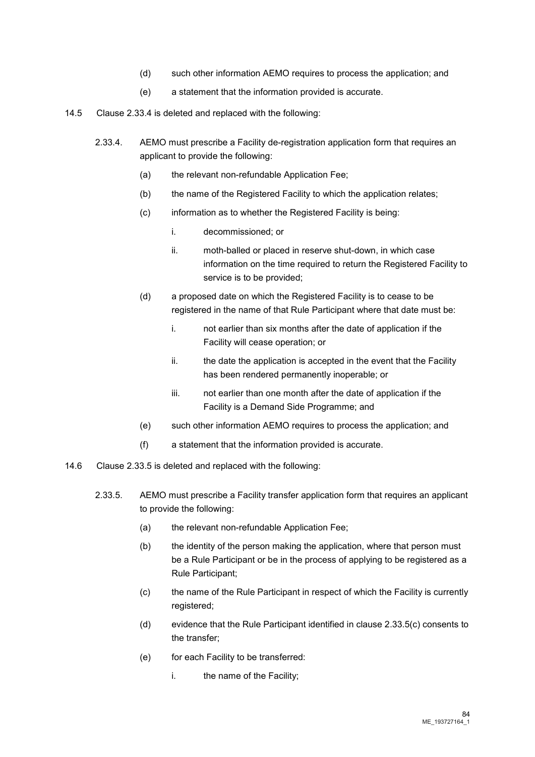- (d) such other information AEMO requires to process the application; and
- (e) a statement that the information provided is accurate.
- 14.5 Clause 2.33.4 is deleted and replaced with the following:
	- 2.33.4. AEMO must prescribe a Facility de-registration application form that requires an applicant to provide the following:
		- (a) the relevant non-refundable Application Fee;
		- (b) the name of the Registered Facility to which the application relates;
		- (c) information as to whether the Registered Facility is being:
			- i. decommissioned; or
			- ii. moth-balled or placed in reserve shut-down, in which case information on the time required to return the Registered Facility to service is to be provided;
		- (d) a proposed date on which the Registered Facility is to cease to be registered in the name of that Rule Participant where that date must be:
			- i. not earlier than six months after the date of application if the Facility will cease operation; or
			- ii. the date the application is accepted in the event that the Facility has been rendered permanently inoperable; or
			- iii. not earlier than one month after the date of application if the Facility is a Demand Side Programme; and
		- (e) such other information AEMO requires to process the application; and
		- (f) a statement that the information provided is accurate.
- 14.6 Clause 2.33.5 is deleted and replaced with the following:
	- 2.33.5. AEMO must prescribe a Facility transfer application form that requires an applicant to provide the following:
		- (a) the relevant non-refundable Application Fee;
		- (b) the identity of the person making the application, where that person must be a Rule Participant or be in the process of applying to be registered as a Rule Participant;
		- (c) the name of the Rule Participant in respect of which the Facility is currently registered;
		- (d) evidence that the Rule Participant identified in clause 2.33.5(c) consents to the transfer;
		- (e) for each Facility to be transferred:
			- i. the name of the Facility: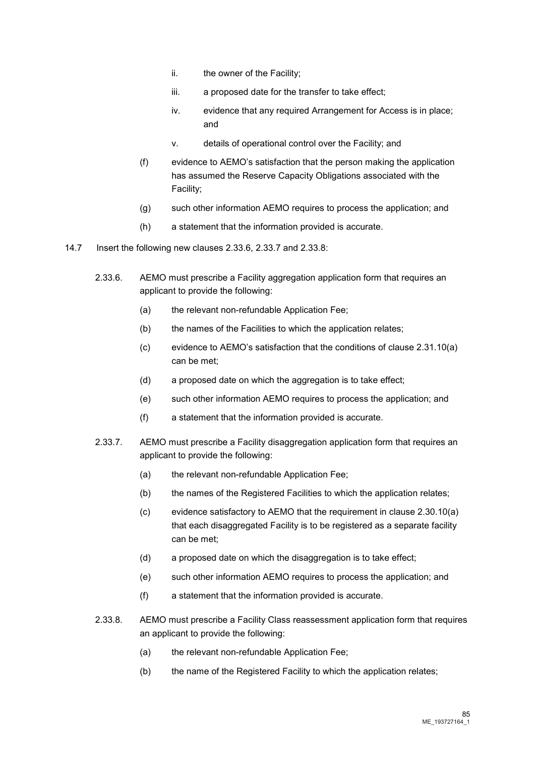- ii. the owner of the Facility;
- iii. a proposed date for the transfer to take effect;
- iv. evidence that any required Arrangement for Access is in place; and
- v. details of operational control over the Facility; and
- (f) evidence to AEMO's satisfaction that the person making the application has assumed the Reserve Capacity Obligations associated with the Facility;
- (g) such other information AEMO requires to process the application; and
- (h) a statement that the information provided is accurate.
- 14.7 Insert the following new clauses 2.33.6, 2.33.7 and 2.33.8:
	- 2.33.6. AEMO must prescribe a Facility aggregation application form that requires an applicant to provide the following:
		- (a) the relevant non-refundable Application Fee;
		- (b) the names of the Facilities to which the application relates;
		- (c) evidence to AEMO's satisfaction that the conditions of clause 2.31.10(a) can be met;
		- (d) a proposed date on which the aggregation is to take effect;
		- (e) such other information AEMO requires to process the application; and
		- (f) a statement that the information provided is accurate.
	- 2.33.7. AEMO must prescribe a Facility disaggregation application form that requires an applicant to provide the following:
		- (a) the relevant non-refundable Application Fee;
		- (b) the names of the Registered Facilities to which the application relates;
		- (c) evidence satisfactory to AEMO that the requirement in clause 2.30.10(a) that each disaggregated Facility is to be registered as a separate facility can be met;
		- (d) a proposed date on which the disaggregation is to take effect;
		- (e) such other information AEMO requires to process the application; and
		- (f) a statement that the information provided is accurate.
	- 2.33.8. AEMO must prescribe a Facility Class reassessment application form that requires an applicant to provide the following:
		- (a) the relevant non-refundable Application Fee;
		- (b) the name of the Registered Facility to which the application relates;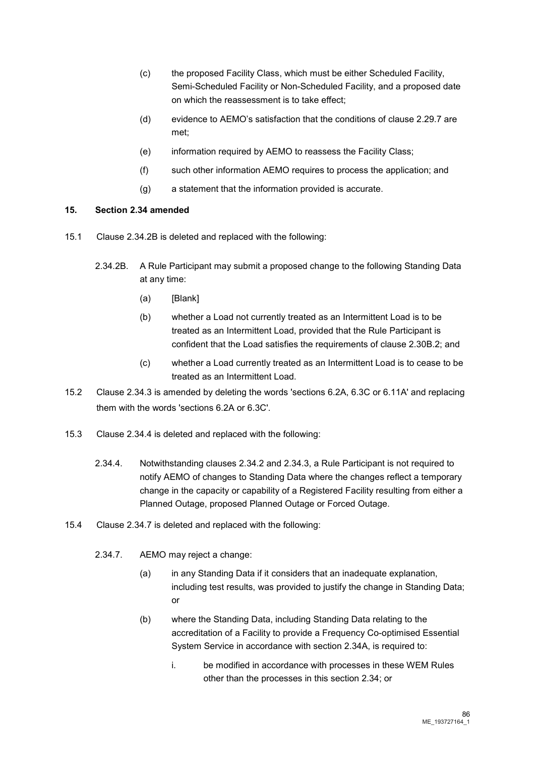- (c) the proposed Facility Class, which must be either Scheduled Facility, Semi-Scheduled Facility or Non-Scheduled Facility, and a proposed date on which the reassessment is to take effect;
- (d) evidence to AEMO's satisfaction that the conditions of clause 2.29.7 are met;
- (e) information required by AEMO to reassess the Facility Class;
- (f) such other information AEMO requires to process the application; and
- (g) a statement that the information provided is accurate.

#### **15. Section 2.34 amended**

- 15.1 Clause 2.34.2B is deleted and replaced with the following:
	- 2.34.2B. A Rule Participant may submit a proposed change to the following Standing Data at any time:
		- (a) [Blank]
		- (b) whether a Load not currently treated as an Intermittent Load is to be treated as an Intermittent Load, provided that the Rule Participant is confident that the Load satisfies the requirements of clause 2.30B.2; and
		- (c) whether a Load currently treated as an Intermittent Load is to cease to be treated as an Intermittent Load.
- 15.2 Clause 2.34.3 is amended by deleting the words 'sections 6.2A, 6.3C or 6.11A' and replacing them with the words 'sections 6.2A or 6.3C'.
- 15.3 Clause 2.34.4 is deleted and replaced with the following:
	- 2.34.4. Notwithstanding clauses 2.34.2 and 2.34.3, a Rule Participant is not required to notify AEMO of changes to Standing Data where the changes reflect a temporary change in the capacity or capability of a Registered Facility resulting from either a Planned Outage, proposed Planned Outage or Forced Outage.
- 15.4 Clause 2.34.7 is deleted and replaced with the following:
	- 2.34.7. AEMO may reject a change:
		- (a) in any Standing Data if it considers that an inadequate explanation, including test results, was provided to justify the change in Standing Data; or
		- (b) where the Standing Data, including Standing Data relating to the accreditation of a Facility to provide a Frequency Co-optimised Essential System Service in accordance with section 2.34A, is required to:
			- i. be modified in accordance with processes in these WEM Rules other than the processes in this section 2.34; or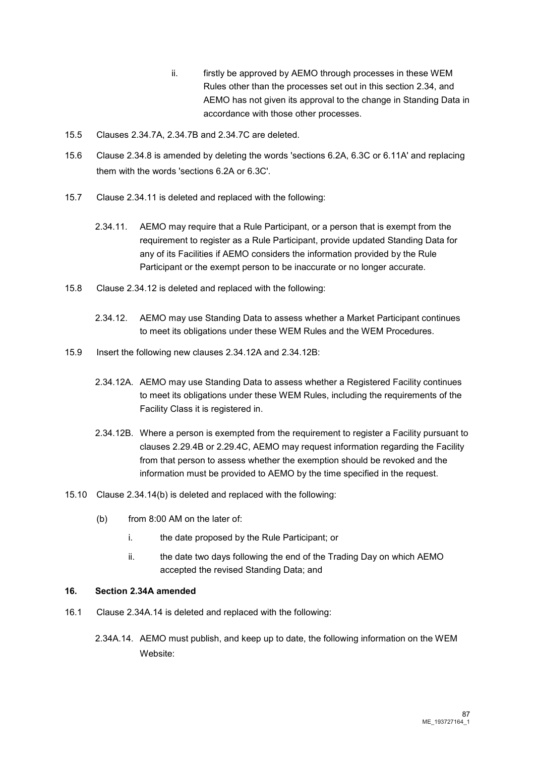- ii. firstly be approved by AEMO through processes in these WEM Rules other than the processes set out in this section 2.34, and AEMO has not given its approval to the change in Standing Data in accordance with those other processes.
- 15.5 Clauses 2.34.7A, 2.34.7B and 2.34.7C are deleted.
- 15.6 Clause 2.34.8 is amended by deleting the words 'sections 6.2A, 6.3C or 6.11A' and replacing them with the words 'sections 6.2A or 6.3C'.
- 15.7 Clause 2.34.11 is deleted and replaced with the following:
	- 2.34.11. AEMO may require that a Rule Participant, or a person that is exempt from the requirement to register as a Rule Participant, provide updated Standing Data for any of its Facilities if AEMO considers the information provided by the Rule Participant or the exempt person to be inaccurate or no longer accurate.
- 15.8 Clause 2.34.12 is deleted and replaced with the following:
	- 2.34.12. AEMO may use Standing Data to assess whether a Market Participant continues to meet its obligations under these WEM Rules and the WEM Procedures.
- 15.9 Insert the following new clauses 2.34.12A and 2.34.12B:
	- 2.34.12A. AEMO may use Standing Data to assess whether a Registered Facility continues to meet its obligations under these WEM Rules, including the requirements of the Facility Class it is registered in.
	- 2.34.12B. Where a person is exempted from the requirement to register a Facility pursuant to clauses 2.29.4B or 2.29.4C, AEMO may request information regarding the Facility from that person to assess whether the exemption should be revoked and the information must be provided to AEMO by the time specified in the request.
- 15.10 Clause 2.34.14(b) is deleted and replaced with the following:
	- (b) from 8:00 AM on the later of:
		- i. the date proposed by the Rule Participant; or
		- ii. the date two days following the end of the Trading Day on which AEMO accepted the revised Standing Data; and

#### **16. Section 2.34A amended**

- 16.1 Clause 2.34A.14 is deleted and replaced with the following:
	- 2.34A.14. AEMO must publish, and keep up to date, the following information on the WEM Website: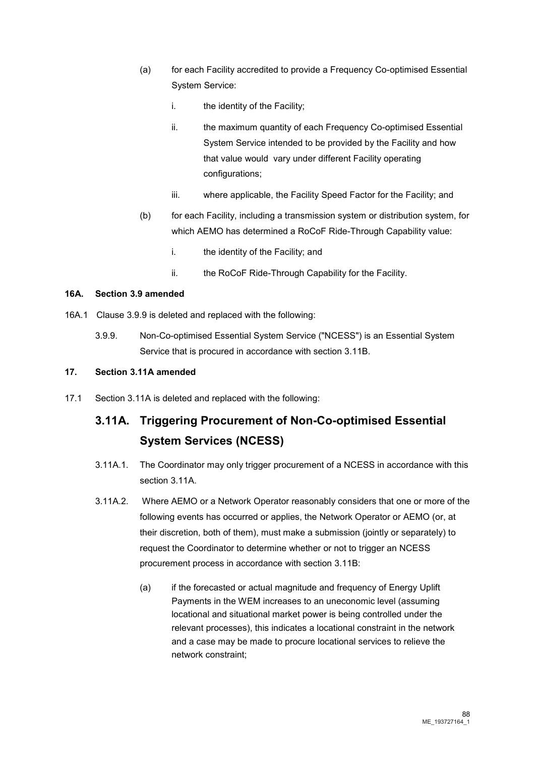- (a) for each Facility accredited to provide a Frequency Co-optimised Essential System Service:
	- i. the identity of the Facility;
	- ii. the maximum quantity of each Frequency Co-optimised Essential System Service intended to be provided by the Facility and how that value would vary under different Facility operating configurations;
	- iii. where applicable, the Facility Speed Factor for the Facility; and
- (b) for each Facility, including a transmission system or distribution system, for which AEMO has determined a RoCoF Ride-Through Capability value:
	- i. the identity of the Facility; and
	- ii. the RoCoF Ride-Through Capability for the Facility.

### **16A. Section 3.9 amended**

- 16A.1 Clause 3.9.9 is deleted and replaced with the following:
	- 3.9.9. Non-Co-optimised Essential System Service ("NCESS") is an Essential System Service that is procured in accordance with section 3.11B.

# **17. Section 3.11A amended**

17.1 Section 3.11A is deleted and replaced with the following:

# **3.11A. Triggering Procurement of Non-Co-optimised Essential System Services (NCESS)**

- 3.11A.1. The Coordinator may only trigger procurement of a NCESS in accordance with this section 3.11A.
- 3.11A.2. Where AEMO or a Network Operator reasonably considers that one or more of the following events has occurred or applies, the Network Operator or AEMO (or, at their discretion, both of them), must make a submission (jointly or separately) to request the Coordinator to determine whether or not to trigger an NCESS procurement process in accordance with section 3.11B:
	- (a) if the forecasted or actual magnitude and frequency of Energy Uplift Payments in the WEM increases to an uneconomic level (assuming locational and situational market power is being controlled under the relevant processes), this indicates a locational constraint in the network and a case may be made to procure locational services to relieve the network constraint;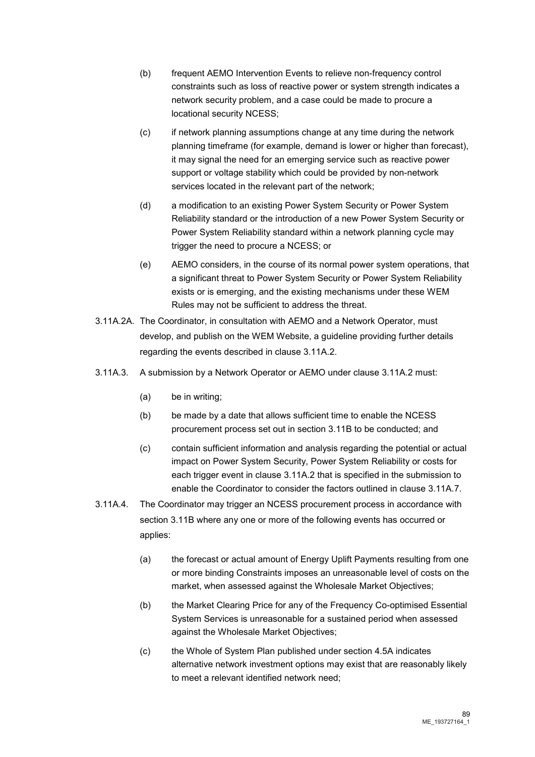- (b) frequent AEMO Intervention Events to relieve non-frequency control constraints such as loss of reactive power or system strength indicates a network security problem, and a case could be made to procure a locational security NCESS;
- (c) if network planning assumptions change at any time during the network planning timeframe (for example, demand is lower or higher than forecast), it may signal the need for an emerging service such as reactive power support or voltage stability which could be provided by non-network services located in the relevant part of the network;
- (d) a modification to an existing Power System Security or Power System Reliability standard or the introduction of a new Power System Security or Power System Reliability standard within a network planning cycle may trigger the need to procure a NCESS; or
- (e) AEMO considers, in the course of its normal power system operations, that a significant threat to Power System Security or Power System Reliability exists or is emerging, and the existing mechanisms under these WEM Rules may not be sufficient to address the threat.
- 3.11A.2A. The Coordinator, in consultation with AEMO and a Network Operator, must develop, and publish on the WEM Website, a guideline providing further details regarding the events described in clause 3.11A.2.
- 3.11A.3. A submission by a Network Operator or AEMO under clause 3.11A.2 must:
	- (a) be in writing;
	- (b) be made by a date that allows sufficient time to enable the NCESS procurement process set out in section 3.11B to be conducted; and
	- (c) contain sufficient information and analysis regarding the potential or actual impact on Power System Security, Power System Reliability or costs for each trigger event in clause 3.11A.2 that is specified in the submission to enable the Coordinator to consider the factors outlined in clause 3.11A.7.
- 3.11A.4. The Coordinator may trigger an NCESS procurement process in accordance with section 3.11B where any one or more of the following events has occurred or applies:
	- (a) the forecast or actual amount of Energy Uplift Payments resulting from one or more binding Constraints imposes an unreasonable level of costs on the market, when assessed against the Wholesale Market Objectives;
	- (b) the Market Clearing Price for any of the Frequency Co-optimised Essential System Services is unreasonable for a sustained period when assessed against the Wholesale Market Objectives;
	- (c) the Whole of System Plan published under section 4.5A indicates alternative network investment options may exist that are reasonably likely to meet a relevant identified network need;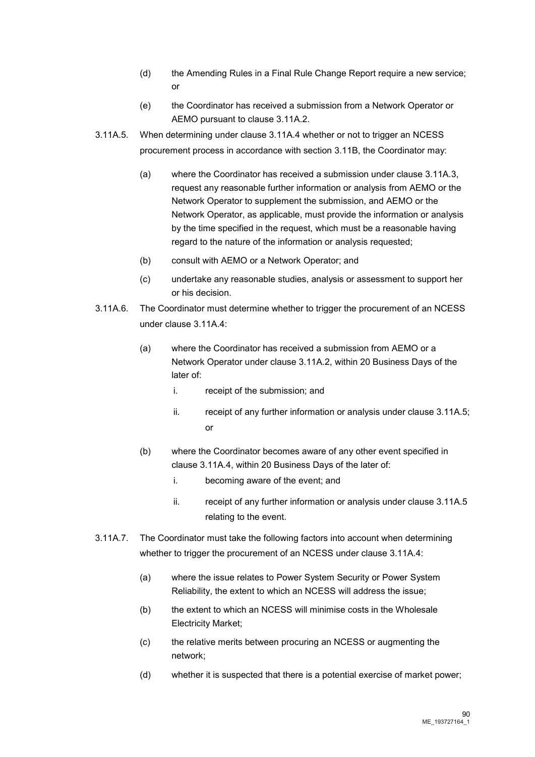- (d) the Amending Rules in a Final Rule Change Report require a new service; or
- (e) the Coordinator has received a submission from a Network Operator or AEMO pursuant to clause 3.11A.2.
- 3.11A.5. When determining under clause 3.11A.4 whether or not to trigger an NCESS procurement process in accordance with section 3.11B, the Coordinator may:
	- (a) where the Coordinator has received a submission under clause 3.11A.3, request any reasonable further information or analysis from AEMO or the Network Operator to supplement the submission, and AEMO or the Network Operator, as applicable, must provide the information or analysis by the time specified in the request, which must be a reasonable having regard to the nature of the information or analysis requested;
	- (b) consult with AEMO or a Network Operator; and
	- (c) undertake any reasonable studies, analysis or assessment to support her or his decision.
- 3.11A.6. The Coordinator must determine whether to trigger the procurement of an NCESS under clause 3.11A.4:
	- (a) where the Coordinator has received a submission from AEMO or a Network Operator under clause 3.11A.2, within 20 Business Days of the later of:
		- i. receipt of the submission; and
		- $ii.$  receipt of any further information or analysis under clause 3.11A.5; or
	- (b) where the Coordinator becomes aware of any other event specified in clause 3.11A.4, within 20 Business Days of the later of:
		- i. becoming aware of the event; and
		- ii. receipt of any further information or analysis under clause 3.11A.5 relating to the event.
- 3.11A.7. The Coordinator must take the following factors into account when determining whether to trigger the procurement of an NCESS under clause 3.11A.4:
	- (a) where the issue relates to Power System Security or Power System Reliability, the extent to which an NCESS will address the issue;
	- (b) the extent to which an NCESS will minimise costs in the Wholesale Electricity Market;
	- (c) the relative merits between procuring an NCESS or augmenting the network;
	- (d) whether it is suspected that there is a potential exercise of market power;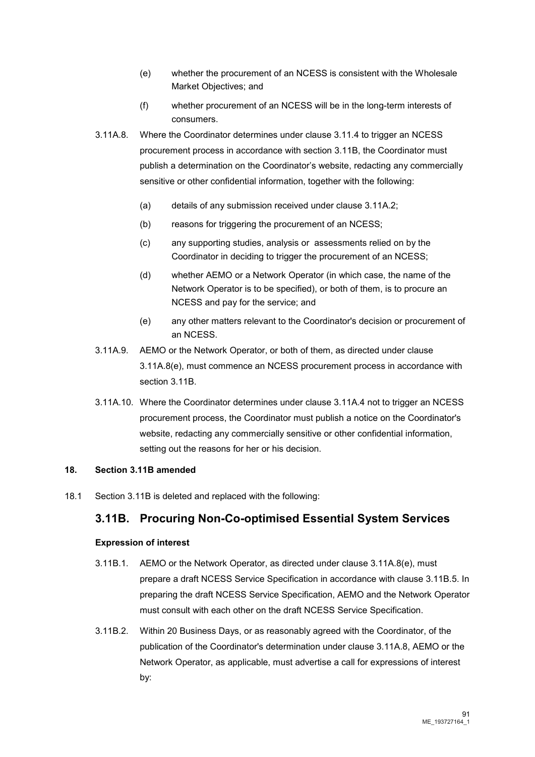- (e) whether the procurement of an NCESS is consistent with the Wholesale Market Objectives; and
- (f) whether procurement of an NCESS will be in the long-term interests of consumers.
- 3.11A.8. Where the Coordinator determines under clause 3.11.4 to trigger an NCESS procurement process in accordance with section 3.11B, the Coordinator must publish a determination on the Coordinator's website, redacting any commercially sensitive or other confidential information, together with the following:
	- (a) details of any submission received under clause 3.11A.2;
	- (b) reasons for triggering the procurement of an NCESS;
	- (c) any supporting studies, analysis or assessments relied on by the Coordinator in deciding to trigger the procurement of an NCESS;
	- (d) whether AEMO or a Network Operator (in which case, the name of the Network Operator is to be specified), or both of them, is to procure an NCESS and pay for the service; and
	- (e) any other matters relevant to the Coordinator's decision or procurement of an NCESS.
- 3.11A.9. AEMO or the Network Operator, or both of them, as directed under clause 3.11A.8(e), must commence an NCESS procurement process in accordance with section 3.11B.
- 3.11A.10. Where the Coordinator determines under clause 3.11A.4 not to trigger an NCESS procurement process, the Coordinator must publish a notice on the Coordinator's website, redacting any commercially sensitive or other confidential information, setting out the reasons for her or his decision.

#### **18. Section 3.11B amended**

18.1 Section 3.11B is deleted and replaced with the following:

# **3.11B. Procuring Non-Co-optimised Essential System Services**

#### **Expression of interest**

- 3.11B.1. AEMO or the Network Operator, as directed under clause 3.11A.8(e), must prepare a draft NCESS Service Specification in accordance with clause 3.11B.5. In preparing the draft NCESS Service Specification, AEMO and the Network Operator must consult with each other on the draft NCESS Service Specification.
- 3.11B.2. Within 20 Business Days, or as reasonably agreed with the Coordinator, of the publication of the Coordinator's determination under clause 3.11A.8, AEMO or the Network Operator, as applicable, must advertise a call for expressions of interest by: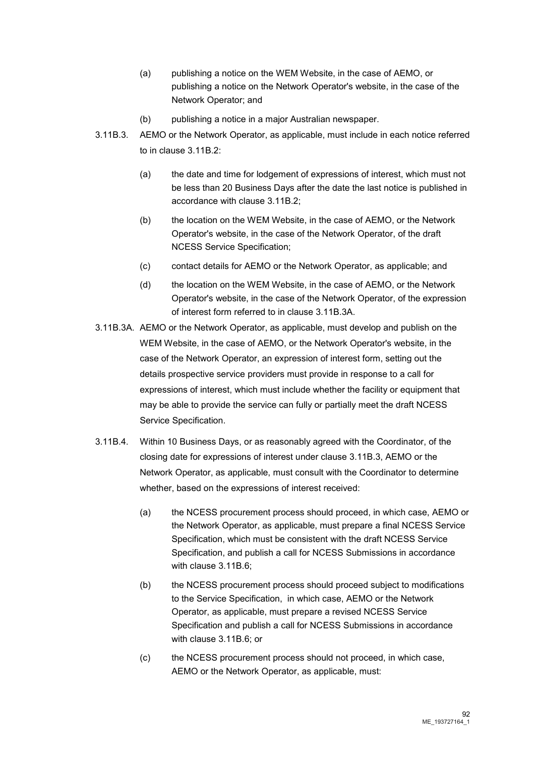- (a) publishing a notice on the WEM Website, in the case of AEMO, or publishing a notice on the Network Operator's website, in the case of the Network Operator; and
- (b) publishing a notice in a major Australian newspaper.
- 3.11B.3. AEMO or the Network Operator, as applicable, must include in each notice referred to in clause 3.11B.2:
	- (a) the date and time for lodgement of expressions of interest, which must not be less than 20 Business Days after the date the last notice is published in accordance with clause 3.11B.2;
	- (b) the location on the WEM Website, in the case of AEMO, or the Network Operator's website, in the case of the Network Operator, of the draft NCESS Service Specification;
	- (c) contact details for AEMO or the Network Operator, as applicable; and
	- (d) the location on the WEM Website, in the case of AEMO, or the Network Operator's website, in the case of the Network Operator, of the expression of interest form referred to in clause 3.11B.3A.
- 3.11B.3A. AEMO or the Network Operator, as applicable, must develop and publish on the WEM Website, in the case of AEMO, or the Network Operator's website, in the case of the Network Operator, an expression of interest form, setting out the details prospective service providers must provide in response to a call for expressions of interest, which must include whether the facility or equipment that may be able to provide the service can fully or partially meet the draft NCESS Service Specification.
- 3.11B.4. Within 10 Business Days, or as reasonably agreed with the Coordinator, of the closing date for expressions of interest under clause 3.11B.3, AEMO or the Network Operator, as applicable, must consult with the Coordinator to determine whether, based on the expressions of interest received:
	- (a) the NCESS procurement process should proceed, in which case, AEMO or the Network Operator, as applicable, must prepare a final NCESS Service Specification, which must be consistent with the draft NCESS Service Specification, and publish a call for NCESS Submissions in accordance with clause 3.11B.6;
	- (b) the NCESS procurement process should proceed subject to modifications to the Service Specification, in which case, AEMO or the Network Operator, as applicable, must prepare a revised NCESS Service Specification and publish a call for NCESS Submissions in accordance with clause 3.11B.6; or
	- (c) the NCESS procurement process should not proceed, in which case, AEMO or the Network Operator, as applicable, must: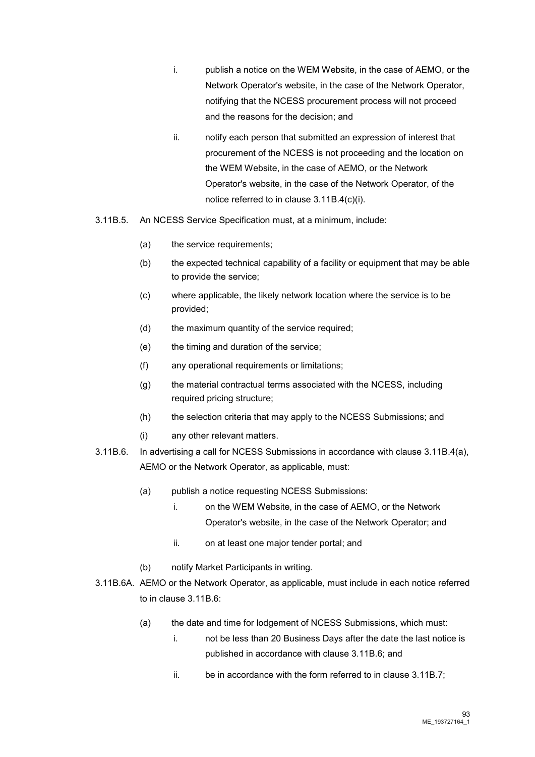- i. publish a notice on the WEM Website, in the case of AEMO, or the Network Operator's website, in the case of the Network Operator, notifying that the NCESS procurement process will not proceed and the reasons for the decision; and
- ii. notify each person that submitted an expression of interest that procurement of the NCESS is not proceeding and the location on the WEM Website, in the case of AEMO, or the Network Operator's website, in the case of the Network Operator, of the notice referred to in clause 3.11B.4(c)(i).
- 3.11B.5. An NCESS Service Specification must, at a minimum, include:
	- (a) the service requirements;
	- (b) the expected technical capability of a facility or equipment that may be able to provide the service;
	- (c) where applicable, the likely network location where the service is to be provided;
	- (d) the maximum quantity of the service required;
	- (e) the timing and duration of the service;
	- (f) any operational requirements or limitations;
	- (g) the material contractual terms associated with the NCESS, including required pricing structure;
	- (h) the selection criteria that may apply to the NCESS Submissions; and
	- (i) any other relevant matters.
- 3.11B.6. In advertising a call for NCESS Submissions in accordance with clause 3.11B.4(a), AEMO or the Network Operator, as applicable, must:
	- (a) publish a notice requesting NCESS Submissions:
		- i. on the WEM Website, in the case of AEMO, or the Network Operator's website, in the case of the Network Operator; and
		- ii. on at least one major tender portal; and
	- (b) notify Market Participants in writing.
- 3.11B.6A. AEMO or the Network Operator, as applicable, must include in each notice referred to in clause 3.11B.6:
	- (a) the date and time for lodgement of NCESS Submissions, which must:
		- i. not be less than 20 Business Days after the date the last notice is published in accordance with clause 3.11B.6; and
		- ii. be in accordance with the form referred to in clause 3.11B.7;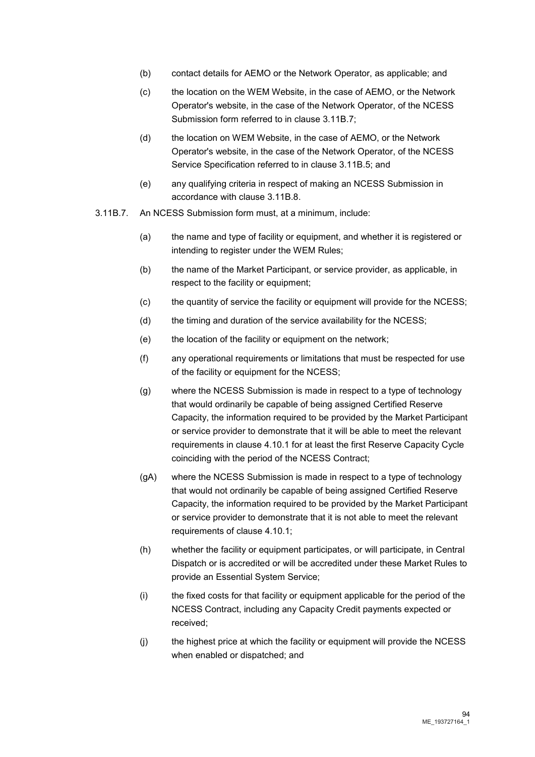- (b) contact details for AEMO or the Network Operator, as applicable; and
- (c) the location on the WEM Website, in the case of AEMO, or the Network Operator's website, in the case of the Network Operator, of the NCESS Submission form referred to in clause 3.11B.7;
- (d) the location on WEM Website, in the case of AEMO, or the Network Operator's website, in the case of the Network Operator, of the NCESS Service Specification referred to in clause 3.11B.5; and
- (e) any qualifying criteria in respect of making an NCESS Submission in accordance with clause 3.11B.8.
- 3.11B.7. An NCESS Submission form must, at a minimum, include:
	- (a) the name and type of facility or equipment, and whether it is registered or intending to register under the WEM Rules;
	- (b) the name of the Market Participant, or service provider, as applicable, in respect to the facility or equipment;
	- (c) the quantity of service the facility or equipment will provide for the NCESS;
	- (d) the timing and duration of the service availability for the NCESS;
	- (e) the location of the facility or equipment on the network;
	- (f) any operational requirements or limitations that must be respected for use of the facility or equipment for the NCESS;
	- (g) where the NCESS Submission is made in respect to a type of technology that would ordinarily be capable of being assigned Certified Reserve Capacity, the information required to be provided by the Market Participant or service provider to demonstrate that it will be able to meet the relevant requirements in clause 4.10.1 for at least the first Reserve Capacity Cycle coinciding with the period of the NCESS Contract;
	- (gA) where the NCESS Submission is made in respect to a type of technology that would not ordinarily be capable of being assigned Certified Reserve Capacity, the information required to be provided by the Market Participant or service provider to demonstrate that it is not able to meet the relevant requirements of clause 4.10.1;
	- (h) whether the facility or equipment participates, or will participate, in Central Dispatch or is accredited or will be accredited under these Market Rules to provide an Essential System Service;
	- (i) the fixed costs for that facility or equipment applicable for the period of the NCESS Contract, including any Capacity Credit payments expected or received;
	- (j) the highest price at which the facility or equipment will provide the NCESS when enabled or dispatched; and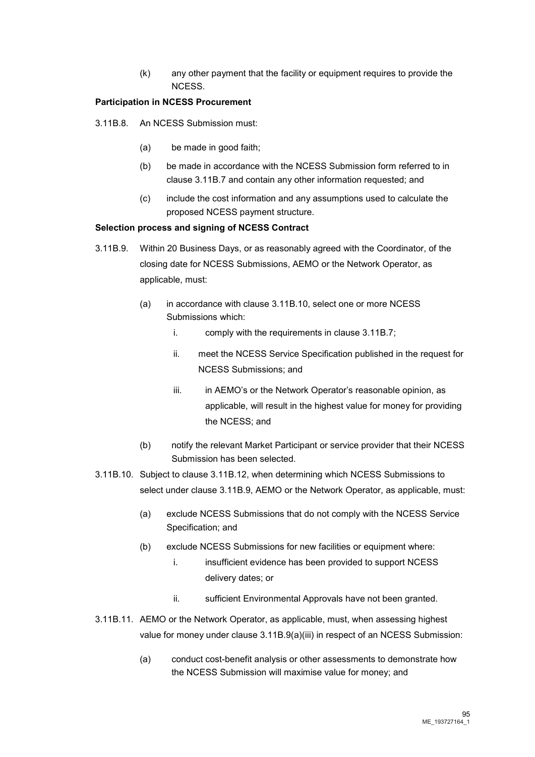(k) any other payment that the facility or equipment requires to provide the NCESS.

#### **Participation in NCESS Procurement**

- 3.11B.8. An NCESS Submission must:
	- (a) be made in good faith;
	- (b) be made in accordance with the NCESS Submission form referred to in clause 3.11B.7 and contain any other information requested; and
	- (c) include the cost information and any assumptions used to calculate the proposed NCESS payment structure.

#### **Selection process and signing of NCESS Contract**

- 3.11B.9. Within 20 Business Days, or as reasonably agreed with the Coordinator, of the closing date for NCESS Submissions, AEMO or the Network Operator, as applicable, must:
	- (a) in accordance with clause 3.11B.10, select one or more NCESS Submissions which:
		- i. comply with the requirements in clause 3.11B.7;
		- ii. meet the NCESS Service Specification published in the request for NCESS Submissions; and
		- iii. iii. in AEMO's or the Network Operator's reasonable opinion, as applicable, will result in the highest value for money for providing the NCESS; and
	- (b) notify the relevant Market Participant or service provider that their NCESS Submission has been selected.
- 3.11B.10. Subject to clause 3.11B.12, when determining which NCESS Submissions to select under clause 3.11B.9, AEMO or the Network Operator, as applicable, must:
	- (a) exclude NCESS Submissions that do not comply with the NCESS Service Specification; and
	- (b) exclude NCESS Submissions for new facilities or equipment where:
		- i. insufficient evidence has been provided to support NCESS delivery dates; or
		- ii. sufficient Environmental Approvals have not been granted.
- 3.11B.11. AEMO or the Network Operator, as applicable, must, when assessing highest value for money under clause 3.11B.9(a)(iii) in respect of an NCESS Submission:
	- (a) conduct cost-benefit analysis or other assessments to demonstrate how the NCESS Submission will maximise value for money; and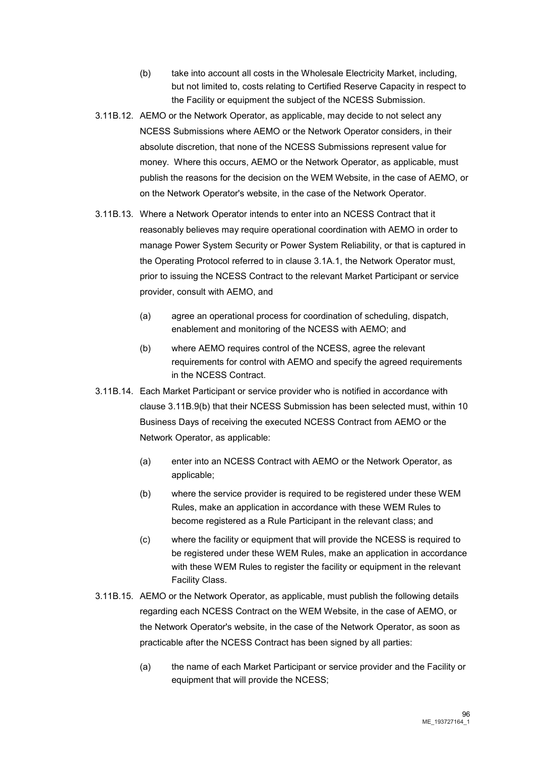- (b) take into account all costs in the Wholesale Electricity Market, including, but not limited to, costs relating to Certified Reserve Capacity in respect to the Facility or equipment the subject of the NCESS Submission.
- 3.11B.12. AEMO or the Network Operator, as applicable, may decide to not select any NCESS Submissions where AEMO or the Network Operator considers, in their absolute discretion, that none of the NCESS Submissions represent value for money. Where this occurs, AEMO or the Network Operator, as applicable, must publish the reasons for the decision on the WEM Website, in the case of AEMO, or on the Network Operator's website, in the case of the Network Operator.
- 3.11B.13. Where a Network Operator intends to enter into an NCESS Contract that it reasonably believes may require operational coordination with AEMO in order to manage Power System Security or Power System Reliability, or that is captured in the Operating Protocol referred to in clause 3.1A.1, the Network Operator must, prior to issuing the NCESS Contract to the relevant Market Participant or service provider, consult with AEMO, and
	- (a) agree an operational process for coordination of scheduling, dispatch, enablement and monitoring of the NCESS with AEMO; and
	- (b) where AEMO requires control of the NCESS, agree the relevant requirements for control with AEMO and specify the agreed requirements in the NCESS Contract.
- 3.11B.14. Each Market Participant or service provider who is notified in accordance with clause 3.11B.9(b) that their NCESS Submission has been selected must, within 10 Business Days of receiving the executed NCESS Contract from AEMO or the Network Operator, as applicable:
	- (a) enter into an NCESS Contract with AEMO or the Network Operator, as applicable;
	- (b) where the service provider is required to be registered under these WEM Rules, make an application in accordance with these WEM Rules to become registered as a Rule Participant in the relevant class; and
	- (c) where the facility or equipment that will provide the NCESS is required to be registered under these WEM Rules, make an application in accordance with these WEM Rules to register the facility or equipment in the relevant Facility Class.
- 3.11B.15. AEMO or the Network Operator, as applicable, must publish the following details regarding each NCESS Contract on the WEM Website, in the case of AEMO, or the Network Operator's website, in the case of the Network Operator, as soon as practicable after the NCESS Contract has been signed by all parties:
	- (a) the name of each Market Participant or service provider and the Facility or equipment that will provide the NCESS;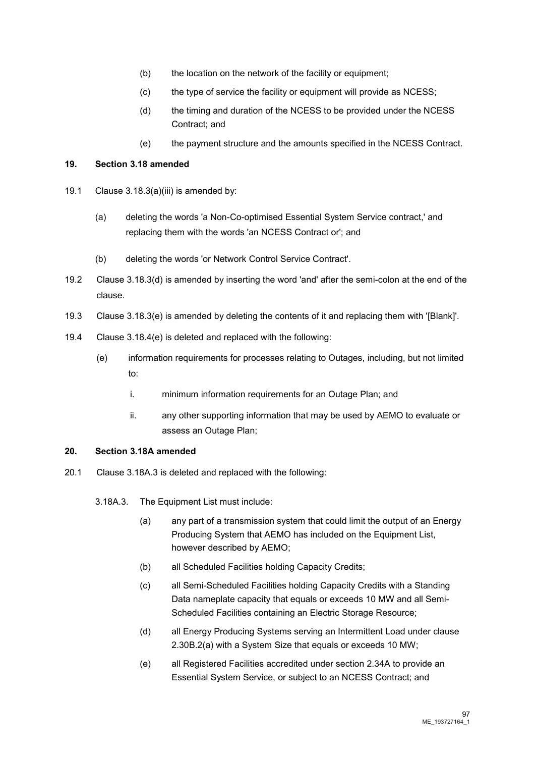- (b) the location on the network of the facility or equipment;
- (c) the type of service the facility or equipment will provide as NCESS;
- (d) the timing and duration of the NCESS to be provided under the NCESS Contract; and
- (e) the payment structure and the amounts specified in the NCESS Contract.

#### **19. Section 3.18 amended**

- 19.1 Clause 3.18.3(a)(iii) is amended by:
	- (a) deleting the words 'a Non-Co-optimised Essential System Service contract,' and replacing them with the words 'an NCESS Contract or'; and
	- (b) deleting the words 'or Network Control Service Contract'.
- 19.2 Clause 3.18.3(d) is amended by inserting the word 'and' after the semi-colon at the end of the clause.
- 19.3 Clause 3.18.3(e) is amended by deleting the contents of it and replacing them with '[Blank]'.
- 19.4 Clause 3.18.4(e) is deleted and replaced with the following:
	- (e) information requirements for processes relating to Outages, including, but not limited to:
		- i. minimum information requirements for an Outage Plan; and
		- ii. any other supporting information that may be used by AEMO to evaluate or assess an Outage Plan;

#### **20. Section 3.18A amended**

- 20.1 Clause 3.18A.3 is deleted and replaced with the following:
	- 3.18A.3. The Equipment List must include:
		- (a) any part of a transmission system that could limit the output of an Energy Producing System that AEMO has included on the Equipment List, however described by AEMO;
		- (b) all Scheduled Facilities holding Capacity Credits;
		- (c) all Semi-Scheduled Facilities holding Capacity Credits with a Standing Data nameplate capacity that equals or exceeds 10 MW and all Semi-Scheduled Facilities containing an Electric Storage Resource;
		- (d) all Energy Producing Systems serving an Intermittent Load under clause 2.30B.2(a) with a System Size that equals or exceeds 10 MW;
		- (e) all Registered Facilities accredited under section 2.34A to provide an Essential System Service, or subject to an NCESS Contract; and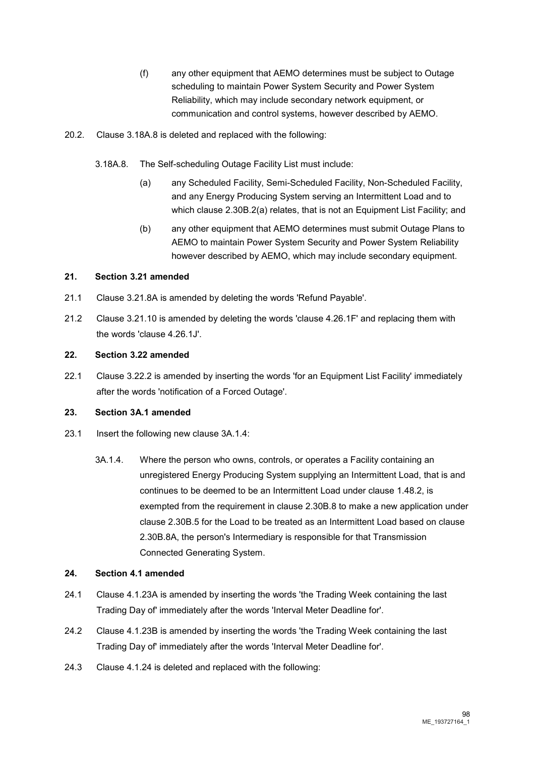- (f) any other equipment that AEMO determines must be subject to Outage scheduling to maintain Power System Security and Power System Reliability, which may include secondary network equipment, or communication and control systems, however described by AEMO.
- 20.2. Clause 3.18A.8 is deleted and replaced with the following:
	- 3.18A.8. The Self-scheduling Outage Facility List must include:
		- (a) any Scheduled Facility, Semi-Scheduled Facility, Non-Scheduled Facility, and any Energy Producing System serving an Intermittent Load and to which clause 2.30B.2(a) relates, that is not an Equipment List Facility; and
		- (b) any other equipment that AEMO determines must submit Outage Plans to AEMO to maintain Power System Security and Power System Reliability however described by AEMO, which may include secondary equipment.

# **21. Section 3.21 amended**

- 21.1 Clause 3.21.8A is amended by deleting the words 'Refund Payable'.
- 21.2 Clause 3.21.10 is amended by deleting the words 'clause 4.26.1F' and replacing them with the words 'clause 4.26.1J'.

#### **22. Section 3.22 amended**

22.1 Clause 3.22.2 is amended by inserting the words 'for an Equipment List Facility' immediately after the words 'notification of a Forced Outage'.

## **23. Section 3A.1 amended**

- 23.1 Insert the following new clause 3A.1.4:
	- 3A.1.4. Where the person who owns, controls, or operates a Facility containing an unregistered Energy Producing System supplying an Intermittent Load, that is and continues to be deemed to be an Intermittent Load under clause 1.48.2, is exempted from the requirement in clause 2.30B.8 to make a new application under clause 2.30B.5 for the Load to be treated as an Intermittent Load based on clause 2.30B.8A, the person's Intermediary is responsible for that Transmission Connected Generating System.

#### **24. Section 4.1 amended**

- 24.1 Clause 4.1.23A is amended by inserting the words 'the Trading Week containing the last Trading Day of' immediately after the words 'Interval Meter Deadline for'.
- 24.2 Clause 4.1.23B is amended by inserting the words 'the Trading Week containing the last Trading Day of' immediately after the words 'Interval Meter Deadline for'.
- 24.3 Clause 4.1.24 is deleted and replaced with the following: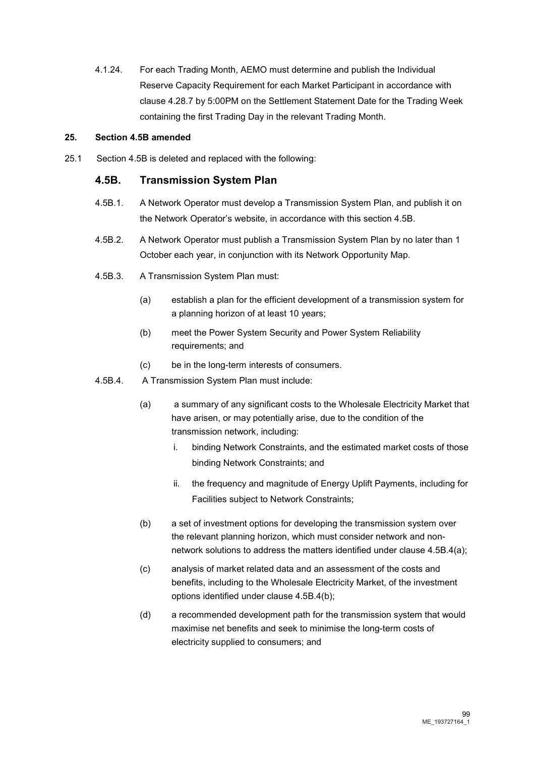4.1.24. For each Trading Month, AEMO must determine and publish the Individual Reserve Capacity Requirement for each Market Participant in accordance with clause 4.28.7 by 5:00PM on the Settlement Statement Date for the Trading Week containing the first Trading Day in the relevant Trading Month.

#### **25. Section 4.5B amended**

25.1 Section 4.5B is deleted and replaced with the following:

# **4.5B. Transmission System Plan**

- 4.5B.1. A Network Operator must develop a Transmission System Plan, and publish it on the Network Operator's website, in accordance with this section 4.5B.
- 4.5B.2. A Network Operator must publish a Transmission System Plan by no later than 1 October each year, in conjunction with its Network Opportunity Map.
- 4.5B.3. A Transmission System Plan must:
	- (a) establish a plan for the efficient development of a transmission system for a planning horizon of at least 10 years;
	- (b) meet the Power System Security and Power System Reliability requirements; and
	- (c) be in the long-term interests of consumers.
- 4.5B.4. A Transmission System Plan must include:
	- (a) a summary of any significant costs to the Wholesale Electricity Market that have arisen, or may potentially arise, due to the condition of the transmission network, including:
		- i. binding Network Constraints, and the estimated market costs of those binding Network Constraints; and
		- ii. the frequency and magnitude of Energy Uplift Payments, including for Facilities subject to Network Constraints;
	- (b) a set of investment options for developing the transmission system over the relevant planning horizon, which must consider network and nonnetwork solutions to address the matters identified under clause 4.5B.4(a);
	- (c) analysis of market related data and an assessment of the costs and benefits, including to the Wholesale Electricity Market, of the investment options identified under clause 4.5B.4(b);
	- (d) a recommended development path for the transmission system that would maximise net benefits and seek to minimise the long-term costs of electricity supplied to consumers; and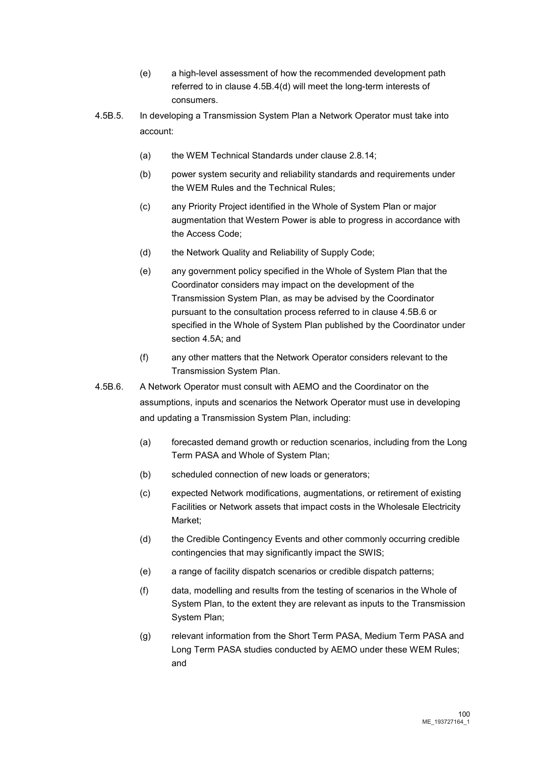- (e) a high-level assessment of how the recommended development path referred to in clause 4.5B.4(d) will meet the long-term interests of consumers.
- 4.5B.5. In developing a Transmission System Plan a Network Operator must take into account:
	- (a) the WEM Technical Standards under clause 2.8.14;
	- (b) power system security and reliability standards and requirements under the WEM Rules and the Technical Rules;
	- (c) any Priority Project identified in the Whole of System Plan or major augmentation that Western Power is able to progress in accordance with the Access Code;
	- (d) the Network Quality and Reliability of Supply Code;
	- (e) any government policy specified in the Whole of System Plan that the Coordinator considers may impact on the development of the Transmission System Plan, as may be advised by the Coordinator pursuant to the consultation process referred to in clause 4.5B.6 or specified in the Whole of System Plan published by the Coordinator under section 4.5A; and
	- (f) any other matters that the Network Operator considers relevant to the Transmission System Plan.
- 4.5B.6. A Network Operator must consult with AEMO and the Coordinator on the assumptions, inputs and scenarios the Network Operator must use in developing and updating a Transmission System Plan, including:
	- (a) forecasted demand growth or reduction scenarios, including from the Long Term PASA and Whole of System Plan;
	- (b) scheduled connection of new loads or generators;
	- (c) expected Network modifications, augmentations, or retirement of existing Facilities or Network assets that impact costs in the Wholesale Electricity Market;
	- (d) the Credible Contingency Events and other commonly occurring credible contingencies that may significantly impact the SWIS;
	- (e) a range of facility dispatch scenarios or credible dispatch patterns;
	- (f) data, modelling and results from the testing of scenarios in the Whole of System Plan, to the extent they are relevant as inputs to the Transmission System Plan;
	- (g) relevant information from the Short Term PASA, Medium Term PASA and Long Term PASA studies conducted by AEMO under these WEM Rules; and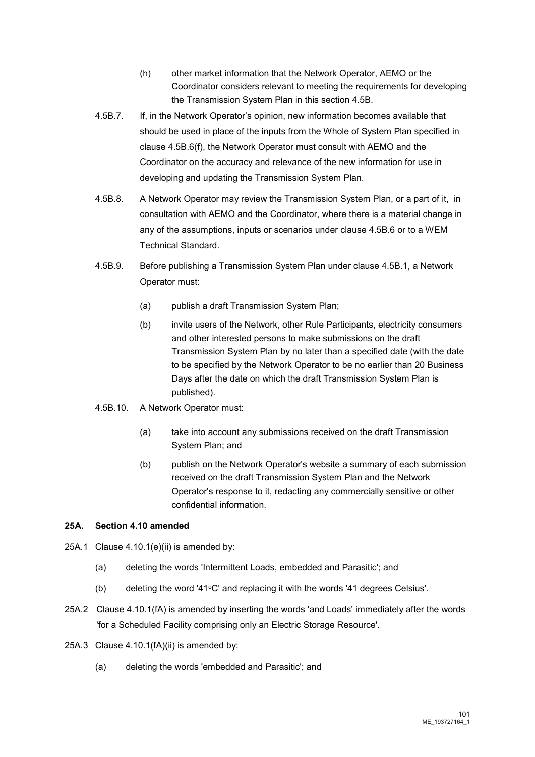- (h) other market information that the Network Operator, AEMO or the Coordinator considers relevant to meeting the requirements for developing the Transmission System Plan in this section 4.5B.
- 4.5B.7. If, in the Network Operator's opinion, new information becomes available that should be used in place of the inputs from the Whole of System Plan specified in clause 4.5B.6(f), the Network Operator must consult with AEMO and the Coordinator on the accuracy and relevance of the new information for use in developing and updating the Transmission System Plan.
- 4.5B.8. A Network Operator may review the Transmission System Plan, or a part of it, in consultation with AEMO and the Coordinator, where there is a material change in any of the assumptions, inputs or scenarios under clause 4.5B.6 or to a WEM Technical Standard.
- 4.5B.9. Before publishing a Transmission System Plan under clause 4.5B.1, a Network Operator must:
	- (a) publish a draft Transmission System Plan;
	- (b) invite users of the Network, other Rule Participants, electricity consumers and other interested persons to make submissions on the draft Transmission System Plan by no later than a specified date (with the date to be specified by the Network Operator to be no earlier than 20 Business Days after the date on which the draft Transmission System Plan is published).
- 4.5B.10. A Network Operator must:
	- (a) take into account any submissions received on the draft Transmission System Plan; and
	- (b) publish on the Network Operator's website a summary of each submission received on the draft Transmission System Plan and the Network Operator's response to it, redacting any commercially sensitive or other confidential information.

#### **25A. Section 4.10 amended**

- 25A.1 Clause 4.10.1(e)(ii) is amended by:
	- (a) deleting the words 'Intermittent Loads, embedded and Parasitic'; and
	- (b) deleting the word '41 $\degree$ C' and replacing it with the words '41 degrees Celsius'.
- 25A.2 Clause 4.10.1(fA) is amended by inserting the words 'and Loads' immediately after the words 'for a Scheduled Facility comprising only an Electric Storage Resource'.
- 25A.3 Clause 4.10.1(fA)(ii) is amended by:
	- (a) deleting the words 'embedded and Parasitic'; and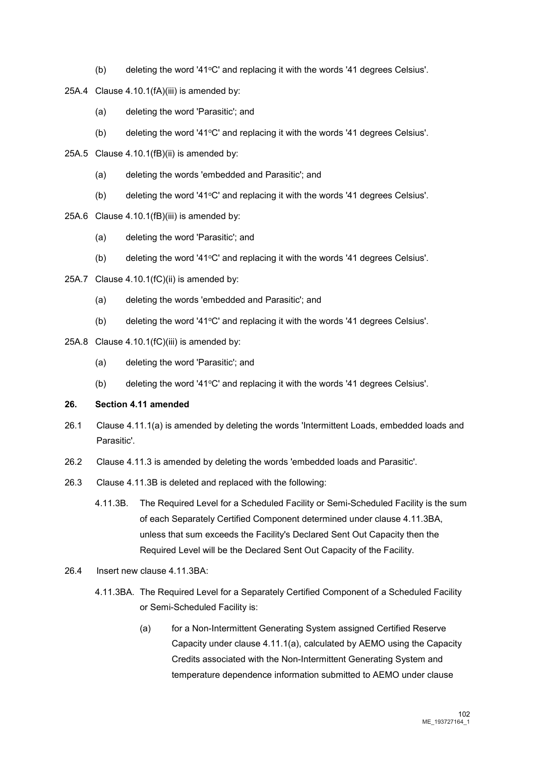- (b) deleting the word '41 $\degree$ C' and replacing it with the words '41 degrees Celsius'.
- 25A.4 Clause 4.10.1(fA)(iii) is amended by:
	- (a) deleting the word 'Parasitic'; and
	- (b) deleting the word '41°C' and replacing it with the words '41 degrees Celsius'.
- 25A.5 Clause 4.10.1(fB)(ii) is amended by:
	- (a) deleting the words 'embedded and Parasitic'; and
	- (b) deleting the word '41 $\degree$ C' and replacing it with the words '41 degrees Celsius'.
- 25A.6 Clause 4.10.1(fB)(iii) is amended by:
	- (a) deleting the word 'Parasitic'; and
	- (b) deleting the word '41°C' and replacing it with the words '41 degrees Celsius'.
- 25A.7 Clause 4.10.1(fC)(ii) is amended by:
	- (a) deleting the words 'embedded and Parasitic'; and
	- (b) deleting the word '41 $\degree$ C' and replacing it with the words '41 degrees Celsius'.
- 25A.8 Clause 4.10.1(fC)(iii) is amended by:
	- (a) deleting the word 'Parasitic'; and
	- (b) deleting the word '41 $^{\circ}$ C' and replacing it with the words '41 degrees Celsius'.

#### **26. Section 4.11 amended**

- 26.1 Clause 4.11.1(a) is amended by deleting the words 'Intermittent Loads, embedded loads and Parasitic'.
- 26.2 Clause 4.11.3 is amended by deleting the words 'embedded loads and Parasitic'.
- 26.3 Clause 4.11.3B is deleted and replaced with the following:
	- 4.11.3B. The Required Level for a Scheduled Facility or Semi-Scheduled Facility is the sum of each Separately Certified Component determined under clause 4.11.3BA, unless that sum exceeds the Facility's Declared Sent Out Capacity then the Required Level will be the Declared Sent Out Capacity of the Facility.
- 26.4 Insert new clause 4.11.3BA:
	- 4.11.3BA. The Required Level for a Separately Certified Component of a Scheduled Facility or Semi-Scheduled Facility is:
		- (a) for a Non-Intermittent Generating System assigned Certified Reserve Capacity under clause 4.11.1(a), calculated by AEMO using the Capacity Credits associated with the Non-Intermittent Generating System and temperature dependence information submitted to AEMO under clause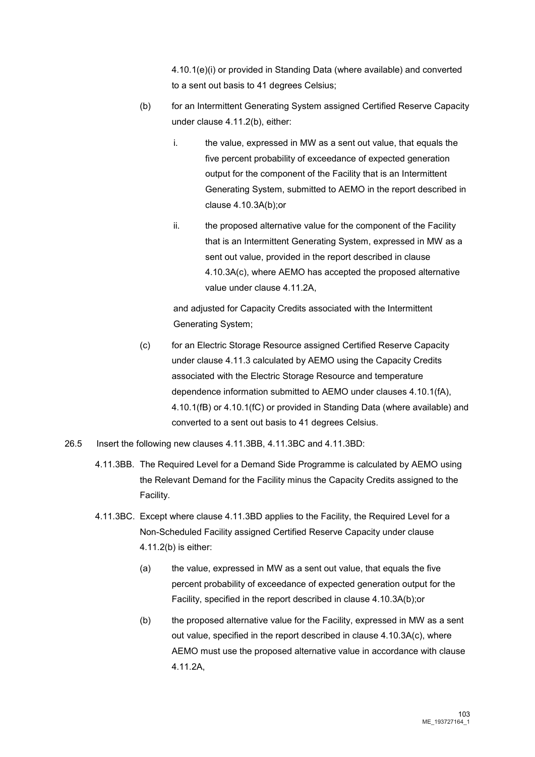4.10.1(e)(i) or provided in Standing Data (where available) and converted to a sent out basis to 41 degrees Celsius;

- (b) for an Intermittent Generating System assigned Certified Reserve Capacity under clause 4.11.2(b), either:
	- i. the value, expressed in MW as a sent out value, that equals the five percent probability of exceedance of expected generation output for the component of the Facility that is an Intermittent Generating System, submitted to AEMO in the report described in clause 4.10.3A(b);or
	- ii. the proposed alternative value for the component of the Facility that is an Intermittent Generating System, expressed in MW as a sent out value, provided in the report described in clause 4.10.3A(c), where AEMO has accepted the proposed alternative value under clause 4.11.2A,

and adjusted for Capacity Credits associated with the Intermittent Generating System;

- (c) for an Electric Storage Resource assigned Certified Reserve Capacity under clause 4.11.3 calculated by AEMO using the Capacity Credits associated with the Electric Storage Resource and temperature dependence information submitted to AEMO under clauses 4.10.1(fA), 4.10.1(fB) or 4.10.1(fC) or provided in Standing Data (where available) and converted to a sent out basis to 41 degrees Celsius.
- 26.5 Insert the following new clauses 4.11.3BB, 4.11.3BC and 4.11.3BD:
	- 4.11.3BB. The Required Level for a Demand Side Programme is calculated by AEMO using the Relevant Demand for the Facility minus the Capacity Credits assigned to the Facility.
	- 4.11.3BC. Except where clause 4.11.3BD applies to the Facility, the Required Level for a Non-Scheduled Facility assigned Certified Reserve Capacity under clause 4.11.2(b) is either:
		- (a) the value, expressed in MW as a sent out value, that equals the five percent probability of exceedance of expected generation output for the Facility, specified in the report described in clause 4.10.3A(b);or
		- (b) the proposed alternative value for the Facility, expressed in MW as a sent out value, specified in the report described in clause 4.10.3A(c), where AEMO must use the proposed alternative value in accordance with clause 4.11.2A,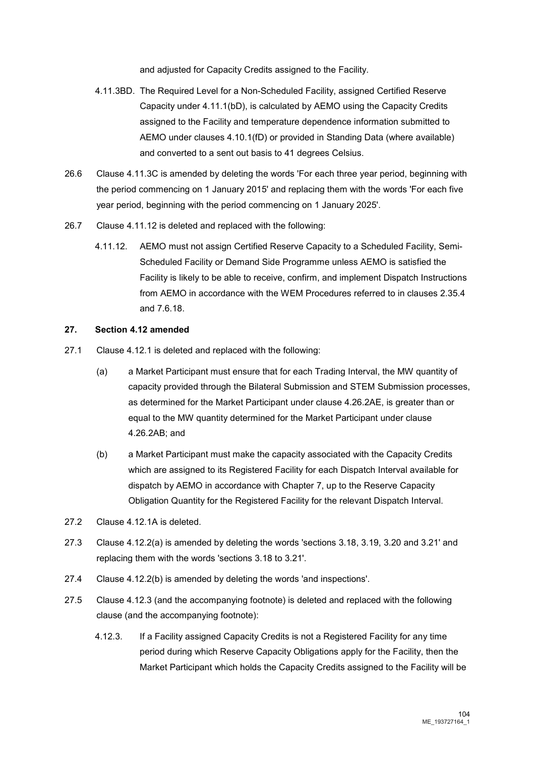and adjusted for Capacity Credits assigned to the Facility.

- 4.11.3BD. The Required Level for a Non-Scheduled Facility, assigned Certified Reserve Capacity under 4.11.1(bD), is calculated by AEMO using the Capacity Credits assigned to the Facility and temperature dependence information submitted to AEMO under clauses 4.10.1(fD) or provided in Standing Data (where available) and converted to a sent out basis to 41 degrees Celsius.
- 26.6 Clause 4.11.3C is amended by deleting the words 'For each three year period, beginning with the period commencing on 1 January 2015' and replacing them with the words 'For each five year period, beginning with the period commencing on 1 January 2025'.
- 26.7 Clause 4.11.12 is deleted and replaced with the following:
	- 4.11.12. AEMO must not assign Certified Reserve Capacity to a Scheduled Facility, Semi-Scheduled Facility or Demand Side Programme unless AEMO is satisfied the Facility is likely to be able to receive, confirm, and implement Dispatch Instructions from AEMO in accordance with the WEM Procedures referred to in clauses 2.35.4 and 7.6.18.

#### **27. Section 4.12 amended**

- 27.1 Clause 4.12.1 is deleted and replaced with the following:
	- (a) a Market Participant must ensure that for each Trading Interval, the MW quantity of capacity provided through the Bilateral Submission and STEM Submission processes, as determined for the Market Participant under clause 4.26.2AE, is greater than or equal to the MW quantity determined for the Market Participant under clause 4.26.2AB; and
	- (b) a Market Participant must make the capacity associated with the Capacity Credits which are assigned to its Registered Facility for each Dispatch Interval available for dispatch by AEMO in accordance with Chapter 7, up to the Reserve Capacity Obligation Quantity for the Registered Facility for the relevant Dispatch Interval.
- 27.2 Clause 4.12.1A is deleted.
- 27.3 Clause 4.12.2(a) is amended by deleting the words 'sections 3.18, 3.19, 3.20 and 3.21' and replacing them with the words 'sections 3.18 to 3.21'.
- 27.4 Clause 4.12.2(b) is amended by deleting the words 'and inspections'.
- 27.5 Clause 4.12.3 (and the accompanying footnote) is deleted and replaced with the following clause (and the accompanying footnote):
	- 4.12.3. If a Facility assigned Capacity Credits is not a Registered Facility for any time period during which Reserve Capacity Obligations apply for the Facility, then the Market Participant which holds the Capacity Credits assigned to the Facility will be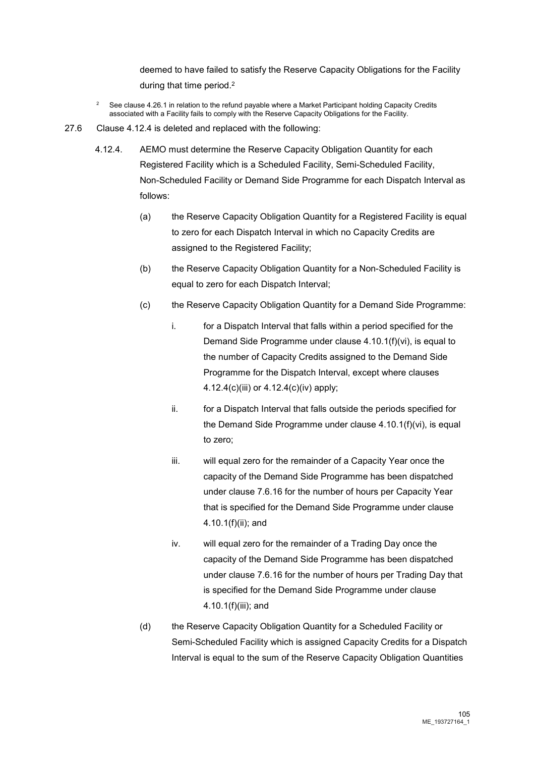deemed to have failed to satisfy the Reserve Capacity Obligations for the Facility during that time period.2

- <sup>2</sup> See clause 4.26.1 in relation to the refund payable where a Market Participant holding Capacity Credits associated with a Facility fails to comply with the Reserve Capacity Obligations for the Facility.
- 27.6 Clause 4.12.4 is deleted and replaced with the following:
	- 4.12.4. AEMO must determine the Reserve Capacity Obligation Quantity for each Registered Facility which is a Scheduled Facility, Semi-Scheduled Facility, Non-Scheduled Facility or Demand Side Programme for each Dispatch Interval as follows:
		- (a) the Reserve Capacity Obligation Quantity for a Registered Facility is equal to zero for each Dispatch Interval in which no Capacity Credits are assigned to the Registered Facility;
		- (b) the Reserve Capacity Obligation Quantity for a Non-Scheduled Facility is equal to zero for each Dispatch Interval;
		- (c) the Reserve Capacity Obligation Quantity for a Demand Side Programme:
			- i. for a Dispatch Interval that falls within a period specified for the Demand Side Programme under clause 4.10.1(f)(vi), is equal to the number of Capacity Credits assigned to the Demand Side Programme for the Dispatch Interval, except where clauses 4.12.4(c)(iii) or 4.12.4(c)(iv) apply;
			- ii. for a Dispatch Interval that falls outside the periods specified for the Demand Side Programme under clause 4.10.1(f)(vi), is equal to zero;
			- iii. will equal zero for the remainder of a Capacity Year once the capacity of the Demand Side Programme has been dispatched under clause 7.6.16 for the number of hours per Capacity Year that is specified for the Demand Side Programme under clause 4.10.1(f)(ii); and
			- iv. will equal zero for the remainder of a Trading Day once the capacity of the Demand Side Programme has been dispatched under clause 7.6.16 for the number of hours per Trading Day that is specified for the Demand Side Programme under clause 4.10.1(f)(iii); and
		- (d) the Reserve Capacity Obligation Quantity for a Scheduled Facility or Semi-Scheduled Facility which is assigned Capacity Credits for a Dispatch Interval is equal to the sum of the Reserve Capacity Obligation Quantities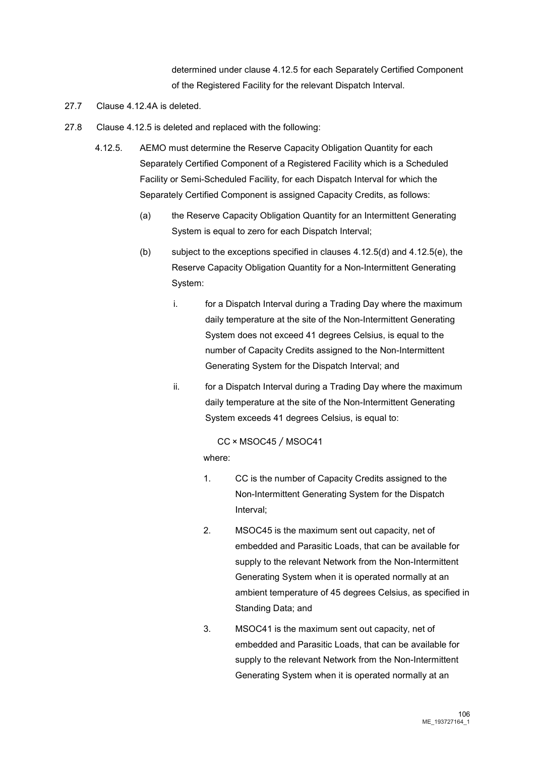determined under clause 4.12.5 for each Separately Certified Component of the Registered Facility for the relevant Dispatch Interval.

- 27.7 Clause 4.12.4A is deleted.
- 27.8 Clause 4.12.5 is deleted and replaced with the following:
	- 4.12.5. AEMO must determine the Reserve Capacity Obligation Quantity for each Separately Certified Component of a Registered Facility which is a Scheduled Facility or Semi-Scheduled Facility, for each Dispatch Interval for which the Separately Certified Component is assigned Capacity Credits, as follows:
		- (a) the Reserve Capacity Obligation Quantity for an Intermittent Generating System is equal to zero for each Dispatch Interval;
		- (b) subject to the exceptions specified in clauses 4.12.5(d) and 4.12.5(e), the Reserve Capacity Obligation Quantity for a Non-Intermittent Generating System:
			- i. for a Dispatch Interval during a Trading Day where the maximum daily temperature at the site of the Non-Intermittent Generating System does not exceed 41 degrees Celsius, is equal to the number of Capacity Credits assigned to the Non-Intermittent Generating System for the Dispatch Interval; and
			- ii. for a Dispatch Interval during a Trading Day where the maximum daily temperature at the site of the Non-Intermittent Generating System exceeds 41 degrees Celsius, is equal to:
				- CC × MSOC45 ⁄ MSOC41

#### where:

- 1. CC is the number of Capacity Credits assigned to the Non-Intermittent Generating System for the Dispatch Interval;
- 2. MSOC45 is the maximum sent out capacity, net of embedded and Parasitic Loads, that can be available for supply to the relevant Network from the Non-Intermittent Generating System when it is operated normally at an ambient temperature of 45 degrees Celsius, as specified in Standing Data; and
- 3. MSOC41 is the maximum sent out capacity, net of embedded and Parasitic Loads, that can be available for supply to the relevant Network from the Non-Intermittent Generating System when it is operated normally at an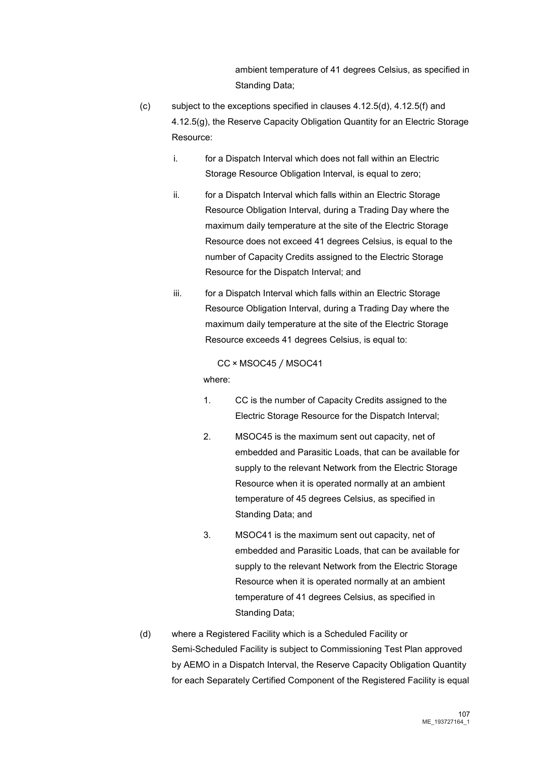ambient temperature of 41 degrees Celsius, as specified in Standing Data;

- (c) subject to the exceptions specified in clauses 4.12.5(d), 4.12.5(f) and 4.12.5(g), the Reserve Capacity Obligation Quantity for an Electric Storage Resource:
	- i. for a Dispatch Interval which does not fall within an Electric Storage Resource Obligation Interval, is equal to zero;
	- ii. for a Dispatch Interval which falls within an Electric Storage Resource Obligation Interval, during a Trading Day where the maximum daily temperature at the site of the Electric Storage Resource does not exceed 41 degrees Celsius, is equal to the number of Capacity Credits assigned to the Electric Storage Resource for the Dispatch Interval; and
	- iii. for a Dispatch Interval which falls within an Electric Storage Resource Obligation Interval, during a Trading Day where the maximum daily temperature at the site of the Electric Storage Resource exceeds 41 degrees Celsius, is equal to:

#### CC × MSOC45 ⁄ MSOC41

where:

- 1. CC is the number of Capacity Credits assigned to the Electric Storage Resource for the Dispatch Interval;
- 2. MSOC45 is the maximum sent out capacity, net of embedded and Parasitic Loads, that can be available for supply to the relevant Network from the Electric Storage Resource when it is operated normally at an ambient temperature of 45 degrees Celsius, as specified in Standing Data; and
- 3. MSOC41 is the maximum sent out capacity, net of embedded and Parasitic Loads, that can be available for supply to the relevant Network from the Electric Storage Resource when it is operated normally at an ambient temperature of 41 degrees Celsius, as specified in Standing Data;
- (d) where a Registered Facility which is a Scheduled Facility or Semi-Scheduled Facility is subject to Commissioning Test Plan approved by AEMO in a Dispatch Interval, the Reserve Capacity Obligation Quantity for each Separately Certified Component of the Registered Facility is equal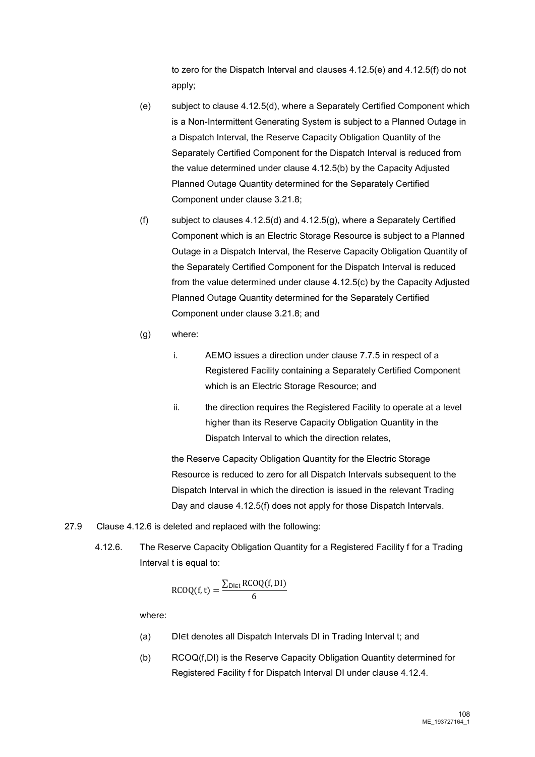to zero for the Dispatch Interval and clauses 4.12.5(e) and 4.12.5(f) do not apply;

- (e) subject to clause 4.12.5(d), where a Separately Certified Component which is a Non-Intermittent Generating System is subject to a Planned Outage in a Dispatch Interval, the Reserve Capacity Obligation Quantity of the Separately Certified Component for the Dispatch Interval is reduced from the value determined under clause 4.12.5(b) by the Capacity Adjusted Planned Outage Quantity determined for the Separately Certified Component under clause 3.21.8;
- (f) subject to clauses 4.12.5(d) and 4.12.5(g), where a Separately Certified Component which is an Electric Storage Resource is subject to a Planned Outage in a Dispatch Interval, the Reserve Capacity Obligation Quantity of the Separately Certified Component for the Dispatch Interval is reduced from the value determined under clause 4.12.5(c) by the Capacity Adjusted Planned Outage Quantity determined for the Separately Certified Component under clause 3.21.8; and
- (g) where:
	- i. AEMO issues a direction under clause 7.7.5 in respect of a Registered Facility containing a Separately Certified Component which is an Electric Storage Resource; and
	- ii. the direction requires the Registered Facility to operate at a level higher than its Reserve Capacity Obligation Quantity in the Dispatch Interval to which the direction relates,

the Reserve Capacity Obligation Quantity for the Electric Storage Resource is reduced to zero for all Dispatch Intervals subsequent to the Dispatch Interval in which the direction is issued in the relevant Trading Day and clause 4.12.5(f) does not apply for those Dispatch Intervals.

- 27.9 Clause 4.12.6 is deleted and replaced with the following:
	- 4.12.6. The Reserve Capacity Obligation Quantity for a Registered Facility f for a Trading Interval t is equal to:

$$
RCOQ(f, t) = \frac{\sum_{D \in t} RCOQ(f, DI)}{6}
$$

where:

- (a) DI∈t denotes all Dispatch Intervals DI in Trading Interval t; and
- (b) RCOQ(f,DI) is the Reserve Capacity Obligation Quantity determined for Registered Facility f for Dispatch Interval DI under clause 4.12.4.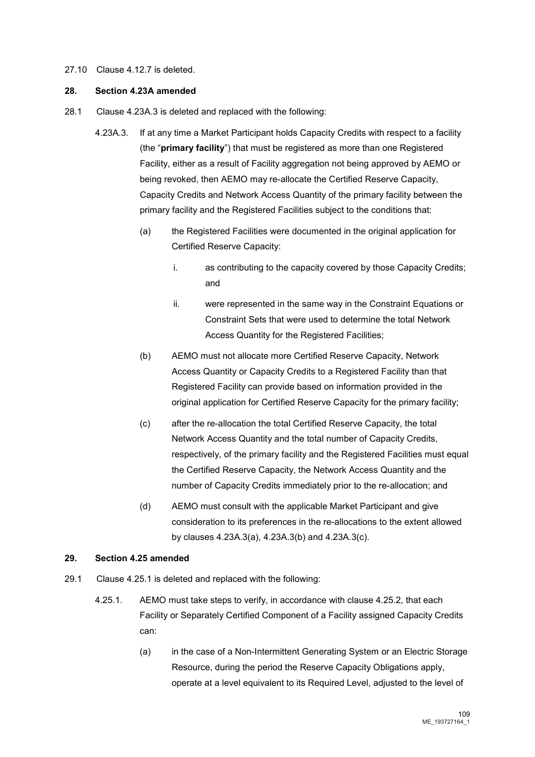#### 27.10 Clause 4.12.7 is deleted.

# **28. Section 4.23A amended**

- 28.1 Clause 4.23A.3 is deleted and replaced with the following:
	- 4.23A.3. If at any time a Market Participant holds Capacity Credits with respect to a facility (the "**primary facility**") that must be registered as more than one Registered Facility, either as a result of Facility aggregation not being approved by AEMO or being revoked, then AEMO may re-allocate the Certified Reserve Capacity, Capacity Credits and Network Access Quantity of the primary facility between the primary facility and the Registered Facilities subject to the conditions that:
		- (a) the Registered Facilities were documented in the original application for Certified Reserve Capacity:
			- i. as contributing to the capacity covered by those Capacity Credits; and
			- ii. were represented in the same way in the Constraint Equations or Constraint Sets that were used to determine the total Network Access Quantity for the Registered Facilities;
		- (b) AEMO must not allocate more Certified Reserve Capacity, Network Access Quantity or Capacity Credits to a Registered Facility than that Registered Facility can provide based on information provided in the original application for Certified Reserve Capacity for the primary facility;
		- (c) after the re-allocation the total Certified Reserve Capacity, the total Network Access Quantity and the total number of Capacity Credits, respectively, of the primary facility and the Registered Facilities must equal the Certified Reserve Capacity, the Network Access Quantity and the number of Capacity Credits immediately prior to the re-allocation; and
		- (d) AEMO must consult with the applicable Market Participant and give consideration to its preferences in the re-allocations to the extent allowed by clauses 4.23A.3(a), 4.23A.3(b) and 4.23A.3(c).

#### **29. Section 4.25 amended**

- 29.1 Clause 4.25.1 is deleted and replaced with the following:
	- 4.25.1. AEMO must take steps to verify, in accordance with clause 4.25.2, that each Facility or Separately Certified Component of a Facility assigned Capacity Credits can:
		- (a) in the case of a Non-Intermittent Generating System or an Electric Storage Resource, during the period the Reserve Capacity Obligations apply, operate at a level equivalent to its Required Level, adjusted to the level of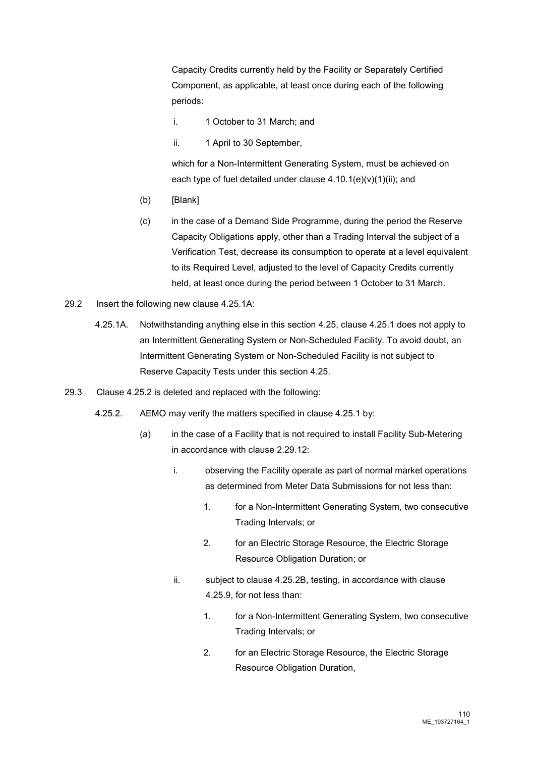Capacity Credits currently held by the Facility or Separately Certified Component, as applicable, at least once during each of the following periods:

- i. 1 October to 31 March; and
- ii. 1 April to 30 September,

which for a Non-Intermittent Generating System, must be achieved on each type of fuel detailed under clause 4.10.1(e)(v)(1)(ii); and

- (b) [Blank]
- (c) in the case of a Demand Side Programme, during the period the Reserve Capacity Obligations apply, other than a Trading Interval the subject of a Verification Test, decrease its consumption to operate at a level equivalent to its Required Level, adjusted to the level of Capacity Credits currently held, at least once during the period between 1 October to 31 March.
- 29.2 Insert the following new clause 4.25.1A:
	- 4.25.1A. Notwithstanding anything else in this section 4.25, clause 4.25.1 does not apply to an Intermittent Generating System or Non-Scheduled Facility. To avoid doubt, an Intermittent Generating System or Non-Scheduled Facility is not subject to Reserve Capacity Tests under this section 4.25.
- 29.3 Clause 4.25.2 is deleted and replaced with the following:
	- 4.25.2. AEMO may verify the matters specified in clause 4.25.1 by:
		- (a) in the case of a Facility that is not required to install Facility Sub-Metering in accordance with clause 2.29.12:
			- i. observing the Facility operate as part of normal market operations as determined from Meter Data Submissions for not less than:
				- 1. for a Non-Intermittent Generating System, two consecutive Trading Intervals; or
				- 2. for an Electric Storage Resource, the Electric Storage Resource Obligation Duration; or
			- ii. subject to clause 4.25.2B, testing, in accordance with clause 4.25.9, for not less than:
				- 1. for a Non-Intermittent Generating System, two consecutive Trading Intervals; or
				- 2. for an Electric Storage Resource, the Electric Storage Resource Obligation Duration,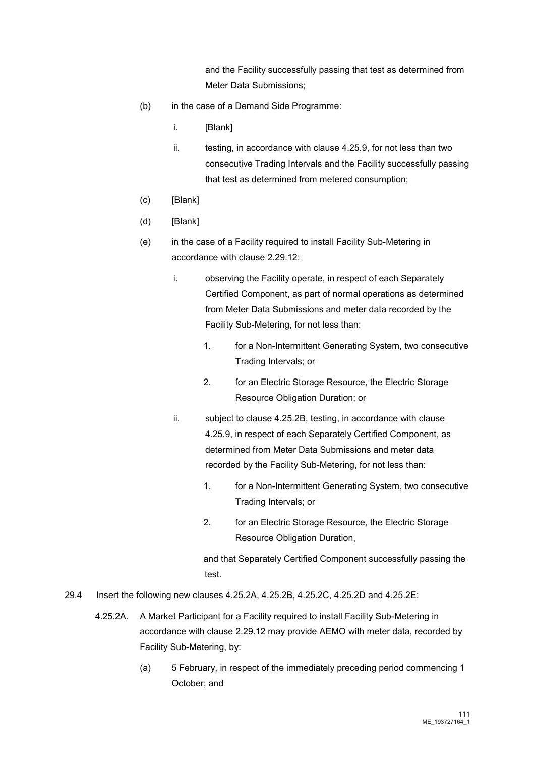and the Facility successfully passing that test as determined from Meter Data Submissions;

- (b) in the case of a Demand Side Programme:
	- i. [Blank]
	- ii. testing, in accordance with clause 4.25.9, for not less than two consecutive Trading Intervals and the Facility successfully passing that test as determined from metered consumption;
- (c) [Blank]
- (d) [Blank]
- (e) in the case of a Facility required to install Facility Sub-Metering in accordance with clause 2.29.12:
	- i. observing the Facility operate, in respect of each Separately Certified Component, as part of normal operations as determined from Meter Data Submissions and meter data recorded by the Facility Sub-Metering, for not less than:
		- 1. for a Non-Intermittent Generating System, two consecutive Trading Intervals; or
		- 2. for an Electric Storage Resource, the Electric Storage Resource Obligation Duration; or
	- ii. subject to clause 4.25.2B, testing, in accordance with clause 4.25.9, in respect of each Separately Certified Component, as determined from Meter Data Submissions and meter data recorded by the Facility Sub-Metering, for not less than:
		- 1. for a Non-Intermittent Generating System, two consecutive Trading Intervals; or
		- 2. for an Electric Storage Resource, the Electric Storage Resource Obligation Duration,

and that Separately Certified Component successfully passing the test.

- 29.4 Insert the following new clauses 4.25.2A, 4.25.2B, 4.25.2C, 4.25.2D and 4.25.2E:
	- 4.25.2A. A Market Participant for a Facility required to install Facility Sub-Metering in accordance with clause 2.29.12 may provide AEMO with meter data, recorded by Facility Sub-Metering, by:
		- (a) 5 February, in respect of the immediately preceding period commencing 1 October; and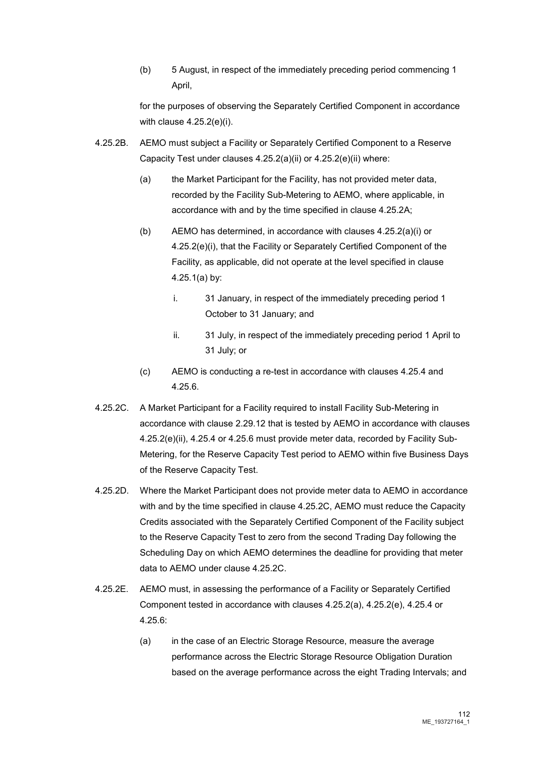(b) 5 August, in respect of the immediately preceding period commencing 1 April,

for the purposes of observing the Separately Certified Component in accordance with clause 4.25.2(e)(i).

- 4.25.2B. AEMO must subject a Facility or Separately Certified Component to a Reserve Capacity Test under clauses 4.25.2(a)(ii) or 4.25.2(e)(ii) where:
	- (a) the Market Participant for the Facility, has not provided meter data, recorded by the Facility Sub-Metering to AEMO, where applicable, in accordance with and by the time specified in clause 4.25.2A;
	- (b) AEMO has determined, in accordance with clauses 4.25.2(a)(i) or 4.25.2(e)(i), that the Facility or Separately Certified Component of the Facility, as applicable, did not operate at the level specified in clause 4.25.1(a) by:
		- i. 31 January, in respect of the immediately preceding period 1 October to 31 January; and
		- ii. 31 July, in respect of the immediately preceding period 1 April to 31 July; or
	- (c) AEMO is conducting a re-test in accordance with clauses 4.25.4 and 4.25.6.
- 4.25.2C. A Market Participant for a Facility required to install Facility Sub-Metering in accordance with clause 2.29.12 that is tested by AEMO in accordance with clauses 4.25.2(e)(ii), 4.25.4 or 4.25.6 must provide meter data, recorded by Facility Sub-Metering, for the Reserve Capacity Test period to AEMO within five Business Days of the Reserve Capacity Test.
- 4.25.2D. Where the Market Participant does not provide meter data to AEMO in accordance with and by the time specified in clause 4.25.2C, AEMO must reduce the Capacity Credits associated with the Separately Certified Component of the Facility subject to the Reserve Capacity Test to zero from the second Trading Day following the Scheduling Day on which AEMO determines the deadline for providing that meter data to AEMO under clause 4.25.2C.
- 4.25.2E. AEMO must, in assessing the performance of a Facility or Separately Certified Component tested in accordance with clauses 4.25.2(a), 4.25.2(e), 4.25.4 or 4.25.6:
	- (a) in the case of an Electric Storage Resource, measure the average performance across the Electric Storage Resource Obligation Duration based on the average performance across the eight Trading Intervals; and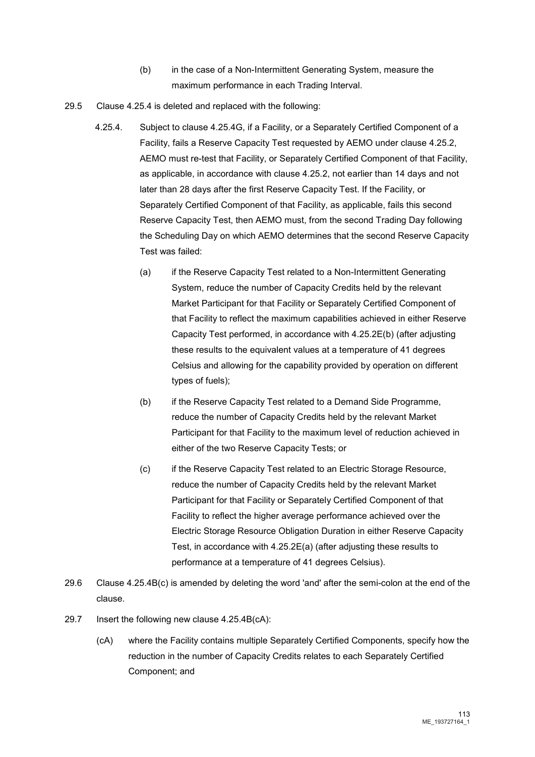- (b) in the case of a Non-Intermittent Generating System, measure the maximum performance in each Trading Interval.
- 29.5 Clause 4.25.4 is deleted and replaced with the following:
	- 4.25.4. Subject to clause 4.25.4G, if a Facility, or a Separately Certified Component of a Facility, fails a Reserve Capacity Test requested by AEMO under clause 4.25.2, AEMO must re-test that Facility, or Separately Certified Component of that Facility, as applicable, in accordance with clause 4.25.2, not earlier than 14 days and not later than 28 days after the first Reserve Capacity Test. If the Facility, or Separately Certified Component of that Facility, as applicable, fails this second Reserve Capacity Test, then AEMO must, from the second Trading Day following the Scheduling Day on which AEMO determines that the second Reserve Capacity Test was failed:
		- (a) if the Reserve Capacity Test related to a Non-Intermittent Generating System, reduce the number of Capacity Credits held by the relevant Market Participant for that Facility or Separately Certified Component of that Facility to reflect the maximum capabilities achieved in either Reserve Capacity Test performed, in accordance with 4.25.2E(b) (after adjusting these results to the equivalent values at a temperature of 41 degrees Celsius and allowing for the capability provided by operation on different types of fuels);
		- (b) if the Reserve Capacity Test related to a Demand Side Programme, reduce the number of Capacity Credits held by the relevant Market Participant for that Facility to the maximum level of reduction achieved in either of the two Reserve Capacity Tests; or
		- (c) if the Reserve Capacity Test related to an Electric Storage Resource, reduce the number of Capacity Credits held by the relevant Market Participant for that Facility or Separately Certified Component of that Facility to reflect the higher average performance achieved over the Electric Storage Resource Obligation Duration in either Reserve Capacity Test, in accordance with 4.25.2E(a) (after adjusting these results to performance at a temperature of 41 degrees Celsius).
- 29.6 Clause 4.25.4B(c) is amended by deleting the word 'and' after the semi-colon at the end of the clause.
- 29.7 Insert the following new clause 4.25.4B(cA):
	- (cA) where the Facility contains multiple Separately Certified Components, specify how the reduction in the number of Capacity Credits relates to each Separately Certified Component; and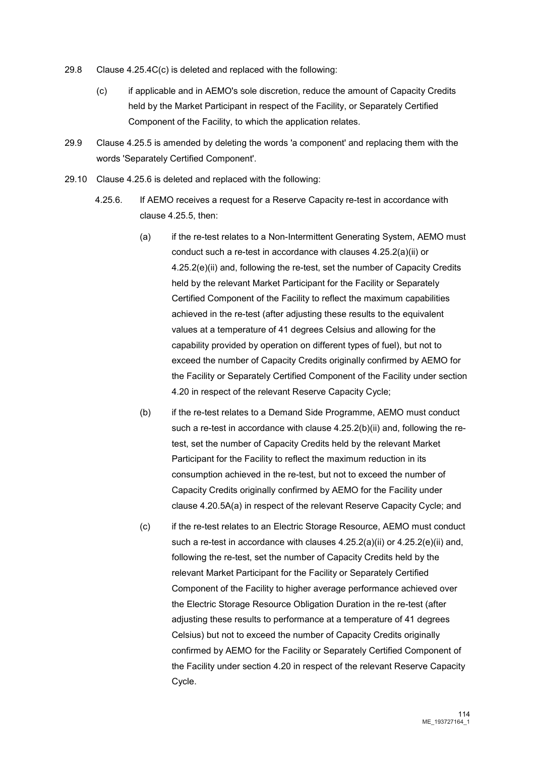- 29.8 Clause 4.25.4C(c) is deleted and replaced with the following:
	- (c) if applicable and in AEMO's sole discretion, reduce the amount of Capacity Credits held by the Market Participant in respect of the Facility, or Separately Certified Component of the Facility, to which the application relates.
- 29.9 Clause 4.25.5 is amended by deleting the words 'a component' and replacing them with the words 'Separately Certified Component'.
- 29.10 Clause 4.25.6 is deleted and replaced with the following:
	- 4.25.6. If AEMO receives a request for a Reserve Capacity re-test in accordance with clause 4.25.5, then:
		- (a) if the re-test relates to a Non-Intermittent Generating System, AEMO must conduct such a re-test in accordance with clauses 4.25.2(a)(ii) or 4.25.2(e)(ii) and, following the re-test, set the number of Capacity Credits held by the relevant Market Participant for the Facility or Separately Certified Component of the Facility to reflect the maximum capabilities achieved in the re-test (after adjusting these results to the equivalent values at a temperature of 41 degrees Celsius and allowing for the capability provided by operation on different types of fuel), but not to exceed the number of Capacity Credits originally confirmed by AEMO for the Facility or Separately Certified Component of the Facility under section 4.20 in respect of the relevant Reserve Capacity Cycle;
		- (b) if the re-test relates to a Demand Side Programme, AEMO must conduct such a re-test in accordance with clause 4.25.2(b)(ii) and, following the retest, set the number of Capacity Credits held by the relevant Market Participant for the Facility to reflect the maximum reduction in its consumption achieved in the re-test, but not to exceed the number of Capacity Credits originally confirmed by AEMO for the Facility under clause 4.20.5A(a) in respect of the relevant Reserve Capacity Cycle; and
		- (c) if the re-test relates to an Electric Storage Resource, AEMO must conduct such a re-test in accordance with clauses 4.25.2(a)(ii) or 4.25.2(e)(ii) and, following the re-test, set the number of Capacity Credits held by the relevant Market Participant for the Facility or Separately Certified Component of the Facility to higher average performance achieved over the Electric Storage Resource Obligation Duration in the re-test (after adjusting these results to performance at a temperature of 41 degrees Celsius) but not to exceed the number of Capacity Credits originally confirmed by AEMO for the Facility or Separately Certified Component of the Facility under section 4.20 in respect of the relevant Reserve Capacity Cycle.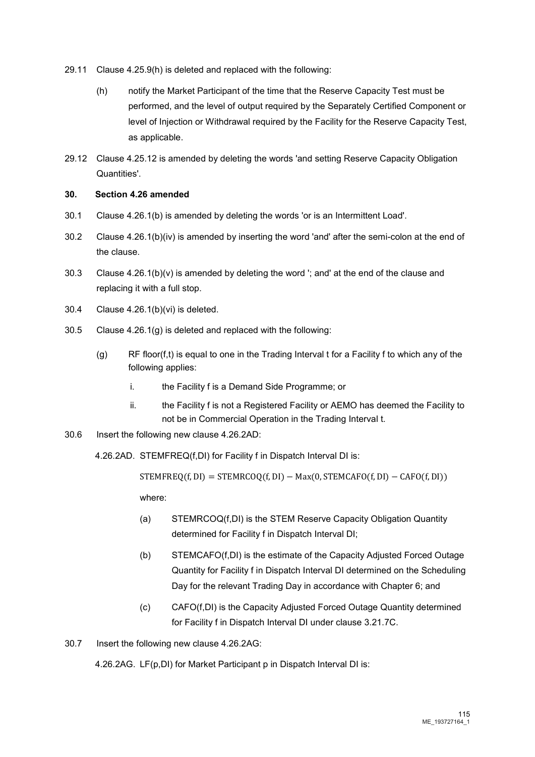- 29.11 Clause 4.25.9(h) is deleted and replaced with the following:
	- (h) notify the Market Participant of the time that the Reserve Capacity Test must be performed, and the level of output required by the Separately Certified Component or level of Injection or Withdrawal required by the Facility for the Reserve Capacity Test, as applicable.
- 29.12 Clause 4.25.12 is amended by deleting the words 'and setting Reserve Capacity Obligation Quantities'.

# **30. Section 4.26 amended**

- 30.1 Clause 4.26.1(b) is amended by deleting the words 'or is an Intermittent Load'.
- 30.2 Clause 4.26.1(b)(iv) is amended by inserting the word 'and' after the semi-colon at the end of the clause.
- 30.3 Clause 4.26.1(b)(v) is amended by deleting the word '; and' at the end of the clause and replacing it with a full stop.
- 30.4 Clause 4.26.1(b)(vi) is deleted.
- 30.5 Clause 4.26.1(g) is deleted and replaced with the following:
	- (g) RF floor(f,t) is equal to one in the Trading Interval t for a Facility f to which any of the following applies:
		- i. the Facility f is a Demand Side Programme; or
		- ii. the Facility f is not a Registered Facility or AEMO has deemed the Facility to not be in Commercial Operation in the Trading Interval t.
- 30.6 Insert the following new clause 4.26.2AD:

4.26.2AD. STEMFREQ(f,DI) for Facility f in Dispatch Interval DI is:

 $STEMFREQ(f, DI) = STEMRCOQ(f, DI) - Max(0, STEMCAPG(f, DI) - CAPO(f, DI))$ 

where:

- (a) STEMRCOQ(f,DI) is the STEM Reserve Capacity Obligation Quantity determined for Facility f in Dispatch Interval DI;
- (b) STEMCAFO(f,DI) is the estimate of the Capacity Adjusted Forced Outage Quantity for Facility f in Dispatch Interval DI determined on the Scheduling Day for the relevant Trading Day in accordance with Chapter 6; and
- (c) CAFO(f,DI) is the Capacity Adjusted Forced Outage Quantity determined for Facility f in Dispatch Interval DI under clause 3.21.7C.

30.7 Insert the following new clause 4.26.2AG:

4.26.2AG. LF(p,DI) for Market Participant p in Dispatch Interval DI is: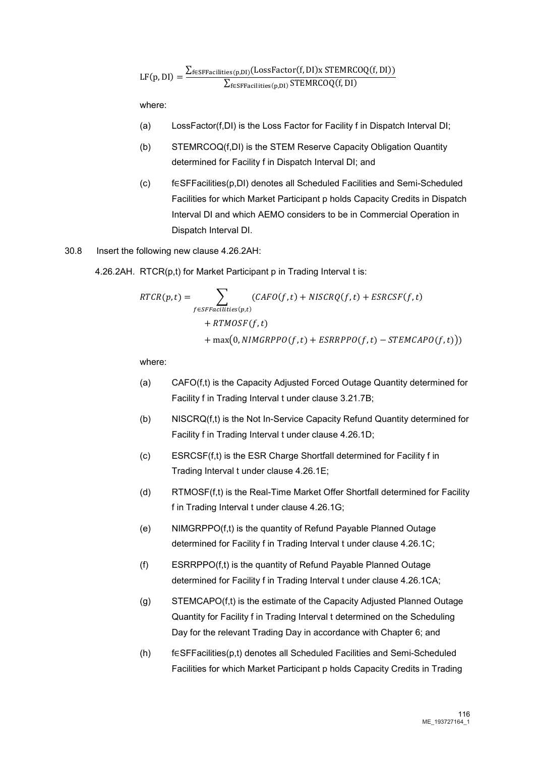$$
\text{LF}(p,DI) = \frac{\sum_{f \in SFFacilities(p,DI)} (LossFactor(f,DI)x\;STEMRCOQ(f,DI))}{\sum_{f \in SFFacilities(p,DI)} STEMRCOQ(f,DI)}
$$

where:

- (a) LossFactor(f,DI) is the Loss Factor for Facility f in Dispatch Interval DI;
- (b) STEMRCOQ(f,DI) is the STEM Reserve Capacity Obligation Quantity determined for Facility f in Dispatch Interval DI; and
- (c) f∈SFFacilities(p,DI) denotes all Scheduled Facilities and Semi-Scheduled Facilities for which Market Participant p holds Capacity Credits in Dispatch Interval DI and which AEMO considers to be in Commercial Operation in Dispatch Interval DI.

### 30.8 Insert the following new clause 4.26.2AH:

4.26.2AH. RTCR(p,t) for Market Participant p in Trading Interval t is:

$$
RTCR(p,t) = \sum_{f \in SFFacilities(p,t)} (CAPOf, t) + NISCRQ(f,t) + ESRCSF(f,t)
$$

$$
+ RTMOSF(f,t)
$$

$$
+ max(0, NIMGRPPO(f,t) + ESRRPPO(f,t) - STEMCAPO(f,t)))
$$

where:

- (a) CAFO(f,t) is the Capacity Adjusted Forced Outage Quantity determined for Facility f in Trading Interval t under clause 3.21.7B;
- (b) NISCRQ(f,t) is the Not In-Service Capacity Refund Quantity determined for Facility f in Trading Interval t under clause 4.26.1D;
- (c) ESRCSF(f,t) is the ESR Charge Shortfall determined for Facility f in Trading Interval t under clause 4.26.1E;
- (d) RTMOSF(f,t) is the Real-Time Market Offer Shortfall determined for Facility f in Trading Interval t under clause 4.26.1G;
- (e) NIMGRPPO(f,t) is the quantity of Refund Payable Planned Outage determined for Facility f in Trading Interval t under clause 4.26.1C;
- (f) ESRRPPO(f,t) is the quantity of Refund Payable Planned Outage determined for Facility f in Trading Interval t under clause 4.26.1CA;
- (g) STEMCAPO(f,t) is the estimate of the Capacity Adjusted Planned Outage Quantity for Facility f in Trading Interval t determined on the Scheduling Day for the relevant Trading Day in accordance with Chapter 6; and
- (h) f∈SFFacilities(p,t) denotes all Scheduled Facilities and Semi-Scheduled Facilities for which Market Participant p holds Capacity Credits in Trading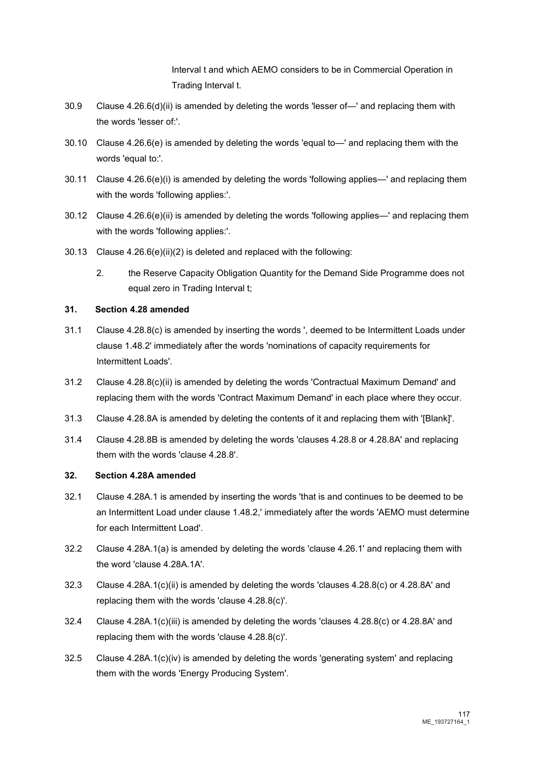Interval t and which AEMO considers to be in Commercial Operation in Trading Interval t.

- 30.9 Clause 4.26.6(d)(ii) is amended by deleting the words 'lesser of—' and replacing them with the words 'lesser of:'.
- 30.10 Clause 4.26.6(e) is amended by deleting the words 'equal to—' and replacing them with the words 'equal to:'.
- 30.11 Clause 4.26.6(e)(i) is amended by deleting the words 'following applies—' and replacing them with the words 'following applies:'.
- 30.12 Clause 4.26.6(e)(ii) is amended by deleting the words 'following applies—' and replacing them with the words 'following applies:'.
- 30.13 Clause 4.26.6(e)(ii)(2) is deleted and replaced with the following:
	- 2. the Reserve Capacity Obligation Quantity for the Demand Side Programme does not equal zero in Trading Interval t;

# **31. Section 4.28 amended**

- 31.1 Clause 4.28.8(c) is amended by inserting the words ', deemed to be Intermittent Loads under clause 1.48.2' immediately after the words 'nominations of capacity requirements for Intermittent Loads'.
- 31.2 Clause 4.28.8(c)(ii) is amended by deleting the words 'Contractual Maximum Demand' and replacing them with the words 'Contract Maximum Demand' in each place where they occur.
- 31.3 Clause 4.28.8A is amended by deleting the contents of it and replacing them with '[Blank]'.
- 31.4 Clause 4.28.8B is amended by deleting the words 'clauses 4.28.8 or 4.28.8A' and replacing them with the words 'clause 4.28.8'.

# **32. Section 4.28A amended**

- 32.1 Clause 4.28A.1 is amended by inserting the words 'that is and continues to be deemed to be an Intermittent Load under clause 1.48.2,' immediately after the words 'AEMO must determine for each Intermittent Load'.
- 32.2 Clause 4.28A.1(a) is amended by deleting the words 'clause 4.26.1' and replacing them with the word 'clause 4.28A.1A'.
- 32.3 Clause 4.28A.1(c)(ii) is amended by deleting the words 'clauses 4.28.8(c) or 4.28.8A' and replacing them with the words 'clause 4.28.8(c)'.
- 32.4 Clause 4.28A.1(c)(iii) is amended by deleting the words 'clauses 4.28.8(c) or 4.28.8A' and replacing them with the words 'clause 4.28.8(c)'.
- 32.5 Clause  $4.28A.1(c)$ (iv) is amended by deleting the words 'generating system' and replacing them with the words 'Energy Producing System'.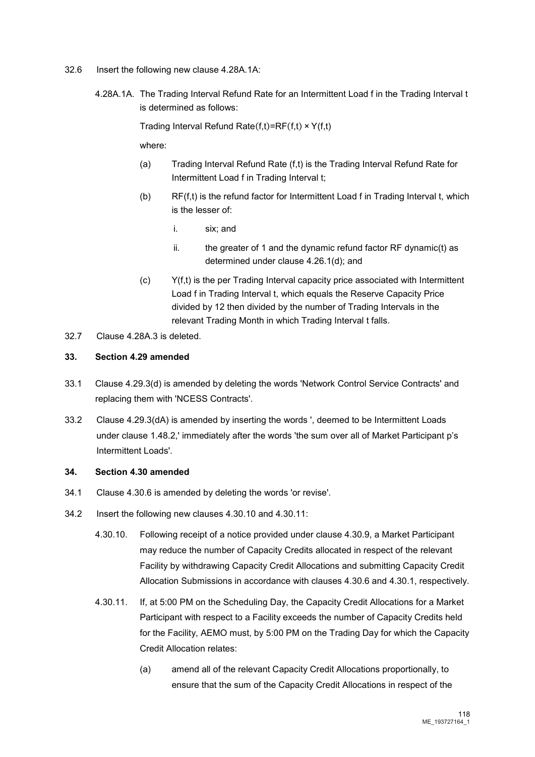- 32.6 Insert the following new clause 4.28A.1A:
	- 4.28A.1A. The Trading Interval Refund Rate for an Intermittent Load f in the Trading Interval t is determined as follows:

Trading Interval Refund Rate $(f,t)=RF(f,t) \times Y(f,t)$ 

where:

- (a) Trading Interval Refund Rate (f,t) is the Trading Interval Refund Rate for Intermittent Load f in Trading Interval t;
- (b) RF(f,t) is the refund factor for Intermittent Load f in Trading Interval t, which is the lesser of:
	- i. six; and
	- ii. the greater of 1 and the dynamic refund factor RF dynamic(t) as determined under clause 4.26.1(d); and
- (c) Y(f,t) is the per Trading Interval capacity price associated with Intermittent Load f in Trading Interval t, which equals the Reserve Capacity Price divided by 12 then divided by the number of Trading Intervals in the relevant Trading Month in which Trading Interval t falls.
- 32.7 Clause 4.28A.3 is deleted.

#### **33. Section 4.29 amended**

- 33.1 Clause 4.29.3(d) is amended by deleting the words 'Network Control Service Contracts' and replacing them with 'NCESS Contracts'.
- 33.2 Clause 4.29.3(dA) is amended by inserting the words ', deemed to be Intermittent Loads under clause 1.48.2,' immediately after the words 'the sum over all of Market Participant p's Intermittent Loads'.

#### **34. Section 4.30 amended**

- 34.1 Clause 4.30.6 is amended by deleting the words 'or revise'.
- 34.2 Insert the following new clauses 4.30.10 and 4.30.11:
	- 4.30.10. Following receipt of a notice provided under clause 4.30.9, a Market Participant may reduce the number of Capacity Credits allocated in respect of the relevant Facility by withdrawing Capacity Credit Allocations and submitting Capacity Credit Allocation Submissions in accordance with clauses 4.30.6 and 4.30.1, respectively.
	- 4.30.11. If, at 5:00 PM on the Scheduling Day, the Capacity Credit Allocations for a Market Participant with respect to a Facility exceeds the number of Capacity Credits held for the Facility, AEMO must, by 5:00 PM on the Trading Day for which the Capacity Credit Allocation relates:
		- (a) amend all of the relevant Capacity Credit Allocations proportionally, to ensure that the sum of the Capacity Credit Allocations in respect of the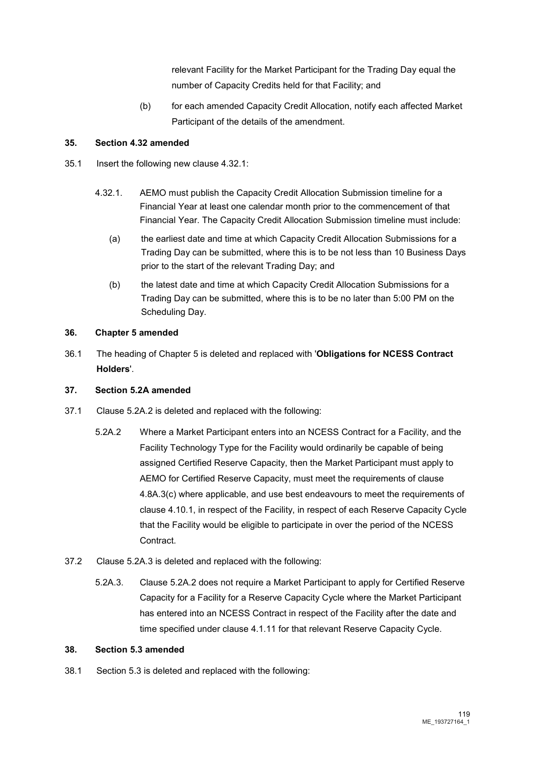relevant Facility for the Market Participant for the Trading Day equal the number of Capacity Credits held for that Facility; and

(b) for each amended Capacity Credit Allocation, notify each affected Market Participant of the details of the amendment.

# **35. Section 4.32 amended**

- 35.1 Insert the following new clause 4.32.1:
	- 4.32.1. AEMO must publish the Capacity Credit Allocation Submission timeline for a Financial Year at least one calendar month prior to the commencement of that Financial Year. The Capacity Credit Allocation Submission timeline must include:
		- (a) the earliest date and time at which Capacity Credit Allocation Submissions for a Trading Day can be submitted, where this is to be not less than 10 Business Days prior to the start of the relevant Trading Day; and
		- (b) the latest date and time at which Capacity Credit Allocation Submissions for a Trading Day can be submitted, where this is to be no later than 5:00 PM on the Scheduling Day.

# **36. Chapter 5 amended**

36.1 The heading of Chapter 5 is deleted and replaced with '**Obligations for NCESS Contract Holders**'.

# **37. Section 5.2A amended**

- 37.1 Clause 5.2A.2 is deleted and replaced with the following:
	- 5.2A.2 Where a Market Participant enters into an NCESS Contract for a Facility, and the Facility Technology Type for the Facility would ordinarily be capable of being assigned Certified Reserve Capacity, then the Market Participant must apply to AEMO for Certified Reserve Capacity, must meet the requirements of clause 4.8A.3(c) where applicable, and use best endeavours to meet the requirements of clause 4.10.1, in respect of the Facility, in respect of each Reserve Capacity Cycle that the Facility would be eligible to participate in over the period of the NCESS Contract.
- 37.2 Clause 5.2A.3 is deleted and replaced with the following:
	- 5.2A.3. Clause 5.2A.2 does not require a Market Participant to apply for Certified Reserve Capacity for a Facility for a Reserve Capacity Cycle where the Market Participant has entered into an NCESS Contract in respect of the Facility after the date and time specified under clause 4.1.11 for that relevant Reserve Capacity Cycle.

# **38. Section 5.3 amended**

38.1 Section 5.3 is deleted and replaced with the following: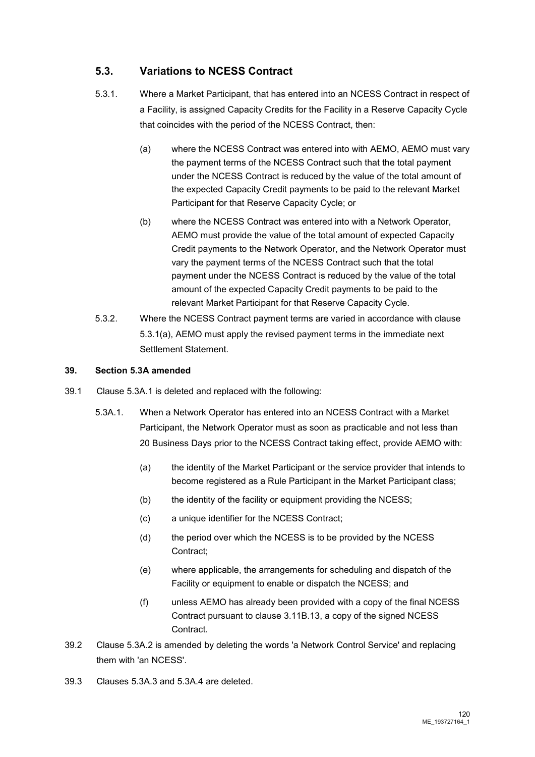# **5.3. Variations to NCESS Contract**

- 5.3.1. Where a Market Participant, that has entered into an NCESS Contract in respect of a Facility, is assigned Capacity Credits for the Facility in a Reserve Capacity Cycle that coincides with the period of the NCESS Contract, then:
	- (a) where the NCESS Contract was entered into with AEMO, AEMO must vary the payment terms of the NCESS Contract such that the total payment under the NCESS Contract is reduced by the value of the total amount of the expected Capacity Credit payments to be paid to the relevant Market Participant for that Reserve Capacity Cycle; or
	- (b) where the NCESS Contract was entered into with a Network Operator, AEMO must provide the value of the total amount of expected Capacity Credit payments to the Network Operator, and the Network Operator must vary the payment terms of the NCESS Contract such that the total payment under the NCESS Contract is reduced by the value of the total amount of the expected Capacity Credit payments to be paid to the relevant Market Participant for that Reserve Capacity Cycle.
- 5.3.2. Where the NCESS Contract payment terms are varied in accordance with clause 5.3.1(a), AEMO must apply the revised payment terms in the immediate next Settlement Statement.

# **39. Section 5.3A amended**

- 39.1 Clause 5.3A.1 is deleted and replaced with the following:
	- 5.3A.1. When a Network Operator has entered into an NCESS Contract with a Market Participant, the Network Operator must as soon as practicable and not less than 20 Business Days prior to the NCESS Contract taking effect, provide AEMO with:
		- (a) the identity of the Market Participant or the service provider that intends to become registered as a Rule Participant in the Market Participant class;
		- (b) the identity of the facility or equipment providing the NCESS;
		- (c) a unique identifier for the NCESS Contract;
		- (d) the period over which the NCESS is to be provided by the NCESS Contract;
		- (e) where applicable, the arrangements for scheduling and dispatch of the Facility or equipment to enable or dispatch the NCESS; and
		- (f) unless AEMO has already been provided with a copy of the final NCESS Contract pursuant to clause 3.11B.13, a copy of the signed NCESS **Contract**
- 39.2 Clause 5.3A.2 is amended by deleting the words 'a Network Control Service' and replacing them with 'an NCESS'.
- 39.3 Clauses 5.3A.3 and 5.3A.4 are deleted.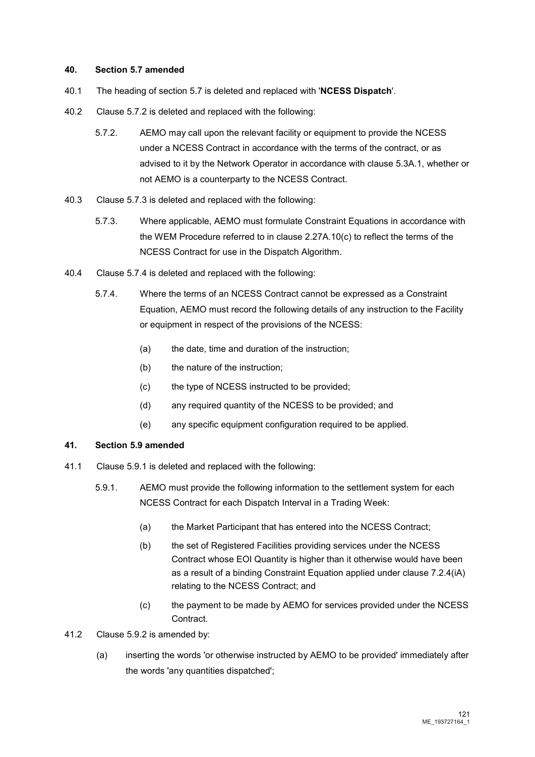#### **40. Section 5.7 amended**

- 40.1 The heading of section 5.7 is deleted and replaced with '**NCESS Dispatch**'.
- 40.2 Clause 5.7.2 is deleted and replaced with the following:
	- 5.7.2. AEMO may call upon the relevant facility or equipment to provide the NCESS under a NCESS Contract in accordance with the terms of the contract, or as advised to it by the Network Operator in accordance with clause 5.3A.1, whether or not AEMO is a counterparty to the NCESS Contract.
- 40.3 Clause 5.7.3 is deleted and replaced with the following:
	- 5.7.3. Where applicable, AEMO must formulate Constraint Equations in accordance with the WEM Procedure referred to in clause 2.27A.10(c) to reflect the terms of the NCESS Contract for use in the Dispatch Algorithm.
- 40.4 Clause 5.7.4 is deleted and replaced with the following:
	- 5.7.4. Where the terms of an NCESS Contract cannot be expressed as a Constraint Equation, AEMO must record the following details of any instruction to the Facility or equipment in respect of the provisions of the NCESS:
		- (a) the date, time and duration of the instruction;
		- (b) the nature of the instruction;
		- (c) the type of NCESS instructed to be provided;
		- (d) any required quantity of the NCESS to be provided; and
		- (e) any specific equipment configuration required to be applied.

# **41. Section 5.9 amended**

- 41.1 Clause 5.9.1 is deleted and replaced with the following:
	- 5.9.1. AEMO must provide the following information to the settlement system for each NCESS Contract for each Dispatch Interval in a Trading Week:
		- (a) the Market Participant that has entered into the NCESS Contract;
		- (b) the set of Registered Facilities providing services under the NCESS Contract whose EOI Quantity is higher than it otherwise would have been as a result of a binding Constraint Equation applied under clause 7.2.4(iA) relating to the NCESS Contract; and
		- (c) the payment to be made by AEMO for services provided under the NCESS Contract.

# 41.2 Clause 5.9.2 is amended by:

(a) inserting the words 'or otherwise instructed by AEMO to be provided' immediately after the words 'any quantities dispatched';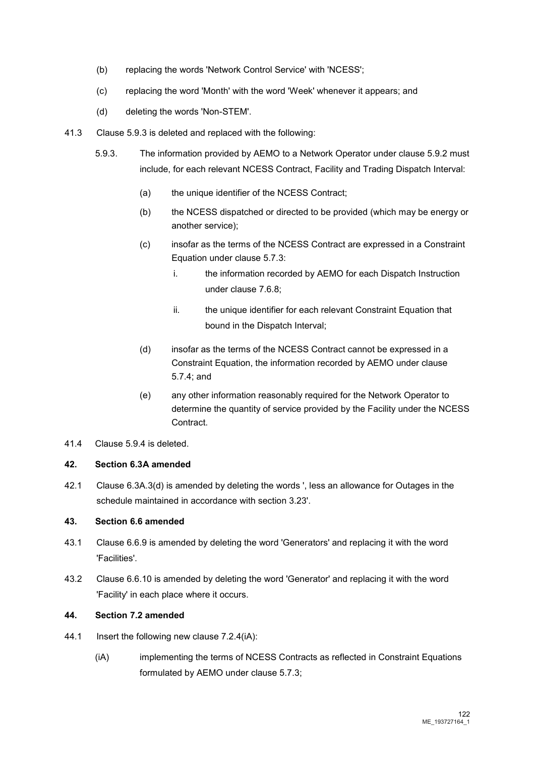- (b) replacing the words 'Network Control Service' with 'NCESS';
- (c) replacing the word 'Month' with the word 'Week' whenever it appears; and
- (d) deleting the words 'Non-STEM'.
- 41.3 Clause 5.9.3 is deleted and replaced with the following:
	- 5.9.3. The information provided by AEMO to a Network Operator under clause 5.9.2 must include, for each relevant NCESS Contract, Facility and Trading Dispatch Interval:
		- (a) the unique identifier of the NCESS Contract;
		- (b) the NCESS dispatched or directed to be provided (which may be energy or another service);
		- (c) insofar as the terms of the NCESS Contract are expressed in a Constraint Equation under clause 5.7.3:
			- i. the information recorded by AEMO for each Dispatch Instruction under clause 7.6.8;
			- ii. the unique identifier for each relevant Constraint Equation that bound in the Dispatch Interval;
		- (d) insofar as the terms of the NCESS Contract cannot be expressed in a Constraint Equation, the information recorded by AEMO under clause 5.7.4; and
		- (e) any other information reasonably required for the Network Operator to determine the quantity of service provided by the Facility under the NCESS Contract.
- 41.4 Clause 5.9.4 is deleted.

# **42. Section 6.3A amended**

42.1 Clause 6.3A.3(d) is amended by deleting the words ', less an allowance for Outages in the schedule maintained in accordance with section 3.23'.

# **43. Section 6.6 amended**

- 43.1 Clause 6.6.9 is amended by deleting the word 'Generators' and replacing it with the word 'Facilities'.
- 43.2 Clause 6.6.10 is amended by deleting the word 'Generator' and replacing it with the word 'Facility' in each place where it occurs.

# **44. Section 7.2 amended**

- 44.1 Insert the following new clause 7.2.4(iA):
	- (iA) implementing the terms of NCESS Contracts as reflected in Constraint Equations formulated by AEMO under clause 5.7.3;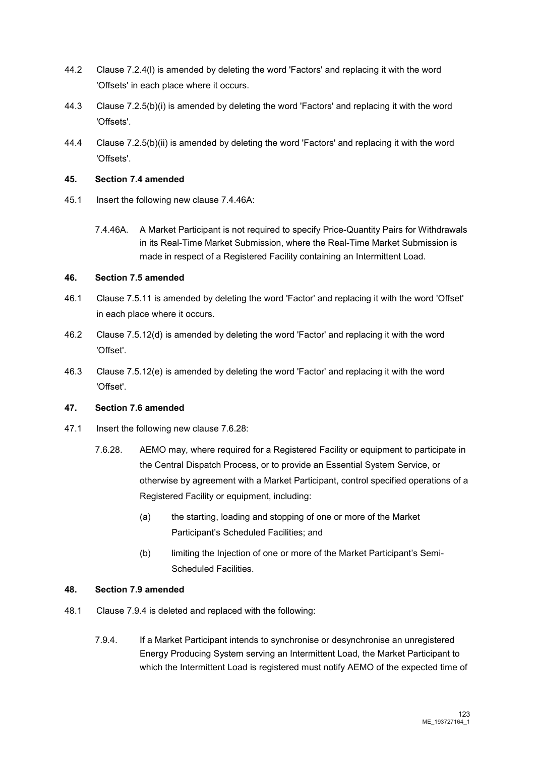- 44.2 Clause 7.2.4(l) is amended by deleting the word 'Factors' and replacing it with the word 'Offsets' in each place where it occurs.
- 44.3 Clause 7.2.5(b)(i) is amended by deleting the word 'Factors' and replacing it with the word 'Offsets'.
- 44.4 Clause 7.2.5(b)(ii) is amended by deleting the word 'Factors' and replacing it with the word 'Offsets'.

# **45. Section 7.4 amended**

- 45.1 Insert the following new clause 7.4.46A:
	- 7.4.46A. A Market Participant is not required to specify Price-Quantity Pairs for Withdrawals in its Real-Time Market Submission, where the Real-Time Market Submission is made in respect of a Registered Facility containing an Intermittent Load.

# **46. Section 7.5 amended**

- 46.1 Clause 7.5.11 is amended by deleting the word 'Factor' and replacing it with the word 'Offset' in each place where it occurs.
- 46.2 Clause 7.5.12(d) is amended by deleting the word 'Factor' and replacing it with the word 'Offset'.
- 46.3 Clause 7.5.12(e) is amended by deleting the word 'Factor' and replacing it with the word 'Offset'.

# **47. Section 7.6 amended**

- 47.1 Insert the following new clause 7.6.28:
	- 7.6.28. AEMO may, where required for a Registered Facility or equipment to participate in the Central Dispatch Process, or to provide an Essential System Service, or otherwise by agreement with a Market Participant, control specified operations of a Registered Facility or equipment, including:
		- (a) the starting, loading and stopping of one or more of the Market Participant's Scheduled Facilities; and
		- (b) limiting the Injection of one or more of the Market Participant's Semi-Scheduled Facilities.

# **48. Section 7.9 amended**

- 48.1 Clause 7.9.4 is deleted and replaced with the following:
	- 7.9.4. If a Market Participant intends to synchronise or desynchronise an unregistered Energy Producing System serving an Intermittent Load, the Market Participant to which the Intermittent Load is registered must notify AEMO of the expected time of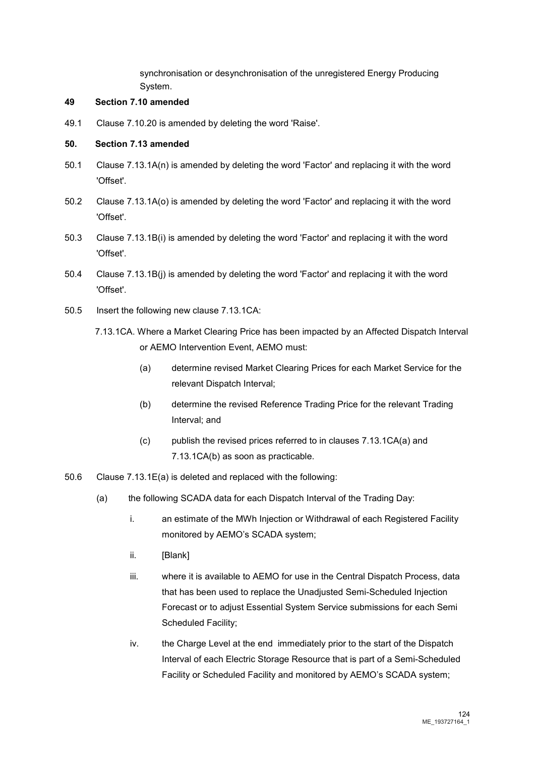synchronisation or desynchronisation of the unregistered Energy Producing System.

# **49 Section 7.10 amended**

49.1 Clause 7.10.20 is amended by deleting the word 'Raise'.

### **50. Section 7.13 amended**

- 50.1 Clause 7.13.1A(n) is amended by deleting the word 'Factor' and replacing it with the word 'Offset'.
- 50.2 Clause 7.13.1A(o) is amended by deleting the word 'Factor' and replacing it with the word 'Offset'.
- 50.3 Clause 7.13.1B(i) is amended by deleting the word 'Factor' and replacing it with the word 'Offset'.
- 50.4 Clause 7.13.1B(j) is amended by deleting the word 'Factor' and replacing it with the word 'Offset'.
- 50.5 Insert the following new clause 7.13.1CA:
	- 7.13.1CA. Where a Market Clearing Price has been impacted by an Affected Dispatch Interval or AEMO Intervention Event, AEMO must:
		- (a) determine revised Market Clearing Prices for each Market Service for the relevant Dispatch Interval;
		- (b) determine the revised Reference Trading Price for the relevant Trading Interval; and
		- (c) publish the revised prices referred to in clauses 7.13.1CA(a) and 7.13.1CA(b) as soon as practicable.
- 50.6 Clause 7.13.1E(a) is deleted and replaced with the following:
	- (a) the following SCADA data for each Dispatch Interval of the Trading Day:
		- i. an estimate of the MWh Injection or Withdrawal of each Registered Facility monitored by AEMO's SCADA system;
		- ii. [Blank]
		- iii. where it is available to AEMO for use in the Central Dispatch Process, data that has been used to replace the Unadjusted Semi-Scheduled Injection Forecast or to adjust Essential System Service submissions for each Semi Scheduled Facility;
		- iv. the Charge Level at the end immediately prior to the start of the Dispatch Interval of each Electric Storage Resource that is part of a Semi-Scheduled Facility or Scheduled Facility and monitored by AEMO's SCADA system;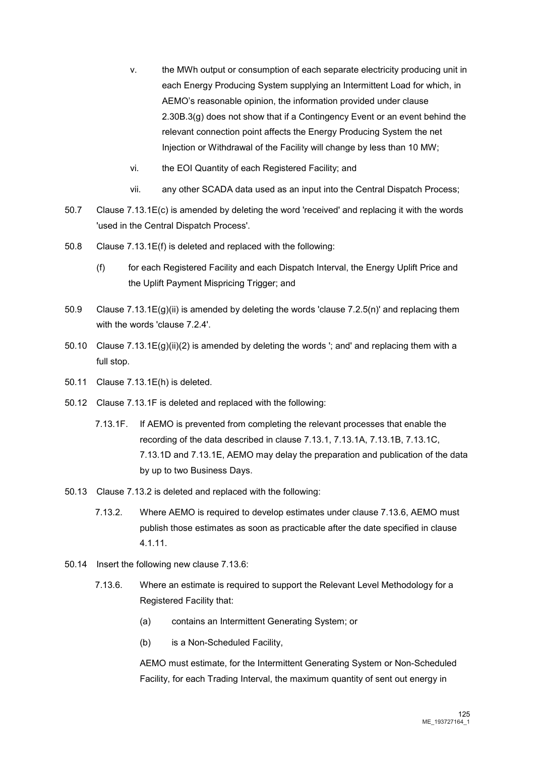- v. the MWh output or consumption of each separate electricity producing unit in each Energy Producing System supplying an Intermittent Load for which, in AEMO's reasonable opinion, the information provided under clause 2.30B.3(g) does not show that if a Contingency Event or an event behind the relevant connection point affects the Energy Producing System the net Injection or Withdrawal of the Facility will change by less than 10 MW;
- vi. the EOI Quantity of each Registered Facility; and
- vii. any other SCADA data used as an input into the Central Dispatch Process;
- 50.7 Clause 7.13.1E(c) is amended by deleting the word 'received' and replacing it with the words 'used in the Central Dispatch Process'.
- 50.8 Clause 7.13.1E(f) is deleted and replaced with the following:
	- (f) for each Registered Facility and each Dispatch Interval, the Energy Uplift Price and the Uplift Payment Mispricing Trigger; and
- 50.9 Clause 7.13.1E(g)(ii) is amended by deleting the words 'clause 7.2.5(n)' and replacing them with the words 'clause 7.2.4'.
- 50.10 Clause 7.13.1E(g)(ii)(2) is amended by deleting the words '; and' and replacing them with a full stop.
- 50.11 Clause 7.13.1E(h) is deleted.
- 50.12 Clause 7.13.1F is deleted and replaced with the following:
	- 7.13.1F. If AEMO is prevented from completing the relevant processes that enable the recording of the data described in clause 7.13.1, 7.13.1A, 7.13.1B, 7.13.1C, 7.13.1D and 7.13.1E, AEMO may delay the preparation and publication of the data by up to two Business Days.
- 50.13 Clause 7.13.2 is deleted and replaced with the following:
	- 7.13.2. Where AEMO is required to develop estimates under clause 7.13.6, AEMO must publish those estimates as soon as practicable after the date specified in clause 4.1.11.
- 50.14 Insert the following new clause 7.13.6:
	- 7.13.6. Where an estimate is required to support the Relevant Level Methodology for a Registered Facility that:
		- (a) contains an Intermittent Generating System; or
		- (b) is a Non-Scheduled Facility,

AEMO must estimate, for the Intermittent Generating System or Non-Scheduled Facility, for each Trading Interval, the maximum quantity of sent out energy in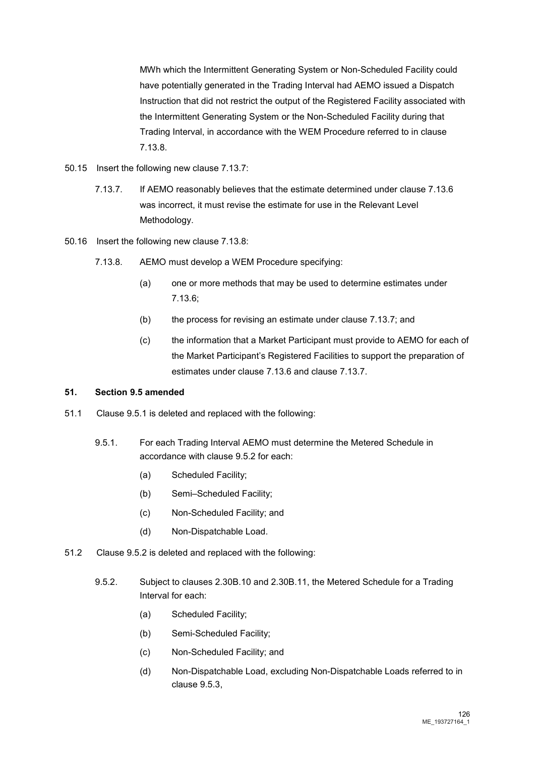MWh which the Intermittent Generating System or Non-Scheduled Facility could have potentially generated in the Trading Interval had AEMO issued a Dispatch Instruction that did not restrict the output of the Registered Facility associated with the Intermittent Generating System or the Non-Scheduled Facility during that Trading Interval, in accordance with the WEM Procedure referred to in clause 7.13.8.

- 50.15 Insert the following new clause 7.13.7:
	- 7.13.7. If AEMO reasonably believes that the estimate determined under clause 7.13.6 was incorrect, it must revise the estimate for use in the Relevant Level Methodology.
- 50.16 Insert the following new clause 7.13.8:
	- 7.13.8. AEMO must develop a WEM Procedure specifying:
		- (a) one or more methods that may be used to determine estimates under 7.13.6;
		- (b) the process for revising an estimate under clause 7.13.7; and
		- (c) the information that a Market Participant must provide to AEMO for each of the Market Participant's Registered Facilities to support the preparation of estimates under clause 7.13.6 and clause 7.13.7.

#### **51. Section 9.5 amended**

- 51.1 Clause 9.5.1 is deleted and replaced with the following:
	- 9.5.1. For each Trading Interval AEMO must determine the Metered Schedule in accordance with clause 9.5.2 for each:
		- (a) Scheduled Facility;
		- (b) Semi–Scheduled Facility;
		- (c) Non-Scheduled Facility; and
		- (d) Non-Dispatchable Load.
- 51.2 Clause 9.5.2 is deleted and replaced with the following:
	- 9.5.2. Subject to clauses 2.30B.10 and 2.30B.11, the Metered Schedule for a Trading Interval for each:
		- (a) Scheduled Facility;
		- (b) Semi-Scheduled Facility;
		- (c) Non-Scheduled Facility; and
		- (d) Non-Dispatchable Load, excluding Non-Dispatchable Loads referred to in clause 9.5.3,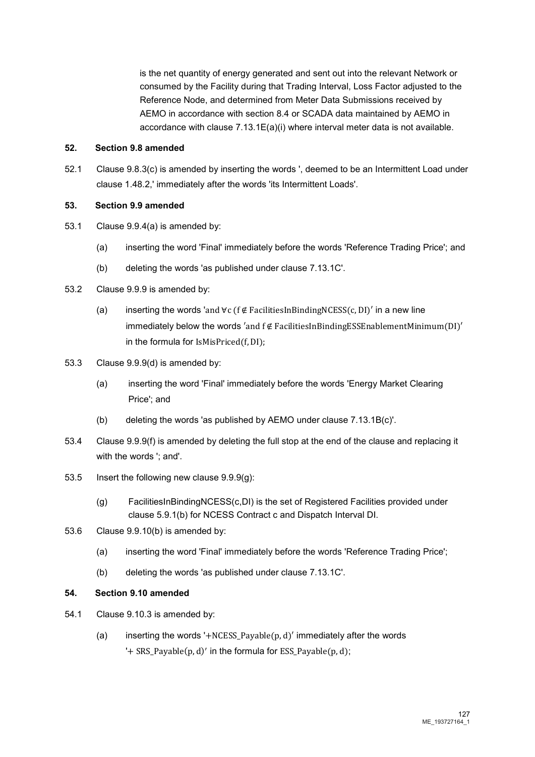is the net quantity of energy generated and sent out into the relevant Network or consumed by the Facility during that Trading Interval, Loss Factor adjusted to the Reference Node, and determined from Meter Data Submissions received by AEMO in accordance with section 8.4 or SCADA data maintained by AEMO in accordance with clause 7.13.1E(a)(i) where interval meter data is not available.

# **52. Section 9.8 amended**

52.1 Clause 9.8.3(c) is amended by inserting the words ', deemed to be an Intermittent Load under clause 1.48.2,' immediately after the words 'its Intermittent Loads'.

# **53. Section 9.9 amended**

- 53.1 Clause 9.9.4(a) is amended by:
	- (a) inserting the word 'Final' immediately before the words 'Reference Trading Price'; and
	- (b) deleting the words 'as published under clause 7.13.1C'.
- 53.2 Clause 9.9.9 is amended by:
	- (a) inserting the words 'and ∀c (f ∉ FacilitiesInBindingNCESS(c, DI)' in a new line immediately below the words 'and  $f \notin FacilitiesInBinding ESSEnablementMinimum(DI)'$ in the formula for IsMisPriced(f, DI);
- 53.3 Clause 9.9.9(d) is amended by:
	- (a) inserting the word 'Final' immediately before the words 'Energy Market Clearing Price'; and
	- (b) deleting the words 'as published by AEMO under clause 7.13.1B(c)'.
- 53.4 Clause 9.9.9(f) is amended by deleting the full stop at the end of the clause and replacing it with the words '; and'.
- 53.5 Insert the following new clause 9.9.9(g):
	- (g) FacilitiesInBindingNCESS(c,DI) is the set of Registered Facilities provided under clause 5.9.1(b) for NCESS Contract c and Dispatch Interval DI.
- 53.6 Clause 9.9.10(b) is amended by:
	- (a) inserting the word 'Final' immediately before the words 'Reference Trading Price';
	- (b) deleting the words 'as published under clause 7.13.1C'.

#### **54. Section 9.10 amended**

- 54.1 Clause 9.10.3 is amended by:
	- (a) inserting the words '+NCESS Payable(p, d)' immediately after the words '+  $SRS_Pa$ yable $(p, d)'$  in the formula for  $ESS_Pa$ yable $(p, d)$ ;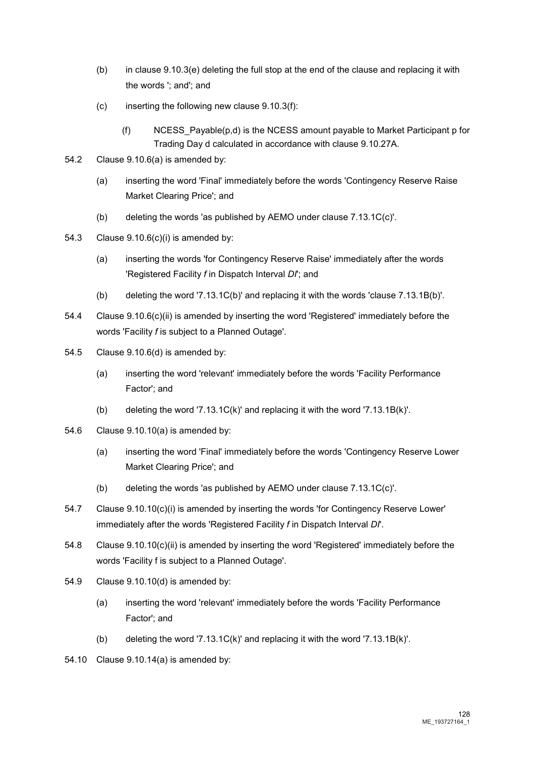- (b) in clause 9.10.3(e) deleting the full stop at the end of the clause and replacing it with the words '; and'; and
- $(c)$  inserting the following new clause 9.10.3(f):
	- (f) NCESS Payable( $p,d$ ) is the NCESS amount payable to Market Participant p for Trading Day d calculated in accordance with clause 9.10.27A.
- 54.2 Clause 9.10.6(a) is amended by:
	- (a) inserting the word 'Final' immediately before the words 'Contingency Reserve Raise Market Clearing Price'; and
	- (b) deleting the words 'as published by AEMO under clause 7.13.1C(c)'.
- 54.3 Clause 9.10.6(c)(i) is amended by:
	- (a) inserting the words 'for Contingency Reserve Raise' immediately after the words 'Registered Facility *f* in Dispatch Interval *DI*'; and
	- (b) deleting the word '7.13.1C(b)' and replacing it with the words 'clause 7.13.1B(b)'.
- 54.4 Clause 9.10.6(c)(ii) is amended by inserting the word 'Registered' immediately before the words 'Facility *f* is subject to a Planned Outage'.
- 54.5 Clause 9.10.6(d) is amended by:
	- (a) inserting the word 'relevant' immediately before the words 'Facility Performance Factor'; and
	- (b) deleting the word '7.13.1C(k)' and replacing it with the word '7.13.1B(k)'.
- 54.6 Clause 9.10.10(a) is amended by:
	- (a) inserting the word 'Final' immediately before the words 'Contingency Reserve Lower Market Clearing Price'; and
	- (b) deleting the words 'as published by AEMO under clause 7.13.1C(c)'.
- 54.7 Clause 9.10.10(c)(i) is amended by inserting the words 'for Contingency Reserve Lower' immediately after the words 'Registered Facility *f* in Dispatch Interval *DI*'.
- 54.8 Clause 9.10.10(c)(ii) is amended by inserting the word 'Registered' immediately before the words 'Facility f is subject to a Planned Outage'.
- 54.9 Clause 9.10.10(d) is amended by:
	- (a) inserting the word 'relevant' immediately before the words 'Facility Performance Factor'; and
	- (b) deleting the word '7.13.1C(k)' and replacing it with the word '7.13.1B(k)'.
- 54.10 Clause 9.10.14(a) is amended by: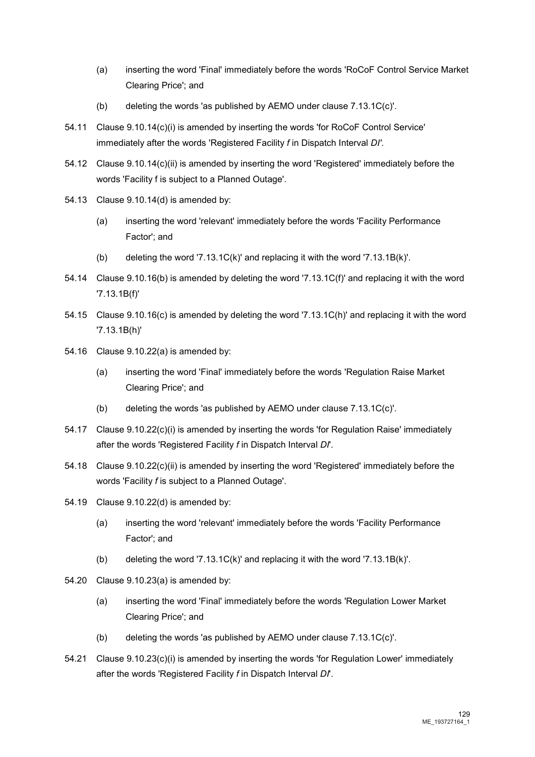- (a) inserting the word 'Final' immediately before the words 'RoCoF Control Service Market Clearing Price'; and
- (b) deleting the words 'as published by AEMO under clause 7.13.1C(c)'.
- 54.11 Clause 9.10.14(c)(i) is amended by inserting the words 'for RoCoF Control Service' immediately after the words 'Registered Facility *f* in Dispatch Interval *DI'*.
- 54.12 Clause 9.10.14(c)(ii) is amended by inserting the word 'Registered' immediately before the words 'Facility f is subject to a Planned Outage'.
- 54.13 Clause 9.10.14(d) is amended by:
	- (a) inserting the word 'relevant' immediately before the words 'Facility Performance Factor'; and
	- (b) deleting the word '7.13.1C(k)' and replacing it with the word '7.13.1B(k)'.
- 54.14 Clause 9.10.16(b) is amended by deleting the word '7.13.1C(f)' and replacing it with the word '7.13.1B(f)'
- 54.15 Clause 9.10.16(c) is amended by deleting the word '7.13.1C(h)' and replacing it with the word '7.13.1B(h)'
- 54.16 Clause 9.10.22(a) is amended by:
	- (a) inserting the word 'Final' immediately before the words 'Regulation Raise Market Clearing Price'; and
	- (b) deleting the words 'as published by AEMO under clause 7.13.1C(c)'.
- 54.17 Clause 9.10.22(c)(i) is amended by inserting the words 'for Regulation Raise' immediately after the words 'Registered Facility *f* in Dispatch Interval *DI*'.
- 54.18 Clause 9.10.22(c)(ii) is amended by inserting the word 'Registered' immediately before the words 'Facility *f* is subject to a Planned Outage'.
- 54.19 Clause 9.10.22(d) is amended by:
	- (a) inserting the word 'relevant' immediately before the words 'Facility Performance Factor'; and
	- (b) deleting the word '7.13.1C(k)' and replacing it with the word '7.13.1B(k)'.
- 54.20 Clause 9.10.23(a) is amended by:
	- (a) inserting the word 'Final' immediately before the words 'Regulation Lower Market Clearing Price'; and
	- (b) deleting the words 'as published by AEMO under clause 7.13.1C(c)'.
- 54.21 Clause 9.10.23(c)(i) is amended by inserting the words 'for Regulation Lower' immediately after the words 'Registered Facility *f* in Dispatch Interval *DI*'.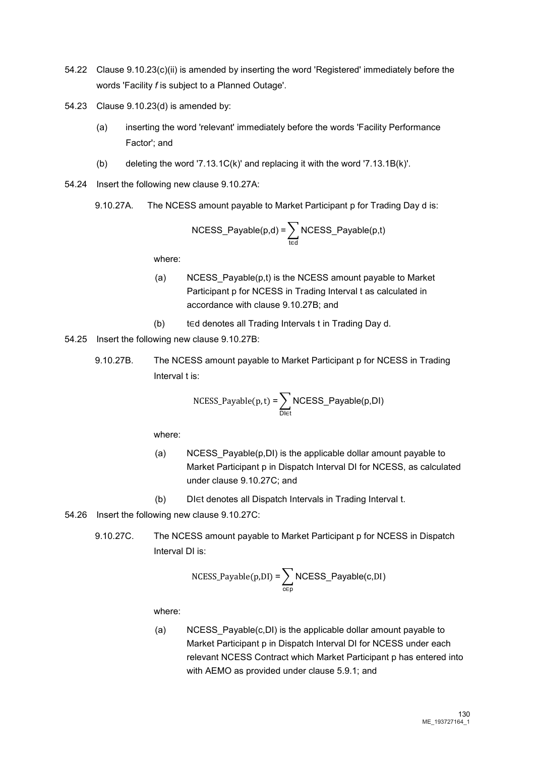- 54.22 Clause 9.10.23(c)(ii) is amended by inserting the word 'Registered' immediately before the words 'Facility *f* is subject to a Planned Outage'.
- 54.23 Clause 9.10.23(d) is amended by:
	- (a) inserting the word 'relevant' immediately before the words 'Facility Performance Factor'; and
	- (b) deleting the word '7.13.1C(k)' and replacing it with the word '7.13.1B(k)'.
- 54.24 Insert the following new clause 9.10.27A:
	- 9.10.27A. The NCESS amount payable to Market Participant p for Trading Day d is:

$$
NCESS_Payable(p,d) = \sum_{t \in d} NCESS_Payable(p,t)
$$

where:

- (a) NCESS Payable $(p,t)$  is the NCESS amount payable to Market Participant p for NCESS in Trading Interval t as calculated in accordance with clause 9.10.27B; and
- (b) t∈d denotes all Trading Intervals t in Trading Day d.
- 54.25 Insert the following new clause 9.10.27B:
	- 9.10.27B. The NCESS amount payable to Market Participant p for NCESS in Trading Interval t is:

$$
NCESS\_Payable(p,t) = \sum_{D \in t} NCESS\_Payable(p,DI)
$$

where:

- (a) NCESS\_Payable(p,DI) is the applicable dollar amount payable to Market Participant p in Dispatch Interval DI for NCESS, as calculated under clause 9.10.27C; and
- (b) DI∈t denotes all Dispatch Intervals in Trading Interval t.
- 54.26 Insert the following new clause 9.10.27C:
	- 9.10.27C. The NCESS amount payable to Market Participant p for NCESS in Dispatch Interval DI is:

$$
NCESS_Payable(p,DI) = \sum_{c \in p} NCESS_Payable(c,DI)
$$

where:

(a) NCESS\_Payable(c,DI) is the applicable dollar amount payable to Market Participant p in Dispatch Interval DI for NCESS under each relevant NCESS Contract which Market Participant p has entered into with AEMO as provided under clause 5.9.1; and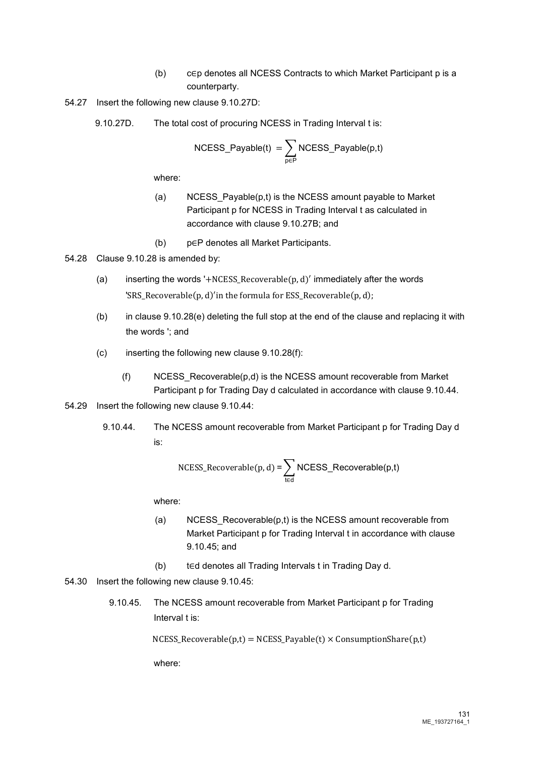- (b) c∈p denotes all NCESS Contracts to which Market Participant p is a counterparty.
- 54.27 Insert the following new clause 9.10.27D:
	- 9.10.27D. The total cost of procuring NCESS in Trading Interval t is:

$$
\mathsf{NCESS\_Payable(t)} = \sum_{\mathsf{p}\in\mathsf{P}}\mathsf{NCESS\_Payable(p,t)}
$$

where:

- (a) NCESS\_Payable(p,t) is the NCESS amount payable to Market Participant p for NCESS in Trading Interval t as calculated in accordance with clause 9.10.27B; and
- (b) p∈P denotes all Market Participants.
- 54.28 Clause 9.10.28 is amended by:
	- (a) inserting the words '+NCESS\_Recoverable( $p$ ,  $d$ )' immediately after the words 'SRS\_Recoverable(p, d)′ in the formula for ESS\_Recoverable(p, d);
	- (b) in clause 9.10.28(e) deleting the full stop at the end of the clause and replacing it with the words '; and
	- $(c)$  inserting the following new clause  $9.10.28(f)$ :
		- (f) NCESS\_Recoverable(p,d) is the NCESS amount recoverable from Market Participant p for Trading Day d calculated in accordance with clause 9.10.44.
- 54.29 Insert the following new clause 9.10.44:
	- 9.10.44. The NCESS amount recoverable from Market Participant p for Trading Day d is:

$$
NCESS\_Recoverable(p, d) = \sum_{t \in d} NCESS\_Recoverable(p, t)
$$

where:

- (a) NCESS Recoverable(p,t) is the NCESS amount recoverable from Market Participant p for Trading Interval t in accordance with clause 9.10.45; and
- (b) t∈d denotes all Trading Intervals t in Trading Day d.
- 54.30 Insert the following new clause 9.10.45:
	- 9.10.45. The NCESS amount recoverable from Market Participant p for Trading Interval t is:

 $NCESS\_Recoverable(p,t) = NCESS\_Payable(t) \times ConsumptionShare(p,t)$ 

where: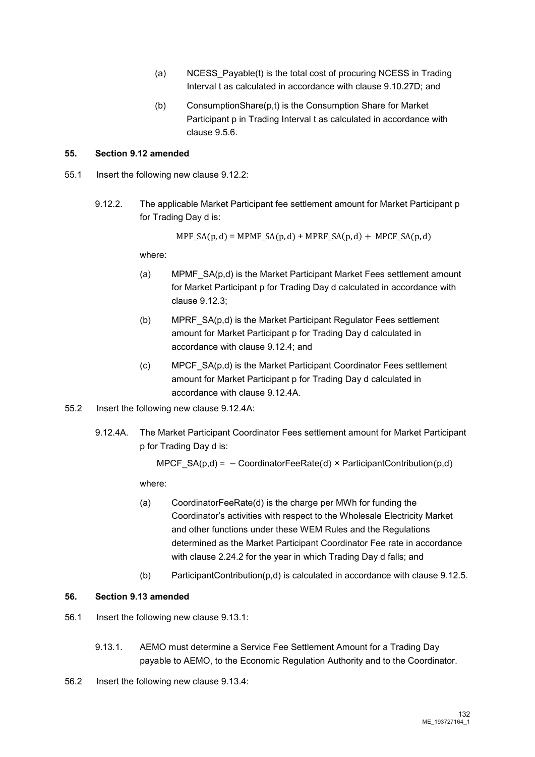- (a) NCESS\_Payable(t) is the total cost of procuring NCESS in Trading Interval t as calculated in accordance with clause 9.10.27D; and
- (b) ConsumptionShare(p,t) is the Consumption Share for Market Participant p in Trading Interval t as calculated in accordance with clause 9.5.6.

### **55. Section 9.12 amended**

- 55.1 Insert the following new clause 9.12.2:
	- 9.12.2. The applicable Market Participant fee settlement amount for Market Participant p for Trading Day d is:

 $MPF_S A(p, d) = MPMF_S A(p, d) + MPRF_S A(p, d) + MPCF_S A(p, d)$ 

where:

- (a) MPMF\_SA(p,d) is the Market Participant Market Fees settlement amount for Market Participant p for Trading Day d calculated in accordance with clause 9.12.3;
- (b) MPRF\_SA(p,d) is the Market Participant Regulator Fees settlement amount for Market Participant p for Trading Day d calculated in accordance with clause 9.12.4; and
- (c) MPCF\_SA(p,d) is the Market Participant Coordinator Fees settlement amount for Market Participant p for Trading Day d calculated in accordance with clause 9.12.4A.
- 55.2 Insert the following new clause 9.12.4A:
	- 9.12.4A. The Market Participant Coordinator Fees settlement amount for Market Participant p for Trading Day d is:

MPCF  $SA(p,d) = -$  CoordinatorFeeRate(d) × ParticipantContribution(p,d)

where:

- (a) CoordinatorFeeRate(d) is the charge per MWh for funding the Coordinator's activities with respect to the Wholesale Electricity Market and other functions under these WEM Rules and the Regulations determined as the Market Participant Coordinator Fee rate in accordance with clause 2.24.2 for the year in which Trading Day d falls; and
- (b) ParticipantContribution(p,d) is calculated in accordance with clause 9.12.5.

# **56. Section 9.13 amended**

- 56.1 Insert the following new clause 9.13.1:
	- 9.13.1. AEMO must determine a Service Fee Settlement Amount for a Trading Day payable to AEMO, to the Economic Regulation Authority and to the Coordinator.
- 56.2 Insert the following new clause 9.13.4: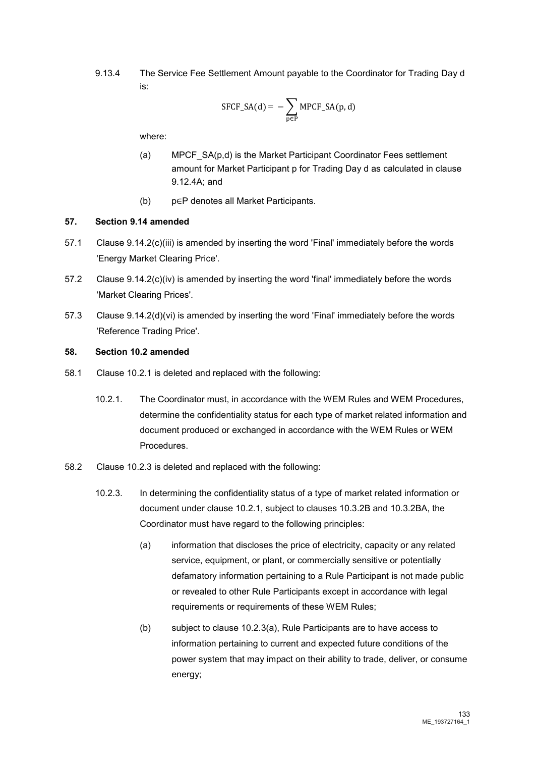9.13.4 The Service Fee Settlement Amount payable to the Coordinator for Trading Day d is:

$$
SFCF\_SA(d) = -\sum_{p \in P} MPCF\_SA(p, d)
$$

where:

- (a) MPCF SA(p,d) is the Market Participant Coordinator Fees settlement amount for Market Participant p for Trading Day d as calculated in clause 9.12.4A; and
- (b) p∈P denotes all Market Participants.

# **57. Section 9.14 amended**

- 57.1 Clause 9.14.2(c)(iii) is amended by inserting the word 'Final' immediately before the words 'Energy Market Clearing Price'.
- 57.2 Clause 9.14.2(c)(iv) is amended by inserting the word 'final' immediately before the words 'Market Clearing Prices'.
- 57.3 Clause 9.14.2(d)(vi) is amended by inserting the word 'Final' immediately before the words 'Reference Trading Price'.

#### **58. Section 10.2 amended**

- 58.1 Clause 10.2.1 is deleted and replaced with the following:
	- 10.2.1. The Coordinator must, in accordance with the WEM Rules and WEM Procedures, determine the confidentiality status for each type of market related information and document produced or exchanged in accordance with the WEM Rules or WEM Procedures.
- 58.2 Clause 10.2.3 is deleted and replaced with the following:
	- 10.2.3. In determining the confidentiality status of a type of market related information or document under clause 10.2.1, subject to clauses 10.3.2B and 10.3.2BA, the Coordinator must have regard to the following principles:
		- (a) information that discloses the price of electricity, capacity or any related service, equipment, or plant, or commercially sensitive or potentially defamatory information pertaining to a Rule Participant is not made public or revealed to other Rule Participants except in accordance with legal requirements or requirements of these WEM Rules;
		- (b) subject to clause 10.2.3(a), Rule Participants are to have access to information pertaining to current and expected future conditions of the power system that may impact on their ability to trade, deliver, or consume energy;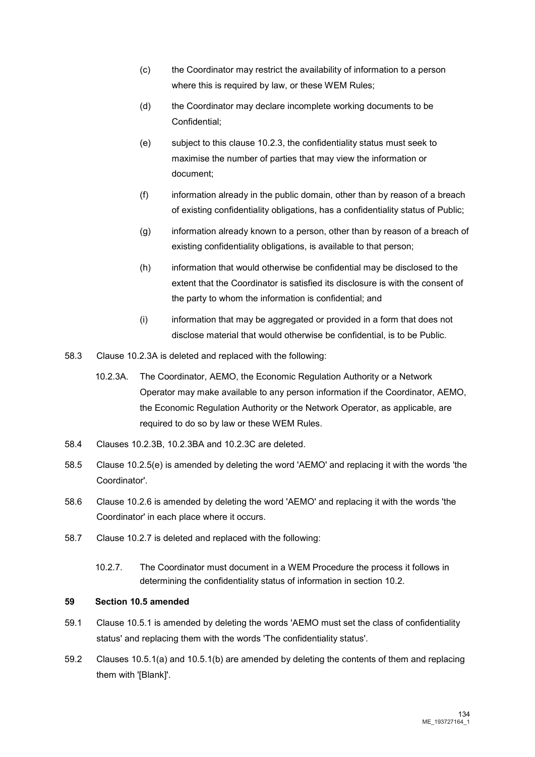- (c) the Coordinator may restrict the availability of information to a person where this is required by law, or these WEM Rules;
- (d) the Coordinator may declare incomplete working documents to be Confidential;
- (e) subject to this clause 10.2.3, the confidentiality status must seek to maximise the number of parties that may view the information or document;
- (f) information already in the public domain, other than by reason of a breach of existing confidentiality obligations, has a confidentiality status of Public;
- (g) information already known to a person, other than by reason of a breach of existing confidentiality obligations, is available to that person;
- (h) information that would otherwise be confidential may be disclosed to the extent that the Coordinator is satisfied its disclosure is with the consent of the party to whom the information is confidential; and
- (i) information that may be aggregated or provided in a form that does not disclose material that would otherwise be confidential, is to be Public.
- 58.3 Clause 10.2.3A is deleted and replaced with the following:
	- 10.2.3A. The Coordinator, AEMO, the Economic Regulation Authority or a Network Operator may make available to any person information if the Coordinator, AEMO, the Economic Regulation Authority or the Network Operator, as applicable, are required to do so by law or these WEM Rules.
- 58.4 Clauses 10.2.3B, 10.2.3BA and 10.2.3C are deleted.
- 58.5 Clause 10.2.5(e) is amended by deleting the word 'AEMO' and replacing it with the words 'the Coordinator'.
- 58.6 Clause 10.2.6 is amended by deleting the word 'AEMO' and replacing it with the words 'the Coordinator' in each place where it occurs.
- 58.7 Clause 10.2.7 is deleted and replaced with the following:
	- 10.2.7. The Coordinator must document in a WEM Procedure the process it follows in determining the confidentiality status of information in section 10.2.

# **59 Section 10.5 amended**

- 59.1 Clause 10.5.1 is amended by deleting the words 'AEMO must set the class of confidentiality status' and replacing them with the words 'The confidentiality status'.
- 59.2 Clauses 10.5.1(a) and 10.5.1(b) are amended by deleting the contents of them and replacing them with '[Blank]'.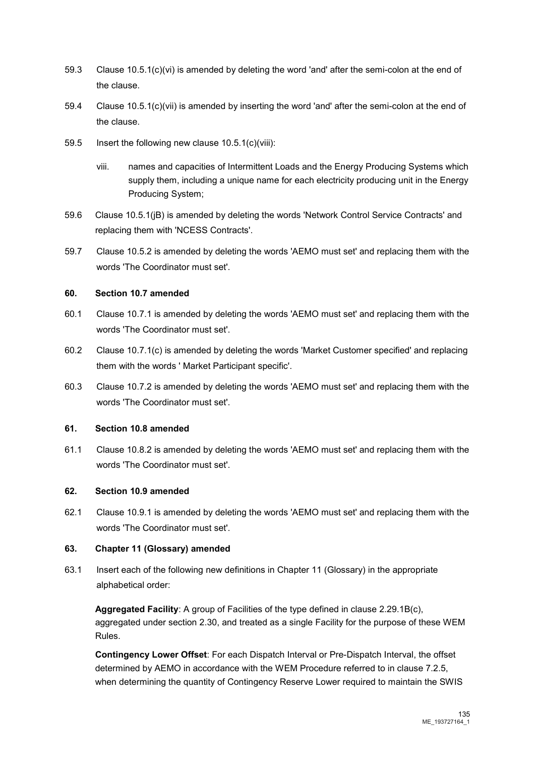- 59.3 Clause 10.5.1(c)(vi) is amended by deleting the word 'and' after the semi-colon at the end of the clause.
- 59.4 Clause 10.5.1(c)(vii) is amended by inserting the word 'and' after the semi-colon at the end of the clause.
- 59.5 Insert the following new clause 10.5.1(c)(viii):
	- viii. names and capacities of Intermittent Loads and the Energy Producing Systems which supply them, including a unique name for each electricity producing unit in the Energy Producing System;
- 59.6 Clause 10.5.1(jB) is amended by deleting the words 'Network Control Service Contracts' and replacing them with 'NCESS Contracts'.
- 59.7 Clause 10.5.2 is amended by deleting the words 'AEMO must set' and replacing them with the words 'The Coordinator must set'.

# **60. Section 10.7 amended**

- 60.1 Clause 10.7.1 is amended by deleting the words 'AEMO must set' and replacing them with the words 'The Coordinator must set'.
- 60.2 Clause 10.7.1(c) is amended by deleting the words 'Market Customer specified' and replacing them with the words ' Market Participant specific'.
- 60.3 Clause 10.7.2 is amended by deleting the words 'AEMO must set' and replacing them with the words 'The Coordinator must set'.

# **61. Section 10.8 amended**

61.1 Clause 10.8.2 is amended by deleting the words 'AEMO must set' and replacing them with the words 'The Coordinator must set'.

# **62. Section 10.9 amended**

62.1 Clause 10.9.1 is amended by deleting the words 'AEMO must set' and replacing them with the words 'The Coordinator must set'.

# **63. Chapter 11 (Glossary) amended**

63.1 Insert each of the following new definitions in Chapter 11 (Glossary) in the appropriate alphabetical order:

**Aggregated Facility**: A group of Facilities of the type defined in clause 2.29.1B(c), aggregated under section 2.30, and treated as a single Facility for the purpose of these WEM Rules.

**Contingency Lower Offset**: For each Dispatch Interval or Pre-Dispatch Interval, the offset determined by AEMO in accordance with the WEM Procedure referred to in clause 7.2.5, when determining the quantity of Contingency Reserve Lower required to maintain the SWIS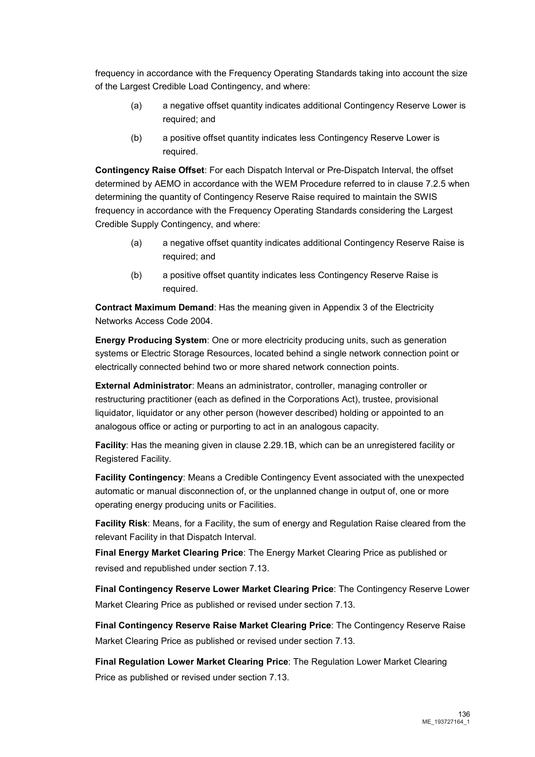frequency in accordance with the Frequency Operating Standards taking into account the size of the Largest Credible Load Contingency, and where:

- (a) a negative offset quantity indicates additional Contingency Reserve Lower is required; and
- (b) a positive offset quantity indicates less Contingency Reserve Lower is required.

**Contingency Raise Offset**: For each Dispatch Interval or Pre-Dispatch Interval, the offset determined by AEMO in accordance with the WEM Procedure referred to in clause 7.2.5 when determining the quantity of Contingency Reserve Raise required to maintain the SWIS frequency in accordance with the Frequency Operating Standards considering the Largest Credible Supply Contingency, and where:

- (a) a negative offset quantity indicates additional Contingency Reserve Raise is required; and
- (b) a positive offset quantity indicates less Contingency Reserve Raise is required.

**Contract Maximum Demand**: Has the meaning given in Appendix 3 of the Electricity Networks Access Code 2004.

**Energy Producing System**: One or more electricity producing units, such as generation systems or Electric Storage Resources, located behind a single network connection point or electrically connected behind two or more shared network connection points.

**External Administrator**: Means an administrator, controller, managing controller or restructuring practitioner (each as defined in the Corporations Act), trustee, provisional liquidator, liquidator or any other person (however described) holding or appointed to an analogous office or acting or purporting to act in an analogous capacity.

**Facility**: Has the meaning given in clause 2.29.1B, which can be an unregistered facility or Registered Facility.

**Facility Contingency**: Means a Credible Contingency Event associated with the unexpected automatic or manual disconnection of, or the unplanned change in output of, one or more operating energy producing units or Facilities.

**Facility Risk**: Means, for a Facility, the sum of energy and Regulation Raise cleared from the relevant Facility in that Dispatch Interval.

**Final Energy Market Clearing Price**: The Energy Market Clearing Price as published or revised and republished under section 7.13.

**Final Contingency Reserve Lower Market Clearing Price**: The Contingency Reserve Lower Market Clearing Price as published or revised under section 7.13.

**Final Contingency Reserve Raise Market Clearing Price**: The Contingency Reserve Raise Market Clearing Price as published or revised under section 7.13.

**Final Regulation Lower Market Clearing Price**: The Regulation Lower Market Clearing Price as published or revised under section 7.13.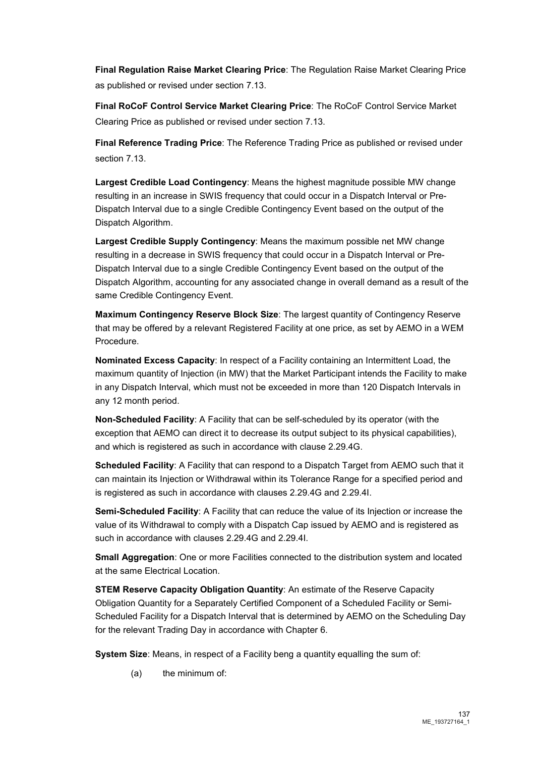**Final Regulation Raise Market Clearing Price**: The Regulation Raise Market Clearing Price as published or revised under section 7.13.

**Final RoCoF Control Service Market Clearing Price**: The RoCoF Control Service Market Clearing Price as published or revised under section 7.13.

**Final Reference Trading Price**: The Reference Trading Price as published or revised under section 7.13.

**Largest Credible Load Contingency**: Means the highest magnitude possible MW change resulting in an increase in SWIS frequency that could occur in a Dispatch Interval or Pre-Dispatch Interval due to a single Credible Contingency Event based on the output of the Dispatch Algorithm.

**Largest Credible Supply Contingency**: Means the maximum possible net MW change resulting in a decrease in SWIS frequency that could occur in a Dispatch Interval or Pre-Dispatch Interval due to a single Credible Contingency Event based on the output of the Dispatch Algorithm, accounting for any associated change in overall demand as a result of the same Credible Contingency Event.

**Maximum Contingency Reserve Block Size**: The largest quantity of Contingency Reserve that may be offered by a relevant Registered Facility at one price, as set by AEMO in a WEM Procedure.

**Nominated Excess Capacity**: In respect of a Facility containing an Intermittent Load, the maximum quantity of Injection (in MW) that the Market Participant intends the Facility to make in any Dispatch Interval, which must not be exceeded in more than 120 Dispatch Intervals in any 12 month period.

**Non-Scheduled Facility**: A Facility that can be self-scheduled by its operator (with the exception that AEMO can direct it to decrease its output subject to its physical capabilities), and which is registered as such in accordance with clause 2.29.4G.

**Scheduled Facility**: A Facility that can respond to a Dispatch Target from AEMO such that it can maintain its Injection or Withdrawal within its Tolerance Range for a specified period and is registered as such in accordance with clauses 2.29.4G and 2.29.4I.

**Semi-Scheduled Facility**: A Facility that can reduce the value of its Injection or increase the value of its Withdrawal to comply with a Dispatch Cap issued by AEMO and is registered as such in accordance with clauses 2.29.4G and 2.29.4I.

**Small Aggregation**: One or more Facilities connected to the distribution system and located at the same Electrical Location.

**STEM Reserve Capacity Obligation Quantity**: An estimate of the Reserve Capacity Obligation Quantity for a Separately Certified Component of a Scheduled Facility or Semi-Scheduled Facility for a Dispatch Interval that is determined by AEMO on the Scheduling Day for the relevant Trading Day in accordance with Chapter 6.

**System Size**: Means, in respect of a Facility beng a quantity equalling the sum of:

(a) the minimum of: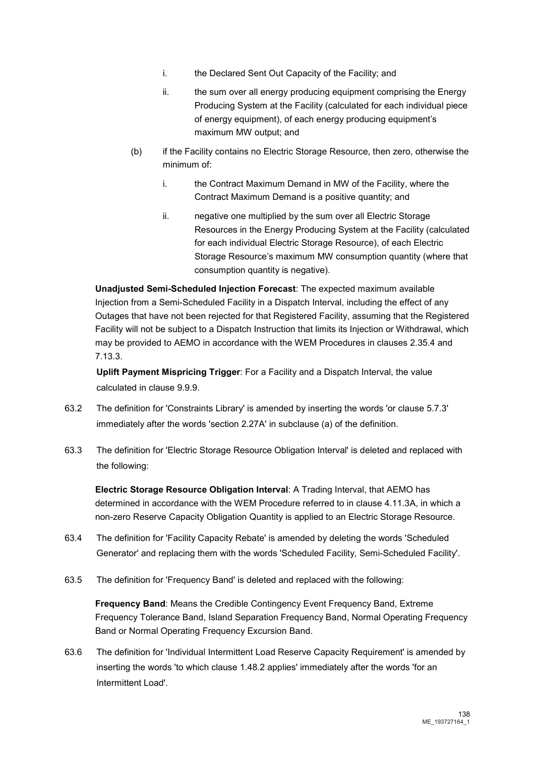- i. the Declared Sent Out Capacity of the Facility; and
- ii. the sum over all energy producing equipment comprising the Energy Producing System at the Facility (calculated for each individual piece of energy equipment), of each energy producing equipment's maximum MW output; and
- (b) if the Facility contains no Electric Storage Resource, then zero, otherwise the minimum of:
	- i. the Contract Maximum Demand in MW of the Facility, where the Contract Maximum Demand is a positive quantity; and
	- ii. negative one multiplied by the sum over all Electric Storage Resources in the Energy Producing System at the Facility (calculated for each individual Electric Storage Resource), of each Electric Storage Resource's maximum MW consumption quantity (where that consumption quantity is negative).

**Unadjusted Semi-Scheduled Injection Forecast**: The expected maximum available Injection from a Semi-Scheduled Facility in a Dispatch Interval, including the effect of any Outages that have not been rejected for that Registered Facility, assuming that the Registered Facility will not be subject to a Dispatch Instruction that limits its Injection or Withdrawal, which may be provided to AEMO in accordance with the WEM Procedures in clauses 2.35.4 and 7.13.3.

**Uplift Payment Mispricing Trigger**: For a Facility and a Dispatch Interval, the value calculated in clause 9.9.9.

- 63.2 The definition for 'Constraints Library' is amended by inserting the words 'or clause 5.7.3' immediately after the words 'section 2.27A' in subclause (a) of the definition.
- 63.3 The definition for 'Electric Storage Resource Obligation Interval' is deleted and replaced with the following:

**Electric Storage Resource Obligation Interval**: A Trading Interval, that AEMO has determined in accordance with the WEM Procedure referred to in clause 4.11.3A, in which a non-zero Reserve Capacity Obligation Quantity is applied to an Electric Storage Resource.

- 63.4 The definition for 'Facility Capacity Rebate' is amended by deleting the words 'Scheduled Generator' and replacing them with the words 'Scheduled Facility, Semi-Scheduled Facility'.
- 63.5 The definition for 'Frequency Band' is deleted and replaced with the following:

**Frequency Band: Means the Credible Contingency Event Frequency Band, Extreme** Frequency Tolerance Band, Island Separation Frequency Band, Normal Operating Frequency Band or Normal Operating Frequency Excursion Band.

63.6 The definition for 'Individual Intermittent Load Reserve Capacity Requirement' is amended by inserting the words 'to which clause 1.48.2 applies' immediately after the words 'for an Intermittent Load'.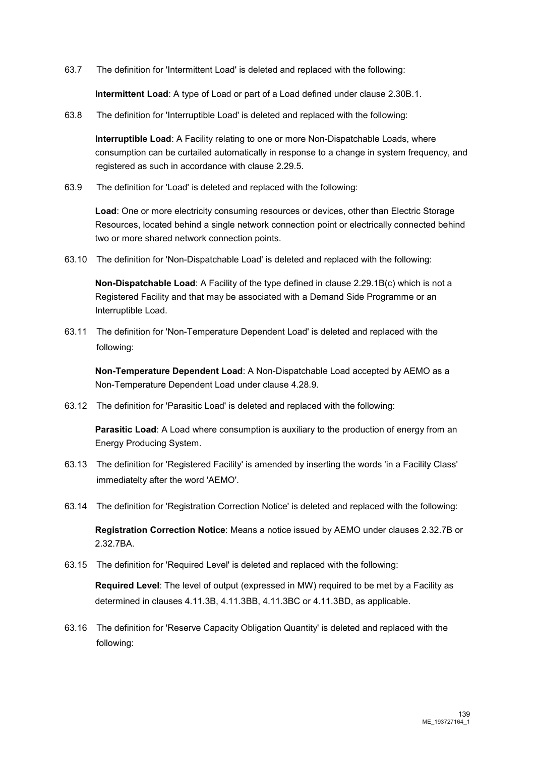63.7 The definition for 'Intermittent Load' is deleted and replaced with the following:

**Intermittent Load**: A type of Load or part of a Load defined under clause 2.30B.1.

63.8 The definition for 'Interruptible Load' is deleted and replaced with the following:

**Interruptible Load**: A Facility relating to one or more Non-Dispatchable Loads, where consumption can be curtailed automatically in response to a change in system frequency, and registered as such in accordance with clause 2.29.5.

63.9 The definition for 'Load' is deleted and replaced with the following:

**Load**: One or more electricity consuming resources or devices, other than Electric Storage Resources, located behind a single network connection point or electrically connected behind two or more shared network connection points.

63.10 The definition for 'Non-Dispatchable Load' is deleted and replaced with the following:

**Non-Dispatchable Load**: A Facility of the type defined in clause 2.29.1B(c) which is not a Registered Facility and that may be associated with a Demand Side Programme or an Interruptible Load.

63.11 The definition for 'Non-Temperature Dependent Load' is deleted and replaced with the following:

**Non-Temperature Dependent Load**: A Non-Dispatchable Load accepted by AEMO as a Non-Temperature Dependent Load under clause 4.28.9.

63.12 The definition for 'Parasitic Load' is deleted and replaced with the following:

**Parasitic Load:** A Load where consumption is auxiliary to the production of energy from an Energy Producing System.

- 63.13 The definition for 'Registered Facility' is amended by inserting the words 'in a Facility Class' immediatelty after the word 'AEMO'.
- 63.14 The definition for 'Registration Correction Notice' is deleted and replaced with the following:

**Registration Correction Notice**: Means a notice issued by AEMO under clauses 2.32.7B or 2.32.7BA.

63.15 The definition for 'Required Level' is deleted and replaced with the following:

**Required Level**: The level of output (expressed in MW) required to be met by a Facility as determined in clauses 4.11.3B, 4.11.3BB, 4.11.3BC or 4.11.3BD, as applicable.

63.16 The definition for 'Reserve Capacity Obligation Quantity' is deleted and replaced with the following: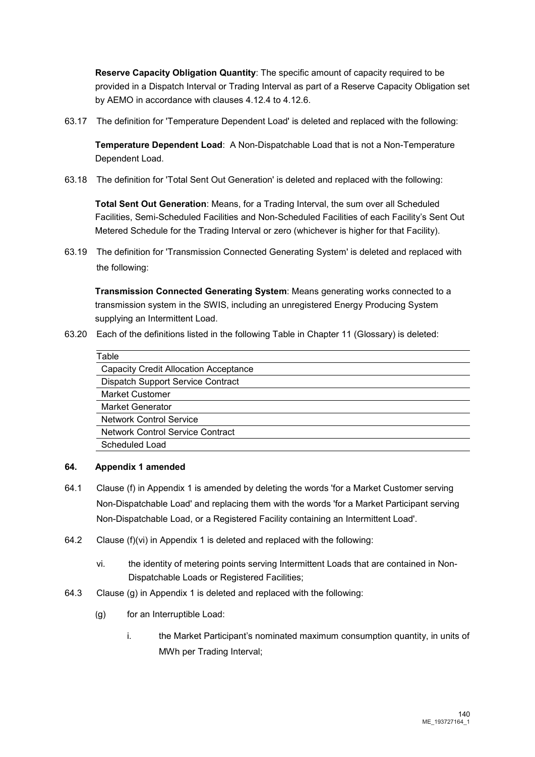**Reserve Capacity Obligation Quantity**: The specific amount of capacity required to be provided in a Dispatch Interval or Trading Interval as part of a Reserve Capacity Obligation set by AEMO in accordance with clauses 4.12.4 to 4.12.6.

63.17 The definition for 'Temperature Dependent Load' is deleted and replaced with the following:

**Temperature Dependent Load**: A Non-Dispatchable Load that is not a Non-Temperature Dependent Load.

63.18 The definition for 'Total Sent Out Generation' is deleted and replaced with the following:

**Total Sent Out Generation**: Means, for a Trading Interval, the sum over all Scheduled Facilities, Semi-Scheduled Facilities and Non-Scheduled Facilities of each Facility's Sent Out Metered Schedule for the Trading Interval or zero (whichever is higher for that Facility).

63.19 The definition for 'Transmission Connected Generating System' is deleted and replaced with the following:

**Transmission Connected Generating System**: Means generating works connected to a transmission system in the SWIS, including an unregistered Energy Producing System supplying an Intermittent Load.

63.20 Each of the definitions listed in the following Table in Chapter 11 (Glossary) is deleted:

| Table                                        |
|----------------------------------------------|
| <b>Capacity Credit Allocation Acceptance</b> |
| Dispatch Support Service Contract            |
| <b>Market Customer</b>                       |
| <b>Market Generator</b>                      |
| <b>Network Control Service</b>               |
| <b>Network Control Service Contract</b>      |
| Scheduled Load                               |
|                                              |

# **64. Appendix 1 amended**

- 64.1 Clause (f) in Appendix 1 is amended by deleting the words 'for a Market Customer serving Non-Dispatchable Load' and replacing them with the words 'for a Market Participant serving Non-Dispatchable Load, or a Registered Facility containing an Intermittent Load'.
- 64.2 Clause (f)(vi) in Appendix 1 is deleted and replaced with the following:
	- vi. the identity of metering points serving Intermittent Loads that are contained in Non-Dispatchable Loads or Registered Facilities;
- 64.3 Clause (g) in Appendix 1 is deleted and replaced with the following:
	- (g) for an Interruptible Load:
		- i. the Market Participant's nominated maximum consumption quantity, in units of MWh per Trading Interval;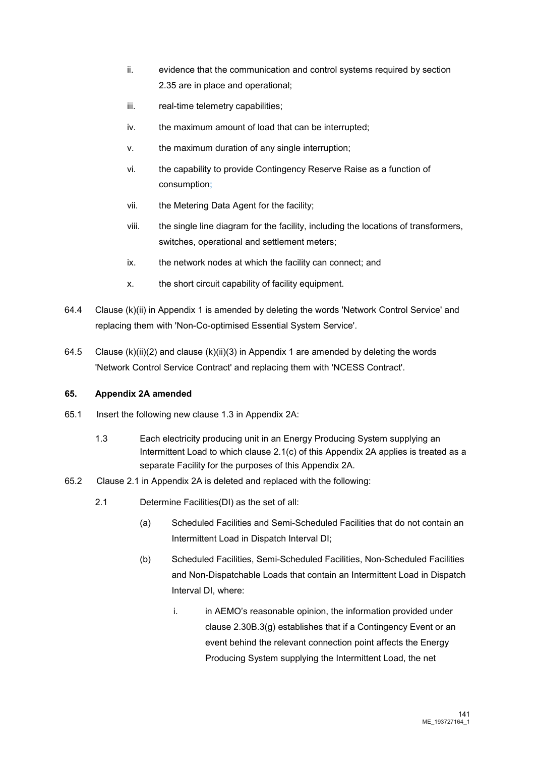- ii. evidence that the communication and control systems required by section 2.35 are in place and operational;
- iii. real-time telemetry capabilities:
- iv. the maximum amount of load that can be interrupted;
- v. the maximum duration of any single interruption;
- vi. the capability to provide Contingency Reserve Raise as a function of consumption;
- vii. the Metering Data Agent for the facility;
- viii. the single line diagram for the facility, including the locations of transformers, switches, operational and settlement meters;
- ix. the network nodes at which the facility can connect; and
- x. the short circuit capability of facility equipment.
- 64.4 Clause (k)(ii) in Appendix 1 is amended by deleting the words 'Network Control Service' and replacing them with 'Non-Co-optimised Essential System Service'.
- 64.5 Clause (k)(ii)(2) and clause (k)(ii)(3) in Appendix 1 are amended by deleting the words 'Network Control Service Contract' and replacing them with 'NCESS Contract'.

# **65. Appendix 2A amended**

- 65.1 Insert the following new clause 1.3 in Appendix 2A:
	- 1.3 Each electricity producing unit in an Energy Producing System supplying an Intermittent Load to which clause 2.1(c) of this Appendix 2A applies is treated as a separate Facility for the purposes of this Appendix 2A.
- 65.2 Clause 2.1 in Appendix 2A is deleted and replaced with the following:
	- 2.1 Determine Facilities(DI) as the set of all:
		- (a) Scheduled Facilities and Semi-Scheduled Facilities that do not contain an Intermittent Load in Dispatch Interval DI;
		- (b) Scheduled Facilities, Semi-Scheduled Facilities, Non-Scheduled Facilities and Non-Dispatchable Loads that contain an Intermittent Load in Dispatch Interval DI, where:
			- i. in AEMO's reasonable opinion, the information provided under clause 2.30B.3(g) establishes that if a Contingency Event or an event behind the relevant connection point affects the Energy Producing System supplying the Intermittent Load, the net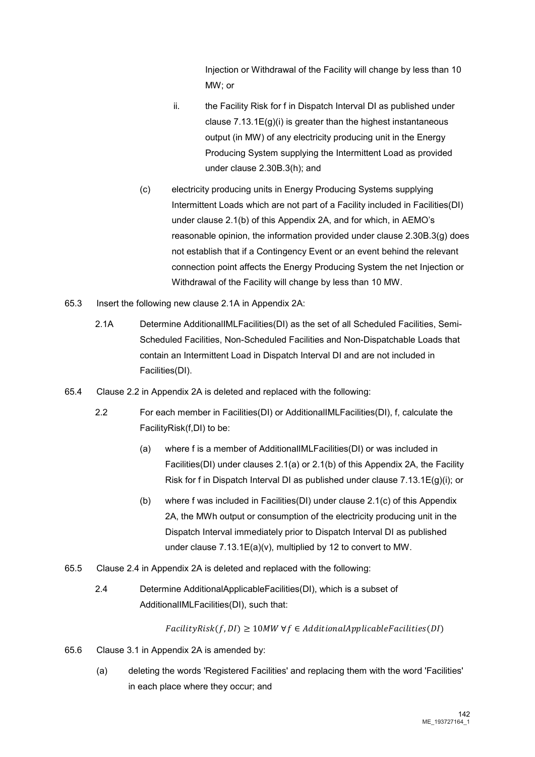Injection or Withdrawal of the Facility will change by less than 10 MW; or

- ii. the Facility Risk for f in Dispatch Interval DI as published under clause 7.13.1E(g)(i) is greater than the highest instantaneous output (in MW) of any electricity producing unit in the Energy Producing System supplying the Intermittent Load as provided under clause 2.30B.3(h); and
- (c) electricity producing units in Energy Producing Systems supplying Intermittent Loads which are not part of a Facility included in Facilities(DI) under clause 2.1(b) of this Appendix 2A, and for which, in AEMO's reasonable opinion, the information provided under clause 2.30B.3(g) does not establish that if a Contingency Event or an event behind the relevant connection point affects the Energy Producing System the net Injection or Withdrawal of the Facility will change by less than 10 MW.
- 65.3 Insert the following new clause 2.1A in Appendix 2A:
	- 2.1A Determine AdditionalIMLFacilities(DI) as the set of all Scheduled Facilities, Semi-Scheduled Facilities, Non-Scheduled Facilities and Non-Dispatchable Loads that contain an Intermittent Load in Dispatch Interval DI and are not included in Facilities(DI).
- 65.4 Clause 2.2 in Appendix 2A is deleted and replaced with the following:
	- 2.2 For each member in Facilities(DI) or AdditionalIMLFacilities(DI), f, calculate the FacilityRisk(f,DI) to be:
		- (a) where f is a member of AdditionalIMLFacilities(DI) or was included in Facilities(DI) under clauses 2.1(a) or 2.1(b) of this Appendix 2A, the Facility Risk for f in Dispatch Interval DI as published under clause 7.13.1E(g)(i); or
		- (b) where f was included in Facilities(DI) under clause 2.1(c) of this Appendix 2A, the MWh output or consumption of the electricity producing unit in the Dispatch Interval immediately prior to Dispatch Interval DI as published under clause 7.13.1E(a)(v), multiplied by 12 to convert to MW.
- 65.5 Clause 2.4 in Appendix 2A is deleted and replaced with the following:
	- 2.4 Determine AdditionalApplicableFacilities(DI), which is a subset of AdditionalIMLFacilities(DI), such that:

 $FacilityRisk(f,DI) \ge 10MW \,\forall f \in AdditionalApplicable Facilities(DI)$ 

- 65.6 Clause 3.1 in Appendix 2A is amended by:
	- (a) deleting the words 'Registered Facilities' and replacing them with the word 'Facilities' in each place where they occur; and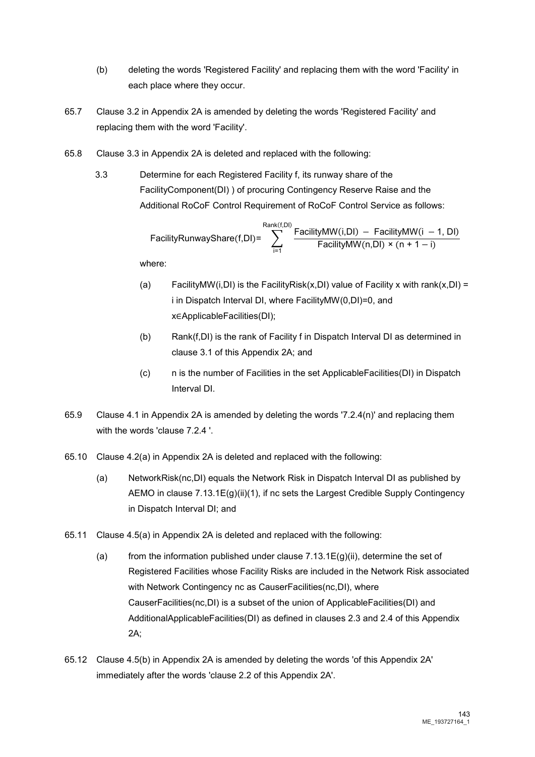- (b) deleting the words 'Registered Facility' and replacing them with the word 'Facility' in each place where they occur.
- 65.7 Clause 3.2 in Appendix 2A is amended by deleting the words 'Registered Facility' and replacing them with the word 'Facility'.
- 65.8 Clause 3.3 in Appendix 2A is deleted and replaced with the following:
	- 3.3 Determine for each Registered Facility f, its runway share of the FacilityComponent(DI) ) of procuring Contingency Reserve Raise and the Additional RoCoF Control Requirement of RoCoF Control Service as follows:

$$
FacilityRunwayShare(f,DI) = \sum_{i=1}^{Rank(f,DI)}\frac{FacilityMW(i,DI) - FacilityMW(i - 1,DI)}{FacilityMW(n,DI) \times (n + 1 - i)}
$$

where:

- (a) FacilityMW(i,DI) is the FacilityRisk(x,DI) value of Facility x with rank(x,DI) = i in Dispatch Interval DI, where FacilityMW(0,DI)=0, and x∈ApplicableFacilities(DI);
- (b) Rank(f,DI) is the rank of Facility f in Dispatch Interval DI as determined in clause 3.1 of this Appendix 2A; and
- (c) n is the number of Facilities in the set ApplicableFacilities(DI) in Dispatch Interval DI.
- 65.9 Clause 4.1 in Appendix 2A is amended by deleting the words '7.2.4(n)' and replacing them with the words 'clause 7.2.4 '.
- 65.10 Clause 4.2(a) in Appendix 2A is deleted and replaced with the following:
	- (a) NetworkRisk(nc,DI) equals the Network Risk in Dispatch Interval DI as published by AEMO in clause 7.13.1E(g)(ii)(1), if nc sets the Largest Credible Supply Contingency in Dispatch Interval DI; and
- 65.11 Clause 4.5(a) in Appendix 2A is deleted and replaced with the following:
	- (a) from the information published under clause  $7.13.1E(g)(ii)$ , determine the set of Registered Facilities whose Facility Risks are included in the Network Risk associated with Network Contingency nc as CauserFacilities(nc,DI), where CauserFacilities(nc,DI) is a subset of the union of ApplicableFacilities(DI) and AdditionalApplicableFacilities(DI) as defined in clauses 2.3 and 2.4 of this Appendix 2A;
- 65.12 Clause 4.5(b) in Appendix 2A is amended by deleting the words 'of this Appendix 2A' immediately after the words 'clause 2.2 of this Appendix 2A'.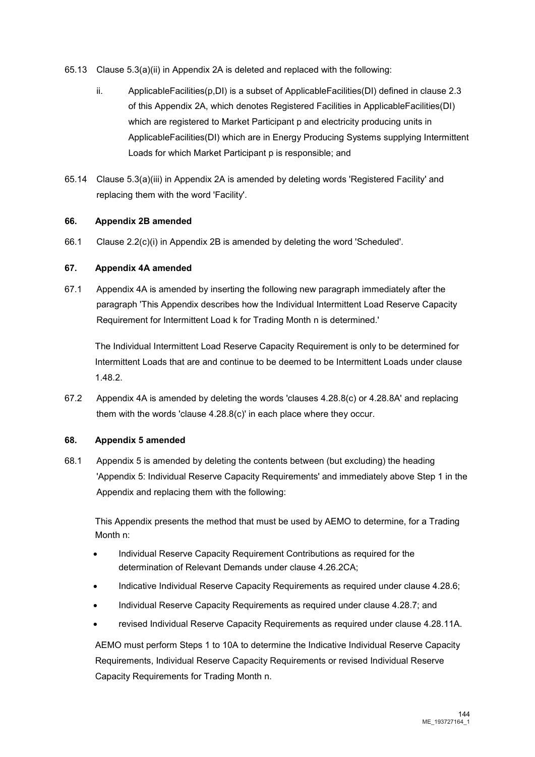- 65.13 Clause 5.3(a)(ii) in Appendix 2A is deleted and replaced with the following:
	- ii. Applicable Facilities( $p$ ,DI) is a subset of Applicable Facilities(DI) defined in clause 2.3 of this Appendix 2A, which denotes Registered Facilities in ApplicableFacilities(DI) which are registered to Market Participant p and electricity producing units in ApplicableFacilities(DI) which are in Energy Producing Systems supplying Intermittent Loads for which Market Participant p is responsible; and
- 65.14 Clause 5.3(a)(iii) in Appendix 2A is amended by deleting words 'Registered Facility' and replacing them with the word 'Facility'.

# **66. Appendix 2B amended**

66.1 Clause 2.2(c)(i) in Appendix 2B is amended by deleting the word 'Scheduled'.

#### **67. Appendix 4A amended**

67.1 Appendix 4A is amended by inserting the following new paragraph immediately after the paragraph 'This Appendix describes how the Individual Intermittent Load Reserve Capacity Requirement for Intermittent Load k for Trading Month n is determined.'

The Individual Intermittent Load Reserve Capacity Requirement is only to be determined for Intermittent Loads that are and continue to be deemed to be Intermittent Loads under clause 1.48.2.

67.2 Appendix 4A is amended by deleting the words 'clauses 4.28.8(c) or 4.28.8A' and replacing them with the words 'clause 4.28.8(c)' in each place where they occur.

# **68. Appendix 5 amended**

68.1 Appendix 5 is amended by deleting the contents between (but excluding) the heading 'Appendix 5: Individual Reserve Capacity Requirements' and immediately above Step 1 in the Appendix and replacing them with the following:

This Appendix presents the method that must be used by AEMO to determine, for a Trading Month n:

- Individual Reserve Capacity Requirement Contributions as required for the determination of Relevant Demands under clause 4.26.2CA;
- Indicative Individual Reserve Capacity Requirements as required under clause 4.28.6;
- Individual Reserve Capacity Requirements as required under clause 4.28.7; and
- revised Individual Reserve Capacity Requirements as required under clause 4.28.11A.

AEMO must perform Steps 1 to 10A to determine the Indicative Individual Reserve Capacity Requirements, Individual Reserve Capacity Requirements or revised Individual Reserve Capacity Requirements for Trading Month n.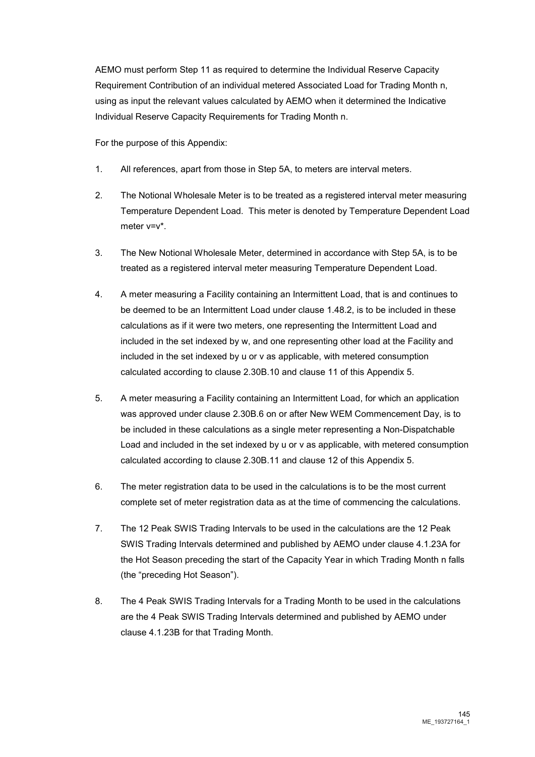AEMO must perform Step 11 as required to determine the Individual Reserve Capacity Requirement Contribution of an individual metered Associated Load for Trading Month n, using as input the relevant values calculated by AEMO when it determined the Indicative Individual Reserve Capacity Requirements for Trading Month n.

For the purpose of this Appendix:

- 1. All references, apart from those in Step 5A, to meters are interval meters.
- 2. The Notional Wholesale Meter is to be treated as a registered interval meter measuring Temperature Dependent Load. This meter is denoted by Temperature Dependent Load meter v=v\*.
- 3. The New Notional Wholesale Meter, determined in accordance with Step 5A, is to be treated as a registered interval meter measuring Temperature Dependent Load.
- 4. A meter measuring a Facility containing an Intermittent Load, that is and continues to be deemed to be an Intermittent Load under clause 1.48.2, is to be included in these calculations as if it were two meters, one representing the Intermittent Load and included in the set indexed by w, and one representing other load at the Facility and included in the set indexed by u or v as applicable, with metered consumption calculated according to clause 2.30B.10 and clause 11 of this Appendix 5.
- 5. A meter measuring a Facility containing an Intermittent Load, for which an application was approved under clause 2.30B.6 on or after New WEM Commencement Day, is to be included in these calculations as a single meter representing a Non-Dispatchable Load and included in the set indexed by u or v as applicable, with metered consumption calculated according to clause 2.30B.11 and clause 12 of this Appendix 5.
- 6. The meter registration data to be used in the calculations is to be the most current complete set of meter registration data as at the time of commencing the calculations.
- 7. The 12 Peak SWIS Trading Intervals to be used in the calculations are the 12 Peak SWIS Trading Intervals determined and published by AEMO under clause 4.1.23A for the Hot Season preceding the start of the Capacity Year in which Trading Month n falls (the "preceding Hot Season").
- 8. The 4 Peak SWIS Trading Intervals for a Trading Month to be used in the calculations are the 4 Peak SWIS Trading Intervals determined and published by AEMO under clause 4.1.23B for that Trading Month.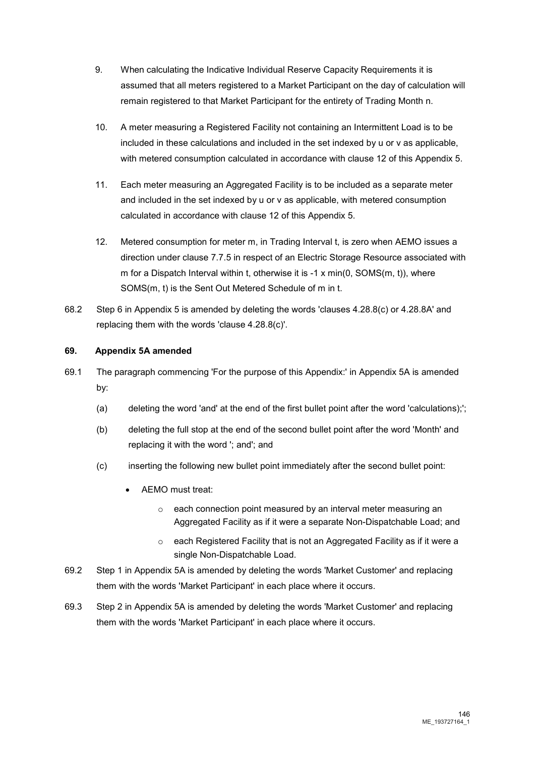- 9. When calculating the Indicative Individual Reserve Capacity Requirements it is assumed that all meters registered to a Market Participant on the day of calculation will remain registered to that Market Participant for the entirety of Trading Month n.
- 10. A meter measuring a Registered Facility not containing an Intermittent Load is to be included in these calculations and included in the set indexed by u or v as applicable, with metered consumption calculated in accordance with clause 12 of this Appendix 5.
- 11. Each meter measuring an Aggregated Facility is to be included as a separate meter and included in the set indexed by u or v as applicable, with metered consumption calculated in accordance with clause 12 of this Appendix 5.
- 12. Metered consumption for meter m, in Trading Interval t, is zero when AEMO issues a direction under clause 7.7.5 in respect of an Electric Storage Resource associated with m for a Dispatch Interval within t, otherwise it is -1 x min(0, SOMS(m, t)), where SOMS(m, t) is the Sent Out Metered Schedule of m in t.
- 68.2 Step 6 in Appendix 5 is amended by deleting the words 'clauses 4.28.8(c) or 4.28.8A' and replacing them with the words 'clause 4.28.8(c)'.

## **69. Appendix 5A amended**

- 69.1 The paragraph commencing 'For the purpose of this Appendix:' in Appendix 5A is amended by:
	- (a) deleting the word 'and' at the end of the first bullet point after the word 'calculations);';
	- (b) deleting the full stop at the end of the second bullet point after the word 'Month' and replacing it with the word '; and'; and
	- (c) inserting the following new bullet point immediately after the second bullet point:
		- AEMO must treat:
			- o each connection point measured by an interval meter measuring an Aggregated Facility as if it were a separate Non-Dispatchable Load; and
			- o each Registered Facility that is not an Aggregated Facility as if it were a single Non-Dispatchable Load.
- 69.2 Step 1 in Appendix 5A is amended by deleting the words 'Market Customer' and replacing them with the words 'Market Participant' in each place where it occurs.
- 69.3 Step 2 in Appendix 5A is amended by deleting the words 'Market Customer' and replacing them with the words 'Market Participant' in each place where it occurs.